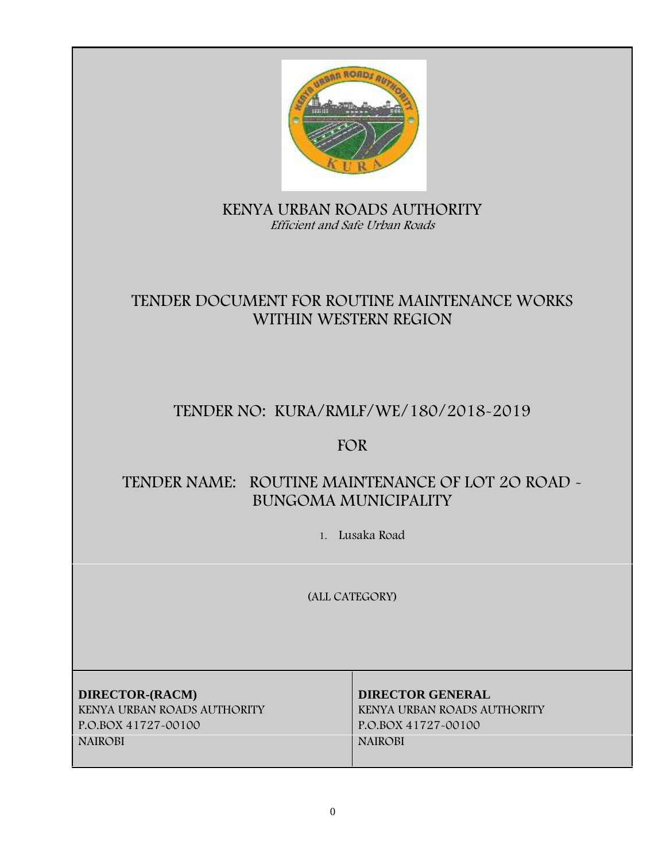

## **KENYA URBAN ROADS AUTHORITY** *Efficient and Safe Urban Roads*

# **TENDER DOCUMENT FOR ROUTINE MAINTENANCE WORKS WITHIN WESTERN REGION**

# **TENDER NO: KURA/RMLF/WE/180/2018-2019**

## **FOR**

# **TENDER NAME: ROUTINE MAINTENANCE OF LOT 2O ROAD - BUNGOMA MUNICIPALITY**

**1. Lusaka Road**

**(ALL CATEGORY)**

**DIRECTOR-(RACM) DIRECTOR GENERAL KENYA URBAN ROADS AUTHORITY KENYA URBAN ROADS AUTHORITY P.O.BOX 41727-00100 P.O.BOX 41727-00100 NAIROBI NAIROBI**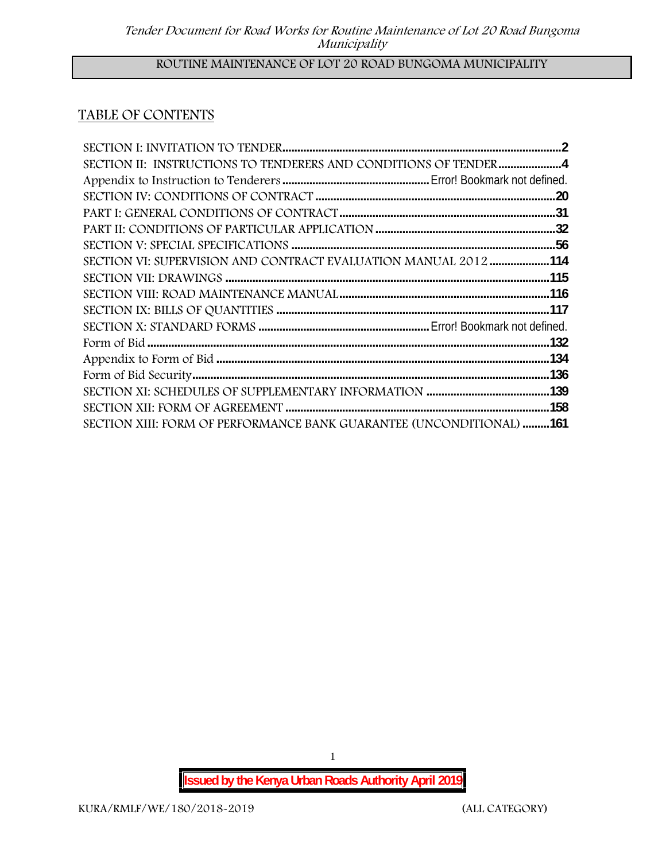## **ROUTINE MAINTENANCE OF LOT 20 ROAD BUNGOMA MUNICIPALITY**

## **TABLE OF CONTENTS**

| SECTION II: INSTRUCTIONS TO TENDERERS AND CONDITIONS OF TENDER4             |  |
|-----------------------------------------------------------------------------|--|
|                                                                             |  |
|                                                                             |  |
|                                                                             |  |
|                                                                             |  |
|                                                                             |  |
| SECTION VI: SUPERVISION AND CONTRACT EVALUATION MANUAL 2012 114             |  |
|                                                                             |  |
|                                                                             |  |
|                                                                             |  |
|                                                                             |  |
|                                                                             |  |
|                                                                             |  |
|                                                                             |  |
|                                                                             |  |
|                                                                             |  |
| <b>SECTION XIII: FORM OF PERFORMANCE BANK GUARANTEE (UNCONDITIONAL) 161</b> |  |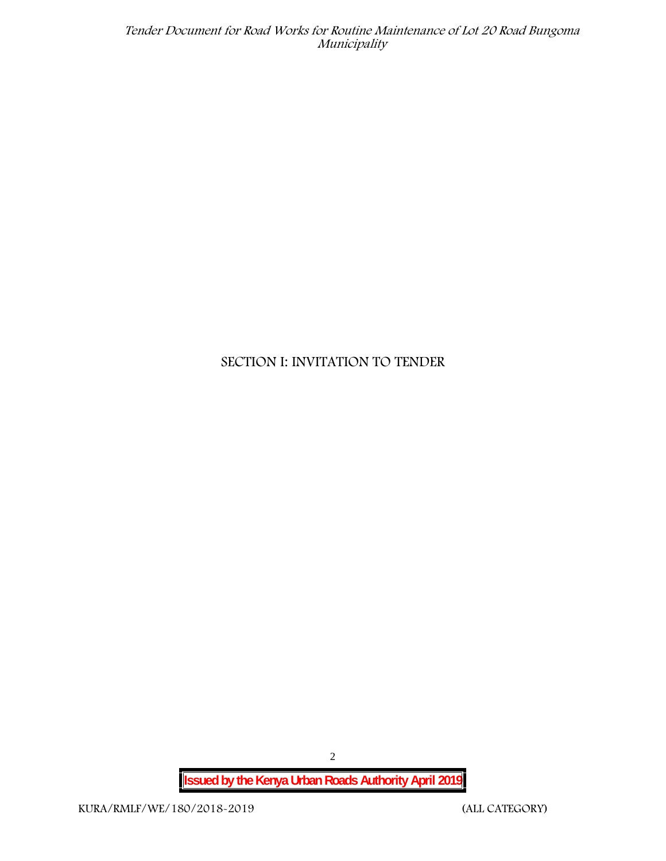## **SECTION I: INVITATION TO TENDER**

**Issued by the Kenya Urban Roads Authority April 2019**

2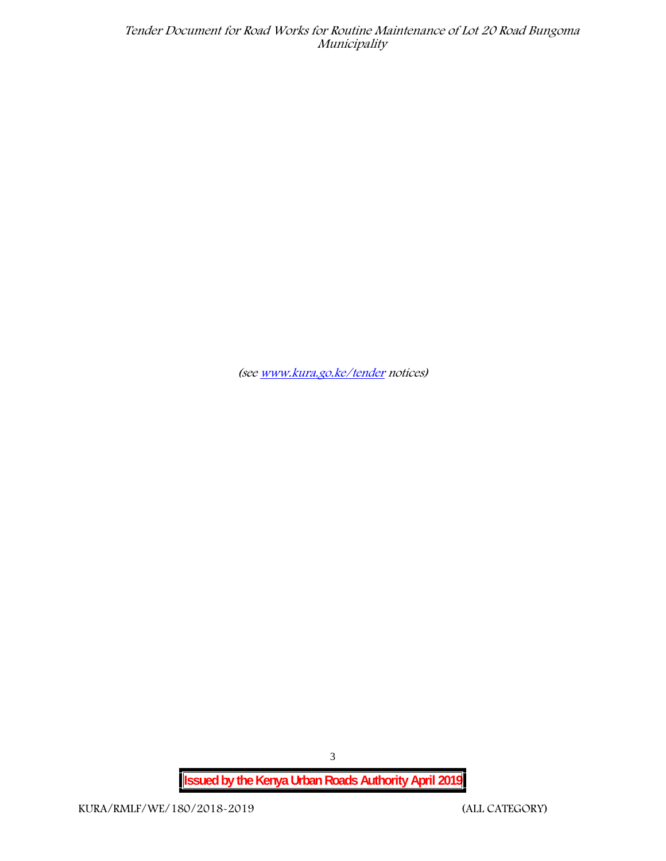*(see www.kura.go.ke/tender notices)*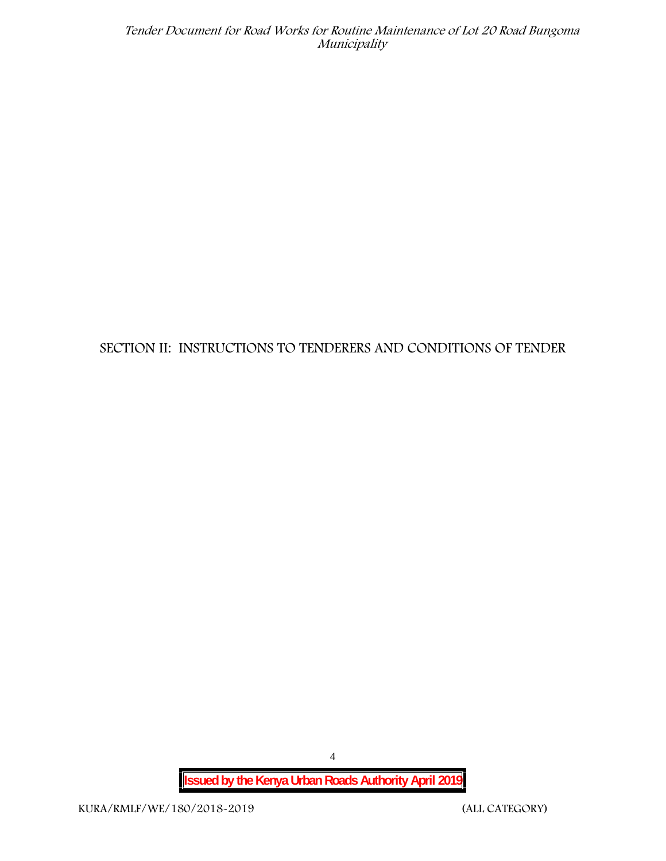## **SECTION II: INSTRUCTIONS TO TENDERERS AND CONDITIONS OF TENDER**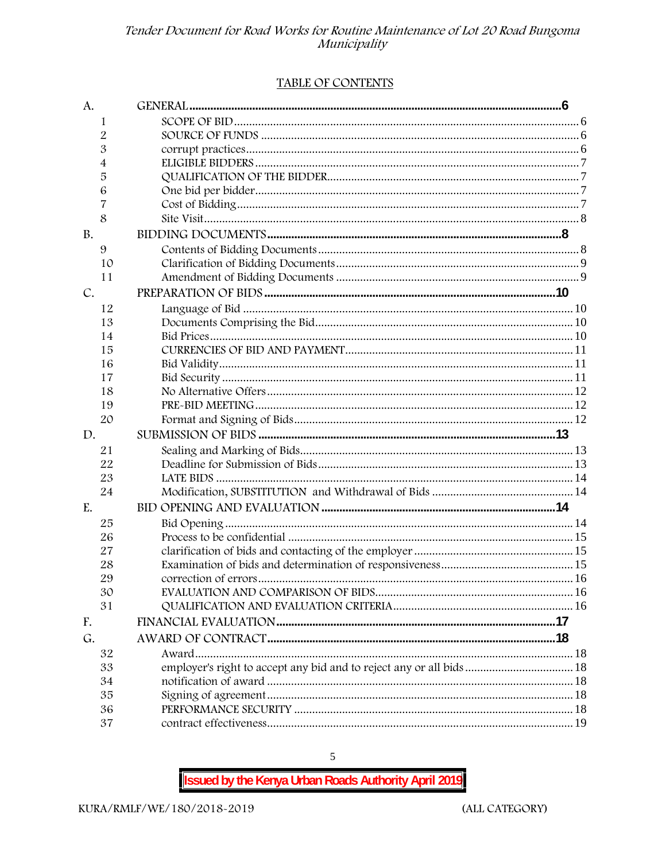#### TABLE OF CONTENTS

| A.        |                                                                      |  |
|-----------|----------------------------------------------------------------------|--|
| 1         |                                                                      |  |
| 2         |                                                                      |  |
| 3         |                                                                      |  |
| 4         |                                                                      |  |
| 5         |                                                                      |  |
| 6         |                                                                      |  |
| 7         |                                                                      |  |
| 8         |                                                                      |  |
| <b>B.</b> |                                                                      |  |
| 9         |                                                                      |  |
| 10        |                                                                      |  |
| 11        |                                                                      |  |
| C.        |                                                                      |  |
| 12        |                                                                      |  |
| 13        |                                                                      |  |
| 14        |                                                                      |  |
| 15        |                                                                      |  |
| 16        |                                                                      |  |
| 17        |                                                                      |  |
| 18        |                                                                      |  |
| 19        |                                                                      |  |
| 20        |                                                                      |  |
| D.        |                                                                      |  |
| 21        |                                                                      |  |
| 22        |                                                                      |  |
| 23        |                                                                      |  |
| 24        |                                                                      |  |
| E.        |                                                                      |  |
| 25        |                                                                      |  |
| 26        |                                                                      |  |
| 27        |                                                                      |  |
| 28        |                                                                      |  |
| 29        |                                                                      |  |
| 30        |                                                                      |  |
| 31        |                                                                      |  |
| F.        |                                                                      |  |
| G.        |                                                                      |  |
| 32        |                                                                      |  |
| 33        | employer's right to accept any bid and to reject any or all bids  18 |  |
| 34        |                                                                      |  |
| 35        |                                                                      |  |
| 36        |                                                                      |  |
| 37        |                                                                      |  |

**Issued by the Kenya Urban Roads Authority April 2019** 

 $\mathfrak{S}$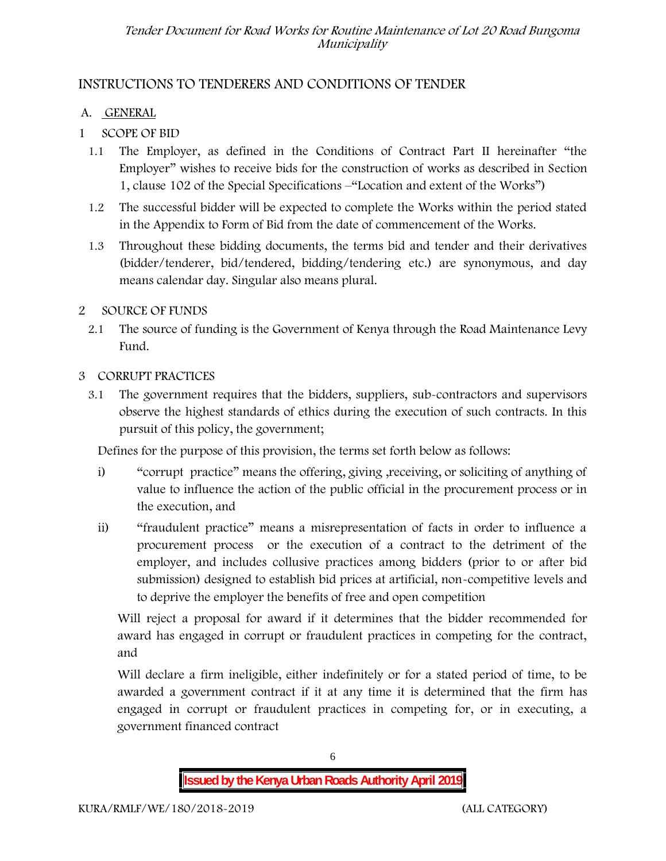## **INSTRUCTIONS TO TENDERERS AND CONDITIONS OF TENDER**

## **A. GENERAL**

- **1 SCOPE OF BID**
	- 1.1 The Employer, as defined in the Conditions of Contract Part II hereinafter "the Employer" wishes to receive bids for the construction of works as described in Section 1, clause 102 of the Special Specifications –"Location and extent of the Works")
	- 1.2 The successful bidder will be expected to complete the Works within the period stated in the Appendix to Form of Bid from the date of commencement of the Works.
	- 1.3 Throughout these bidding documents, the terms bid and tender and their derivatives (bidder/tenderer, bid/tendered, bidding/tendering etc.) are synonymous, and day means calendar day. Singular also means plural.

## **2 SOURCE OF FUNDS**

2.1 The source of funding is the Government of Kenya through the Road Maintenance Levy Fund.

## **3 CORRUPT PRACTICES**

3.1 The government requires that the bidders, suppliers, sub-contractors and supervisors observe the highest standards of ethics during the execution of such contracts. In this pursuit of this policy, the government;

Defines for the purpose of this provision, the terms set forth below as follows:

- i) "corrupt practice" means the offering, giving , receiving, or soliciting of anything of value to influence the action of the public official in the procurement process or in the execution, and
- ii) "fraudulent practice" means a misrepresentation of facts in order to influence a procurement process or the execution of a contract to the detriment of the employer, and includes collusive practices among bidders (prior to or after bid submission) designed to establish bid prices at artificial, non-competitive levels and to deprive the employer the benefits of free and open competition

Will reject a proposal for award if it determines that the bidder recommended for award has engaged in corrupt or fraudulent practices in competing for the contract, and

Will declare a firm ineligible, either indefinitely or for a stated period of time, to be awarded a government contract if it at any time it is determined that the firm has engaged in corrupt or fraudulent practices in competing for, or in executing, a government financed contract

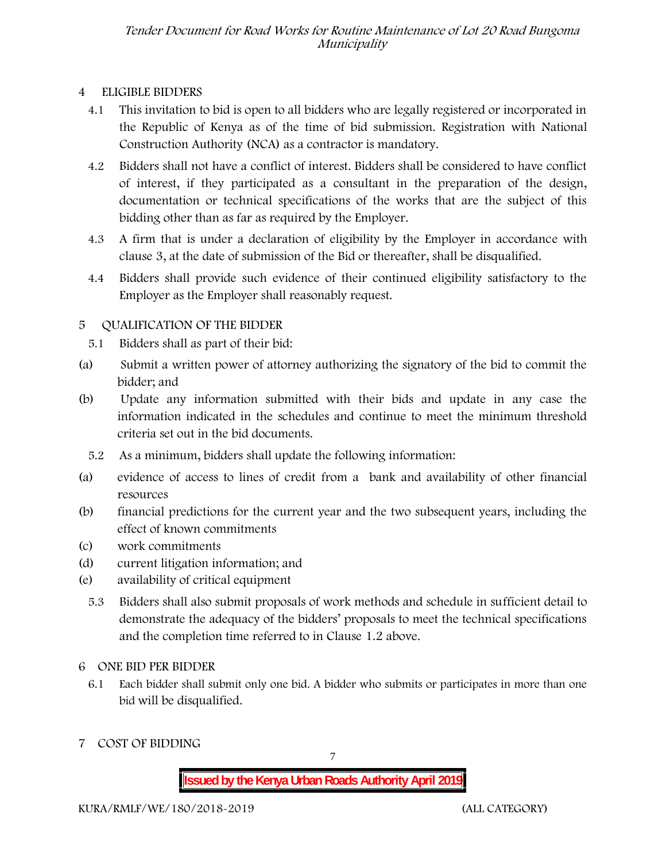## **4 ELIGIBLE BIDDERS**

- 4.1 This invitation to bid is open to all bidders who are legally registered or incorporated in the Republic of Kenya as of the time of bid submission. Registration with National Construction Authority (NCA) as a contractor is mandatory.
- 4.2 Bidders shall not have a conflict of interest. Bidders shall be considered to have conflict of interest, if they participated as a consultant in the preparation of the design, documentation or technical specifications of the works that are the subject of this bidding other than as far as required by the Employer.
- 4.3 A firm that is under a declaration of eligibility by the Employer in accordance with clause 3, at the date of submission of the Bid or thereafter, shall be disqualified.
- 4.4 Bidders shall provide such evidence of their continued eligibility satisfactory to the Employer as the Employer shall reasonably request.

## **5 QUALIFICATION OF THE BIDDER**

- 5.1 Bidders shall as part of their bid:
- (a) Submit a written power of attorney authorizing the signatory of the bid to commit the bidder; and
- (b) Update any information submitted with their bids and update in any case the information indicated in the schedules and continue to meet the minimum threshold criteria set out in the bid documents.
	- 5.2 As a minimum, bidders shall update the following information:
- (a) evidence of access to lines of credit from a bank and availability of other financial resources
- (b) financial predictions for the current year and the two subsequent years, including the effect of known commitments
- (c) work commitments
- (d) current litigation information; and
- (e) availability of critical equipment
	- 5.3 Bidders shall also submit proposals of work methods and schedule in sufficient detail to demonstrate the adequacy of the bidders' proposals to meet the technical specifications and the completion time referred to in Clause 1.2 above.

#### **6 ONE BID PER BIDDER**

- 6.1 Each bidder shall submit only one bid. A bidder who submits or participates in more than one bid will be disqualified.
- **7 COST OF BIDDING**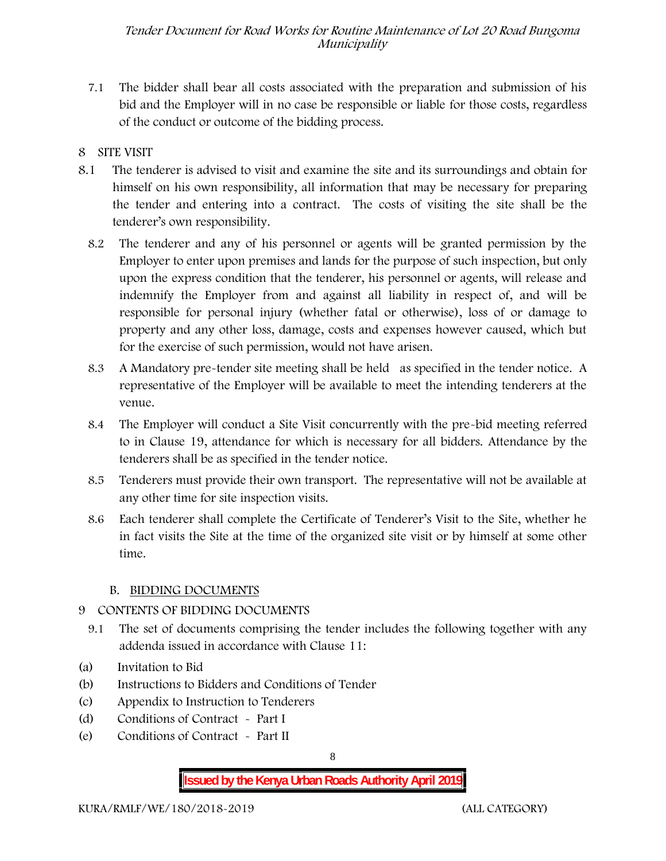- 7.1 The bidder shall bear all costs associated with the preparation and submission of his bid and the Employer will in no case be responsible or liable for those costs, regardless of the conduct or outcome of the bidding process.
- **8 SITE VISIT**
- 8.1 The tenderer is advised to visit and examine the site and its surroundings and obtain for himself on his own responsibility, all information that may be necessary for preparing the tender and entering into a contract. The costs of visiting the site shall be the tenderer's own responsibility.
	- 8.2 The tenderer and any of his personnel or agents will be granted permission by the Employer to enter upon premises and lands for the purpose of such inspection, but only upon the express condition that the tenderer, his personnel or agents, will release and indemnify the Employer from and against all liability in respect of, and will be responsible for personal injury (whether fatal or otherwise), loss of or damage to property and any other loss, damage, costs and expenses however caused, which but for the exercise of such permission, would not have arisen.
	- 8.3 A Mandatory pre-tender site meeting shall be held as specified in the tender notice. A representative of the Employer will be available to meet the intending tenderers at the venue.
	- 8.4 The Employer will conduct a Site Visit concurrently with the pre-bid meeting referred to in Clause 19, attendance for which is necessary for all bidders. Attendance by the tenderers shall be as specified in the tender notice.
	- 8.5 Tenderers must provide their own transport. The representative will not be available at any other time for site inspection visits.
	- 8.6 Each tenderer shall complete the Certificate of Tenderer's Visit to the Site, whether he in fact visits the Site at the time of the organized site visit or by himself at some other time.

#### **B. BIDDING DOCUMENTS**

#### **9 CONTENTS OF BIDDING DOCUMENTS**

- 9.1 The set of documents comprising the tender includes the following together with any addenda issued in accordance with Clause 11:
- (a) Invitation to Bid
- (b) Instructions to Bidders and Conditions of Tender
- (c) Appendix to Instruction to Tenderers
- (d) Conditions of Contract Part I
- (e) Conditions of Contract Part II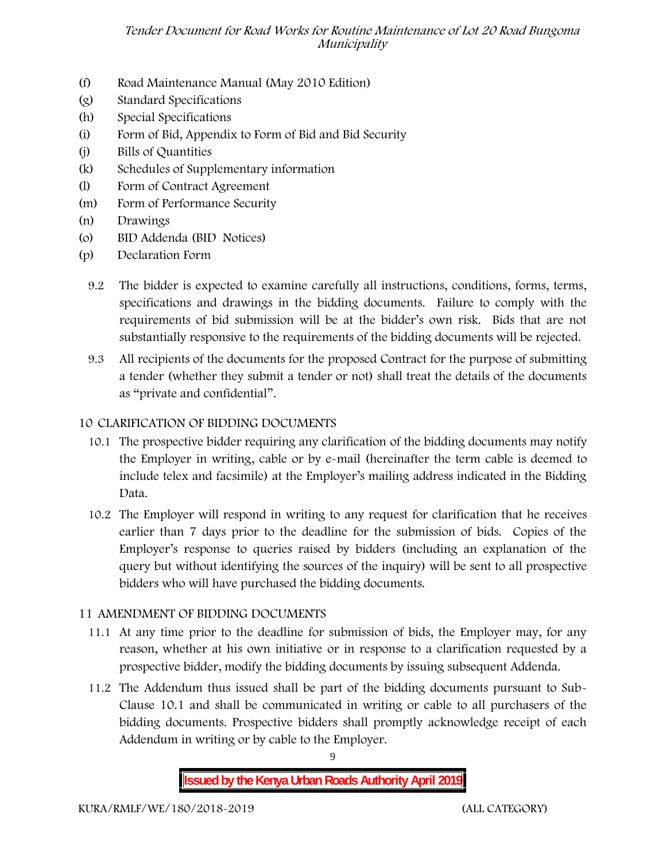- (f) Road Maintenance Manual (May 2010 Edition)
- (g) Standard Specifications
- (h) Special Specifications
- (i) Form of Bid, Appendix to Form of Bid and Bid Security
- (j) Bills of Quantities
- (k) Schedules of Supplementary information
- (l) Form of Contract Agreement
- (m) Form of Performance Security
- (n) Drawings
- (o) BID Addenda (BID Notices)
- (p) Declaration Form
	- 9.2 The bidder is expected to examine carefully all instructions, conditions, forms, terms, specifications and drawings in the bidding documents. Failure to comply with the requirements of bid submission will be at the bidder's own risk. Bids that are not substantially responsive to the requirements of the bidding documents will be rejected.
	- 9.3 All recipients of the documents for the proposed Contract for the purpose of submitting a tender (whether they submit a tender or not) shall treat the details of the documents as "private and confidential".

#### **10 CLARIFICATION OF BIDDING DOCUMENTS**

- 10.1 The prospective bidder requiring any clarification of the bidding documents may notify the Employer in writing, cable or by e-mail (hereinafter the term cable is deemed to include telex and facsimile) at the Employer's mailing address indicated in the Bidding Data.
- 10.2 The Employer will respond in writing to any request for clarification that he receives earlier than 7 days prior to the deadline for the submission of bids. Copies of the Employer's response to queries raised by bidders (including an explanation of the query but without identifying the sources of the inquiry) will be sent to all prospective bidders who will have purchased the bidding documents.

#### **11 AMENDMENT OF BIDDING DOCUMENTS**

- 11.1 At any time prior to the deadline for submission of bids, the Employer may, for any reason, whether at his own initiative or in response to a clarification requested by a prospective bidder, modify the bidding documents by issuing subsequent Addenda.
- 11.2 The Addendum thus issued shall be part of the bidding documents pursuant to Sub- Clause 10.1 and shall be communicated in writing or cable to all purchasers of the bidding documents. Prospective bidders shall promptly acknowledge receipt of each Addendum in writing or by cable to the Employer.

**Issued by the Kenya Urban Roads Authority April 2019**

9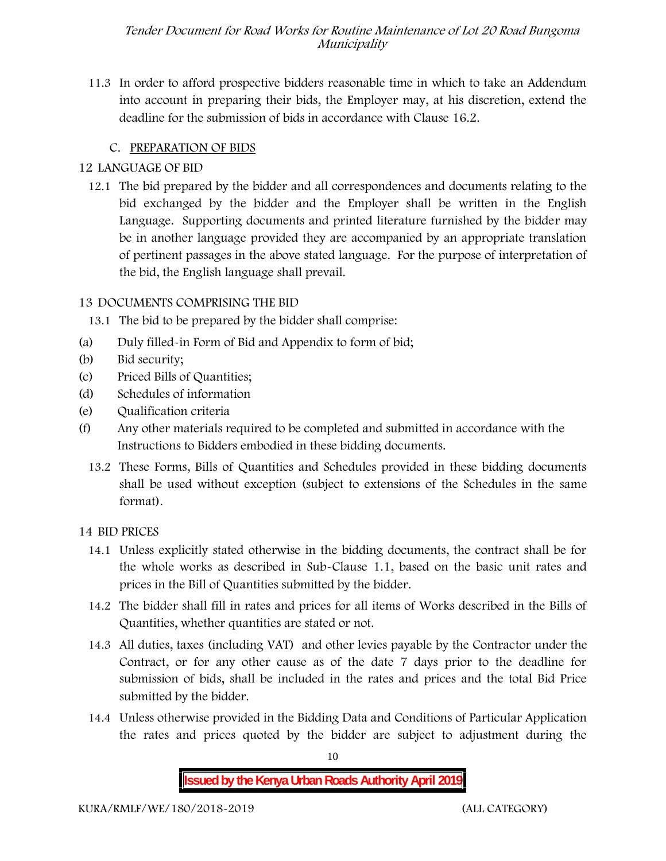11.3 In order to afford prospective bidders reasonable time in which to take an Addendum into account in preparing their bids, the Employer may, at his discretion, extend the deadline for the submission of bids in accordance with Clause 16.2.

## **C. PREPARATION OF BIDS**

## **12 LANGUAGE OF BID**

12.1 The bid prepared by the bidder and all correspondences and documents relating to the bid exchanged by the bidder and the Employer shall be written in the English Language. Supporting documents and printed literature furnished by the bidder may be in another language provided they are accompanied by an appropriate translation of pertinent passages in the above stated language. For the purpose of interpretation of the bid, the English language shall prevail.

## **13 DOCUMENTS COMPRISING THE BID**

13.1 The bid to be prepared by the bidder shall comprise:

- (a) Duly filled-in Form of Bid and Appendix to form of bid;
- (b) Bid security;
- (c) Priced Bills of Quantities;
- (d) Schedules of information
- (e) Qualification criteria
- (f) Any other materials required to be completed and submitted in accordance with the Instructions to Bidders embodied in these bidding documents.
	- 13.2 These Forms, Bills of Quantities and Schedules provided in these bidding documents shall be used without exception (subject to extensions of the Schedules in the same format).

#### **14 BID PRICES**

- 14.1 Unless explicitly stated otherwise in the bidding documents, the contract shall be for the whole works as described in Sub-Clause 1.1, based on the basic unit rates and prices in the Bill of Quantities submitted by the bidder.
- 14.2 The bidder shall fill in rates and prices for all items of Works described in the Bills of Quantities, whether quantities are stated or not.
- 14.3 All duties, taxes (including VAT) and other levies payable by the Contractor under the Contract, or for any other cause as of the date 7 days prior to the deadline for submission of bids, shall be included in the rates and prices and the total Bid Price submitted by the bidder.
- 14.4 Unless otherwise provided in the Bidding Data and Conditions of Particular Application the rates and prices quoted by the bidder are subject to adjustment during the

10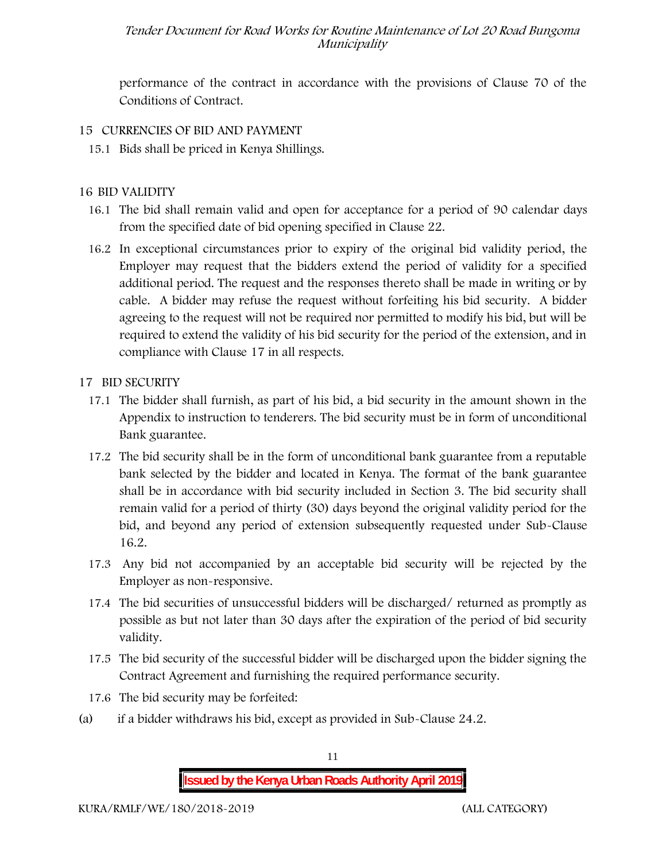performance of the contract in accordance with the provisions of Clause 70 of the Conditions of Contract.

- **15 CURRENCIES OF BID AND PAYMENT**
	- 15.1 Bids shall be priced in Kenya Shillings.

#### **16 BID VALIDITY**

- 16.1 The bid shall remain valid and open for acceptance for a period of 90 calendar days from the specified date of bid opening specified in Clause 22.
- 16.2 In exceptional circumstances prior to expiry of the original bid validity period, the Employer may request that the bidders extend the period of validity for a specified additional period. The request and the responses thereto shall be made in writing or by cable. A bidder may refuse the request without forfeiting his bid security. A bidder agreeing to the request will not be required nor permitted to modify his bid, but will be required to extend the validity of his bid security for the period of the extension, and in compliance with Clause 17 in all respects.
- **17 BID SECURITY**
	- **17.1** The bidder shall furnish, as part of his bid, a bid security in the amount shown in the Appendix to instruction to tenderers. **The bid security must be in form of unconditional Bank guarantee.**
	- 17.2 The bid security shall be in the form of unconditional bank guarantee from a reputable bank selected by the bidder and located in Kenya. The format of the bank guarantee shall be in accordance with bid security included in Section 3. The bid security shall remain valid for a period of thirty (30) days beyond the original validity period for the bid, and beyond any period of extension subsequently requested under Sub-Clause 16.2.
	- 17.3 Any bid not accompanied by an acceptable bid security will be rejected by the Employer as non-responsive.
	- 17.4 The bid securities of unsuccessful bidders will be discharged/ returned as promptly as possible as but not later than 30 days after the expiration of the period of bid security validity.
	- 17.5 The bid security of the successful bidder will be discharged upon the bidder signing the Contract Agreement and furnishing the required performance security.
	- 17.6 The bid security may be forfeited:
- (a) if a bidder withdraws his bid, except as provided in Sub-Clause 24.2.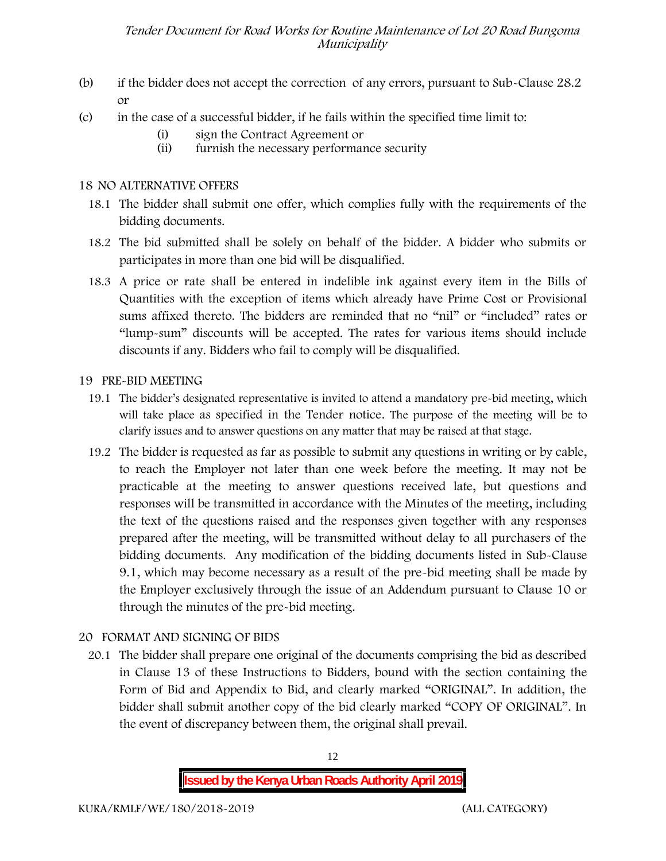- (b) if the bidder does not accept the correction of any errors, pursuant to Sub-Clause 28.2 or
- (c) in the case of a successful bidder, if he fails within the specified time limit to:
	- (i) sign the Contract Agreement or
	- (ii) furnish the necessary performance security

#### **18 NO ALTERNATIVE OFFERS**

- 18.1 The bidder shall submit one offer, which complies fully with the requirements of the bidding documents.
- 18.2 The bid submitted shall be solely on behalf of the bidder. A bidder who submits or participates in more than one bid will be disqualified.
- 18.3 A price or rate shall be entered in indelible ink against every item in the Bills of Quantities with the exception of items which already have Prime Cost or Provisional sums affixed thereto. The bidders are reminded that no "nil" or "included" rates or "lump-sum" discounts will be accepted. The rates for various items should include discounts if any. Bidders who fail to comply will be disqualified.

#### **19 PRE-BID MEETING**

- 19.1 The bidder's designated representative is invited to attend a mandatory pre-bid meeting, which will take place as specified in the Tender notice. The purpose of the meeting will be to clarify issues and to answer questions on any matter that may be raised at that stage.
- 19.2 The bidder is requested as far as possible to submit any questions in writing or by cable, to reach the Employer not later than one week before the meeting. It may not be practicable at the meeting to answer questions received late, but questions and responses will be transmitted in accordance with the Minutes of the meeting, including the text of the questions raised and the responses given together with any responses prepared after the meeting, will be transmitted without delay to all purchasers of the bidding documents. Any modification of the bidding documents listed in Sub-Clause 9.1, which may become necessary as a result of the pre-bid meeting shall be made by the Employer exclusively through the issue of an Addendum pursuant to Clause 10 or through the minutes of the pre-bid meeting.

#### **20 FORMAT AND SIGNING OF BIDS**

20.1 The bidder shall prepare one original of the documents comprising the bid as described in Clause 13 of these Instructions to Bidders, bound with the section containing the Form of Bid and Appendix to Bid, and clearly marked "ORIGINAL". In addition, the bidder shall submit another copy of the bid clearly marked "COPY OF ORIGINAL". In the event of discrepancy between them, the original shall prevail.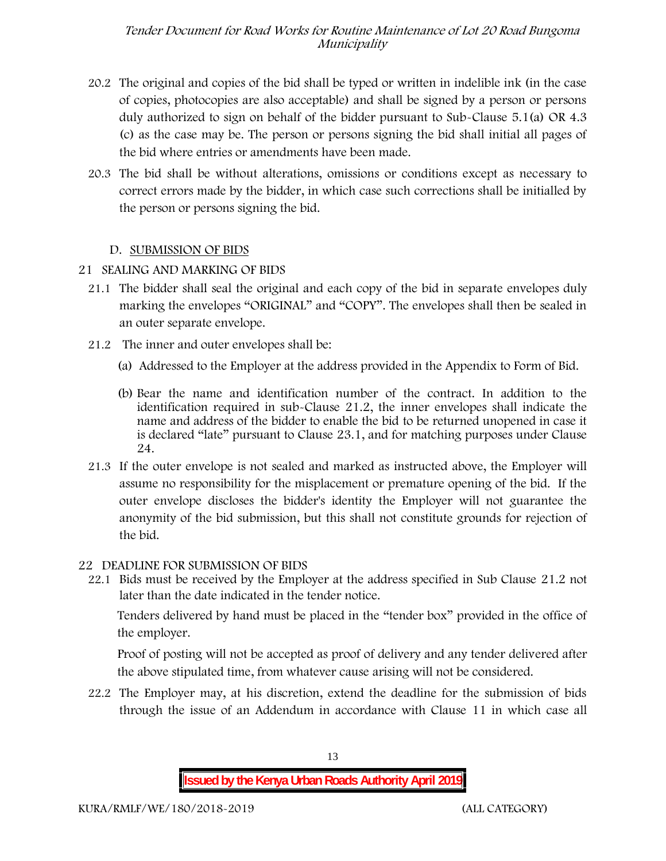- 20.2 The original and copies of the bid shall be typed or written in indelible ink (in the case of copies, photocopies are also acceptable) and shall be signed by a person or persons duly authorized to sign on behalf of the bidder pursuant to Sub-Clause 5.1(a) OR 4.3 (c) as the case may be. The person or persons signing the bid shall initial all pages of the bid where entries or amendments have been made.
- 20.3 The bid shall be without alterations, omissions or conditions except as necessary to correct errors made by the bidder, in which case such corrections shall be initialled by the person or persons signing the bid.

#### **D. SUBMISSION OF BIDS**

#### **21 SEALING AND MARKING OF BIDS**

- 21.1 The bidder shall seal the original and each copy of the bid in separate envelopes duly marking the envelopes "ORIGINAL" and "COPY". The envelopes shall then be sealed in an outer separate envelope.
- 21.2 The inner and outer envelopes shall be:
	- (a) Addressed to the Employer at the address provided in the Appendix to Form of Bid.
	- (b) Bear the name and identification number of the contract. In addition to the identification required in sub-Clause 21.2, the inner envelopes shall indicate the name and address of the bidder to enable the bid to be returned unopened in case it is declared "late" pursuant to Clause 23.1, and for matching purposes under Clause 24.
- 21.3 If the outer envelope is not sealed and marked as instructed above, the Employer will assume no responsibility for the misplacement or premature opening of the bid. If the outer envelope discloses the bidder's identity the Employer will not guarantee the anonymity of the bid submission, but this shall not constitute grounds for rejection of the bid.

#### **22 DEADLINE FOR SUBMISSION OF BIDS**

22.1 Bids must be received by the Employer at the address specified in Sub Clause 21.2 not later than **the date indicated in the tender notice.**

Tenders delivered by hand must be placed in the "tender box" provided in the office of the employer.

Proof of posting will not be accepted as proof of delivery and any tender delivered after the above stipulated time, from whatever cause arising will not be considered.

22.2 The Employer may, at his discretion, extend the deadline for the submission of bids through the issue of an Addendum in accordance with Clause 11 in which case all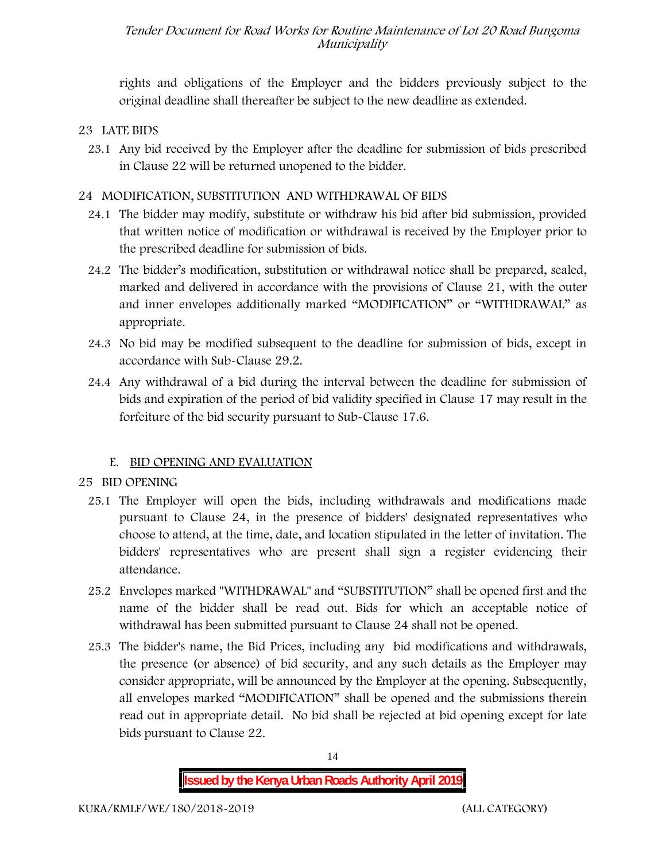rights and obligations of the Employer and the bidders previously subject to the original deadline shall thereafter be subject to the new deadline as extended.

#### **23 LATE BIDS**

23.1 Any bid received by the Employer after the deadline for submission of bids prescribed in Clause 22 will be returned unopened to the bidder.

#### **24 MODIFICATION, SUBSTITUTION AND WITHDRAWAL OF BIDS**

- 24.1 The bidder may modify, substitute or withdraw his bid after bid submission, provided that written notice of modification or withdrawal is received by the Employer prior to the prescribed deadline for submission of bids.
- 24.2 The bidder's modification, substitution or withdrawal notice shall be prepared, sealed, marked and delivered in accordance with the provisions of Clause 21, with the outer and inner envelopes additionally marked "MODIFICATION" or "WITHDRAWAL" as appropriate.
- 24.3 No bid may be modified subsequent to the deadline for submission of bids, except in accordance with Sub-Clause 29.2.
- 24.4 Any withdrawal of a bid during the interval between the deadline for submission of bids and expiration of the period of bid validity specified in Clause 17 may result in the forfeiture of the bid security pursuant to Sub-Clause 17.6.

#### **E. BID OPENING AND EVALUATION**

- **25 BID OPENING**
	- 25.1 The Employer will open the bids, including withdrawals and modifications made pursuant to Clause 24, in the presence of bidders' designated representatives who choose to attend, at the time, date, and location stipulated in the letter of invitation. The bidders' representatives who are present shall sign a register evidencing their attendance.
	- 25.2 Envelopes marked "WITHDRAWAL" and "SUBSTITUTION" shall be opened first and the name of the bidder shall be read out. Bids for which an acceptable notice of withdrawal has been submitted pursuant to Clause 24 shall not be opened.
	- 25.3 The bidder's name, the Bid Prices, including any bid modifications and withdrawals, the presence (or absence) of bid security, and any such details as the Employer may consider appropriate, will be announced by the Employer at the opening. Subsequently, all envelopes marked "MODIFICATION" shall be opened and the submissions therein read out in appropriate detail. No bid shall be rejected at bid opening except for late bids pursuant to Clause 22.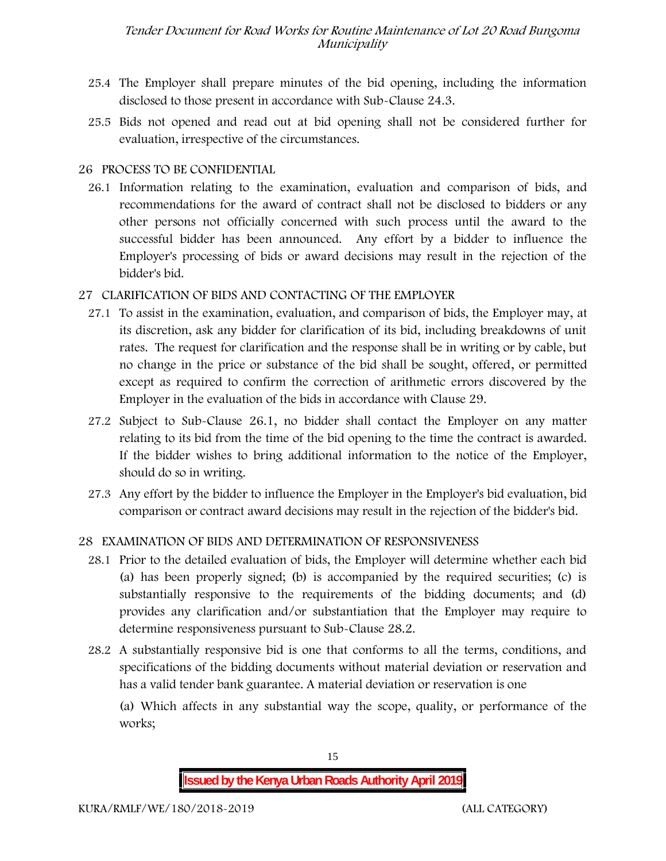- 25.4 The Employer shall prepare minutes of the bid opening, including the information disclosed to those present in accordance with Sub-Clause 24.3.
- 25.5 Bids not opened and read out at bid opening shall not be considered further for evaluation, irrespective of the circumstances.

#### **26 PROCESS TO BE CONFIDENTIAL**

26.1 Information relating to the examination, evaluation and comparison of bids, and recommendations for the award of contract shall not be disclosed to bidders or any other persons not officially concerned with such process until the award to the successful bidder has been announced. Any effort by a bidder to influence the Employer's processing of bids or award decisions may result in the rejection of the bidder's bid.

#### **27 CLARIFICATION OF BIDS AND CONTACTING OF THE EMPLOYER**

- 27.1 To assist in the examination, evaluation, and comparison of bids, the Employer may, at its discretion, ask any bidder for clarification of its bid, including breakdowns of unit rates. The request for clarification and the response shall be in writing or by cable, but no change in the price or substance of the bid shall be sought, offered, or permitted except as required to confirm the correction of arithmetic errors discovered by the Employer in the evaluation of the bids in accordance with Clause 29.
- 27.2 Subject to Sub-Clause 26.1, no bidder shall contact the Employer on any matter relating to its bid from the time of the bid opening to the time the contract is awarded. If the bidder wishes to bring additional information to the notice of the Employer, should do so in writing.
- 27.3 Any effort by the bidder to influence the Employer in the Employer's bid evaluation, bid comparison or contract award decisions may result in the rejection of the bidder's bid.

#### **28 EXAMINATION OF BIDS AND DETERMINATION OF RESPONSIVENESS**

- 28.1 Prior to the detailed evaluation of bids, the Employer will determine whether each bid (a) has been properly signed; (b) is accompanied by the required securities; (c) is substantially responsive to the requirements of the bidding documents; and (d) provides any clarification and/or substantiation that the Employer may require to determine responsiveness pursuant to Sub-Clause 28.2.
- 28.2 A substantially responsive bid is one that conforms to all the terms, conditions, and specifications of the bidding documents without material deviation or reservation and has a valid tender bank guarantee. A material deviation or reservation is one

(a) Which affects in any substantial way the scope, quality, or performance of the works;

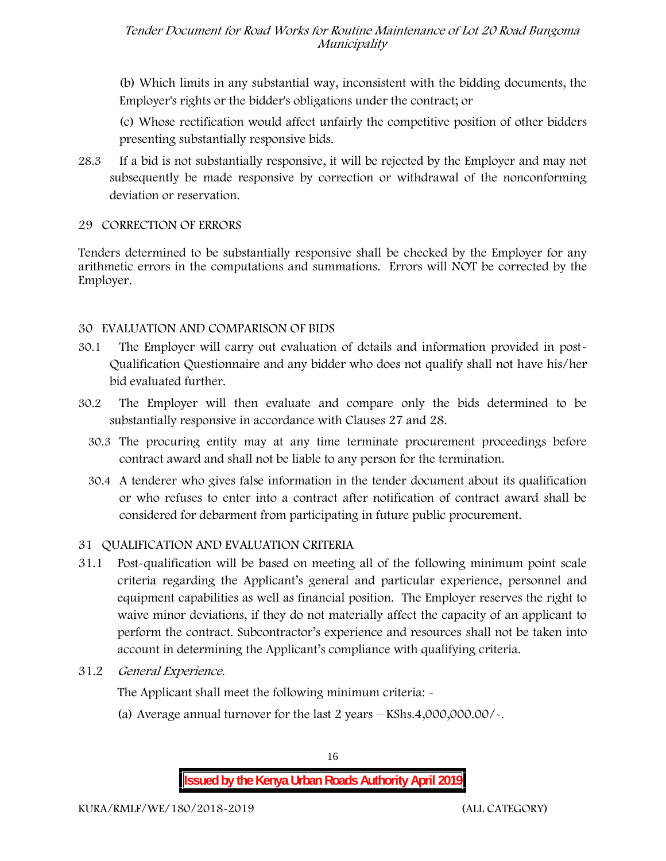(b) Which limits in any substantial way, inconsistent with the bidding documents, the Employer's rights or the bidder's obligations under the contract; or

(c) Whose rectification would affect unfairly the competitive position of other bidders presenting substantially responsive bids.

28.3 If a bid is not substantially responsive, it will be rejected by the Employer and may not subsequently be made responsive by correction or withdrawal of the nonconforming deviation or reservation.

#### **29 CORRECTION OF ERRORS**

Tenders determined to be substantially responsive shall be checked by the Employer for any arithmetic errors in the computations and summations. Errors will **NOT** be corrected by the Employer.

#### **30 EVALUATION AND COMPARISON OF BIDS**

- 30.1 The Employer will carry out evaluation of details and information provided in post- Qualification Questionnaire and any bidder who does not qualify shall not have his/her bid evaluated further.
- 30.2 The Employer will then evaluate and compare only the bids determined to be substantially responsive in accordance with Clauses 27 and 28.
	- 30.3 The procuring entity may at any time terminate procurement proceedings before contract award and shall not be liable to any person for the termination.
	- 30.4 A tenderer who gives false information in the tender document about its qualification or who refuses to enter into a contract after notification of contract award shall be considered for debarment from participating in future public procurement.

#### **31 QUALIFICATION AND EVALUATION CRITERIA**

- 31.1 Post-qualification will be based on meeting all of the following minimum point scale criteria regarding the Applicant's general and particular experience, personnel and equipment capabilities as well as financial position. The Employer reserves the right to waive minor deviations, if they do not materially affect the capacity of an applicant to perform the contract. Subcontractor's experience and resources shall not be taken into account in determining the Applicant's compliance with qualifying criteria.
- **31.2** *General Experience***.**

The Applicant shall meet the following minimum criteria: -

(a) Average annual turnover for the last 2 years – **KShs.4,000,000.00/-.**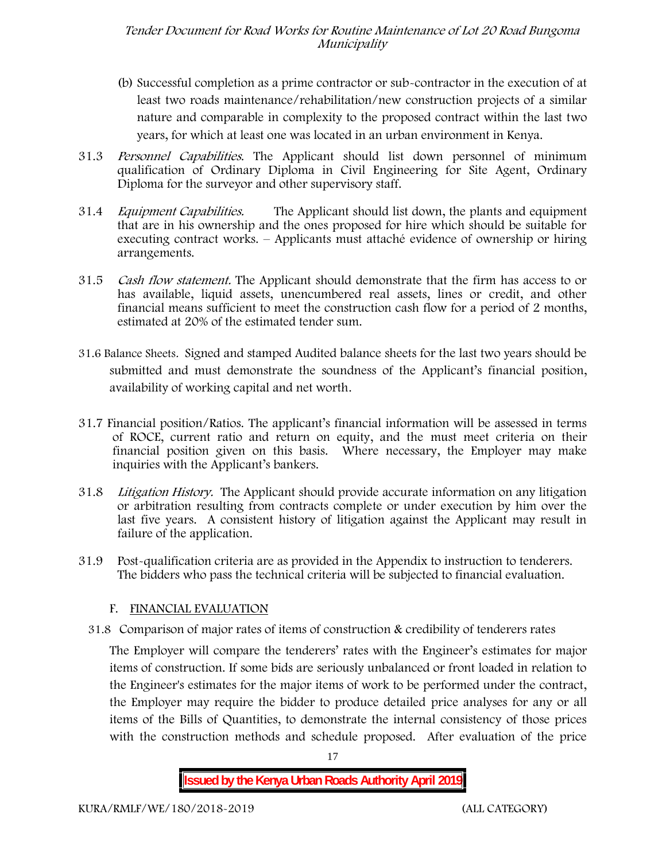- (b) Successful completion as a prime contractor or sub-contractor in the execution of at least two roads maintenance/rehabilitation/new construction projects of a similar nature and comparable in complexity to the proposed contract within the last two years, for which at least one was located in an urban environment in Kenya.
- 31.3 *Personnel Capabilities***.** The Applicant should list down personnel of minimum qualification of Ordinary Diploma in Civil Engineering for Site Agent, Ordinary Diploma for the surveyor and other supervisory staff.
- 31.4 *Equipment Capabilities.* The Applicant should list down, the plants and equipment that are in his ownership and the ones proposed for hire which should be suitable for executing contract works. – Applicants must attaché evidence of ownership or hiring arrangements.
- 31.5 *Cash flow statement.* The Applicant should demonstrate that the firm has access to or has available, liquid assets, unencumbered real assets, lines or credit, and other financial means sufficient to meet the construction cash flow for a period of 2 months, estimated at 20% of the estimated tender sum.
- **31.6 Balance Sheets***.* Signed and stamped Audited balance sheets for the last two years should be submitted and must demonstrate the soundness of the Applicant's financial position, availability of working capital and net worth.
- **31.7 Financial position/Ratios.** The applicant's financial information will be assessed in terms of ROCE, current ratio and return on equity, and the must meet criteria on their financial position given on this basis. Where necessary, the Employer may make inquiries with the Applicant's bankers.
- 31.8 *Litigation History.* The Applicant should provide accurate information on any litigation or arbitration resulting from contracts complete or under execution by him over the last five years. A consistent history of litigation against the Applicant may result in failure of the application.
- 31.9 Post-qualification criteria are as provided in the Appendix to instruction to tenderers. The bidders who pass the technical criteria will be subjected to financial evaluation.

#### **F. FINANCIAL EVALUATION**

31.8 Comparison of major rates of items of construction & credibility of tenderers rates

The Employer will compare the tenderers' rates with the Engineer's estimates for major items of construction. If some bids are seriously unbalanced or front loaded in relation to the Engineer's estimates for the major items of work to be performed under the contract, the Employer may require the bidder to produce detailed price analyses for any or all items of the Bills of Quantities, to demonstrate the internal consistency of those prices with the construction methods and schedule proposed. After evaluation of the price



17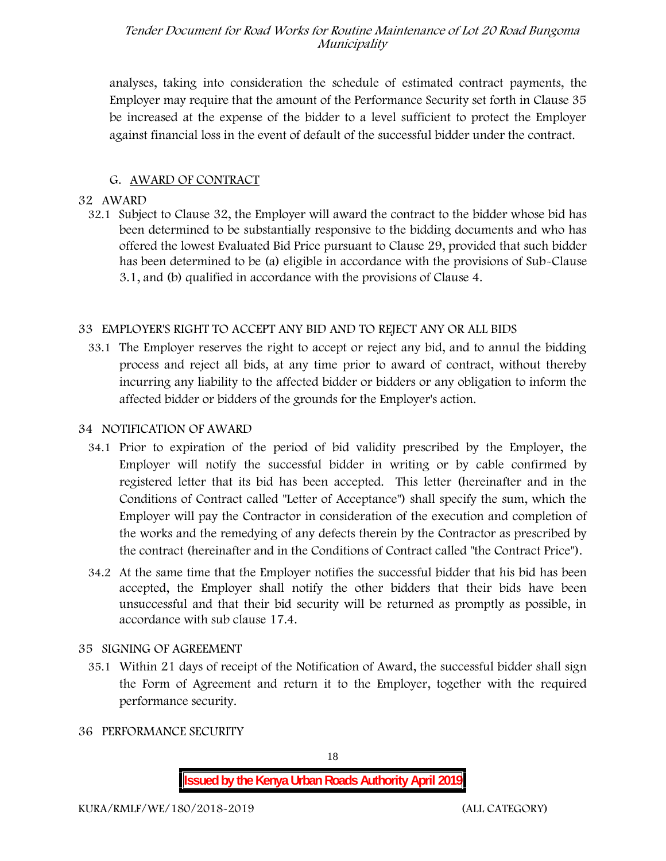analyses, taking into consideration the schedule of estimated contract payments, the Employer may require that the amount of the Performance Security set forth in Clause 35 be increased at the expense of the bidder to a level sufficient to protect the Employer against financial loss in the event of default of the successful bidder under the contract.

#### **G. AWARD OF CONTRACT**

#### **32 AWARD**

32.1 Subject to Clause 32, the Employer will award the contract to the bidder whose bid has been determined to be substantially responsive to the bidding documents and who has offered the lowest Evaluated Bid Price pursuant to Clause 29, provided that such bidder has been determined to be (a) eligible in accordance with the provisions of Sub-Clause 3.1, and (b) qualified in accordance with the provisions of Clause 4.

#### **33 EMPLOYER'S RIGHT TO ACCEPT ANY BID AND TO REJECT ANY OR ALL BIDS**

33.1 The Employer reserves the right to accept or reject any bid, and to annul the bidding process and reject all bids, at any time prior to award of contract, without thereby incurring any liability to the affected bidder or bidders or any obligation to inform the affected bidder or bidders of the grounds for the Employer's action.

#### **34 NOTIFICATION OF AWARD**

- 34.1 Prior to expiration of the period of bid validity prescribed by the Employer, the Employer will notify the successful bidder in writing or by cable confirmed by registered letter that its bid has been accepted. This letter (hereinafter and in the Conditions of Contract called "Letter of Acceptance") shall specify the sum, which the Employer will pay the Contractor in consideration of the execution and completion of the works and the remedying of any defects therein by the Contractor as prescribed by the contract (hereinafter and in the Conditions of Contract called "the Contract Price").
- 34.2 At the same time that the Employer notifies the successful bidder that his bid has been accepted, the Employer shall notify the other bidders that their bids have been unsuccessful and that their bid security will be returned as promptly as possible, in accordance with sub clause 17.4.

#### **35 SIGNING OF AGREEMENT**

- 35.1 Within 21 days of receipt of the Notification of Award, the successful bidder shall sign the Form of Agreement and return it to the Employer, together with the required performance security.
- **36 PERFORMANCE SECURITY**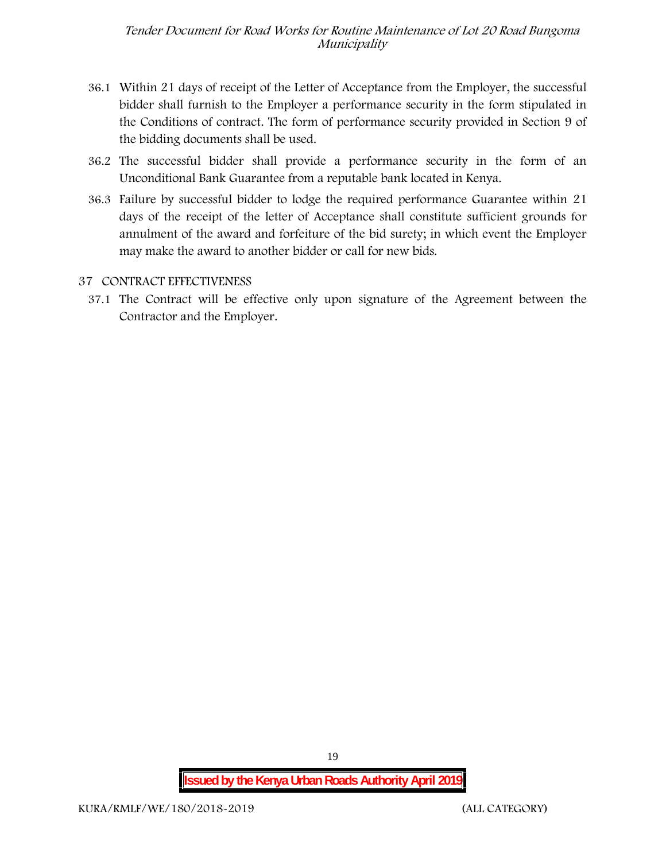- 36.1 Within 21 days of receipt of the Letter of Acceptance from the Employer, the successful bidder shall furnish to the Employer a performance security in the form stipulated in the Conditions of contract. The form of performance security provided in Section 9 of the bidding documents shall be used.
- 36.2 The successful bidder shall provide a performance security in the form of an Unconditional Bank Guarantee from a reputable bank located in Kenya.
- 36.3 Failure by successful bidder to lodge the required performance Guarantee within 21 days of the receipt of the letter of Acceptance shall constitute sufficient grounds for annulment of the award and forfeiture of the bid surety; in which event the Employer may make the award to another bidder or call for new bids.

#### **37 CONTRACT EFFECTIVENESS**

37.1 The Contract will be effective only upon signature of the Agreement between the Contractor and the Employer.

19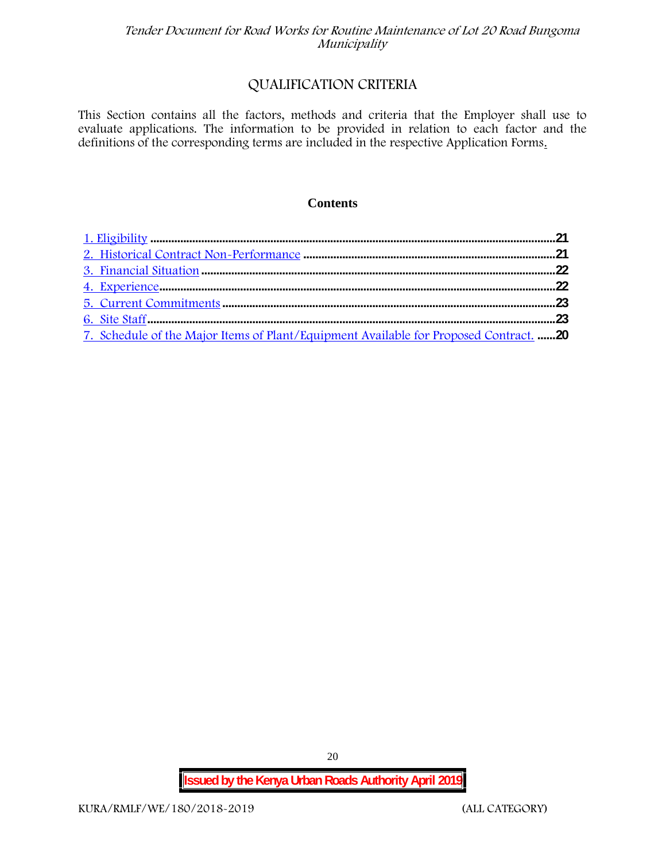## **QUALIFICATION CRITERIA**

This Section contains all the factors, methods and criteria that the Employer shall use to evaluate applications. The information to be provided in relation to each factor and the definitions of the corresponding terms are included in the respective Application Forms.

#### **Contents**

| 7. Schedule of the Major Items of Plant/Equipment Available for Proposed Contract. 20 |  |
|---------------------------------------------------------------------------------------|--|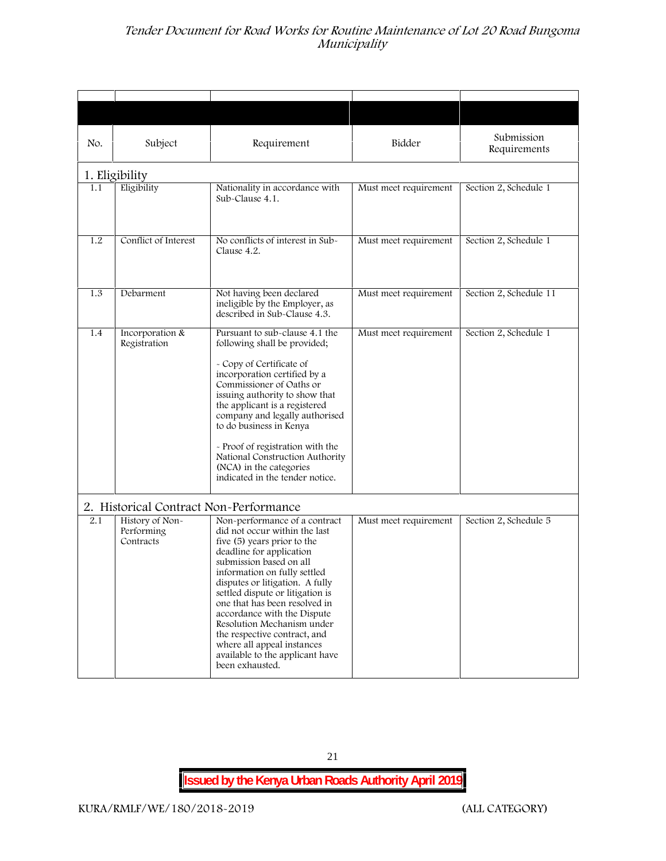| No.                                                                     | Subject                                    | Requirement                                                                                                                                                                                                                                                                                                                                                                                                                                                                   | Bidder                | Submission<br>Requirements |
|-------------------------------------------------------------------------|--------------------------------------------|-------------------------------------------------------------------------------------------------------------------------------------------------------------------------------------------------------------------------------------------------------------------------------------------------------------------------------------------------------------------------------------------------------------------------------------------------------------------------------|-----------------------|----------------------------|
|                                                                         | 1. Eligibility                             |                                                                                                                                                                                                                                                                                                                                                                                                                                                                               |                       |                            |
| Eligibility<br>1.1<br>Nationality in accordance with<br>Sub-Clause 4.1. |                                            | Must meet requirement                                                                                                                                                                                                                                                                                                                                                                                                                                                         | Section 2, Schedule 1 |                            |
| 1.2                                                                     | Conflict of Interest                       | No conflicts of interest in Sub-<br>Clause 4.2.                                                                                                                                                                                                                                                                                                                                                                                                                               | Must meet requirement | Section 2, Schedule 1      |
| 1.3                                                                     | Debarment                                  | Not having been declared<br>ineligible by the Employer, as<br>described in Sub-Clause 4.3.                                                                                                                                                                                                                                                                                                                                                                                    | Must meet requirement | Section 2, Schedule 11     |
| 1.4                                                                     | Incorporation &<br>Registration            | Pursuant to sub-clause 4.1 the<br>following shall be provided;<br>- Copy of Certificate of<br>incorporation certified by a<br>Commissioner of Oaths or<br>issuing authority to show that<br>the applicant is a registered<br>company and legally authorised<br>to do business in Kenya<br>- Proof of registration with the<br>National Construction Authority<br>(NCA) in the categories<br>indicated in the tender notice.                                                   | Must meet requirement | Section 2, Schedule 1      |
|                                                                         | 2. Historical Contract Non-Performance     |                                                                                                                                                                                                                                                                                                                                                                                                                                                                               |                       |                            |
| 2.1                                                                     | History of Non-<br>Performing<br>Contracts | Non-performance of a contract<br>did not occur within the last<br>five (5) years prior to the<br>deadline for application<br>submission based on all<br>information on fully settled<br>disputes or litigation. A fully<br>settled dispute or litigation is<br>one that has been resolved in<br>accordance with the Dispute<br>Resolution Mechanism under<br>the respective contract, and<br>where all appeal instances<br>available to the applicant have<br>been exhausted. | Must meet requirement | Section 2, Schedule 5      |

21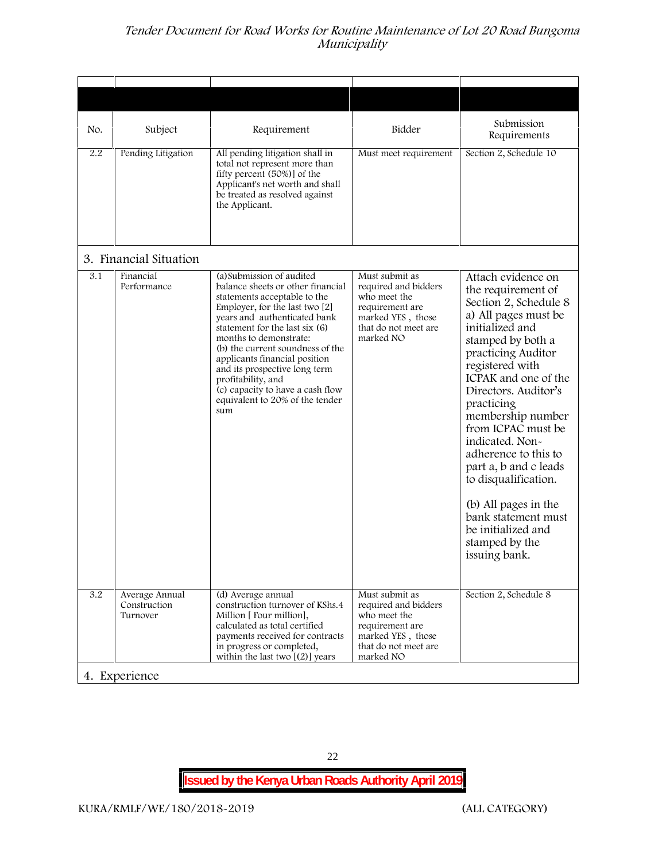| Subject<br>No.                                                 |                           | Requirement                                                                                                                                                                                                                                                                                                                                                                                               | Bidder                                                                                                                              | Submission<br>Requirements                                                                                                                                                                                                                                                                                                                                                                                                                                                              |
|----------------------------------------------------------------|---------------------------|-----------------------------------------------------------------------------------------------------------------------------------------------------------------------------------------------------------------------------------------------------------------------------------------------------------------------------------------------------------------------------------------------------------|-------------------------------------------------------------------------------------------------------------------------------------|-----------------------------------------------------------------------------------------------------------------------------------------------------------------------------------------------------------------------------------------------------------------------------------------------------------------------------------------------------------------------------------------------------------------------------------------------------------------------------------------|
| 2.2<br>Pending Litigation                                      | the Applicant.            | All pending litigation shall in<br>total not represent more than<br>fifty percent (50%)] of the<br>Applicant's net worth and shall<br>be treated as resolved against                                                                                                                                                                                                                                      | Must meet requirement                                                                                                               | Section 2, Schedule 10                                                                                                                                                                                                                                                                                                                                                                                                                                                                  |
| 3. Financial Situation                                         |                           |                                                                                                                                                                                                                                                                                                                                                                                                           |                                                                                                                                     |                                                                                                                                                                                                                                                                                                                                                                                                                                                                                         |
| 3.1<br>Financial<br>Performance                                | profitability, and<br>sum | (a) Submission of audited<br>balance sheets or other financial<br>statements acceptable to the<br>Employer, for the last two [2]<br>years and authenticated bank<br>statement for the last six (6)<br>months to demonstrate:<br>(b) the current soundness of the<br>applicants financial position<br>and its prospective long term<br>(c) capacity to have a cash flow<br>equivalent to 20% of the tender | Must submit as<br>required and bidders<br>who meet the<br>requirement are<br>marked YES, those<br>that do not meet are<br>marked NO | Attach evidence on<br>the requirement of<br>Section 2, Schedule 8<br>a) All pages must be<br>initialized and<br>stamped by both a<br>practicing Auditor<br>registered with<br>ICPAK and one of the<br>Directors. Auditor's<br>practicing<br>membership number<br>from ICPAC must be<br>indicated. Non-<br>adherence to this to<br>part a, b and c leads<br>to disqualification.<br>(b) All pages in the<br>bank statement must<br>be initialized and<br>stamped by the<br>issuing bank. |
| $\overline{3.2}$<br>Average Annual<br>Construction<br>Turnover |                           | (d) Average annual<br>construction turnover of KShs.4<br>Million [ Four million],<br>calculated as total certified<br>payments received for contracts<br>in progress or completed,<br>within the last two $[(2)]$ years                                                                                                                                                                                   | Must submit as<br>required and bidders<br>who meet the<br>requirement are<br>marked YES, those<br>that do not meet are<br>marked NO | Section 2, Schedule 8                                                                                                                                                                                                                                                                                                                                                                                                                                                                   |
| 4. Experience                                                  |                           |                                                                                                                                                                                                                                                                                                                                                                                                           |                                                                                                                                     |                                                                                                                                                                                                                                                                                                                                                                                                                                                                                         |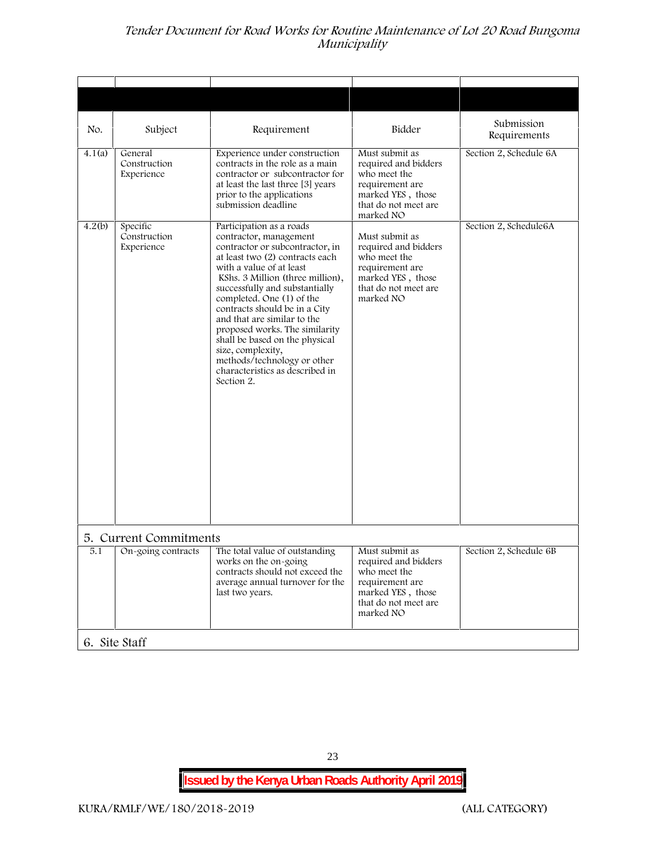| No.    | Subject                                | Requirement                                                                                                                                                                                                                                                                                                                                                                                                                                                                                      | Bidder                                                                                                                              | Submission<br>Requirements |
|--------|----------------------------------------|--------------------------------------------------------------------------------------------------------------------------------------------------------------------------------------------------------------------------------------------------------------------------------------------------------------------------------------------------------------------------------------------------------------------------------------------------------------------------------------------------|-------------------------------------------------------------------------------------------------------------------------------------|----------------------------|
| 4.1(a) | General<br>Construction<br>Experience  | Experience under construction<br>contracts in the role as a main<br>contractor or subcontractor for<br>at least the last three [3] years<br>prior to the applications<br>submission deadline                                                                                                                                                                                                                                                                                                     | Must submit as<br>required and bidders<br>who meet the<br>requirement are<br>marked YES, those<br>that do not meet are<br>marked NO | Section 2, Schedule 6A     |
| 4.2(b) | Specific<br>Construction<br>Experience | Participation as a roads<br>contractor, management<br>contractor or subcontractor, in<br>at least two (2) contracts each<br>with a value of at least<br>KShs. 3 Million (three million),<br>successfully and substantially<br>completed. One (1) of the<br>contracts should be in a City<br>and that are similar to the<br>proposed works. The similarity<br>shall be based on the physical<br>size, complexity,<br>methods/technology or other<br>characteristics as described in<br>Section 2. | Must submit as<br>required and bidders<br>who meet the<br>requirement are<br>marked YES, those<br>that do not meet are<br>marked NO | Section 2, Schedule6A      |
|        | 5. Current Commitments                 |                                                                                                                                                                                                                                                                                                                                                                                                                                                                                                  |                                                                                                                                     |                            |
| 5.1    | On-going contracts                     | The total value of outstanding<br>works on the on-going<br>contracts should not exceed the<br>average annual turnover for the<br>last two years.                                                                                                                                                                                                                                                                                                                                                 | Must submit as<br>required and bidders<br>who meet the<br>requirement are<br>marked YES, those<br>that do not meet are<br>marked NO | Section 2, Schedule 6B     |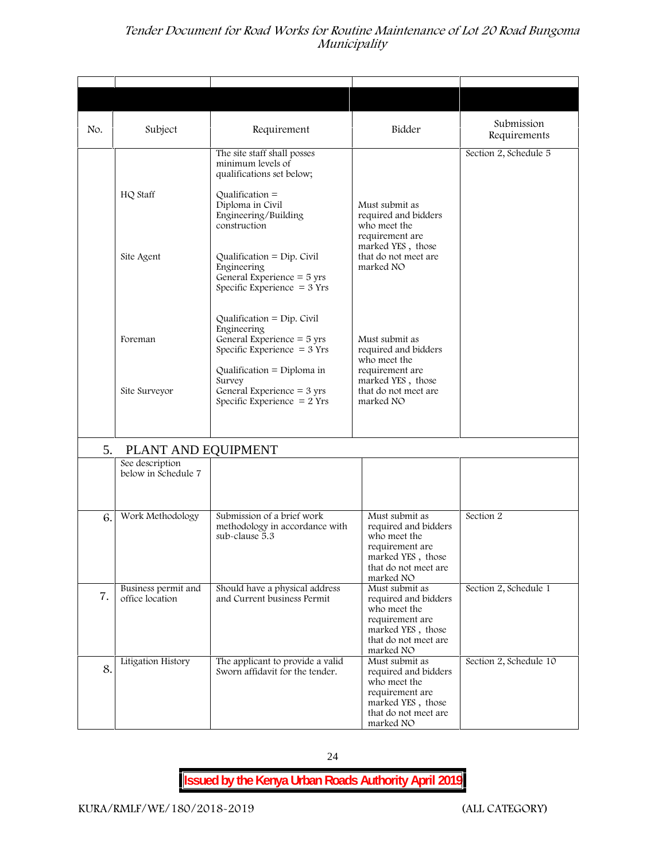| No. | Subject                                | Requirement                                                                                                                                                    | Bidder                                                                                                                              | Submission<br>Requirements |
|-----|----------------------------------------|----------------------------------------------------------------------------------------------------------------------------------------------------------------|-------------------------------------------------------------------------------------------------------------------------------------|----------------------------|
|     | HQ Staff                               | The site staff shall posses<br>minimum levels of<br>qualifications set below;<br>Qualification $=$<br>Diploma in Civil<br>Engineering/Building<br>construction | Must submit as<br>required and bidders<br>who meet the                                                                              | Section 2, Schedule 5      |
|     | Site Agent                             | $Qualification = Dip. Civil$<br>Engineering<br>General Experience = 5 yrs<br>Specific Experience $=$ 3 Yrs                                                     | requirement are<br>marked YES, those<br>that do not meet are<br>marked NO                                                           |                            |
|     | Foreman                                | Qualification = $Dip$ . Civil<br>Engineering<br>General Experience = 5 yrs<br>Specific Experience $=$ 3 Yrs                                                    | Must submit as<br>required and bidders<br>who meet the                                                                              |                            |
|     | Site Surveyor                          | Qualification = $Diploma$ in<br>Survey<br>General Experience = $3 \text{ yrs}$<br>Specific Experience $= 2$ Yrs                                                | requirement are<br>marked YES, those<br>that do not meet are<br>marked NO                                                           |                            |
| 5.  | PLANT AND EQUIPMENT                    |                                                                                                                                                                |                                                                                                                                     |                            |
|     | See description<br>below in Schedule 7 |                                                                                                                                                                |                                                                                                                                     |                            |
| 6.  | Work Methodology                       | Submission of a brief work<br>methodology in accordance with<br>sub-clause 5.3                                                                                 | Must submit as<br>required and bidders<br>who meet the<br>requirement are<br>marked YES, those<br>that do not meet are<br>marked NO | Section 2                  |
| 7.  | Business permit and<br>office location | Should have a physical address<br>and Current business Permit                                                                                                  | Must submit as<br>required and bidders<br>who meet the<br>requirement are<br>marked YES, those<br>that do not meet are<br>marked NO | Section 2, Schedule 1      |
| 8.  | Litigation History                     | The applicant to provide a valid<br>Sworn affidavit for the tender.                                                                                            | Must submit as<br>required and bidders<br>who meet the<br>requirement are<br>marked YES, those<br>that do not meet are<br>marked NO | Section 2, Schedule 10     |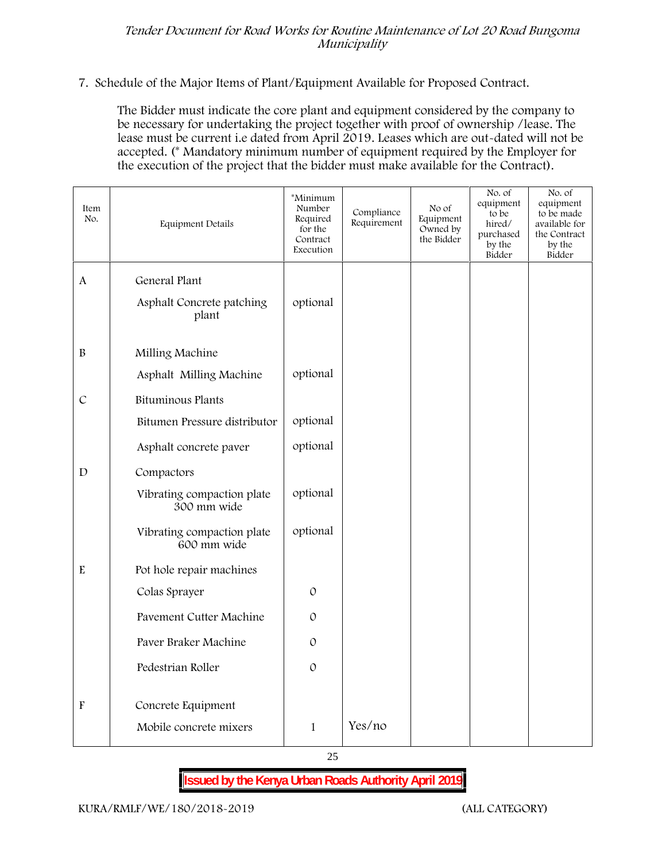#### **7. Schedule of the Major Items of Plant/Equipment Available for Proposed Contract.**

The Bidder must indicate the core plant and equipment considered by the company to be necessary for undertaking the project together with proof of ownership /lease. The lease must be current i.e dated from April 2019. Leases which are out-dated will not be accepted. (\* Mandatory minimum number of equipment required by the Employer for the execution of the project that the bidder must make available for the Contract).

| Item<br>No.               | Equipment Details                                   | *Minimum<br>Number<br>Required<br>for the<br>Contract<br>Execution | Compliance<br>Requirement | No of<br>Equipment<br>Owned by<br>the Bidder | No. of<br>equipment<br>to be<br>hired/<br>purchased<br>by the<br>Bidder | No. of<br>equipment<br>to be made<br>available for<br>the Contract<br>by the<br>Bidder |
|---------------------------|-----------------------------------------------------|--------------------------------------------------------------------|---------------------------|----------------------------------------------|-------------------------------------------------------------------------|----------------------------------------------------------------------------------------|
| A                         | General Plant<br>Asphalt Concrete patching<br>plant | optional                                                           |                           |                                              |                                                                         |                                                                                        |
| $\, {\bf B}$              | Milling Machine                                     |                                                                    |                           |                                              |                                                                         |                                                                                        |
|                           | Asphalt Milling Machine                             | optional                                                           |                           |                                              |                                                                         |                                                                                        |
| $\mathcal{C}$             | <b>Bituminous Plants</b>                            |                                                                    |                           |                                              |                                                                         |                                                                                        |
|                           | Bitumen Pressure distributor                        | optional                                                           |                           |                                              |                                                                         |                                                                                        |
|                           | Asphalt concrete paver                              | optional                                                           |                           |                                              |                                                                         |                                                                                        |
| D                         | Compactors                                          |                                                                    |                           |                                              |                                                                         |                                                                                        |
|                           | Vibrating compaction plate<br>300 mm wide           | optional                                                           |                           |                                              |                                                                         |                                                                                        |
|                           | Vibrating compaction plate<br>600 mm wide           | optional                                                           |                           |                                              |                                                                         |                                                                                        |
| $\rm E$                   | Pot hole repair machines                            |                                                                    |                           |                                              |                                                                         |                                                                                        |
|                           | Colas Sprayer                                       | $\mathcal{O}$                                                      |                           |                                              |                                                                         |                                                                                        |
|                           | <b>Pavement Cutter Machine</b>                      | $\mathcal{O}$                                                      |                           |                                              |                                                                         |                                                                                        |
|                           | Paver Braker Machine                                | $\mathcal{O}$                                                      |                           |                                              |                                                                         |                                                                                        |
|                           | Pedestrian Roller                                   | $\mathcal{O}$                                                      |                           |                                              |                                                                         |                                                                                        |
| $\boldsymbol{\mathrm{F}}$ | Concrete Equipment<br>Mobile concrete mixers        | $\mathbf{1}$                                                       | Yes/no                    |                                              |                                                                         |                                                                                        |
|                           |                                                     |                                                                    |                           |                                              |                                                                         |                                                                                        |

25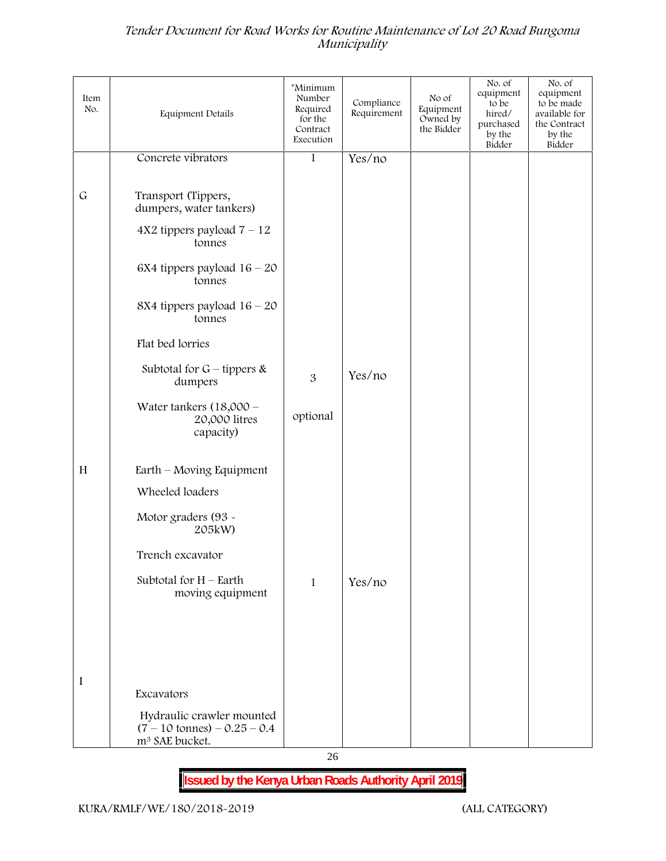| Item<br>No. | <b>Equipment Details</b>                                                                          | *Minimum<br>Number<br>Required<br>for the<br>Contract<br>Execution | Compliance<br>Requirement | No of<br>Equipment<br>Owned by<br>the Bidder | No. of<br>equipment<br>to be<br>hired/<br>purchased<br>by the<br>Bidder | No. of<br>equipment<br>to be made<br>available for<br>the Contract<br>by the<br>Bidder |
|-------------|---------------------------------------------------------------------------------------------------|--------------------------------------------------------------------|---------------------------|----------------------------------------------|-------------------------------------------------------------------------|----------------------------------------------------------------------------------------|
|             | Concrete vibrators                                                                                | 1                                                                  | Yes/no                    |                                              |                                                                         |                                                                                        |
|             |                                                                                                   |                                                                    |                           |                                              |                                                                         |                                                                                        |
| $\mathsf G$ | Transport (Tippers,<br>dumpers, water tankers)                                                    |                                                                    |                           |                                              |                                                                         |                                                                                        |
|             | $4X2$ tippers payload $7 - 12$<br>tonnes                                                          |                                                                    |                           |                                              |                                                                         |                                                                                        |
|             | 6X4 tippers payload $16 - 20$<br>tonnes                                                           |                                                                    |                           |                                              |                                                                         |                                                                                        |
|             | 8X4 tippers payload $16 - 20$<br>tonnes                                                           |                                                                    |                           |                                              |                                                                         |                                                                                        |
|             | Flat bed lorries                                                                                  |                                                                    |                           |                                              |                                                                         |                                                                                        |
|             | Subtotal for $G$ – tippers &<br>dumpers                                                           | 3                                                                  | Yes/no                    |                                              |                                                                         |                                                                                        |
|             | Water tankers $(18,000 -$<br>20,000 litres<br>capacity)                                           | optional                                                           |                           |                                              |                                                                         |                                                                                        |
| H           | Earth - Moving Equipment                                                                          |                                                                    |                           |                                              |                                                                         |                                                                                        |
|             | Wheeled loaders                                                                                   |                                                                    |                           |                                              |                                                                         |                                                                                        |
|             | Motor graders (93 -<br>205kW)                                                                     |                                                                    |                           |                                              |                                                                         |                                                                                        |
|             | Trench excavator                                                                                  |                                                                    |                           |                                              |                                                                         |                                                                                        |
|             | Subtotal for $H$ – Earth<br>moving equipment                                                      | $\mathbf{1}$                                                       | Yes/no                    |                                              |                                                                         |                                                                                        |
|             |                                                                                                   |                                                                    |                           |                                              |                                                                         |                                                                                        |
|             |                                                                                                   |                                                                    |                           |                                              |                                                                         |                                                                                        |
|             |                                                                                                   |                                                                    |                           |                                              |                                                                         |                                                                                        |
| I           |                                                                                                   |                                                                    |                           |                                              |                                                                         |                                                                                        |
|             | Excavators                                                                                        |                                                                    |                           |                                              |                                                                         |                                                                                        |
|             | Hydraulic crawler mounted<br>$(7 - 10 \text{ tonnes}) - 0.25 - 0.4$<br>m <sup>3</sup> SAE bucket. |                                                                    |                           |                                              |                                                                         |                                                                                        |

26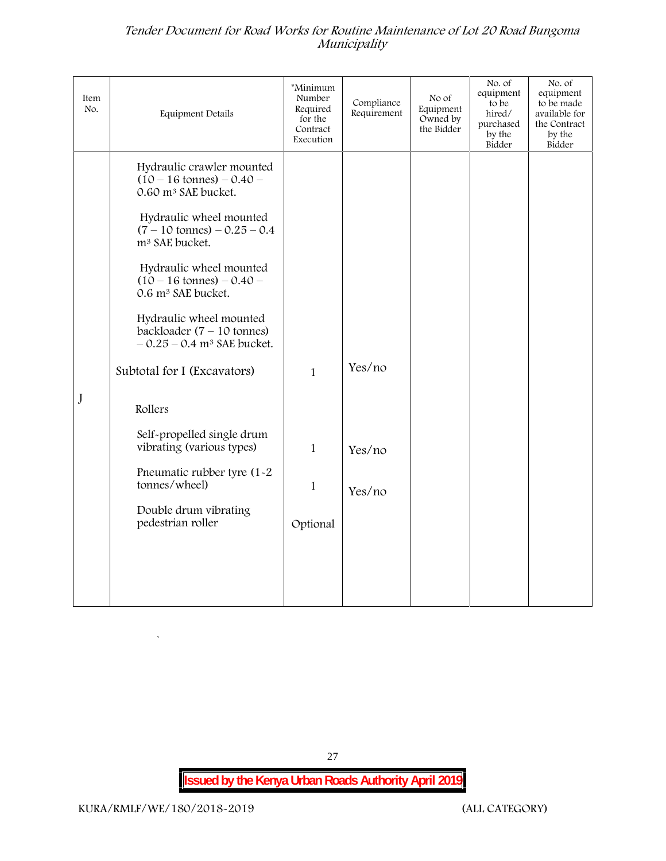| Item<br>No. | Equipment Details                                                                                           | *Minimum<br>Number<br>Required<br>for the<br>Contract<br>Execution | Compliance<br>Requirement | No of<br>Equipment<br>Owned by<br>the Bidder | No. of<br>equipment<br>to be<br>hired/<br>purchased<br>by the<br>Bidder | No. of<br>equipment<br>to be made<br>available for<br>the Contract<br>by the<br>Bidder |
|-------------|-------------------------------------------------------------------------------------------------------------|--------------------------------------------------------------------|---------------------------|----------------------------------------------|-------------------------------------------------------------------------|----------------------------------------------------------------------------------------|
|             | Hydraulic crawler mounted<br>$(10 - 16 \text{ tonnes}) - 0.40 -$<br>0.60 m <sup>3</sup> SAE bucket.         |                                                                    |                           |                                              |                                                                         |                                                                                        |
|             | Hydraulic wheel mounted<br>$(7 - 10 \text{ tonnes}) - 0.25 - 0.4$<br>m <sup>3</sup> SAE bucket.             |                                                                    |                           |                                              |                                                                         |                                                                                        |
|             | Hydraulic wheel mounted<br>$(10 - 16 \text{ tonnes}) - 0.40 -$<br>0.6 m <sup>3</sup> SAE bucket.            |                                                                    |                           |                                              |                                                                         |                                                                                        |
|             | Hydraulic wheel mounted<br>backloader $(7 - 10 \text{ tonnes})$<br>$-0.25 - 0.4$ m <sup>3</sup> SAE bucket. |                                                                    |                           |                                              |                                                                         |                                                                                        |
|             | Subtotal for I (Excavators)                                                                                 | $\mathbf{1}$                                                       | Yes/no                    |                                              |                                                                         |                                                                                        |
| J           | Rollers                                                                                                     |                                                                    |                           |                                              |                                                                         |                                                                                        |
|             | Self-propelled single drum<br>vibrating (various types)                                                     | $\mathbf{1}$                                                       | Yes/no                    |                                              |                                                                         |                                                                                        |
|             | Pneumatic rubber tyre (1-2<br>tonnes/wheel)                                                                 | $\mathbf{1}$                                                       | Yes/no                    |                                              |                                                                         |                                                                                        |
|             | Double drum vibrating<br>pedestrian roller                                                                  | Optional                                                           |                           |                                              |                                                                         |                                                                                        |
|             |                                                                                                             |                                                                    |                           |                                              |                                                                         |                                                                                        |
|             |                                                                                                             |                                                                    |                           |                                              |                                                                         |                                                                                        |

**Issued by the Kenya Urban Roads Authority April 2019**

27

 $\overline{a}$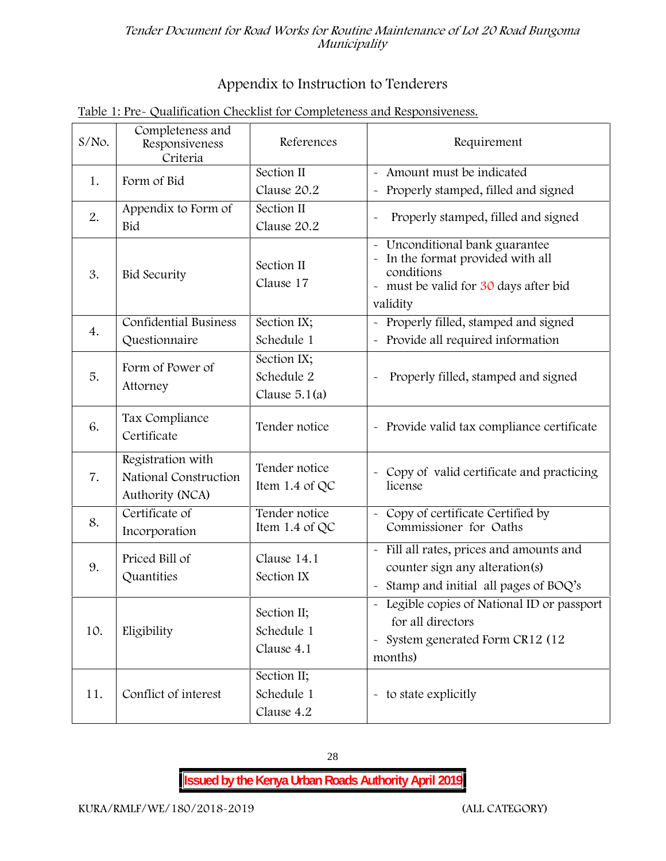## **Appendix to Instruction to Tenderers**

| $S/NO$ . | Completeness and<br>Responsiveness<br>Criteria                | References                                   | Requirement                                                                                                                                |
|----------|---------------------------------------------------------------|----------------------------------------------|--------------------------------------------------------------------------------------------------------------------------------------------|
| 1.       | Form of Bid                                                   | Section II<br>Clause 20.2                    | - Amount must be indicated<br>Properly stamped, filled and signed<br>$\tilde{\phantom{a}}$                                                 |
| 2.       | Appendix to Form of<br>Bid                                    | Section II<br>Clause 20.2                    | Properly stamped, filled and signed<br>$\tilde{\phantom{a}}$                                                                               |
| 3.       | <b>Bid Security</b>                                           | Section II<br>Clause 17                      | - Unconditional bank guarantee<br>In the format provided with all<br>conditions<br>- must be valid for 30 days after bid<br>validity       |
| 4.       | Confidential Business<br>Questionnaire                        | Section IX;<br>Schedule 1                    | Properly filled, stamped and signed<br>Provide all required information                                                                    |
| 5.       | Form of Power of<br>Attorney                                  | Section IX;<br>Schedule 2<br>Clause $5.1(a)$ | Properly filled, stamped and signed                                                                                                        |
| 6.       | Tax Compliance<br>Certificate                                 | Tender notice                                | - Provide valid tax compliance certificate                                                                                                 |
| 7.       | Registration with<br>National Construction<br>Authority (NCA) | Tender notice<br>Item 1.4 of QC              | Copy of valid certificate and practicing<br>license                                                                                        |
| 8.       | Certificate of<br>Incorporation                               | Tender notice<br>Item 1.4 of $QC$            | - Copy of certificate Certified by<br>Commissioner for Oaths                                                                               |
| 9.       | Priced Bill of<br>Quantities                                  | Clause 14.1<br>Section IX                    | - Fill all rates, prices and amounts and<br>counter sign any alteration(s)<br>Stamp and initial all pages of BOQ's                         |
| 10.      | Eligibility                                                   | Section II;<br>Schedule 1<br>Clause 4.1      | - Legible copies of National ID or passport<br>for all directors<br>System generated Form CR12 (12<br>$\widetilde{\phantom{m}}$<br>months) |
| 11.      | Conflict of interest                                          | Section II;<br>Schedule 1<br>Clause 4.2      | - to state explicitly                                                                                                                      |

## **Table 1: Pre- Qualification Checklist for Completeness and Responsiveness.**

28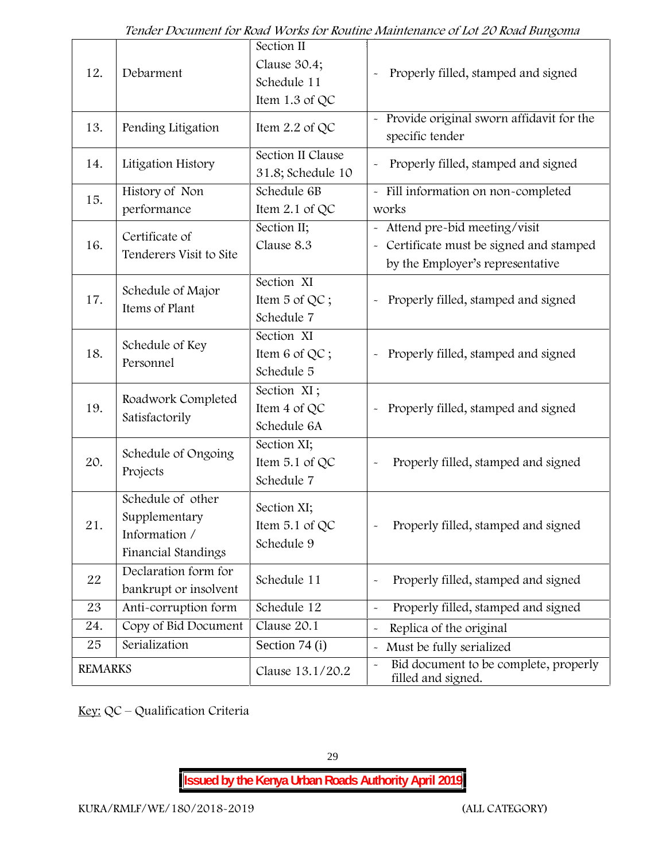| 12.            | Debarment                                                                  | Section II<br>Clause 30.4;<br>Schedule 11<br>Item 1.3 of QC | Properly filled, stamped and signed                                                                            |
|----------------|----------------------------------------------------------------------------|-------------------------------------------------------------|----------------------------------------------------------------------------------------------------------------|
| 13.            | Pending Litigation                                                         | Item $2.2$ of QC                                            | Provide original sworn affidavit for the<br>specific tender                                                    |
| 14.            | Litigation History                                                         | Section II Clause<br>31.8; Schedule 10                      | Properly filled, stamped and signed                                                                            |
| 15.            | History of Non<br>performance                                              | Schedule 6B<br>Item $2.1$ of QC                             | - Fill information on non-completed<br>works                                                                   |
| 16.            | Certificate of<br>Tenderers Visit to Site                                  | Section II;<br>Clause 8.3                                   | - Attend pre-bid meeting/visit<br>- Certificate must be signed and stamped<br>by the Employer's representative |
| 17.            | Schedule of Major<br>Items of Plant                                        | Section XI<br>Item 5 of QC;<br>Schedule 7                   | Properly filled, stamped and signed                                                                            |
| 18.            | Schedule of Key<br>Personnel                                               | Section XI<br>Item 6 of QC;<br>Schedule 5                   | Properly filled, stamped and signed<br>$\widetilde{\phantom{m}}$                                               |
| 19.            | Roadwork Completed<br>Satisfactorily                                       | Section XI;<br>Item 4 of QC<br>Schedule 6A                  | Properly filled, stamped and signed<br>$\tilde{\phantom{a}}$                                                   |
| 20.            | Schedule of Ongoing<br>Projects                                            | Section XI;<br>Item 5.1 of QC<br>Schedule 7                 | Properly filled, stamped and signed                                                                            |
| 21.            | Schedule of other<br>Supplementary<br>Information /<br>Financial Standings | Section XI;<br>Item $5.1$ of QC<br>Schedule 9               | Properly filled, stamped and signed                                                                            |
| 22             | Declaration form for<br>bankrupt or insolvent                              | Schedule 11                                                 | Properly filled, stamped and signed                                                                            |
| 23             | Anti-corruption form                                                       | Schedule 12                                                 | Properly filled, stamped and signed<br>$\tilde{\phantom{a}}$                                                   |
| 24.            | Copy of Bid Document                                                       | Clause 20.1                                                 | Replica of the original                                                                                        |
| 25             | Serialization                                                              | Section 74 (i)                                              | Must be fully serialized                                                                                       |
| <b>REMARKS</b> |                                                                            | Clause 13.1/20.2                                            | Bid document to be complete, properly<br>filled and signed.                                                    |

**Key:** QC – Qualification Criteria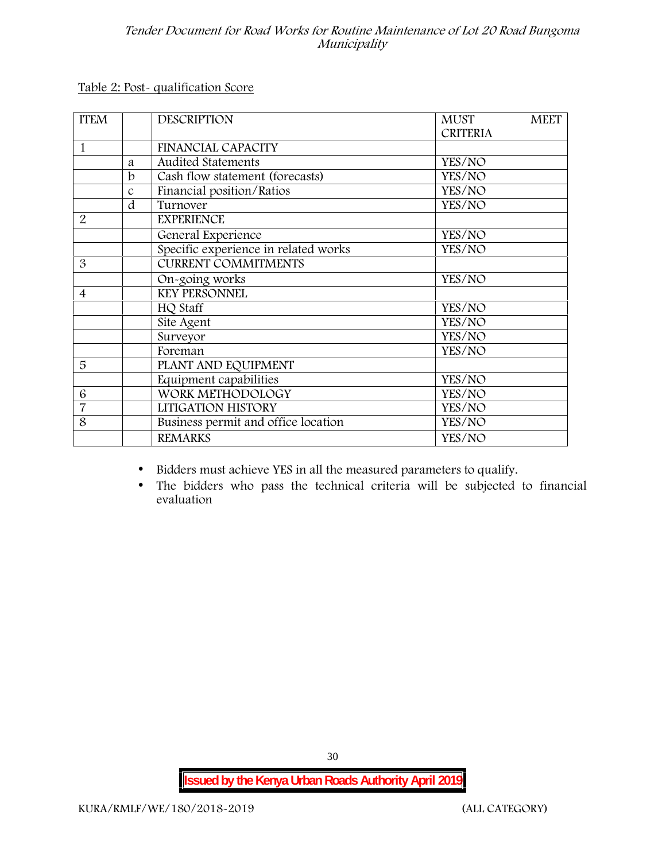**Table 2: Post- qualification Score**

| <b>ITEM</b>    |               | <b>DESCRIPTION</b>                   | <b>MUST</b><br><b>MEET</b> |  |
|----------------|---------------|--------------------------------------|----------------------------|--|
|                |               |                                      | <b>CRITERIA</b>            |  |
| 1              |               | <b>FINANCIAL CAPACITY</b>            |                            |  |
|                | a             | <b>Audited Statements</b>            | YES/NO                     |  |
|                | $\mathbf b$   | Cash flow statement (forecasts)      | YES/NO                     |  |
|                | $\mathcal{C}$ | Financial position/Ratios            | YES/NO                     |  |
|                | d             | Turnover                             | YES/NO                     |  |
| 2              |               | <b>EXPERIENCE</b>                    |                            |  |
|                |               | General Experience                   | YES/NO                     |  |
|                |               | Specific experience in related works | YES/NO                     |  |
| 3              |               | <b>CURRENT COMMITMENTS</b>           |                            |  |
|                |               | On-going works                       | YES/NO                     |  |
| $\overline{4}$ |               | <b>KEY PERSONNEL</b>                 |                            |  |
|                |               | HQ Staff                             | YES/NO                     |  |
|                |               | Site Agent                           | YES/NO                     |  |
|                |               | Surveyor                             | YES/NO                     |  |
|                |               | Foreman                              | YES/NO                     |  |
| 5              |               | PLANT AND EQUIPMENT                  |                            |  |
|                |               | Equipment capabilities               | YES/NO                     |  |
| 6              |               | WORK METHODOLOGY                     | YES/NO                     |  |
| $\overline{7}$ |               | LITIGATION HISTORY                   | YES/NO                     |  |
| 8              |               | Business permit and office location  | YES/NO                     |  |
|                |               | <b>REMARKS</b>                       | YES/NO                     |  |
|                |               |                                      |                            |  |

- Bidders must achieve YES in all the measured parameters to qualify.
- The bidders who pass the technical criteria will be subjected to financial evaluation

30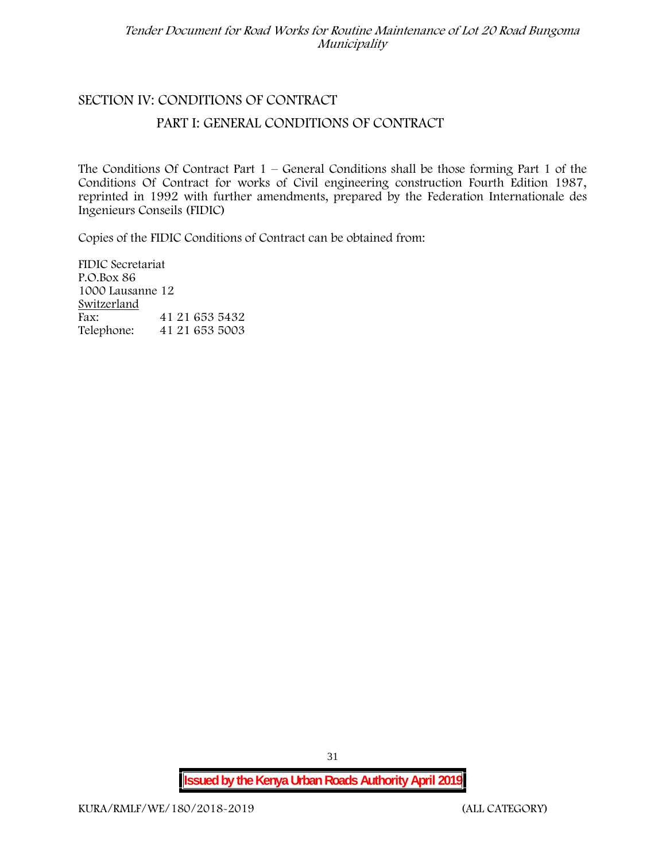### **SECTION IV: CONDITIONS OF CONTRACT**

#### **PART I: GENERAL CONDITIONS OF CONTRACT**

The Conditions Of Contract Part  $1$  – General Conditions shall be those forming Part 1 of the Conditions Of Contract for works of Civil engineering construction Fourth Edition 1987, reprinted in 1992 with further amendments, prepared by the Federation Internationale des Ingenieurs Conseils (FIDIC)

Copies of the FIDIC Conditions of Contract can be obtained from:

FIDIC Secretariat P.O.Box 86 1000 Lausanne 12 **Switzerland** Fax: 41 21 653 5432 Telephone: 41 21 653 5003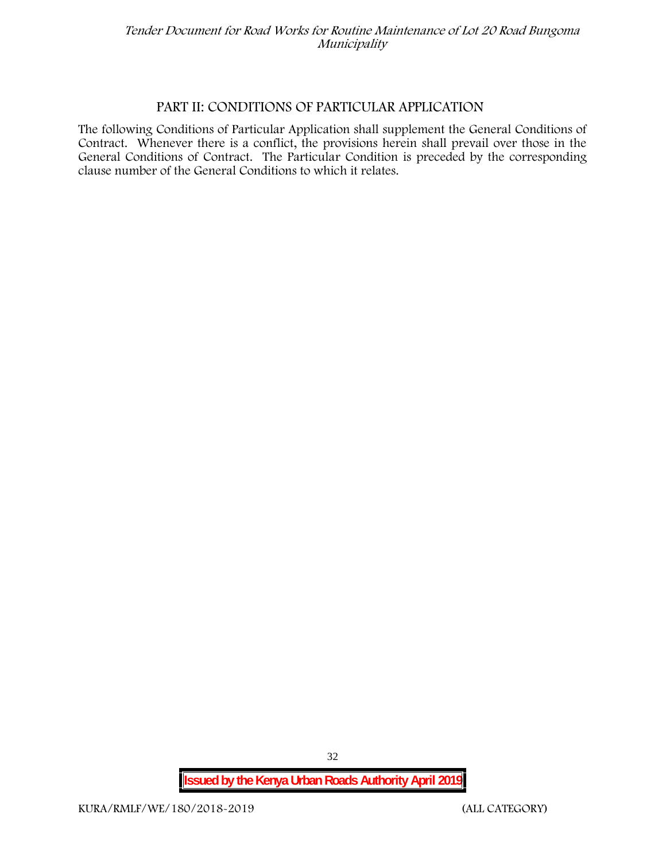#### **PART II: CONDITIONS OF PARTICULAR APPLICATION**

The following Conditions of Particular Application shall supplement the General Conditions of Contract. Whenever there is a conflict, the provisions herein shall prevail over those in the General Conditions of Contract. The Particular Condition is preceded by the corresponding clause number of the General Conditions to which it relates.

**Issued by the Kenya Urban Roads Authority April 2019**

32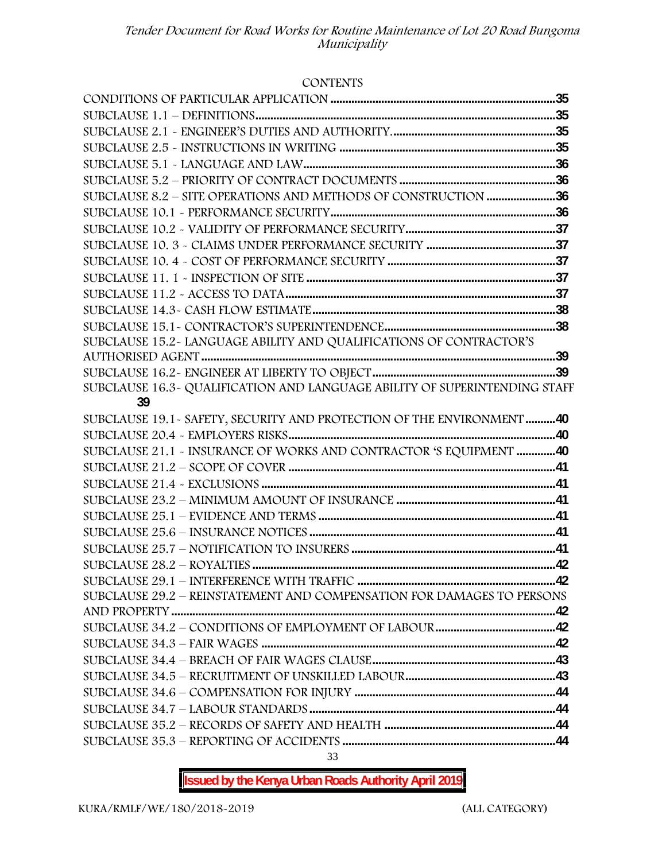#### **CONTENTS**

| SUBCLAUSE 8.2 - SITE OPERATIONS AND METHODS OF CONSTRUCTION 36             |  |
|----------------------------------------------------------------------------|--|
|                                                                            |  |
|                                                                            |  |
|                                                                            |  |
|                                                                            |  |
|                                                                            |  |
|                                                                            |  |
|                                                                            |  |
|                                                                            |  |
| SUBCLAUSE 15.2~ LANGUAGE ABILITY AND QUALIFICATIONS OF CONTRACTOR'S        |  |
|                                                                            |  |
|                                                                            |  |
| SUBCLAUSE 16.3- QUALIFICATION AND LANGUAGE ABILITY OF SUPERINTENDING STAFF |  |
| 39                                                                         |  |
| SUBCLAUSE 19.1 - SAFETY, SECURITY AND PROTECTION OF THE ENVIRONMENT 40     |  |
|                                                                            |  |
| SUBCLAUSE 21.1 - INSURANCE OF WORKS AND CONTRACTOR 'S EQUIPMENT 40         |  |
|                                                                            |  |
|                                                                            |  |
|                                                                            |  |
|                                                                            |  |
|                                                                            |  |
|                                                                            |  |
|                                                                            |  |
|                                                                            |  |
| SUBCLAUSE 29.2 - REINSTATEMENT AND COMPENSATION FOR DAMAGES TO PERSONS     |  |
|                                                                            |  |
|                                                                            |  |
|                                                                            |  |
|                                                                            |  |
|                                                                            |  |
|                                                                            |  |
|                                                                            |  |
|                                                                            |  |
|                                                                            |  |

33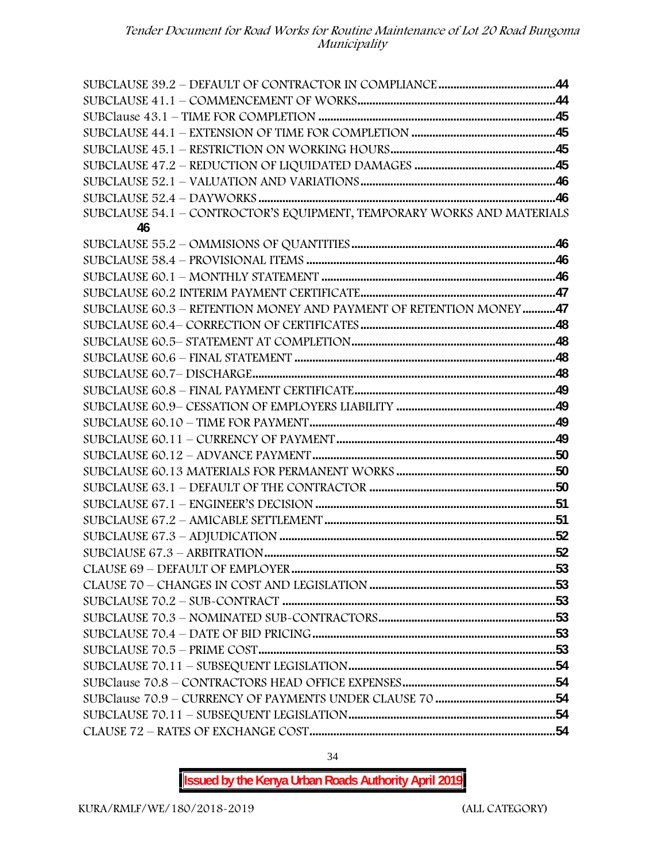| SUBCLAUSE 54.1 - CONTROCTOR'S EQUIPMENT, TEMPORARY WORKS AND MATERIALS |  |
|------------------------------------------------------------------------|--|
| 46                                                                     |  |
|                                                                        |  |
|                                                                        |  |
|                                                                        |  |
|                                                                        |  |
| SUBCLAUSE 60.3 - RETENTION MONEY AND PAYMENT OF RETENTION MONEY47      |  |
|                                                                        |  |
|                                                                        |  |
|                                                                        |  |
|                                                                        |  |
|                                                                        |  |
|                                                                        |  |
|                                                                        |  |
|                                                                        |  |
|                                                                        |  |
|                                                                        |  |
|                                                                        |  |
|                                                                        |  |
|                                                                        |  |
|                                                                        |  |
|                                                                        |  |
|                                                                        |  |
|                                                                        |  |
|                                                                        |  |
|                                                                        |  |
|                                                                        |  |
|                                                                        |  |
|                                                                        |  |
|                                                                        |  |
|                                                                        |  |
|                                                                        |  |
|                                                                        |  |

**Issued by the Kenya Urban Roads Authority April 2019**

34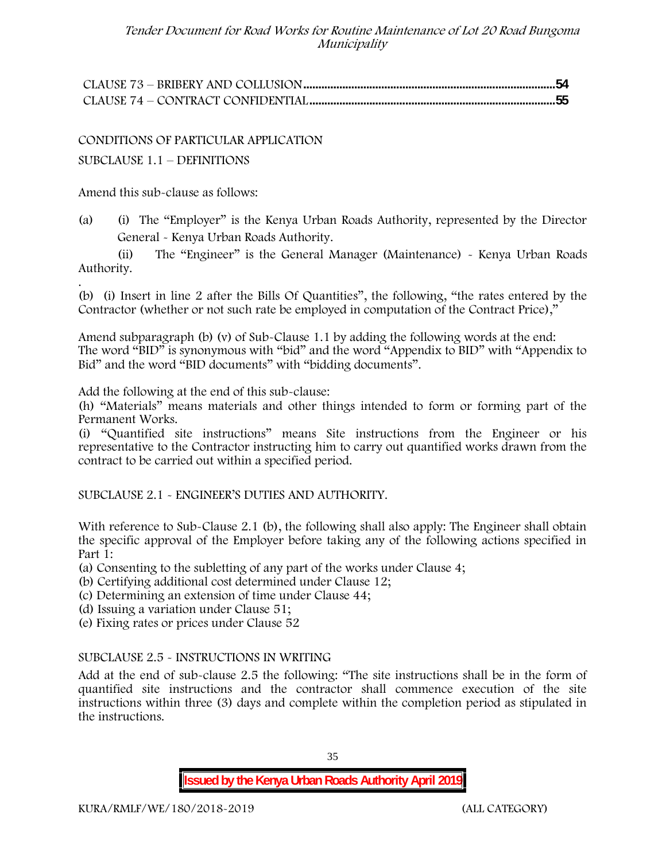CONDITIONS OF PARTICULAR APPLICATION

SUBCLAUSE 1.1 – DEFINITIONS

Amend this sub-clause as follows:

(a) (i) The "Employer" is the Kenya Urban Roads Authority, represented by the Director General - Kenya Urban Roads Authority.

(ii) The "Engineer" is the General Manager (Maintenance) - Kenya Urban Roads Authority.

.(b) (i) Insert in line 2 after the Bills Of Quantities", the following, "the rates entered by the Contractor (whether or not such rate be employed in computation of the Contract Price),"

Amend subparagraph (b) (v) of Sub-Clause 1.1 by adding the following words at the end: The word "BID" is synonymous with "bid" and the word "Appendix to BID" with "Appendix to Bid" and the word "BID documents" with "bidding documents".

Add the following at the end of this sub-clause:

(h) "Materials" means materials and other things intended to form or forming part of the Permanent Works.

(i) "Quantified site instructions" means Site instructions from the Engineer or his representative to the Contractor instructing him to carry out quantified works drawn from the contract to be carried out within a specified period.

SUBCLAUSE 2.1 - ENGINEER'S DUTIES AND AUTHORITY.

With reference to Sub-Clause 2.1 (b), the following shall also apply: The Engineer shall obtain the specific approval of the Employer before taking any of the following actions specified in Part 1:

(a) Consenting to the subletting of any part of the works under Clause 4;

(b) Certifying additional cost determined under Clause 12;

(c) Determining an extension of time under Clause 44;

(d) Issuing a variation under Clause 51;

(e) Fixing rates or prices under Clause 52

#### SUBCLAUSE 2.5 - INSTRUCTIONS IN WRITING

Add at the end of sub-clause 2.5 the following: "The site instructions shall be in the form of quantified site instructions and the contractor shall commence execution of the site instructions within three (3) days and complete within the completion period as stipulated in the instructions.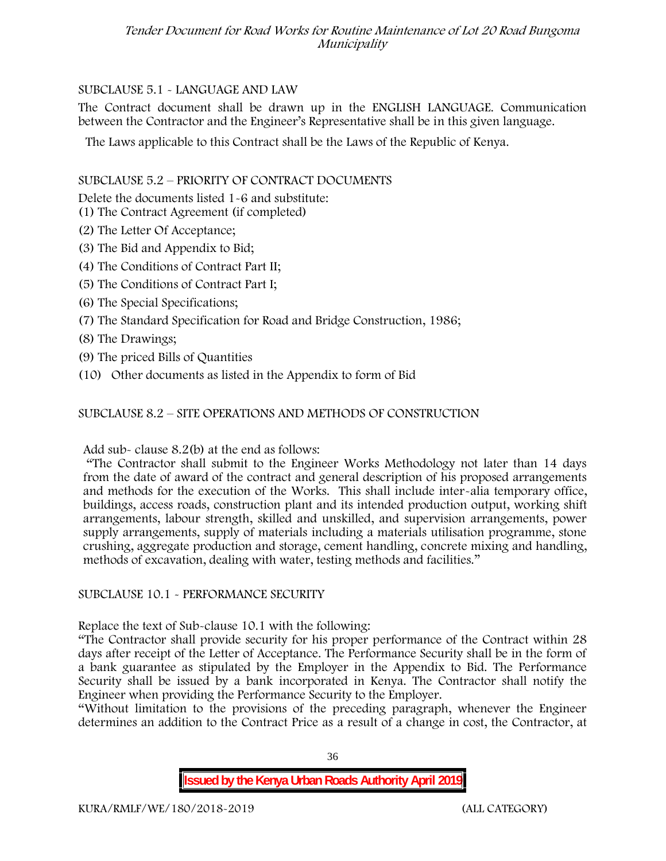## SUBCLAUSE 5.1 - LANGUAGE AND LAW

The Contract document shall be drawn up in the ENGLISH LANGUAGE. Communication between the Contractor and the Engineer's Representative shall be in this given language.

The Laws applicable to this Contract shall be the Laws of the Republic of Kenya.

## SUBCLAUSE 5.2 – PRIORITY OF CONTRACT DOCUMENTS

Delete the documents listed 1-6 and substitute:

- (1) The Contract Agreement (if completed)
- (2) The Letter Of Acceptance;
- (3) The Bid and Appendix to Bid;
- (4) The Conditions of Contract Part II;
- (5) The Conditions of Contract Part I;
- (6) The Special Specifications;
- (7) The Standard Specification for Road and Bridge Construction, 1986;
- (8) The Drawings;
- (9) The priced Bills of Quantities
- (10) Other documents as listed in the Appendix to form of Bid

## SUBCLAUSE 8.2 – SITE OPERATIONS AND METHODS OF CONSTRUCTION

Add sub- clause 8.2(b) at the end as follows:

"The Contractor shall submit to the Engineer Works Methodology not later than 14 days from the date of award of the contract and general description of his proposed arrangements and methods for the execution of the Works. This shall include inter-alia temporary office, buildings, access roads, construction plant and its intended production output, working shift arrangements, labour strength, skilled and unskilled, and supervision arrangements, power supply arrangements, supply of materials including a materials utilisation programme, stone crushing, aggregate production and storage, cement handling, concrete mixing and handling, methods of excavation, dealing with water, testing methods and facilities."

## SUBCLAUSE 10.1 - PERFORMANCE SECURITY

Replace the text of Sub-clause 10.1 with the following:

"The Contractor shall provide security for his proper performance of the Contract within 28 days after receipt of the Letter of Acceptance. The Performance Security shall be in the form of a bank guarantee as stipulated by the Employer in the Appendix to Bid. The Performance Security shall be issued by a bank incorporated in Kenya. The Contractor shall notify the Engineer when providing the Performance Security to the Employer.

"Without limitation to the provisions of the preceding paragraph, whenever the Engineer determines an addition to the Contract Price as a result of a change in cost, the Contractor, at

36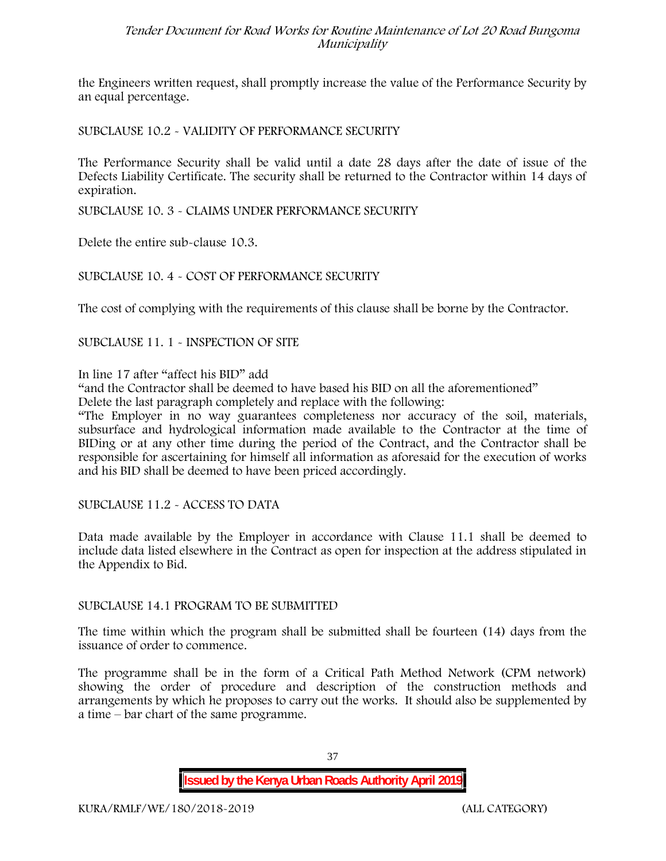the Engineers written request, shall promptly increase the value of the Performance Security by an equal percentage.

SUBCLAUSE 10.2 - VALIDITY OF PERFORMANCE SECURITY

The Performance Security shall be valid until a date 28 days after the date of issue of the Defects Liability Certificate. The security shall be returned to the Contractor within 14 days of expiration.

SUBCLAUSE 10. 3 - CLAIMS UNDER PERFORMANCE SECURITY

Delete the entire sub-clause 10.3.

### SUBCLAUSE 10. 4 - COST OF PERFORMANCE SECURITY

The cost of complying with the requirements of this clause shall be borne by the Contractor.

SUBCLAUSE 11. 1 - INSPECTION OF SITE

In line 17 after "affect his BID" add

"and the Contractor shall be deemed to have based his BID on all the aforementioned"

Delete the last paragraph completely and replace with the following:

"The Employer in no way guarantees completeness nor accuracy of the soil, materials, subsurface and hydrological information made available to the Contractor at the time of BIDing or at any other time during the period of the Contract, and the Contractor shall be responsible for ascertaining for himself all information as aforesaid for the execution of works and his BID shall be deemed to have been priced accordingly.

SUBCLAUSE 11.2 - ACCESS TO DATA

Data made available by the Employer in accordance with Clause 11.1 shall be deemed to include data listed elsewhere in the Contract as open for inspection at the address stipulated in the Appendix to Bid.

#### SUBCLAUSE 14.1 PROGRAM TO BE SUBMITTED

The time within which the program shall be submitted shall be fourteen (14) days from the issuance of order to commence**.**

The programme shall be in the form of a Critical Path Method Network (CPM network) showing the order of procedure and description of the construction methods and arrangements by which he proposes to carry out the works. It should also be supplemented by a time – bar chart of the same programme.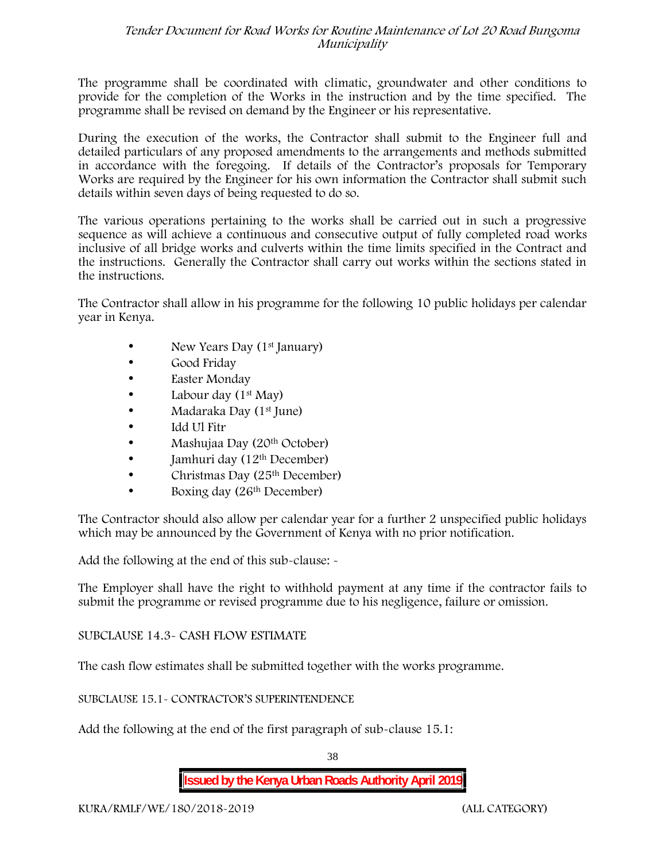The programme shall be coordinated with climatic, groundwater and other conditions to provide for the completion of the Works in the instruction and by the time specified. The programme shall be revised on demand by the Engineer or his representative.

During the execution of the works, the Contractor shall submit to the Engineer full and detailed particulars of any proposed amendments to the arrangements and methods submitted in accordance with the foregoing. If details of the Contractor's proposals for Temporary Works are required by the Engineer for his own information the Contractor shall submit such details within seven days of being requested to do so.

The various operations pertaining to the works shall be carried out in such a progressive sequence as will achieve a continuous and consecutive output of fully completed road works inclusive of all bridge works and culverts within the time limits specified in the Contract and the instructions. Generally the Contractor shall carry out works within the sections stated in the instructions.

The Contractor shall allow in his programme for the following 10 public holidays per calendar year in Kenya.

- New Years Day (1<sup>st</sup> January)
- Good Friday
- Easter Monday
- Labour day  $(1<sup>st</sup>$  May)
- Madaraka Day (1st June)
- Idd Ul Fitr
- Mashujaa Day (20<sup>th</sup> October)
- $\bullet$  Jamhuri day (12<sup>th</sup> December)
- Christmas Day  $(25<sup>th</sup> December)$
- Boxing day (26<sup>th</sup> December)

The Contractor should also allow per calendar year for a further 2 unspecified public holidays which may be announced by the Government of Kenya with no prior notification.

Add the following at the end of this sub-clause: -

The Employer shall have the right to withhold payment at any time if the contractor fails to submit the programme or revised programme due to his negligence, failure or omission.

## SUBCLAUSE 14.3- CASH FLOW ESTIMATE

The cash flow estimates shall be submitted together with the works programme.

#### SUBCLAUSE 15.1- CONTRACTOR'S SUPERINTENDENCE

Add the following at the end of the first paragraph of sub-clause 15.1:

38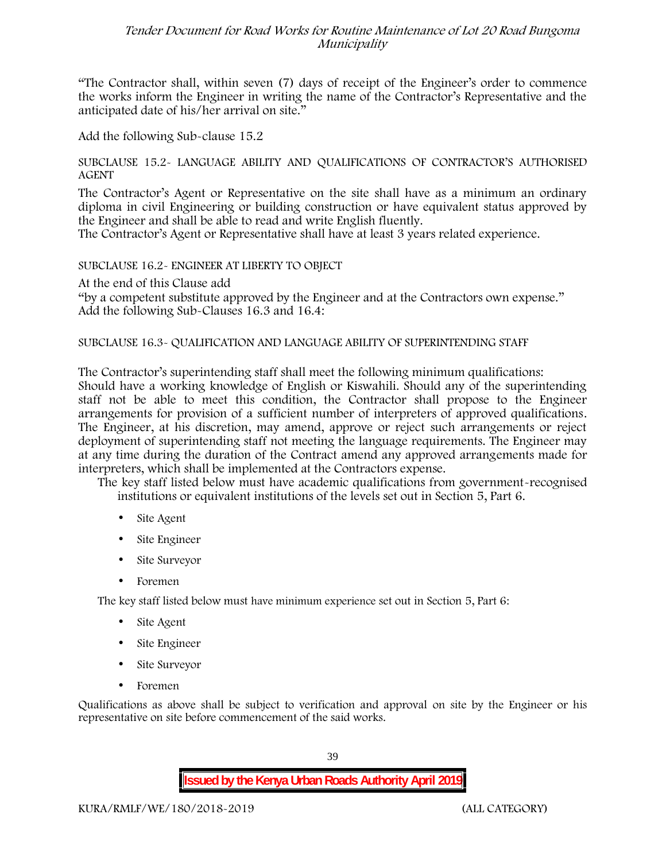"The Contractor shall, within seven (7) days of receipt of the Engineer's order to commence the works inform the Engineer in writing the name of the Contractor's Representative and the anticipated date of his/her arrival on site."

Add the following Sub-clause 15.2

#### SUBCLAUSE 15.2- LANGUAGE ABILITY AND QUALIFICATIONS OF CONTRACTOR'S AUTHORISED AGENT

The Contractor's Agent or Representative on the site shall have as a minimum an ordinary diploma in civil Engineering or building construction or have equivalent status approved by the Engineer and shall be able to read and write English fluently.

The Contractor's Agent or Representative shall have at least 3 years related experience.

### SUBCLAUSE 16.2- ENGINEER AT LIBERTY TO OBJECT

At the end of this Clause add

"by a competent substitute approved by the Engineer and at the Contractors own expense." Add the following Sub-Clauses 16.3 and 16.4:

### SUBCLAUSE 16.3- QUALIFICATION AND LANGUAGE ABILITY OF SUPERINTENDING STAFF

The Contractor's superintending staff shall meet the following minimum qualifications: Should have a working knowledge of English or Kiswahili. Should any of the superintending staff not be able to meet this condition, the Contractor shall propose to the Engineer arrangements for provision of a sufficient number of interpreters of approved qualifications. The Engineer, at his discretion, may amend, approve or reject such arrangements or reject deployment of superintending staff not meeting the language requirements. The Engineer may at any time during the duration of the Contract amend any approved arrangements made for interpreters, which shall be implemented at the Contractors expense.

The key staff listed below must have academic qualifications from government-recognised institutions or equivalent institutions of the levels set out in Section 5, Part 6.

- Site Agent
- Site Engineer
- Site Surveyor
- Foremen

The key staff listed below must have minimum experience set out in Section 5, Part 6:

- Site Agent
- Site Engineer
- Site Surveyor
- Foremen

Qualifications as above shall be subject to verification and approval on site by the Engineer or his representative on site before commencement of the said works.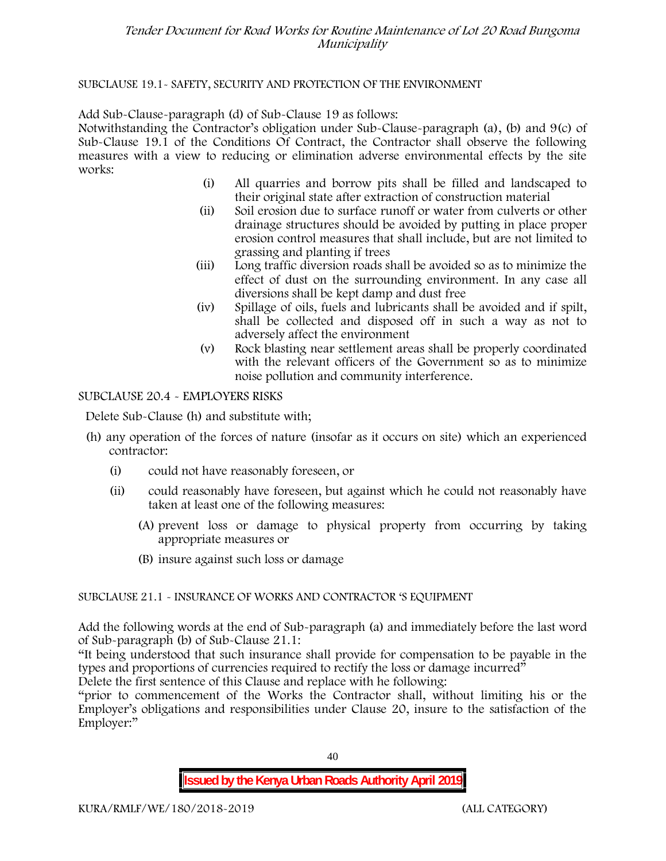### SUBCLAUSE 19.1- SAFETY, SECURITY AND PROTECTION OF THE ENVIRONMENT

Add Sub-Clause-paragraph (d) of Sub-Clause 19 as follows:

Notwithstanding the Contractor's obligation under Sub-Clause-paragraph (a), (b) and 9(c) of Sub-Clause 19.1 of the Conditions Of Contract, the Contractor shall observe the following measures with a view to reducing or elimination adverse environmental effects by the site works:

- (i) All quarries and borrow pits shall be filled and landscaped to their original state after extraction of construction material
- (ii) Soil erosion due to surface runoff or water from culverts or other drainage structures should be avoided by putting in place proper erosion control measures that shall include, but are not limited to grassing and planting if trees
- (iii) Long traffic diversion roads shall be avoided so as to minimize the effect of dust on the surrounding environment. In any case all diversions shall be kept damp and dust free
- (iv) Spillage of oils, fuels and lubricants shall be avoided and if spilt, shall be collected and disposed off in such a way as not to adversely affect the environment
- (v) Rock blasting near settlement areas shall be properly coordinated with the relevant officers of the Government so as to minimize noise pollution and community interference.

### SUBCLAUSE 20.4 - EMPLOYERS RISKS

Delete Sub-Clause (h) and substitute with;

- (h) any operation of the forces of nature (insofar as it occurs on site) which an experienced contractor:
	- (i) could not have reasonably foreseen, or
	- (ii) could reasonably have foreseen, but against which he could not reasonably have taken at least one of the following measures:
		- (A) prevent loss or damage to physical property from occurring by taking appropriate measures or
		- (B) insure against such loss or damage

## SUBCLAUSE 21.1 - INSURANCE OF WORKS AND CONTRACTOR 'S EQUIPMENT

Add the following words at the end of Sub-paragraph (a) and immediately before the last word of Sub-paragraph (b) of Sub-Clause 21.1:

"It being understood that such insurance shall provide for compensation to be payable in the types and proportions of currencies required to rectify the loss or damage incurred"

Delete the first sentence of this Clause and replace with he following:

"prior to commencement of the Works the Contractor shall, without limiting his or the Employer's obligations and responsibilities under Clause 20, insure to the satisfaction of the Employer:"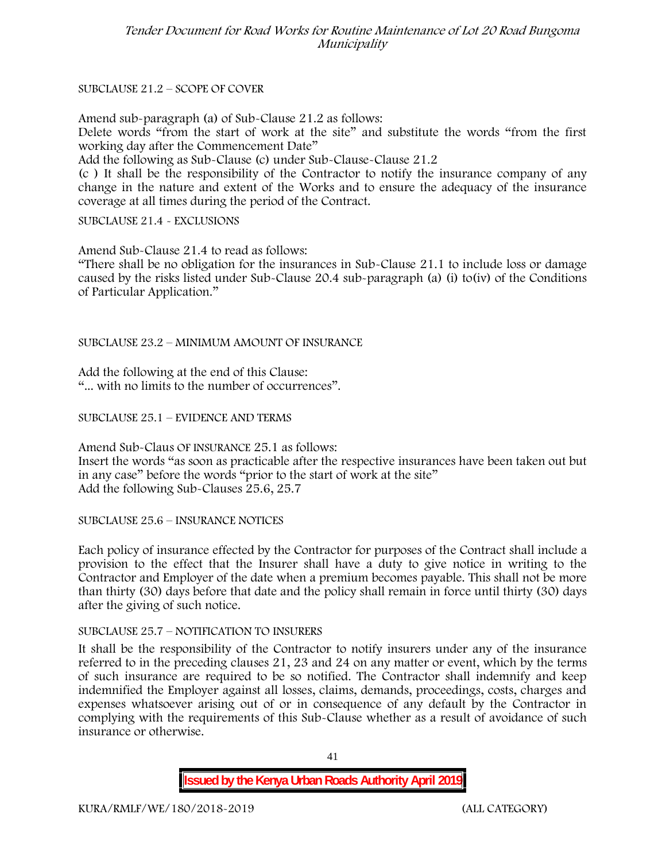SUBCLAUSE 21.2 – SCOPE OF COVER

Amend sub-paragraph (a) of Sub-Clause 21.2 as follows:

Delete words "from the start of work at the site" and substitute the words "from the first working day after the Commencement Date"

Add the following as Sub-Clause (c) under Sub-Clause-Clause 21.2

(c ) It shall be the responsibility of the Contractor to notify the insurance company of any change in the nature and extent of the Works and to ensure the adequacy of the insurance coverage at all times during the period of the Contract.

SUBCLAUSE 21.4 - EXCLUSIONS

Amend Sub-Clause 21.4 to read as follows:

"There shall be no obligation for the insurances in Sub-Clause 21.1 to include loss or damage caused by the risks listed under Sub-Clause 20.4 sub-paragraph (a) (i) to(iv) of the Conditions of Particular Application."

SUBCLAUSE 23.2 – MINIMUM AMOUNT OF INSURANCE

Add the following at the end of this Clause: "... with no limits to the number of occurrences".

SUBCLAUSE 25.1 – EVIDENCE AND TERMS

Amend Sub-Claus OF INSURANCE 25.1 as follows: Insert the words "as soon as practicable after the respective insurances have been taken out but in any case" before the words "prior to the start of work at the site" Add the following Sub-Clauses 25.6, 25.7

SUBCLAUSE 25.6 – INSURANCE NOTICES

Each policy of insurance effected by the Contractor for purposes of the Contract shall include a provision to the effect that the Insurer shall have a duty to give notice in writing to the Contractor and Employer of the date when a premium becomes payable. This shall not be more than thirty (30) days before that date and the policy shall remain in force until thirty (30) days after the giving of such notice.

## SUBCLAUSE 25.7 – NOTIFICATION TO INSURERS

It shall be the responsibility of the Contractor to notify insurers under any of the insurance referred to in the preceding clauses 21, 23 and 24 on any matter or event, which by the terms of such insurance are required to be so notified. The Contractor shall indemnify and keep indemnified the Employer against all losses, claims, demands, proceedings, costs, charges and expenses whatsoever arising out of or in consequence of any default by the Contractor in complying with the requirements of this Sub-Clause whether as a result of avoidance of such insurance or otherwise.

41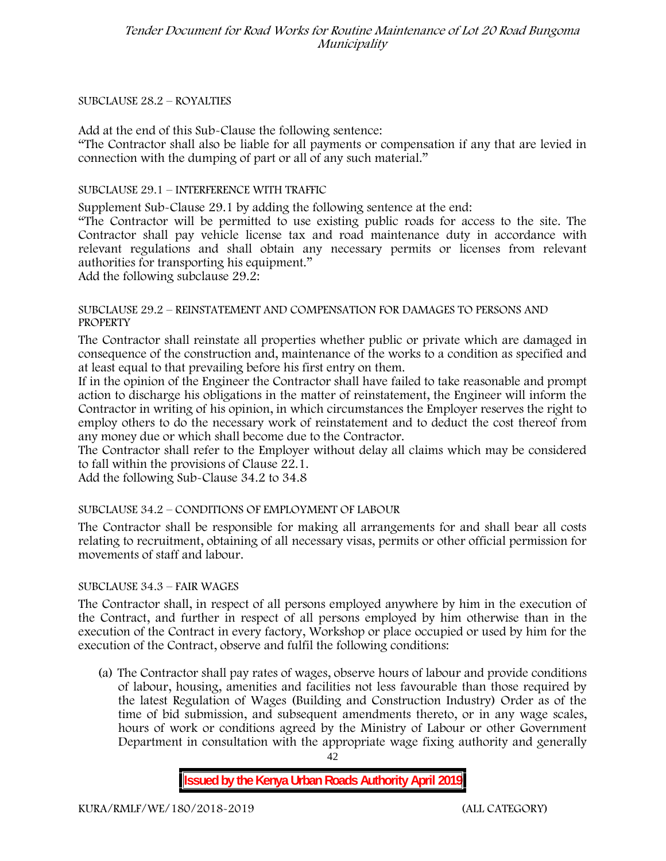#### SUBCLAUSE 28.2 – ROYALTIES

Add at the end of this Sub-Clause the following sentence:

"The Contractor shall also be liable for all payments or compensation if any that are levied in connection with the dumping of part or all of any such material."

### SUBCLAUSE 29.1 – INTERFERENCE WITH TRAFFIC

Supplement Sub-Clause 29.1 by adding the following sentence at the end:

"The Contractor will be permitted to use existing public roads for access to the site. The Contractor shall pay vehicle license tax and road maintenance duty in accordance with relevant regulations and shall obtain any necessary permits or licenses from relevant authorities for transporting his equipment."

Add the following subclause 29.2:

#### SUBCLAUSE 29.2 – REINSTATEMENT AND COMPENSATION FOR DAMAGES TO PERSONS AND **PROPERTY**

The Contractor shall reinstate all properties whether public or private which are damaged in consequence of the construction and, maintenance of the works to a condition as specified and at least equal to that prevailing before his first entry on them.

If in the opinion of the Engineer the Contractor shall have failed to take reasonable and prompt action to discharge his obligations in the matter of reinstatement, the Engineer will inform the Contractor in writing of his opinion, in which circumstances the Employer reserves the right to employ others to do the necessary work of reinstatement and to deduct the cost thereof from any money due or which shall become due to the Contractor.

The Contractor shall refer to the Employer without delay all claims which may be considered to fall within the provisions of Clause 22.1.

Add the following Sub-Clause 34.2 to 34.8

## SUBCLAUSE 34.2 – CONDITIONS OF EMPLOYMENT OF LABOUR

The Contractor shall be responsible for making all arrangements for and shall bear all costs relating to recruitment, obtaining of all necessary visas, permits or other official permission for movements of staff and labour.

#### SUBCLAUSE 34.3 – FAIR WAGES

The Contractor shall, in respect of all persons employed anywhere by him in the execution of the Contract, and further in respect of all persons employed by him otherwise than in the execution of the Contract in every factory, Workshop or place occupied or used by him for the execution of the Contract, observe and fulfil the following conditions:

(a) The Contractor shall pay rates of wages, observe hours of labour and provide conditions of labour, housing, amenities and facilities not less favourable than those required by the latest Regulation of Wages (Building and Construction Industry) Order as of the time of bid submission, and subsequent amendments thereto, or in any wage scales, hours of work or conditions agreed by the Ministry of Labour or other Government Department in consultation with the appropriate wage fixing authority and generally

42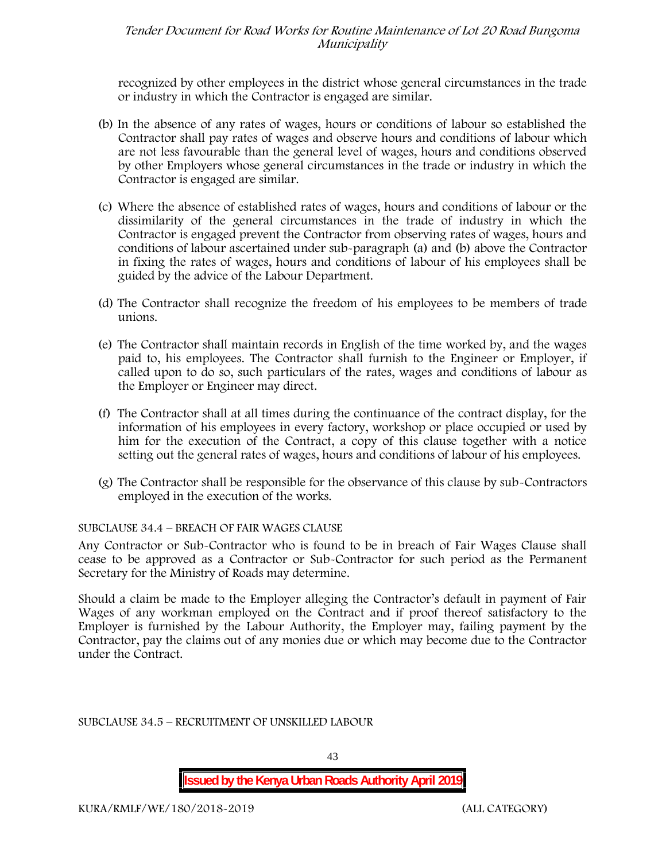recognized by other employees in the district whose general circumstances in the trade or industry in which the Contractor is engaged are similar.

- (b) In the absence of any rates of wages, hours or conditions of labour so established the Contractor shall pay rates of wages and observe hours and conditions of labour which are not less favourable than the general level of wages, hours and conditions observed by other Employers whose general circumstances in the trade or industry in which the Contractor is engaged are similar.
- (c) Where the absence of established rates of wages, hours and conditions of labour or the dissimilarity of the general circumstances in the trade of industry in which the Contractor is engaged prevent the Contractor from observing rates of wages, hours and conditions of labour ascertained under sub-paragraph (a) and (b) above the Contractor in fixing the rates of wages, hours and conditions of labour of his employees shall be guided by the advice of the Labour Department.
- (d) The Contractor shall recognize the freedom of his employees to be members of trade unions.
- (e) The Contractor shall maintain records in English of the time worked by, and the wages paid to, his employees. The Contractor shall furnish to the Engineer or Employer, if called upon to do so, such particulars of the rates, wages and conditions of labour as the Employer or Engineer may direct.
- (f) The Contractor shall at all times during the continuance of the contract display, for the information of his employees in every factory, workshop or place occupied or used by him for the execution of the Contract, a copy of this clause together with a notice setting out the general rates of wages, hours and conditions of labour of his employees.
- (g) The Contractor shall be responsible for the observance of this clause by sub-Contractors employed in the execution of the works.

## SUBCLAUSE 34.4 – BREACH OF FAIR WAGES CLAUSE

Any Contractor or Sub-Contractor who is found to be in breach of Fair Wages Clause shall cease to be approved as a Contractor or Sub-Contractor for such period as the Permanent Secretary for the Ministry of Roads may determine.

Should a claim be made to the Employer alleging the Contractor's default in payment of Fair Wages of any workman employed on the Contract and if proof thereof satisfactory to the Employer is furnished by the Labour Authority, the Employer may, failing payment by the Contractor, pay the claims out of any monies due or which may become due to the Contractor under the Contract.

SUBCLAUSE 34.5 – RECRUITMENT OF UNSKILLED LABOUR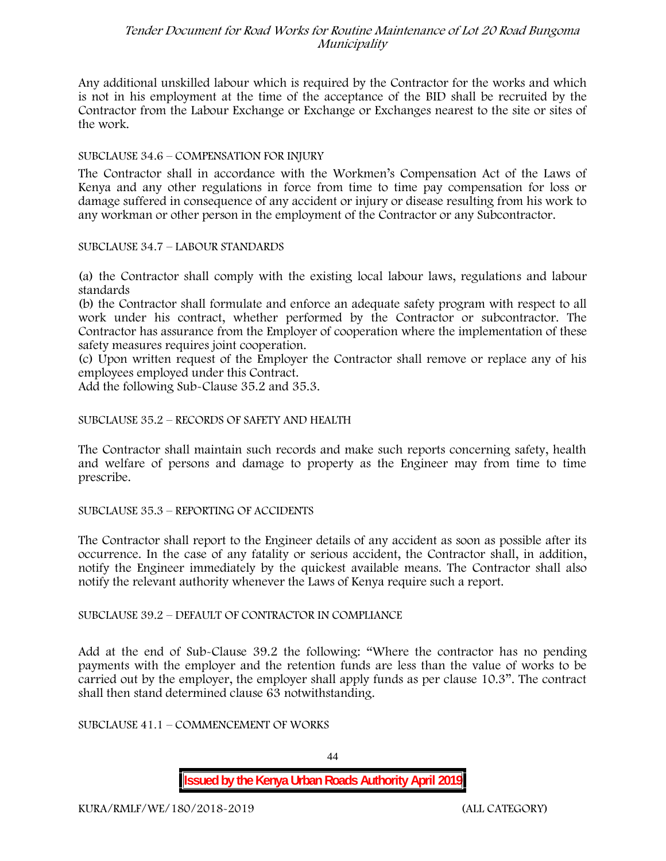Any additional unskilled labour which is required by the Contractor for the works and which is not in his employment at the time of the acceptance of the BID shall be recruited by the Contractor from the Labour Exchange or Exchange or Exchanges nearest to the site or sites of the work.

#### SUBCLAUSE 34.6 – COMPENSATION FOR INJURY

The Contractor shall in accordance with the Workmen's Compensation Act of the Laws of Kenya and any other regulations in force from time to time pay compensation for loss or damage suffered in consequence of any accident or injury or disease resulting from his work to any workman or other person in the employment of the Contractor or any Subcontractor.

SUBCLAUSE 34.7 – LABOUR STANDARDS

(a) the Contractor shall comply with the existing local labour laws, regulations and labour standards

(b) the Contractor shall formulate and enforce an adequate safety program with respect to all work under his contract, whether performed by the Contractor or subcontractor. The Contractor has assurance from the Employer of cooperation where the implementation of these safety measures requires joint cooperation.

(c) Upon written request of the Employer the Contractor shall remove or replace any of his employees employed under this Contract.

Add the following Sub-Clause 35.2 and 35.3.

#### SUBCLAUSE 35.2 – RECORDS OF SAFETY AND HEALTH

The Contractor shall maintain such records and make such reports concerning safety, health and welfare of persons and damage to property as the Engineer may from time to time prescribe.

#### SUBCLAUSE 35.3 – REPORTING OF ACCIDENTS

The Contractor shall report to the Engineer details of any accident as soon as possible after its occurrence. In the case of any fatality or serious accident, the Contractor shall, in addition, notify the Engineer immediately by the quickest available means. The Contractor shall also notify the relevant authority whenever the Laws of Kenya require such a report.

SUBCLAUSE 39.2 – DEFAULT OF CONTRACTOR IN COMPLIANCE

Add at the end of Sub-Clause 39.2 the following: "Where the contractor has no pending payments with the employer and the retention funds are less than the value of works to be carried out by the employer, the employer shall apply funds as per clause 10.3". The contract shall then stand determined clause 63 notwithstanding.

SUBCLAUSE 41.1 – COMMENCEMENT OF WORKS

44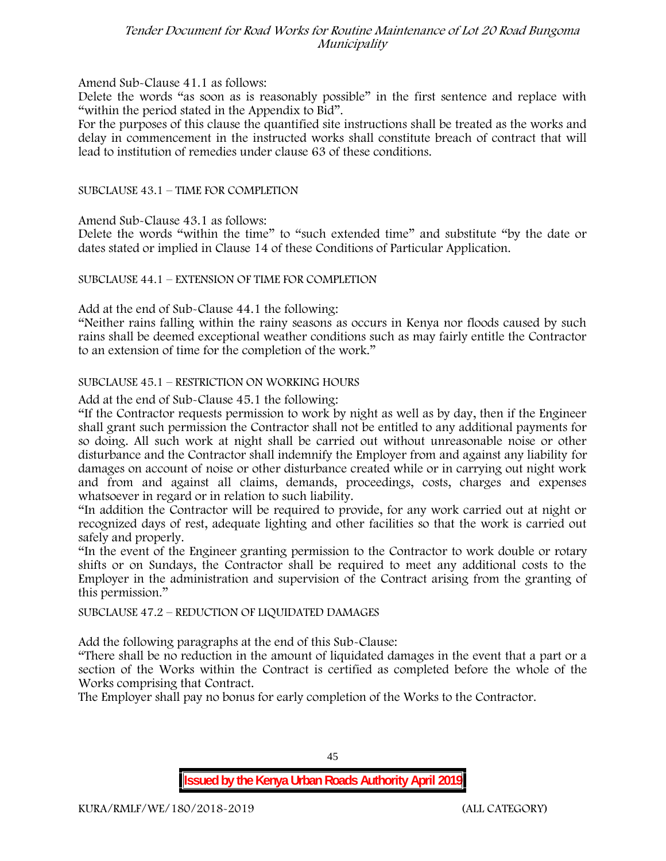#### Amend Sub-Clause 41.1 as follows:

Delete the words "as soon as is reasonably possible" in the first sentence and replace with "within the period stated in the Appendix to Bid".

For the purposes of this clause the quantified site instructions shall be treated as the works and delay in commencement in the instructed works shall constitute breach of contract that will lead to institution of remedies under clause 63 of these conditions.

#### SUBCLAUSE 43.1 – TIME FOR COMPLETION

Amend Sub-Clause 43.1 as follows:

Delete the words "within the time" to "such extended time" and substitute "by the date or dates stated or implied in Clause 14 of these Conditions of Particular Application.

#### SUBCLAUSE 44.1 – EXTENSION OF TIME FOR COMPLETION

Add at the end of Sub-Clause 44.1 the following:

"Neither rains falling within the rainy seasons as occurs in Kenya nor floods caused by such rains shall be deemed exceptional weather conditions such as may fairly entitle the Contractor to an extension of time for the completion of the work."

### SUBCLAUSE 45.1 – RESTRICTION ON WORKING HOURS

Add at the end of Sub-Clause 45.1 the following:

"If the Contractor requests permission to work by night as well as by day, then if the Engineer shall grant such permission the Contractor shall not be entitled to any additional payments for so doing. All such work at night shall be carried out without unreasonable noise or other disturbance and the Contractor shall indemnify the Employer from and against any liability for damages on account of noise or other disturbance created while or in carrying out night work and from and against all claims, demands, proceedings, costs, charges and expenses whatsoever in regard or in relation to such liability.

"In addition the Contractor will be required to provide, for any work carried out at night or recognized days of rest, adequate lighting and other facilities so that the work is carried out safely and properly.

"In the event of the Engineer granting permission to the Contractor to work double or rotary shifts or on Sundays, the Contractor shall be required to meet any additional costs to the Employer in the administration and supervision of the Contract arising from the granting of this permission."

#### SUBCLAUSE 47.2 – REDUCTION OF LIQUIDATED DAMAGES

Add the following paragraphs at the end of this Sub-Clause:

"There shall be no reduction in the amount of liquidated damages in the event that a part or a section of the Works within the Contract is certified as completed before the whole of the Works comprising that Contract.

The Employer shall pay no bonus for early completion of the Works to the Contractor.

45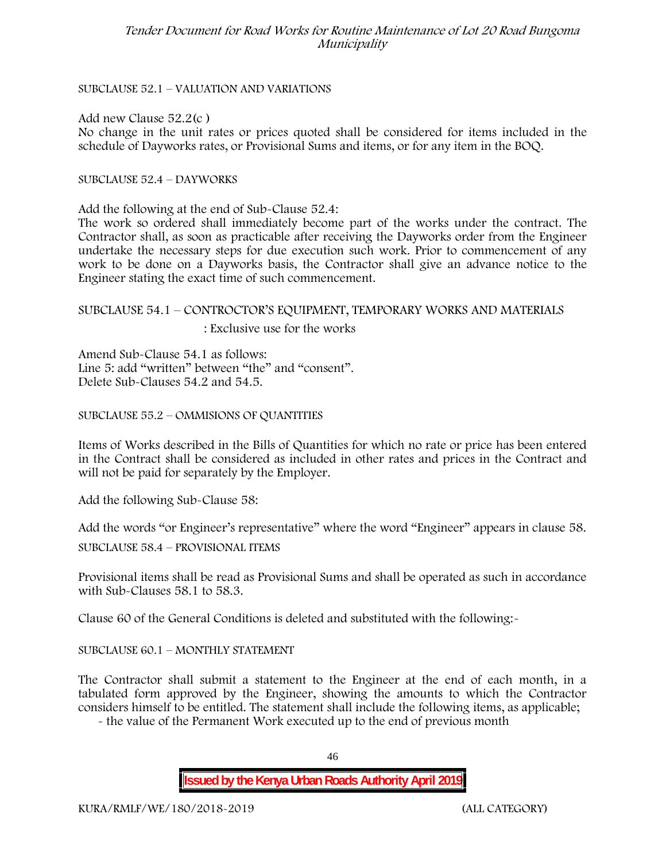#### SUBCLAUSE 52.1 – VALUATION AND VARIATIONS

Add new Clause 52.2(c )

No change in the unit rates or prices quoted shall be considered for items included in the schedule of Dayworks rates, or Provisional Sums and items, or for any item in the BOQ.

SUBCLAUSE 52.4 – DAYWORKS

Add the following at the end of Sub-Clause 52.4:

The work so ordered shall immediately become part of the works under the contract. The Contractor shall, as soon as practicable after receiving the Dayworks order from the Engineer undertake the necessary steps for due execution such work. Prior to commencement of any work to be done on a Dayworks basis, the Contractor shall give an advance notice to the Engineer stating the exact time of such commencement.

## SUBCLAUSE 54.1 – CONTROCTOR'S EQUIPMENT, TEMPORARY WORKS AND MATERIALS : Exclusive use for the works

Amend Sub-Clause 54.1 as follows: Line 5: add "written" between "the" and "consent". Delete Sub-Clauses 54.2 and 54.5.

SUBCLAUSE 55.2 – OMMISIONS OF QUANTITIES

Items of Works described in the Bills of Quantities for which no rate or price has been entered in the Contract shall be considered as included in other rates and prices in the Contract and will not be paid for separately by the Employer.

Add the following Sub-Clause 58:

Add the words "or Engineer's representative" where the word "Engineer" appears in clause 58.

SUBCLAUSE 58.4 – PROVISIONAL ITEMS

Provisional items shall be read as Provisional Sums and shall be operated as such in accordance with Sub-Clauses 58.1 to 58.3.

Clause 60 of the General Conditions is deleted and substituted with the following:-

SUBCLAUSE 60.1 – MONTHLY STATEMENT

The Contractor shall submit a statement to the Engineer at the end of each month, in a tabulated form approved by the Engineer, showing the amounts to which the Contractor considers himself to be entitled. The statement shall include the following items, as applicable;

- the value of the Permanent Work executed up to the end of previous month

46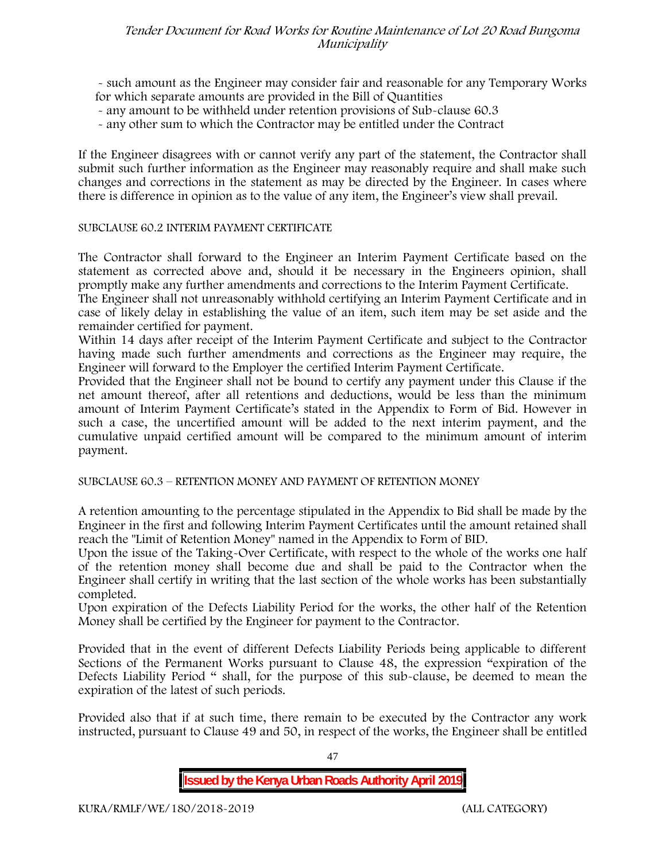- such amount as the Engineer may consider fair and reasonable for any Temporary Works for which separate amounts are provided in the Bill of Quantities

- any amount to be withheld under retention provisions of Sub-clause 60.3
- any other sum to which the Contractor may be entitled under the Contract

If the Engineer disagrees with or cannot verify any part of the statement, the Contractor shall submit such further information as the Engineer may reasonably require and shall make such changes and corrections in the statement as may be directed by the Engineer. In cases where there is difference in opinion as to the value of any item, the Engineer's view shall prevail.

#### SUBCLAUSE 60.2 INTERIM PAYMENT CERTIFICATE

The Contractor shall forward to the Engineer an Interim Payment Certificate based on the statement as corrected above and, should it be necessary in the Engineers opinion, shall promptly make any further amendments and corrections to the Interim Payment Certificate.

The Engineer shall not unreasonably withhold certifying an Interim Payment Certificate and in case of likely delay in establishing the value of an item, such item may be set aside and the remainder certified for payment.

Within 14 days after receipt of the Interim Payment Certificate and subject to the Contractor having made such further amendments and corrections as the Engineer may require, the Engineer will forward to the Employer the certified Interim Payment Certificate.

Provided that the Engineer shall not be bound to certify any payment under this Clause if the net amount thereof, after all retentions and deductions, would be less than the minimum amount of Interim Payment Certificate's stated in the Appendix to Form of Bid. However in such a case, the uncertified amount will be added to the next interim payment, and the cumulative unpaid certified amount will be compared to the minimum amount of interim payment.

#### SUBCLAUSE 60.3 – RETENTION MONEY AND PAYMENT OF RETENTION MONEY

A retention amounting to the percentage stipulated in the Appendix to Bid shall be made by the Engineer in the first and following Interim Payment Certificates until the amount retained shall reach the "Limit of Retention Money" named in the Appendix to Form of BID.

Upon the issue of the Taking-Over Certificate, with respect to the whole of the works one half of the retention money shall become due and shall be paid to the Contractor when the Engineer shall certify in writing that the last section of the whole works has been substantially completed.

Upon expiration of the Defects Liability Period for the works, the other half of the Retention Money shall be certified by the Engineer for payment to the Contractor.

Provided that in the event of different Defects Liability Periods being applicable to different Sections of the Permanent Works pursuant to Clause 48, the expression "expiration of the Defects Liability Period " shall, for the purpose of this sub-clause, be deemed to mean the expiration of the latest of such periods.

Provided also that if at such time, there remain to be executed by the Contractor any work instructed, pursuant to Clause 49 and 50, in respect of the works, the Engineer shall be entitled

47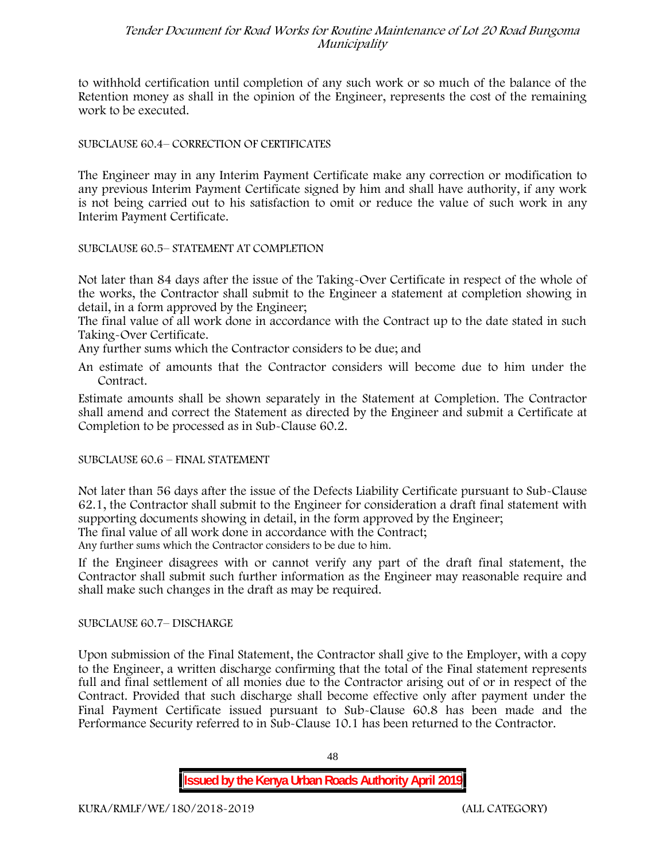to withhold certification until completion of any such work or so much of the balance of the Retention money as shall in the opinion of the Engineer, represents the cost of the remaining work to be executed.

### SUBCLAUSE 60.4– CORRECTION OF CERTIFICATES

The Engineer may in any Interim Payment Certificate make any correction or modification to any previous Interim Payment Certificate signed by him and shall have authority, if any work is not being carried out to his satisfaction to omit or reduce the value of such work in any Interim Payment Certificate.

#### SUBCLAUSE 60.5– STATEMENT AT COMPLETION

Not later than 84 days after the issue of the Taking-Over Certificate in respect of the whole of the works, the Contractor shall submit to the Engineer a statement at completion showing in detail, in a form approved by the Engineer;

The final value of all work done in accordance with the Contract up to the date stated in such Taking-Over Certificate.

Any further sums which the Contractor considers to be due; and

An estimate of amounts that the Contractor considers will become due to him under the Contract.

Estimate amounts shall be shown separately in the Statement at Completion. The Contractor shall amend and correct the Statement as directed by the Engineer and submit a Certificate at Completion to be processed as in Sub-Clause 60.2.

#### SUBCLAUSE 60.6 – FINAL STATEMENT

Not later than 56 days after the issue of the Defects Liability Certificate pursuant to Sub-Clause 62.1, the Contractor shall submit to the Engineer for consideration a draft final statement with supporting documents showing in detail, in the form approved by the Engineer; The final value of all work done in accordance with the Contract;

Any further sums which the Contractor considers to be due to him.

If the Engineer disagrees with or cannot verify any part of the draft final statement, the Contractor shall submit such further information as the Engineer may reasonable require and shall make such changes in the draft as may be required.

#### SUBCLAUSE 60.7– DISCHARGE

Upon submission of the Final Statement, the Contractor shall give to the Employer, with a copy to the Engineer, a written discharge confirming that the total of the Final statement represents full and final settlement of all monies due to the Contractor arising out of or in respect of the Contract. Provided that such discharge shall become effective only after payment under the Final Payment Certificate issued pursuant to Sub-Clause 60.8 has been made and the Performance Security referred to in Sub-Clause 10.1 has been returned to the Contractor.

48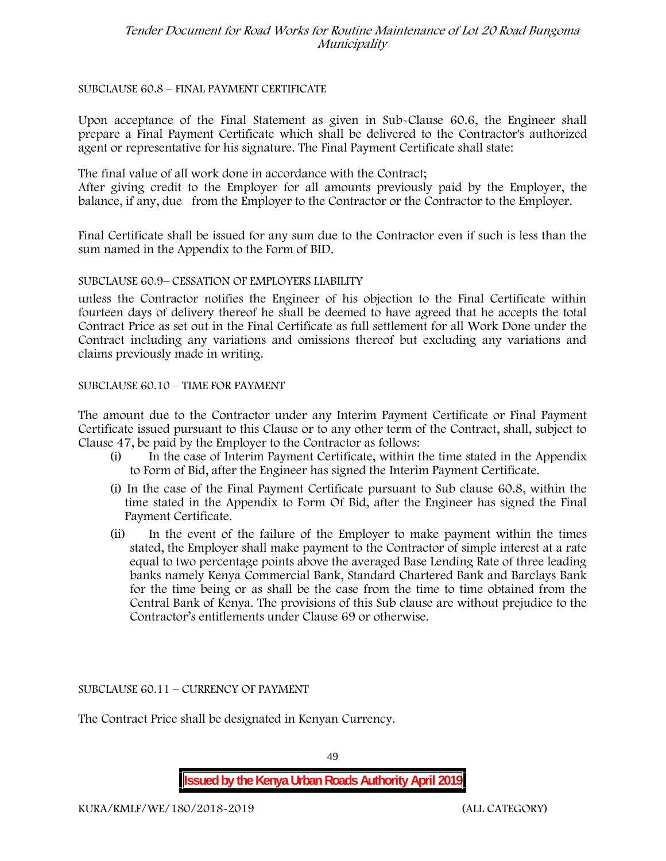#### SUBCLAUSE 60.8 – FINAL PAYMENT CERTIFICATE

Upon acceptance of the Final Statement as given in Sub-Clause 60.6, the Engineer shall prepare a Final Payment Certificate which shall be delivered to the Contractor's authorized agent or representative for his signature. The Final Payment Certificate shall state:

The final value of all work done in accordance with the Contract;

After giving credit to the Employer for all amounts previously paid by the Employer, the balance, if any, due from the Employer to the Contractor or the Contractor to the Employer.

Final Certificate shall be issued for any sum due to the Contractor even if such is less than the sum named in the Appendix to the Form of BID.

#### SUBCLAUSE 60.9– CESSATION OF EMPLOYERS LIABILITY

unless the Contractor notifies the Engineer of his objection to the Final Certificate within fourteen days of delivery thereof he shall be deemed to have agreed that he accepts the total Contract Price as set out in the Final Certificate as full settlement for all Work Done under the Contract including any variations and omissions thereof but excluding any variations and claims previously made in writing.

#### SUBCLAUSE 60.10 – TIME FOR PAYMENT

The amount due to the Contractor under any Interim Payment Certificate or Final Payment Certificate issued pursuant to this Clause or to any other term of the Contract, shall, subject to Clause 47, be paid by the Employer to the Contractor as follows:

- (i) In the case of Interim Payment Certificate, within the time stated in the Appendix to Form of Bid, after the Engineer has signed the Interim Payment Certificate.
- (i) In the case of the Final Payment Certificate pursuant to Sub clause 60.8, within the time stated in the Appendix to Form Of Bid, after the Engineer has signed the Final Payment Certificate.
- (ii) In the event of the failure of the Employer to make payment within the times stated, the Employer shall make payment to the Contractor of simple interest at a rate equal to two percentage points above the averaged Base Lending Rate of three leading banks namely Kenya Commercial Bank, Standard Chartered Bank and Barclays Bank for the time being or as shall be the case from the time to time obtained from the Central Bank of Kenya. The provisions of this Sub clause are without prejudice to the Contractor's entitlements under Clause 69 or otherwise.

SUBCLAUSE 60.11 – CURRENCY OF PAYMENT

The Contract Price shall be designated in Kenyan Currency.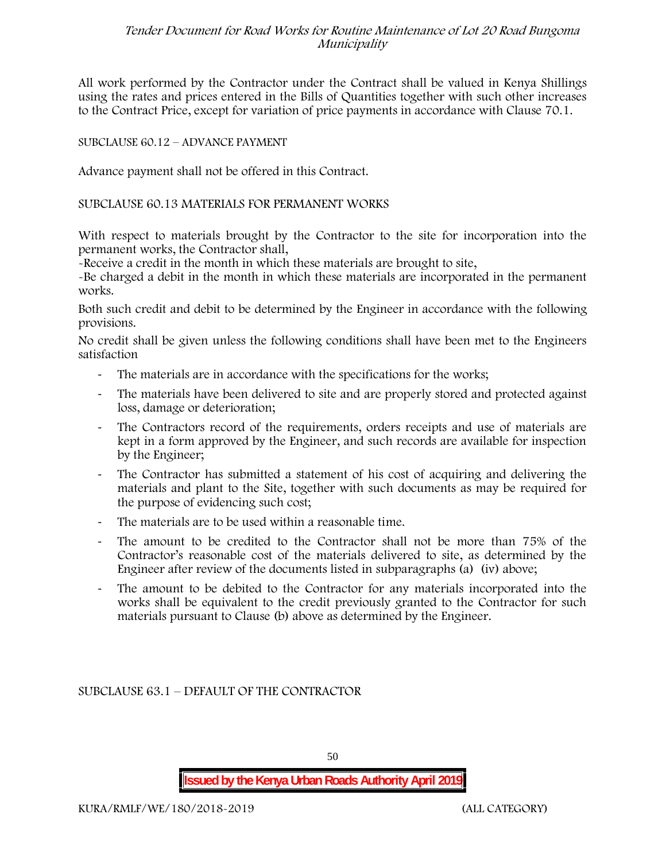All work performed by the Contractor under the Contract shall be valued in Kenya Shillings using the rates and prices entered in the Bills of Quantities together with such other increases to the Contract Price, except for variation of price payments in accordance with Clause 70.1.

### SUBCLAUSE 60.12 – ADVANCE PAYMENT

Advance payment shall not be offered in this Contract.

#### SUBCLAUSE 60.13 MATERIALS FOR PERMANENT WORKS

With respect to materials brought by the Contractor to the site for incorporation into the permanent works, the Contractor shall,

-Receive a credit in the month in which these materials are brought to site,

-Be charged a debit in the month in which these materials are incorporated in the permanent works.

Both such credit and debit to be determined by the Engineer in accordance with the following provisions.

No credit shall be given unless the following conditions shall have been met to the Engineers satisfaction

- The materials are in accordance with the specifications for the works;
- The materials have been delivered to site and are properly stored and protected against loss, damage or deterioration;
- The Contractors record of the requirements, orders receipts and use of materials are kept in a form approved by the Engineer, and such records are available for inspection by the Engineer;
- The Contractor has submitted a statement of his cost of acquiring and delivering the materials and plant to the Site, together with such documents as may be required for the purpose of evidencing such cost;
- The materials are to be used within a reasonable time.
- The amount to be credited to the Contractor shall not be more than 75% of the Contractor's reasonable cost of the materials delivered to site, as determined by the Engineer after review of the documents listed in subparagraphs (a) (iv) above;
- The amount to be debited to the Contractor for any materials incorporated into the works shall be equivalent to the credit previously granted to the Contractor for such materials pursuant to Clause (b) above as determined by the Engineer.

SUBCLAUSE 63.1 – DEFAULT OF THE CONTRACTOR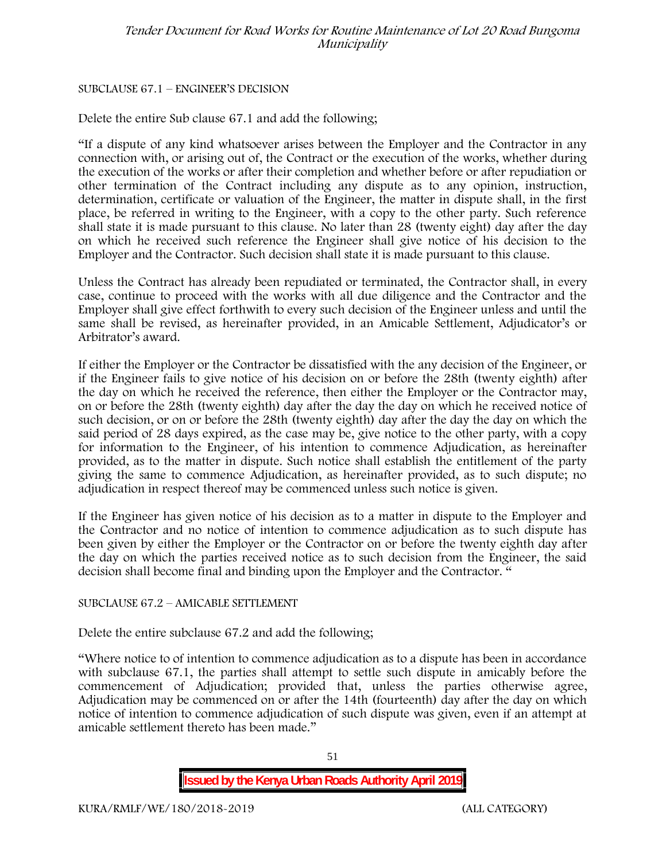#### SUBCLAUSE 67.1 – ENGINEER'S DECISION

Delete the entire Sub clause 67.1 and add the following;

"If a dispute of any kind whatsoever arises between the Employer and the Contractor in any connection with, or arising out of, the Contract or the execution of the works, whether during the execution of the works or after their completion and whether before or after repudiation or other termination of the Contract including any dispute as to any opinion, instruction, determination, certificate or valuation of the Engineer, the matter in dispute shall, in the first place, be referred in writing to the Engineer, with a copy to the other party. Such reference shall state it is made pursuant to this clause. No later than 28 (twenty eight) day after the day on which he received such reference the Engineer shall give notice of his decision to the Employer and the Contractor. Such decision shall state it is made pursuant to this clause.

Unless the Contract has already been repudiated or terminated, the Contractor shall, in every case, continue to proceed with the works with all due diligence and the Contractor and the Employer shall give effect forthwith to every such decision of the Engineer unless and until the same shall be revised, as hereinafter provided, in an Amicable Settlement, Adjudicator's or Arbitrator's award.

If either the Employer or the Contractor be dissatisfied with the any decision of the Engineer, or if the Engineer fails to give notice of his decision on or before the 28th (twenty eighth) after the day on which he received the reference, then either the Employer or the Contractor may, on or before the 28th (twenty eighth) day after the day the day on which he received notice of such decision, or on or before the 28th (twenty eighth) day after the day the day on which the said period of 28 days expired, as the case may be, give notice to the other party, with a copy for information to the Engineer, of his intention to commence Adjudication, as hereinafter provided, as to the matter in dispute. Such notice shall establish the entitlement of the party giving the same to commence Adjudication, as hereinafter provided, as to such dispute; no adjudication in respect thereof may be commenced unless such notice is given.

If the Engineer has given notice of his decision as to a matter in dispute to the Employer and the Contractor and no notice of intention to commence adjudication as to such dispute has been given by either the Employer or the Contractor on or before the twenty eighth day after the day on which the parties received notice as to such decision from the Engineer, the said decision shall become final and binding upon the Employer and the Contractor. "

#### SUBCLAUSE 67.2 – AMICABLE SETTLEMENT

Delete the entire subclause 67.2 and add the following;

"Where notice to of intention to commence adjudication as to a dispute has been in accordance with subclause 67.1, the parties shall attempt to settle such dispute in amicably before the commencement of Adjudication; provided that, unless the parties otherwise agree, Adjudication may be commenced on or after the 14th (fourteenth) day after the day on which notice of intention to commence adjudication of such dispute was given, even if an attempt at amicable settlement thereto has been made."

**Issued by the Kenya Urban Roads Authority April 2019**

51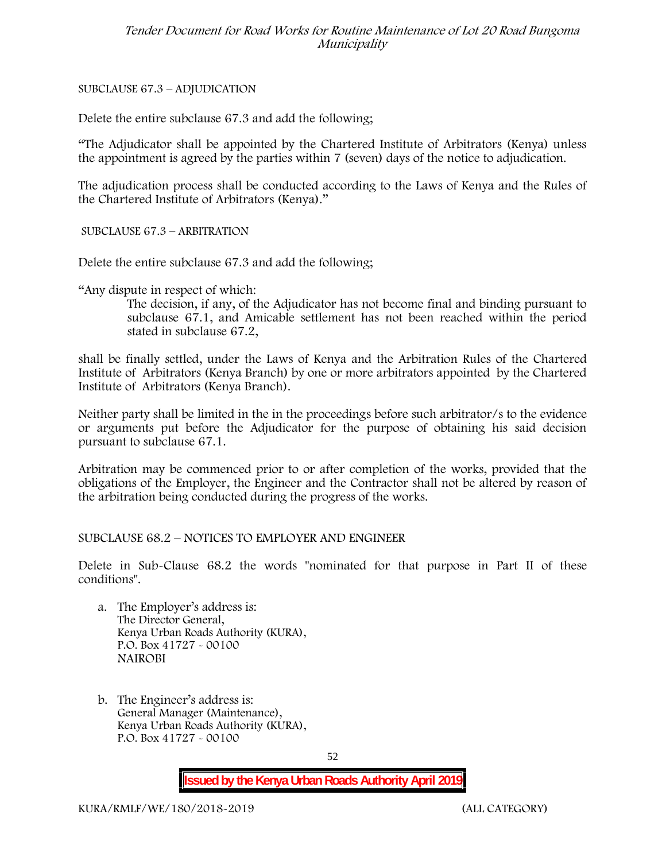SUBCLAUSE 67.3 – ADJUDICATION

Delete the entire subclause 67.3 and add the following;

"The Adjudicator shall be appointed by the Chartered Institute of Arbitrators (Kenya) unless the appointment is agreed by the parties within 7 (seven) days of the notice to adjudication.

The adjudication process shall be conducted according to the Laws of Kenya and the Rules of the Chartered Institute of Arbitrators (Kenya)."

SUBCLAUSE 67.3 – ARBITRATION

Delete the entire subclause 67.3 and add the following;

"Any dispute in respect of which:

The decision, if any, of the Adjudicator has not become final and binding pursuant to subclause 67.1, and Amicable settlement has not been reached within the period stated in subclause 67.2,

shall be finally settled, under the Laws of Kenya and the Arbitration Rules of the Chartered Institute of Arbitrators (Kenya Branch) by one or more arbitrators appointed by the Chartered Institute of Arbitrators (Kenya Branch).

Neither party shall be limited in the in the proceedings before such arbitrator/s to the evidence or arguments put before the Adjudicator for the purpose of obtaining his said decision pursuant to subclause 67.1.

Arbitration may be commenced prior to or after completion of the works, provided that the obligations of the Employer, the Engineer and the Contractor shall not be altered by reason of the arbitration being conducted during the progress of the works.

SUBCLAUSE 68.2 – NOTICES TO EMPLOYER AND ENGINEER

Delete in Sub-Clause 68.2 the words "nominated for that purpose in Part II of these conditions".

- a. The Employer's address is: The Director General, Kenya Urban Roads Authority (KURA), P.O. Box 41727 - 00100 **NAIROBI**
- b. The Engineer's address is: General Manager (Maintenance), Kenya Urban Roads Authority (KURA), P.O. Box 41727 - 00100

52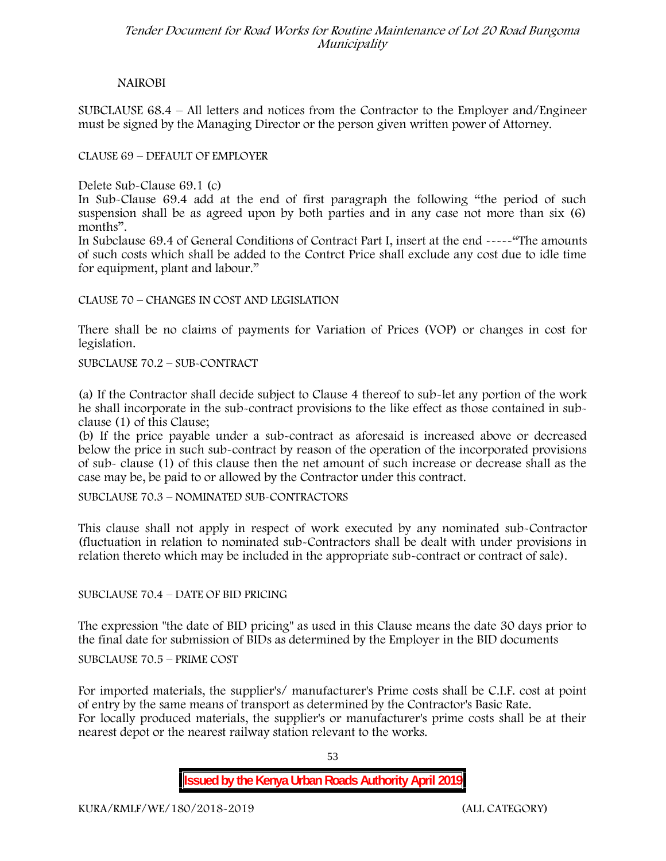## **NAIROBI**

SUBCLAUSE 68.4 – All letters and notices from the Contractor to the Employer and/Engineer must be signed by the Managing Director or the person given written power of Attorney.

## CLAUSE 69 – DEFAULT OF EMPLOYER

Delete Sub-Clause 69.1 (c)

In Sub-Clause 69.4 add at the end of first paragraph the following "the period of such suspension shall be as agreed upon by both parties and in any case not more than six (6) months".

In Subclause 69.4 of General Conditions of Contract Part I, insert at the end -----"The amounts of such costs which shall be added to the Contrct Price shall exclude any cost due to idle time for equipment, plant and labour."

CLAUSE 70 – CHANGES IN COST AND LEGISLATION

There shall be no claims of payments for Variation of Prices (VOP) or changes in cost for legislation.

SUBCLAUSE 70.2 – SUB-CONTRACT

(a) If the Contractor shall decide subject to Clause 4 thereof to sub-let any portion of the work he shall incorporate in the sub-contract provisions to the like effect as those contained in sub clause (1) of this Clause;

(b) If the price payable under a sub-contract as aforesaid is increased above or decreased below the price in such sub-contract by reason of the operation of the incorporated provisions of sub- clause (1) of this clause then the net amount of such increase or decrease shall as the case may be, be paid to or allowed by the Contractor under this contract.

SUBCLAUSE 70.3 – NOMINATED SUB-CONTRACTORS

This clause shall not apply in respect of work executed by any nominated sub-Contractor (fluctuation in relation to nominated sub-Contractors shall be dealt with under provisions in relation thereto which may be included in the appropriate sub-contract or contract of sale).

SUBCLAUSE 70.4 – DATE OF BID PRICING

The expression "the date of BID pricing" as used in this Clause means the date 30 days prior to the final date for submission of BIDs as determined by the Employer in the BID documents

SUBCLAUSE 70.5 – PRIME COST

For imported materials, the supplier's/ manufacturer's Prime costs shall be C.I.F. cost at point of entry by the same means of transport as determined by the Contractor's Basic Rate. For locally produced materials, the supplier's or manufacturer's prime costs shall be at their nearest depot or the nearest railway station relevant to the works.

53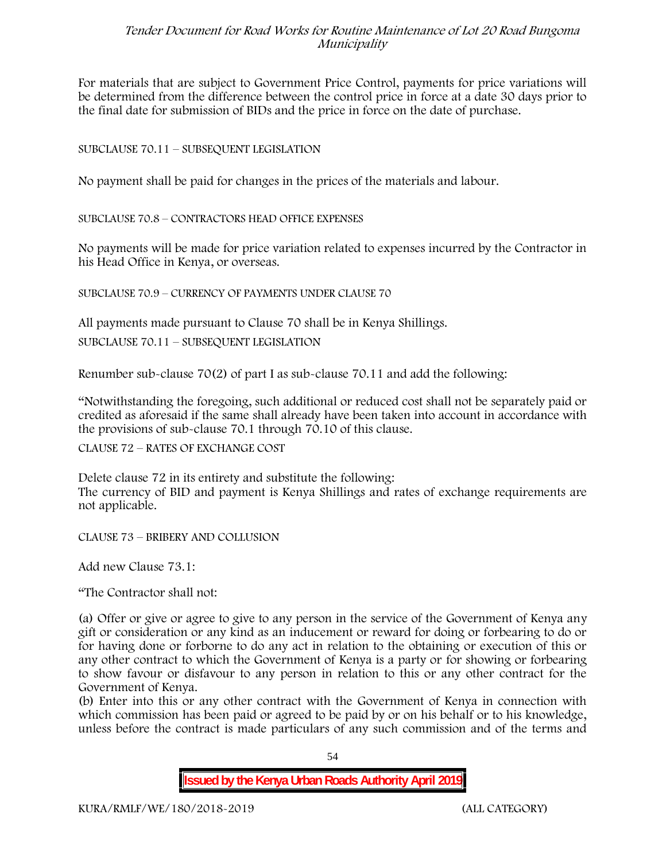For materials that are subject to Government Price Control, payments for price variations will be determined from the difference between the control price in force at a date 30 days prior to the final date for submission of BIDs and the price in force on the date of purchase.

## SUBCLAUSE 70.11 – SUBSEQUENT LEGISLATION

No payment shall be paid for changes in the prices of the materials and labour.

SUBCLAUSE 70.8 – CONTRACTORS HEAD OFFICE EXPENSES

No payments will be made for price variation related to expenses incurred by the Contractor in his Head Office in Kenya, or overseas.

SUBCLAUSE 70.9 – CURRENCY OF PAYMENTS UNDER CLAUSE 70

All payments made pursuant to Clause 70 shall be in Kenya Shillings.

SUBCLAUSE 70.11 – SUBSEQUENT LEGISLATION

Renumber sub-clause 70(2) of part I as sub-clause 70.11 and add the following:

"Notwithstanding the foregoing, such additional or reduced cost shall not be separately paid or credited as aforesaid if the same shall already have been taken into account in accordance with the provisions of sub-clause 70.1 through 70.10 of this clause.

CLAUSE 72 – RATES OF EXCHANGE COST

Delete clause 72 in its entirety and substitute the following: The currency of BID and payment is Kenya Shillings and rates of exchange requirements are not applicable.

CLAUSE 73 – BRIBERY AND COLLUSION

Add new Clause 73.1:

"The Contractor shall not:

(a) Offer or give or agree to give to any person in the service of the Government of Kenya any gift or consideration or any kind as an inducement or reward for doing or forbearing to do or for having done or forborne to do any act in relation to the obtaining or execution of this or any other contract to which the Government of Kenya is a party or for showing or forbearing to show favour or disfavour to any person in relation to this or any other contract for the Government of Kenya.

(b) Enter into this or any other contract with the Government of Kenya in connection with which commission has been paid or agreed to be paid by or on his behalf or to his knowledge, unless before the contract is made particulars of any such commission and of the terms and

54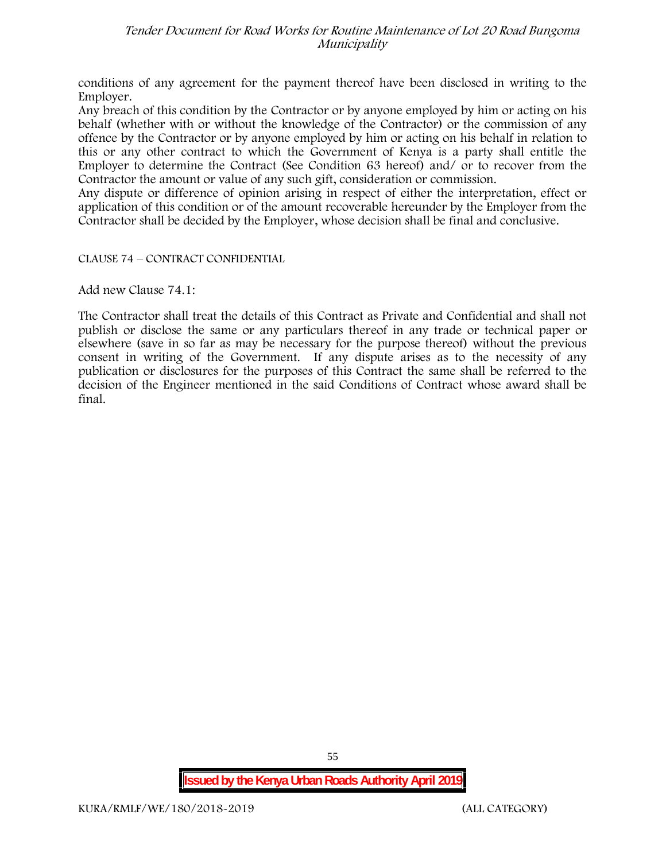conditions of any agreement for the payment thereof have been disclosed in writing to the Employer.

Any breach of this condition by the Contractor or by anyone employed by him or acting on his behalf (whether with or without the knowledge of the Contractor) or the commission of any offence by the Contractor or by anyone employed by him or acting on his behalf in relation to this or any other contract to which the Government of Kenya is a party shall entitle the Employer to determine the Contract (See Condition 63 hereof) and/ or to recover from the Contractor the amount or value of any such gift, consideration or commission.

Any dispute or difference of opinion arising in respect of either the interpretation, effect or application of this condition or of the amount recoverable hereunder by the Employer from the Contractor shall be decided by the Employer, whose decision shall be final and conclusive.

CLAUSE 74 – CONTRACT CONFIDENTIAL

Add new Clause 74.1:

The Contractor shall treat the details of this Contract as Private and Confidential and shall not publish or disclose the same or any particulars thereof in any trade or technical paper or elsewhere (save in so far as may be necessary for the purpose thereof) without the previous consent in writing of the Government. If any dispute arises as to the necessity of any publication or disclosures for the purposes of this Contract the same shall be referred to the decision of the Engineer mentioned in the said Conditions of Contract whose award shall be final.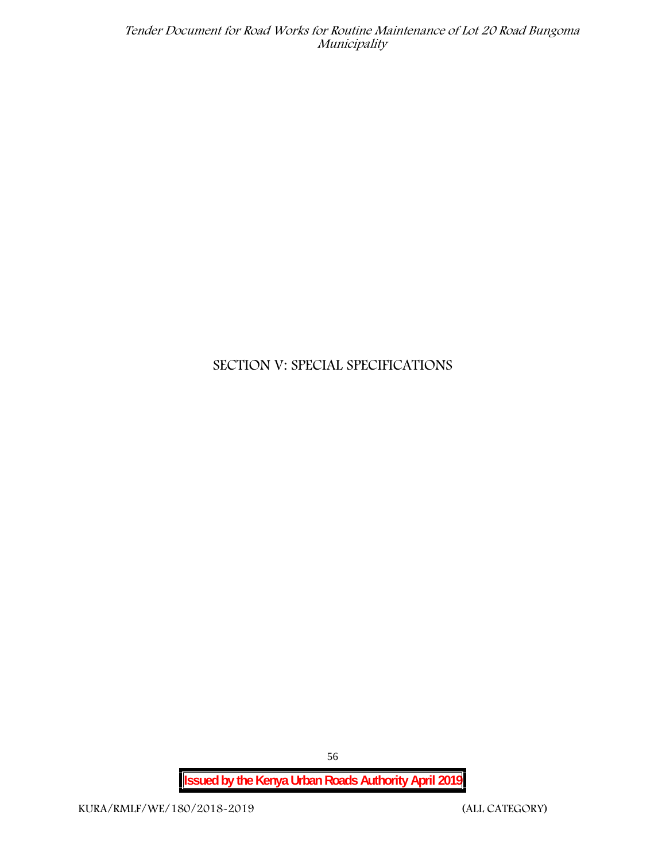# **SECTION V: SPECIAL SPECIFICATIONS**

**Issued by the Kenya Urban Roads Authority April 2019**

56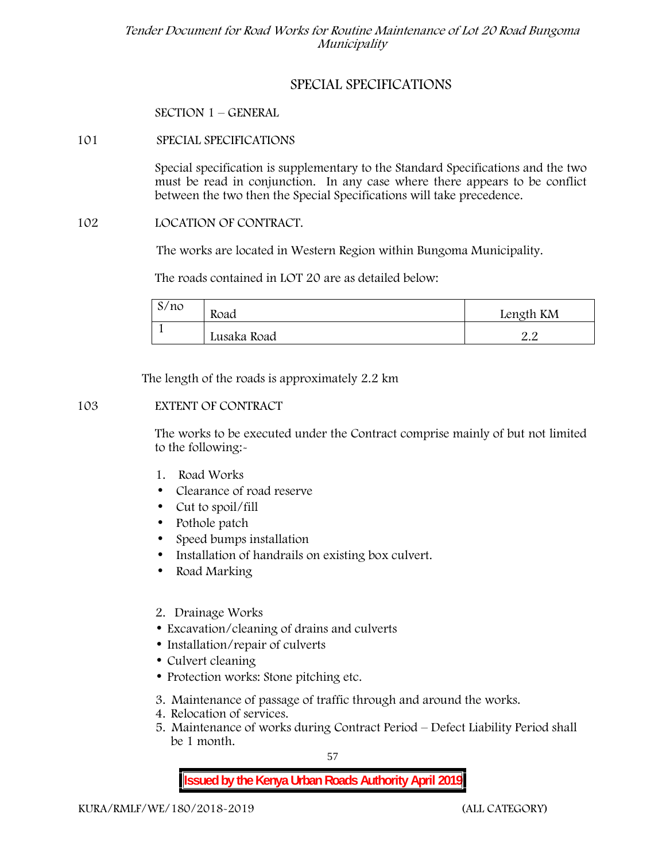## **SPECIAL SPECIFICATIONS**

**SECTION 1 – GENERAL**

## **101 SPECIAL SPECIFICATIONS**

Special specification is supplementary to the Standard Specifications and the two must be read in conjunction. In any case where there appears to be conflict between the two then the Special Specifications will take precedence.

## **102 LOCATION OF CONTRACT.**

The works are located in Western Region within Bungoma Municipality.

The roads contained in LOT 20 are as detailed below:

| S/no | Road        | Length KM         |  |
|------|-------------|-------------------|--|
|      | Lusaka Road | - C<br><u>_ _</u> |  |

The length of the roads is approximately 2.2 km

## **103 EXTENT OF CONTRACT**

The works to be executed under the Contract comprise mainly of but not limited to the following:-

- **1. Road Works**
- Clearance of road reserve
- Cut to spoil/fill
- Pothole patch
- Speed bumps installation
- Installation of handrails on existing box culvert.
- Road Marking
- **2. Drainage Works**
- Excavation/cleaning of drains and culverts
- Installation/repair of culverts
- Culvert cleaning
- Protection works: Stone pitching etc.
- **3. Maintenance of passage of traffic through and around the works.**
- **4. Relocation of services.**
- **5. Maintenance of works during Contract Period – Defect Liability Period shall be 1 month.**

57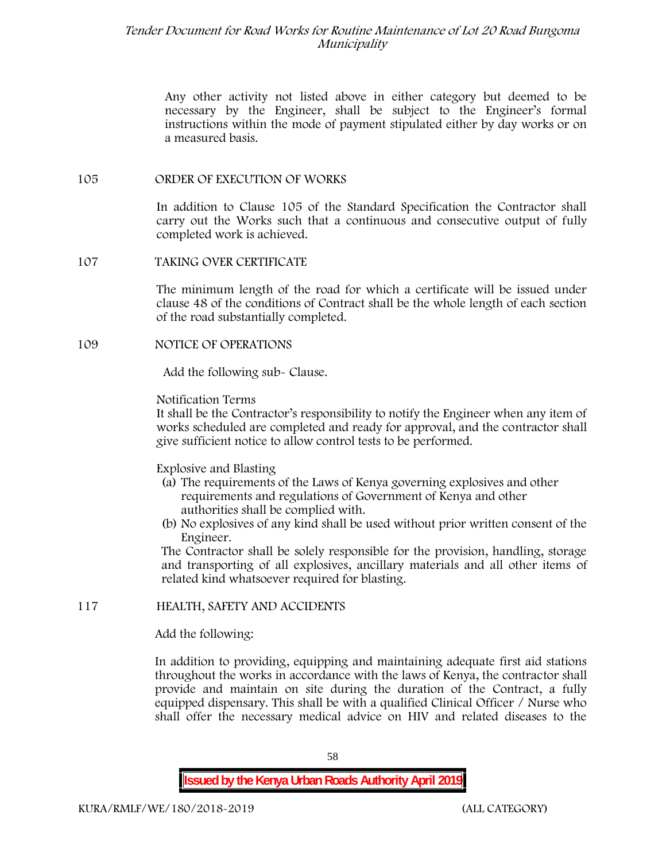Any other activity not listed above in either category but deemed to be necessary by the Engineer, shall be subject to the Engineer's formal instructions within the mode of payment stipulated either by day works or on a measured basis.

#### **105 ORDER OF EXECUTION OF WORKS**

In addition to Clause 105 of the Standard Specification the Contractor shall carry out the Works such that a continuous and consecutive output of fully completed work is achieved.

#### **107 TAKING OVER CERTIFICATE**

The minimum length of the road for which a certificate will be issued under clause 48 of the conditions of Contract shall be the whole length of each section of the road substantially completed.

### **109 NOTICE OF OPERATIONS**

Add the following sub- Clause.

### Notification Terms

It shall be the Contractor's responsibility to notify the Engineer when any item of works scheduled are completed and ready for approval, and the contractor shall give sufficient notice to allow control tests to be performed.

#### Explosive and Blasting

- (a) The requirements of the Laws of Kenya governing explosives and other requirements and regulations of Government of Kenya and other authorities shall be complied with.
- (b) No explosives of any kind shall be used without prior written consent of the Engineer.

The Contractor shall be solely responsible for the provision, handling, storage and transporting of all explosives, ancillary materials and all other items of related kind whatsoever required for blasting.

## **117 HEALTH, SAFETY AND ACCIDENTS**

Add the following:

In addition to providing, equipping and maintaining adequate first aid stations throughout the works in accordance with the laws of Kenya, the contractor shall provide and maintain on site during the duration of the Contract, a fully equipped dispensary. This shall be with a qualified Clinical Officer / Nurse who shall offer the necessary medical advice on HIV and related diseases to the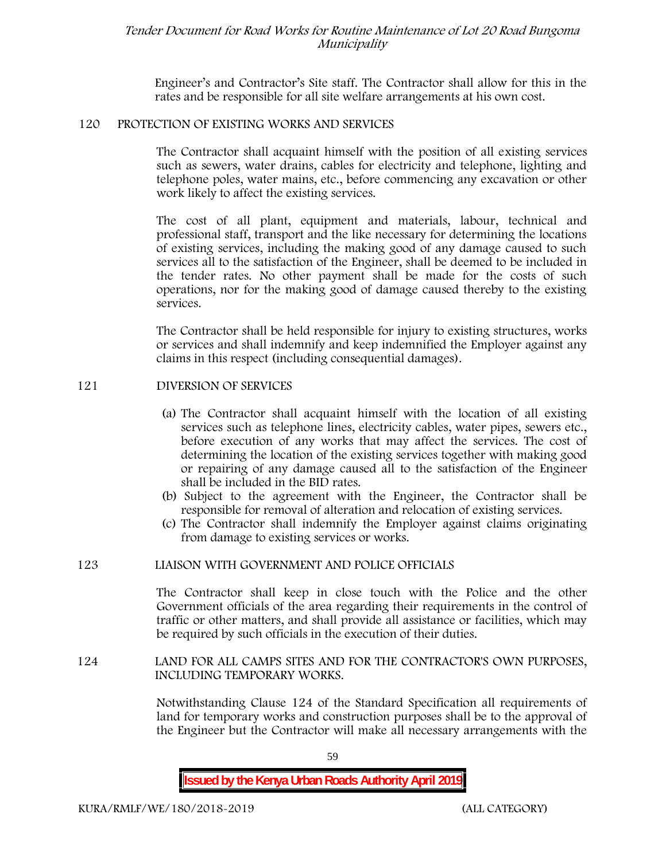Engineer's and Contractor's Site staff. The Contractor shall allow for this in the rates and be responsible for all site welfare arrangements at his own cost.

#### **120 PROTECTION OF EXISTING WORKS AND SERVICES**

The Contractor shall acquaint himself with the position of all existing services such as sewers, water drains, cables for electricity and telephone, lighting and telephone poles, water mains, etc., before commencing any excavation or other work likely to affect the existing services.

The cost of all plant, equipment and materials, labour, technical and professional staff, transport and the like necessary for determining the locations of existing services, including the making good of any damage caused to such services all to the satisfaction of the Engineer, shall be deemed to be included in the tender rates. No other payment shall be made for the costs of such operations, nor for the making good of damage caused thereby to the existing services.

The Contractor shall be held responsible for injury to existing structures, works or services and shall indemnify and keep indemnified the Employer against any claims in this respect (including consequential damages).

### **121 DIVERSION OF SERVICES**

- (a) The Contractor shall acquaint himself with the location of all existing services such as telephone lines, electricity cables, water pipes, sewers etc., before execution of any works that may affect the services. The cost of determining the location of the existing services together with making good or repairing of any damage caused all to the satisfaction of the Engineer shall be included in the BID rates.
- (b) Subject to the agreement with the Engineer, the Contractor shall be responsible for removal of alteration and relocation of existing services.
- (c) The Contractor shall indemnify the Employer against claims originating from damage to existing services or works.

#### **123 LIAISON WITH GOVERNMENT AND POLICE OFFICIALS**

The Contractor shall keep in close touch with the Police and the other Government officials of the area regarding their requirements in the control of traffic or other matters, and shall provide all assistance or facilities, which may be required by such officials in the execution of their duties.

#### **124 LAND FOR ALL CAMPS SITES AND FOR THE CONTRACTOR'S OWN PURPOSES, INCLUDING TEMPORARY WORKS.**

Notwithstanding Clause 124 of the Standard Specification all requirements of land for temporary works and construction purposes shall be to the approval of the Engineer but the Contractor will make all necessary arrangements with the

59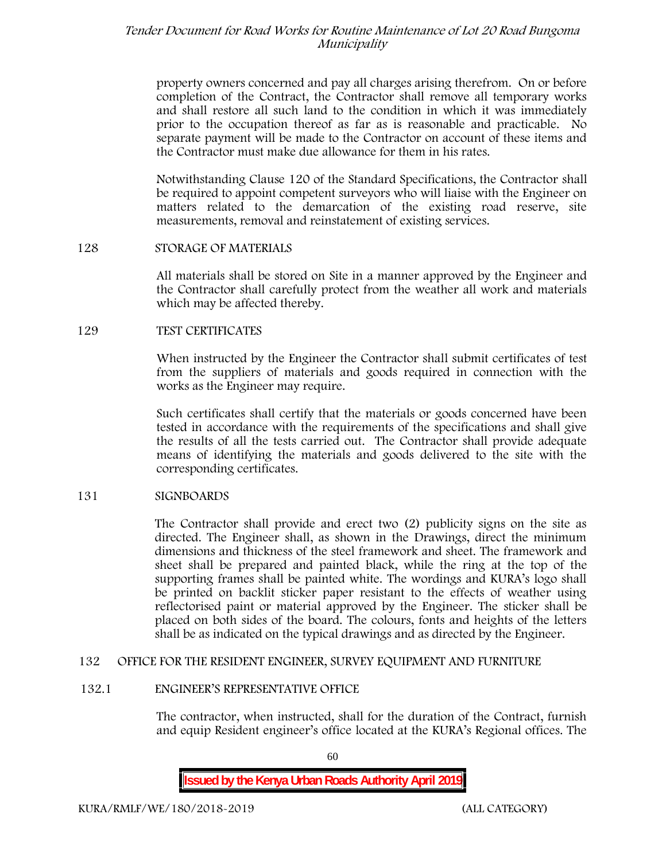property owners concerned and pay all charges arising therefrom. On or before completion of the Contract, the Contractor shall remove all temporary works and shall restore all such land to the condition in which it was immediately prior to the occupation thereof as far as is reasonable and practicable. No separate payment will be made to the Contractor on account of these items and the Contractor must make due allowance for them in his rates.

Notwithstanding Clause 120 of the Standard Specifications, the Contractor shall be required to appoint competent surveyors who will liaise with the Engineer on matters related to the demarcation of the existing road reserve, site measurements, removal and reinstatement of existing services.

#### **128 STORAGE OF MATERIALS**

All materials shall be stored on Site in a manner approved by the Engineer and the Contractor shall carefully protect from the weather all work and materials which may be affected thereby.

### **129 TEST CERTIFICATES**

When instructed by the Engineer the Contractor shall submit certificates of test from the suppliers of materials and goods required in connection with the works as the Engineer may require.

Such certificates shall certify that the materials or goods concerned have been tested in accordance with the requirements of the specifications and shall give the results of all the tests carried out. The Contractor shall provide adequate means of identifying the materials and goods delivered to the site with the corresponding certificates.

## **131 SIGNBOARDS**

The Contractor shall provide and erect two (2) publicity signs on the site as directed. The Engineer shall, as shown in the Drawings, direct the minimum dimensions and thickness of the steel framework and sheet. The framework and sheet shall be prepared and painted black, while the ring at the top of the supporting frames shall be painted white. The wordings and KURA's logo shall be printed on backlit sticker paper resistant to the effects of weather using reflectorised paint or material approved by the Engineer. The sticker shall be placed on both sides of the board. The colours, fonts and heights of the letters shall be as indicated on the typical drawings and as directed by the Engineer.

#### **132 OFFICE FOR THE RESIDENT ENGINEER, SURVEY EQUIPMENT AND FURNITURE**

#### **132.1 ENGINEER'S REPRESENTATIVE OFFICE**

The contractor, when instructed, shall for the duration of the Contract, furnish and equip Resident engineer's office located at the KURA's Regional offices. The

60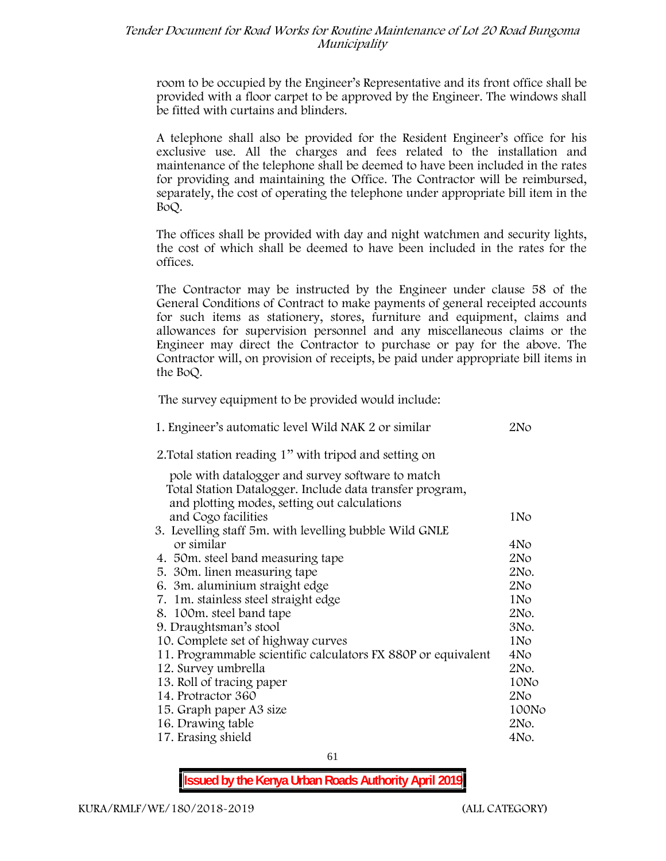room to be occupied by the Engineer's Representative and its front office shall be provided with a floor carpet to be approved by the Engineer. The windows shall be fitted with curtains and blinders.

A telephone shall also be provided for the Resident Engineer's office for his exclusive use. All the charges and fees related to the installation and maintenance of the telephone shall be deemed to have been included in the rates for providing and maintaining the Office. The Contractor will be reimbursed, separately, the cost of operating the telephone under appropriate bill item in the BoQ.

The offices shall be provided with day and night watchmen and security lights, the cost of which shall be deemed to have been included in the rates for the offices.

The Contractor may be instructed by the Engineer under clause 58 of the General Conditions of Contract to make payments of general receipted accounts for such items as stationery, stores, furniture and equipment, claims and allowances for supervision personnel and any miscellaneous claims or the Engineer may direct the Contractor to purchase or pay for the above. The Contractor will, on provision of receipts, be paid under appropriate bill items in the BoQ.

**The survey equipment to be provided would include:**

| 1. Engineer's automatic level Wild NAK 2 or similar           | 2No             |
|---------------------------------------------------------------|-----------------|
| 2. Total station reading 1" with tripod and setting on        |                 |
| pole with datalogger and survey software to match             |                 |
| Total Station Datalogger. Include data transfer program,      |                 |
| and plotting modes, setting out calculations                  |                 |
| and Cogo facilities                                           | 1N <sub>o</sub> |
| 3. Levelling staff 5m. with levelling bubble Wild GNLE        |                 |
| or similar                                                    | 4No             |
| 4. 50 m. steel band measuring tape                            | 2N <sub>O</sub> |
| 5. 30 m. linen measuring tape                                 | 2No.            |
| 6. 3m. aluminium straight edge                                | 2N <sub>O</sub> |
| 7. 1m. stainless steel straight edge                          | 1N <sub>o</sub> |
| 8. 100m. steel band tape                                      | 2No.            |
| 9. Draughtsman's stool                                        | 3No.            |
| 10. Complete set of highway curves                            | 1No             |
| 11. Programmable scientific calculators FX 880P or equivalent | 4No             |
| 12. Survey umbrella                                           | 2No.            |
| 13. Roll of tracing paper                                     | 10No            |
| 14. Protractor 360                                            | 2No             |
| 15. Graph paper A3 size                                       | 100No           |
| 16. Drawing table                                             | 2No.            |
| 17. Erasing shield                                            | 4No.            |
|                                                               |                 |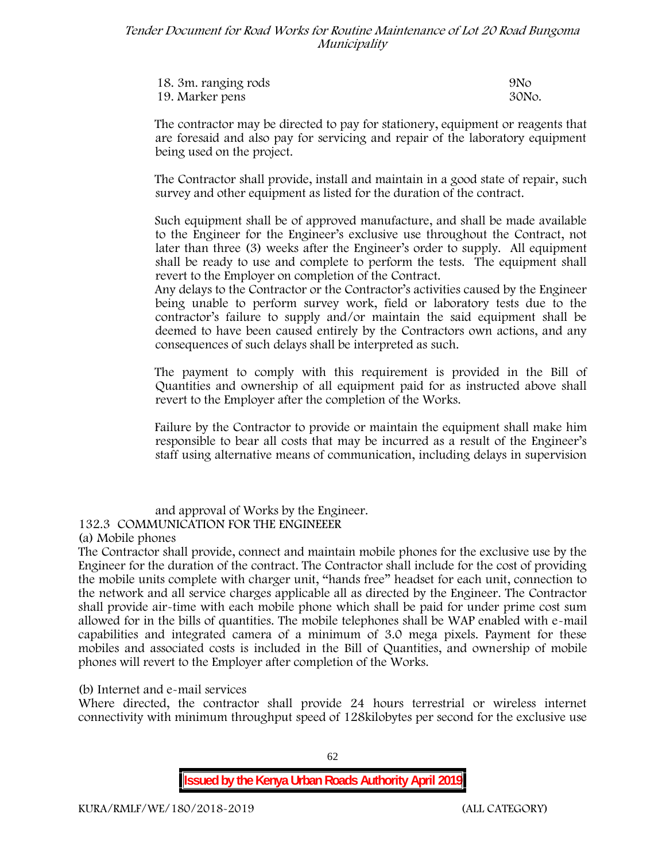| 18. 3m. ranging rods | 9N <sub>O</sub> |
|----------------------|-----------------|
| 19. Marker pens      | 30No.           |

The contractor may be directed to pay for stationery, equipment or reagents that are foresaid and also pay for servicing and repair of the laboratory equipment being used on the project.

The Contractor shall provide, install and maintain in a good state of repair, such survey and other equipment as listed for the duration of the contract.

Such equipment shall be of approved manufacture, and shall be made available to the Engineer for the Engineer's exclusive use throughout the Contract, not later than three (3) weeks after the Engineer's order to supply. All equipment shall be ready to use and complete to perform the tests. The equipment shall revert to the Employer on completion of the Contract.

Any delays to the Contractor or the Contractor's activities caused by the Engineer being unable to perform survey work, field or laboratory tests due to the contractor's failure to supply and/or maintain the said equipment shall be deemed to have been caused entirely by the Contractors own actions, and any consequences of such delays shall be interpreted as such.

The payment to comply with this requirement is provided in the Bill of Quantities and ownership of all equipment paid for as instructed above shall revert to the Employer after the completion of the Works.

Failure by the Contractor to provide or maintain the equipment shall make him responsible to bear all costs that may be incurred as a result of the Engineer's staff using alternative means of communication, including delays in supervision

and approval of Works by the Engineer.

**132.3 COMMUNICATION FOR THE ENGINEEER**

**(a) Mobile phones**

The Contractor shall provide, connect and maintain mobile phones for the exclusive use by the Engineer for the duration of the contract. The Contractor shall include for the cost of providing the mobile units complete with charger unit, "hands free" headset for each unit, connection to the network and all service charges applicable all as directed by the Engineer. The Contractor shall provide air-time with each mobile phone which shall be paid for under prime cost sum allowed for in the bills of quantities. The mobile telephones shall be WAP enabled with e-mail capabilities and integrated camera of a minimum of 3.0 mega pixels. Payment for these mobiles and associated costs is included in the Bill of Quantities, and ownership of mobile phones will revert to the Employer after completion of the Works.

**(b) Internet and e-mail services**

Where directed, the contractor shall provide 24 hours terrestrial or wireless internet connectivity with minimum throughput speed of 128kilobytes per second for the exclusive use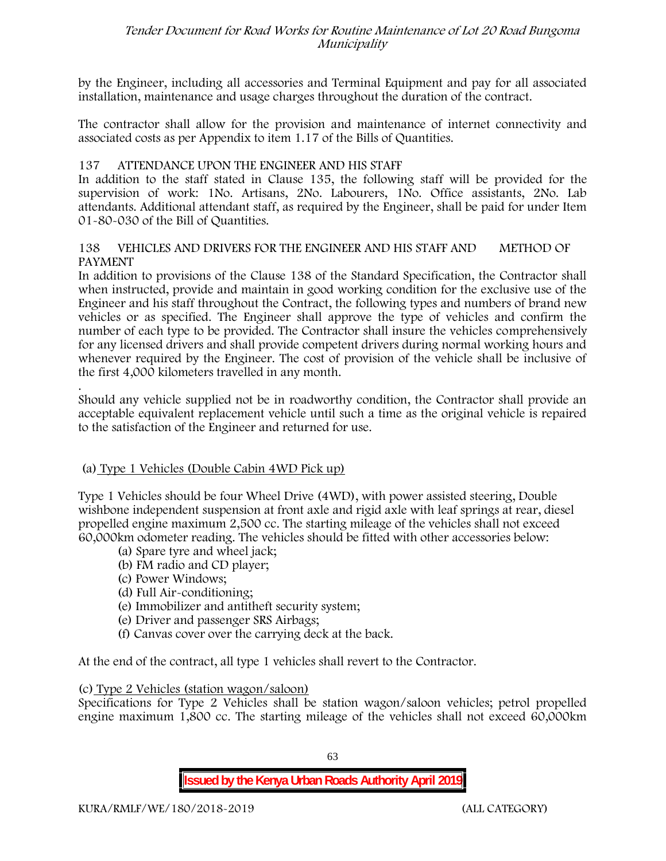by the Engineer, including all accessories and Terminal Equipment and pay for all associated installation, maintenance and usage charges throughout the duration of the contract.

The contractor shall allow for the provision and maintenance of internet connectivity and associated costs as per Appendix to item 1.17 of the Bills of Quantities.

## **137 ATTENDANCE UPON THE ENGINEER AND HIS STAFF**

In addition to the staff stated in Clause 135, the following staff will be provided for the supervision of work: 1No. Artisans, 2No. Labourers, 1No. Office assistants, 2No. Lab attendants. Additional attendant staff, as required by the Engineer, shall be paid for under Item 01-80-030 of the Bill of Quantities.

#### **138 VEHICLES AND DRIVERS FOR THE ENGINEER AND HIS STAFF AND METHOD OF PAYMENT**

In addition to provisions of the Clause 138 of the Standard Specification, the Contractor shall when instructed, provide and maintain in good working condition for the exclusive use of the Engineer and his staff throughout the Contract, the following types and numbers of brand new vehicles or as specified. The Engineer shall approve the type of vehicles and confirm the number of each type to be provided. The Contractor shall insure the vehicles comprehensively for any licensed drivers and shall provide competent drivers during normal working hours and whenever required by the Engineer. The cost of provision of the vehicle shall be inclusive of the first 4,000 kilometers travelled in any month.

.Should any vehicle supplied not be in roadworthy condition, the Contractor shall provide an acceptable equivalent replacement vehicle until such a time as the original vehicle is repaired to the satisfaction of the Engineer and returned for use.

#### **(a) Type 1 Vehicles (Double Cabin 4WD Pick up)**

Type 1 Vehicles should be four Wheel Drive (4WD), with power assisted steering, Double wishbone independent suspension at front axle and rigid axle with leaf springs at rear, diesel propelled engine maximum 2,500 cc. The starting mileage of the vehicles shall not exceed 60,000km odometer reading. The vehicles should be fitted with other accessories below:

- (a) Spare tyre and wheel jack;
- (b) FM radio and CD player;
- (c) Power Windows;
- (d) Full Air-conditioning;
- (e) Immobilizer and antitheft security system;
- (e) Driver and passenger SRS Airbags;
- (f) Canvas cover over the carrying deck at the back.

At the end of the contract, all type 1 vehicles shall revert to the Contractor.

#### **(c) Type 2 Vehicles (station wagon/saloon)**

Specifications for Type 2 Vehicles shall be station wagon/saloon vehicles; petrol propelled engine maximum 1,800 cc. The starting mileage of the vehicles shall not exceed 60,000km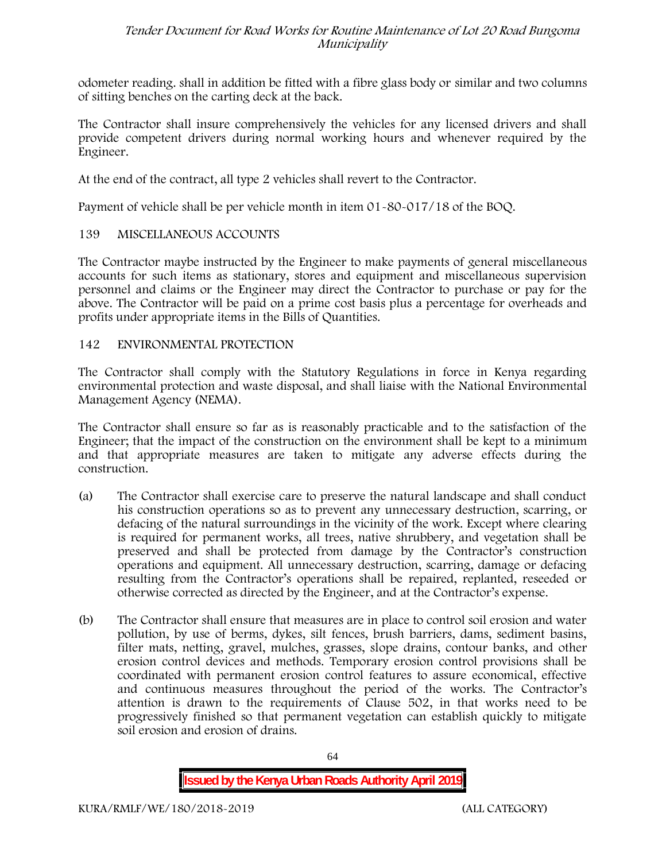odometer reading. shall in addition be fitted with a fibre glass body or similar and two columns of sitting benches on the carting deck at the back.

The Contractor shall insure comprehensively the vehicles for any licensed drivers and shall provide competent drivers during normal working hours and whenever required by the Engineer.

At the end of the contract, all type 2 vehicles shall revert to the Contractor.

Payment of vehicle shall be per vehicle month in item 01-80-017/18 of the BOQ.

## **139 MISCELLANEOUS ACCOUNTS**

The Contractor maybe instructed by the Engineer to make payments of general miscellaneous accounts for such items as stationary, stores and equipment and miscellaneous supervision personnel and claims or the Engineer may direct the Contractor to purchase or pay for the above. The Contractor will be paid on a prime cost basis plus a percentage for overheads and profits under appropriate items in the Bills of Quantities.

## **142 ENVIRONMENTAL PROTECTION**

The Contractor shall comply with the Statutory Regulations in force in Kenya regarding environmental protection and waste disposal, and shall liaise with the National Environmental Management Agency (NEMA).

The Contractor shall ensure so far as is reasonably practicable and to the satisfaction of the Engineer; that the impact of the construction on the environment shall be kept to a minimum and that appropriate measures are taken to mitigate any adverse effects during the construction.

- (a) The Contractor shall exercise care to preserve the natural landscape and shall conduct his construction operations so as to prevent any unnecessary destruction, scarring, or defacing of the natural surroundings in the vicinity of the work. Except where clearing is required for permanent works, all trees, native shrubbery, and vegetation shall be preserved and shall be protected from damage by the Contractor's construction operations and equipment. All unnecessary destruction, scarring, damage or defacing resulting from the Contractor's operations shall be repaired, replanted, reseeded or otherwise corrected as directed by the Engineer, and at the Contractor's expense.
- (b) The Contractor shall ensure that measures are in place to control soil erosion and water pollution, by use of berms, dykes, silt fences, brush barriers, dams, sediment basins, filter mats, netting, gravel, mulches, grasses, slope drains, contour banks, and other erosion control devices and methods. Temporary erosion control provisions shall be coordinated with permanent erosion control features to assure economical, effective and continuous measures throughout the period of the works. The Contractor's attention is drawn to the requirements of Clause 502, in that works need to be progressively finished so that permanent vegetation can establish quickly to mitigate soil erosion and erosion of drains.

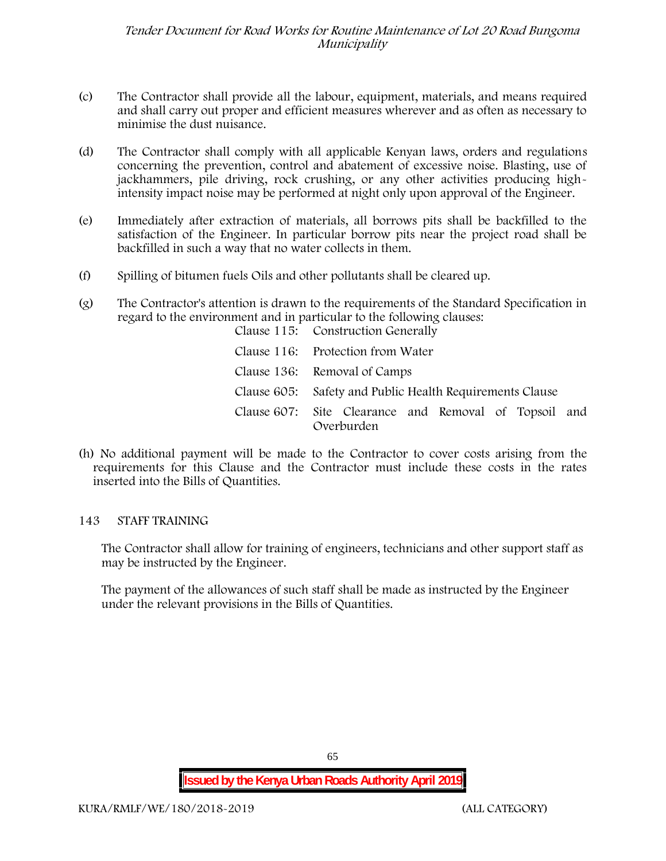- (c) The Contractor shall provide all the labour, equipment, materials, and means required and shall carry out proper and efficient measures wherever and as often as necessary to minimise the dust nuisance.
- (d) The Contractor shall comply with all applicable Kenyan laws, orders and regulations concerning the prevention, control and abatement of excessive noise. Blasting, use of jackhammers, pile driving, rock crushing, or any other activities producing highintensity impact noise may be performed at night only upon approval of the Engineer.
- (e) Immediately after extraction of materials, all borrows pits shall be backfilled to the satisfaction of the Engineer. In particular borrow pits near the project road shall be backfilled in such a way that no water collects in them.
- (f) Spilling of bitumen fuels Oils and other pollutants shall be cleared up.
- (g) The Contractor's attention is drawn to the requirements of the Standard Specification in regard to the environment and in particular to the following clauses: Clause 115: Construction Generally

| Clause 116: Protection from Water                                   |
|---------------------------------------------------------------------|
| Clause 136: Removal of Camps                                        |
| Clause 605: Safety and Public Health Requirements Clause            |
| Clause 607: Site Clearance and Removal of Topsoil and<br>Overburden |

(h) No additional payment will be made to the Contractor to cover costs arising from the requirements for this Clause and the Contractor must include these costs in the rates inserted into the Bills of Quantities.

#### **143 STAFF TRAINING**

The Contractor shall allow for training of engineers, technicians and other support staff as may be instructed by the Engineer.

The payment of the allowances of such staff shall be made as instructed by the Engineer under the relevant provisions in the Bills of Quantities.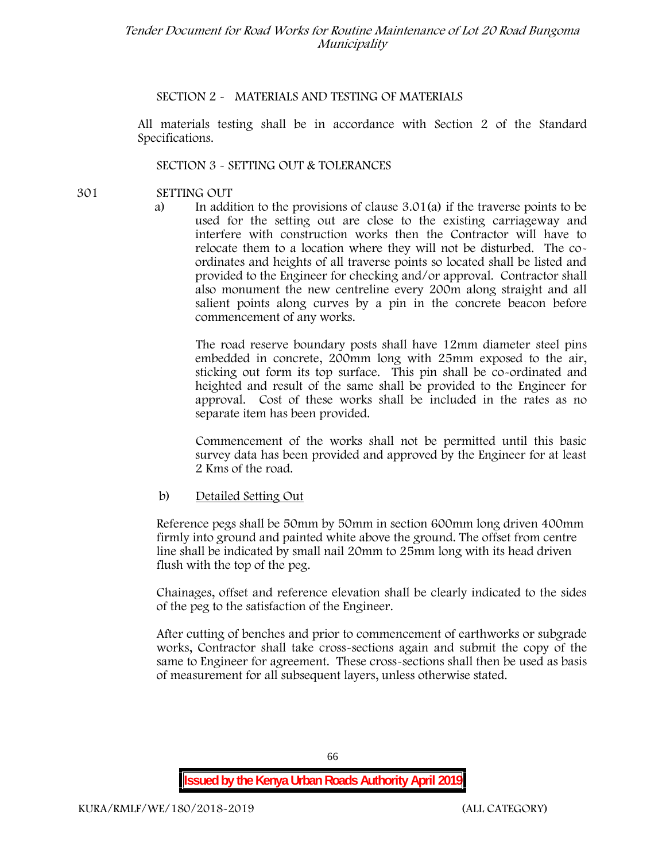#### **SECTION 2 - MATERIALS AND TESTING OF MATERIALS**

All materials testing shall be in accordance with Section 2 of the Standard Specifications.

#### **SECTION 3 - SETTING OUT & TOLERANCES**

- **301 SETTING OUT**
	- a) In addition to the provisions of clause 3.01(a) if the traverse points to be used for the setting out are close to the existing carriageway and interfere with construction works then the Contractor will have to relocate them to a location where they will not be disturbed. The co ordinates and heights of all traverse points so located shall be listed and provided to the Engineer for checking and/or approval. Contractor shall also monument the new centreline every 200m along straight and all salient points along curves by a pin in the concrete beacon before commencement of any works.

The road reserve boundary posts shall have 12mm diameter steel pins embedded in concrete, 200mm long with 25mm exposed to the air, sticking out form its top surface. This pin shall be co-ordinated and heighted and result of the same shall be provided to the Engineer for approval. Cost of these works shall be included in the rates as no separate item has been provided.

Commencement of the works shall not be permitted until this basic survey data has been provided and approved by the Engineer for at least 2 Kms of the road.

#### b) Detailed Setting Out

Reference pegs shall be 50mm by 50mm in section 600mm long driven 400mm firmly into ground and painted white above the ground. The offset from centre line shall be indicated by small nail 20mm to 25mm long with its head driven flush with the top of the peg.

Chainages, offset and reference elevation shall be clearly indicated to the sides of the peg to the satisfaction of the Engineer.

After cutting of benches and prior to commencement of earthworks or subgrade works, Contractor shall take cross-sections again and submit the copy of the same to Engineer for agreement. These cross-sections shall then be used as basis of measurement for all subsequent layers, unless otherwise stated.

66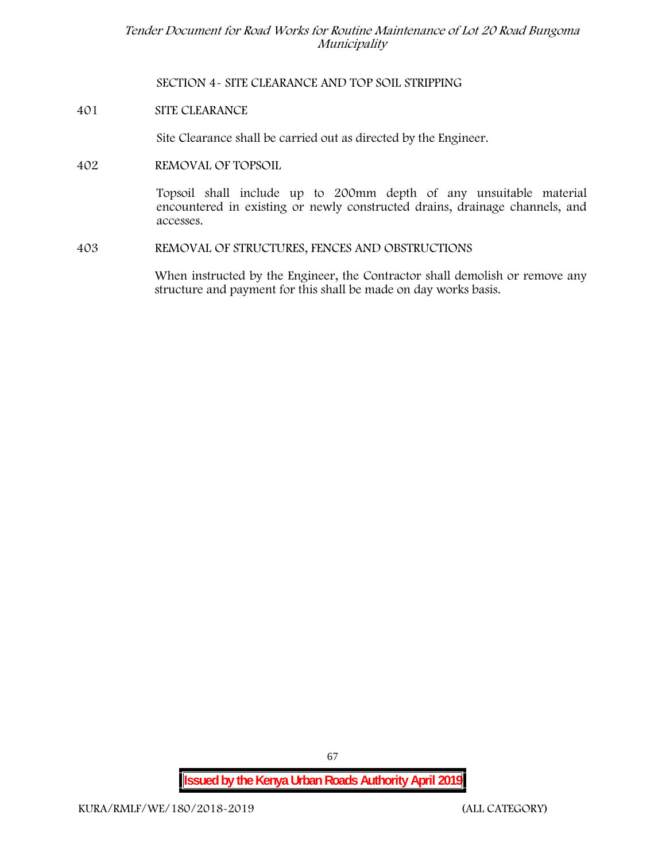**SECTION 4- SITE CLEARANCE AND TOP SOIL STRIPPING**

**401 SITE CLEARANCE**

Site Clearance shall be carried out as directed by the Engineer.

**402 REMOVAL OF TOPSOIL**

Topsoil shall include up to 200mm depth of any unsuitable material encountered in existing or newly constructed drains, drainage channels, and accesses.

**403 REMOVAL OF STRUCTURES, FENCES AND OBSTRUCTIONS**

When instructed by the Engineer, the Contractor shall demolish or remove any structure and payment for this shall be made on day works basis.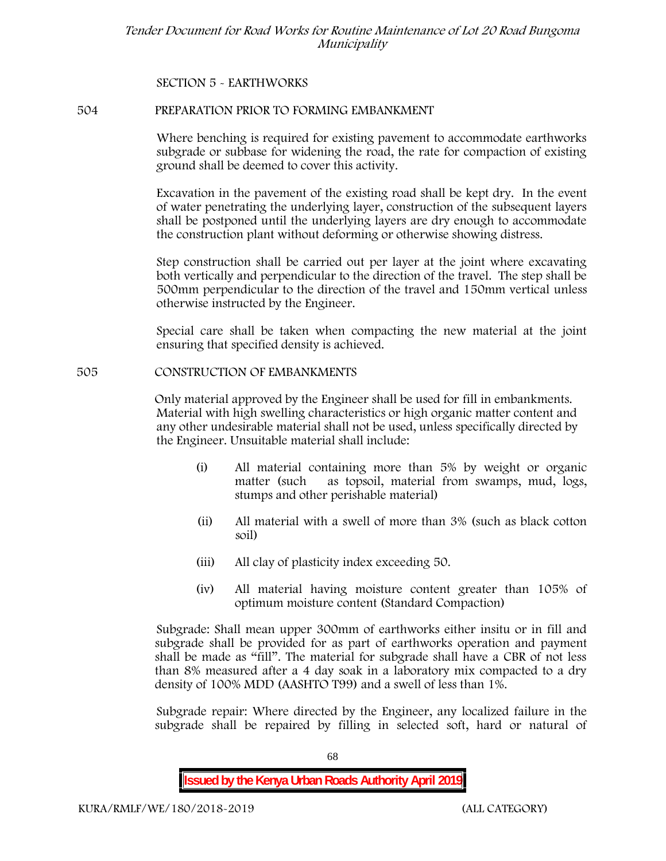## **SECTION 5 - EARTHWORKS**

#### **504 PREPARATION PRIOR TO FORMING EMBANKMENT**

Where benching is required for existing pavement to accommodate earthworks subgrade or subbase for widening the road, the rate for compaction of existing ground shall be deemed to cover this activity.

Excavation in the pavement of the existing road shall be kept dry. In the event of water penetrating the underlying layer, construction of the subsequent layers shall be postponed until the underlying layers are dry enough to accommodate the construction plant without deforming or otherwise showing distress.

Step construction shall be carried out per layer at the joint where excavating both vertically and perpendicular to the direction of the travel. The step shall be 500mm perpendicular to the direction of the travel and 150mm vertical unless otherwise instructed by the Engineer.

Special care shall be taken when compacting the new material at the joint ensuring that specified density is achieved.

#### **505 CONSTRUCTION OF EMBANKMENTS**

Only material approved by the Engineer shall be used for fill in embankments. Material with high swelling characteristics or high organic matter content and any other undesirable material shall not be used, unless specifically directed by the Engineer. Unsuitable material shall include:

- (i) All material containing more than 5% by weight or organic matter (such as topsoil, material from swamps, mud, logs, stumps and other perishable material)
- (ii) All material with a swell of more than 3% (such as black cotton soil)
- (iii) All clay of plasticity index exceeding 50.
- (iv) All material having moisture content greater than 105% of optimum moisture content (Standard Compaction)

Subgrade: Shall mean upper 300mm of earthworks either insitu or in fill and subgrade shall be provided for as part of earthworks operation and payment shall be made as "fill". The material for subgrade shall have a CBR of not less than 8% measured after a 4 day soak in a laboratory mix compacted to a dry density of 100% MDD (AASHTO T99) and a swell of less than 1%.

Subgrade repair: Where directed by the Engineer, any localized failure in the subgrade shall be repaired by filling in selected soft, hard or natural of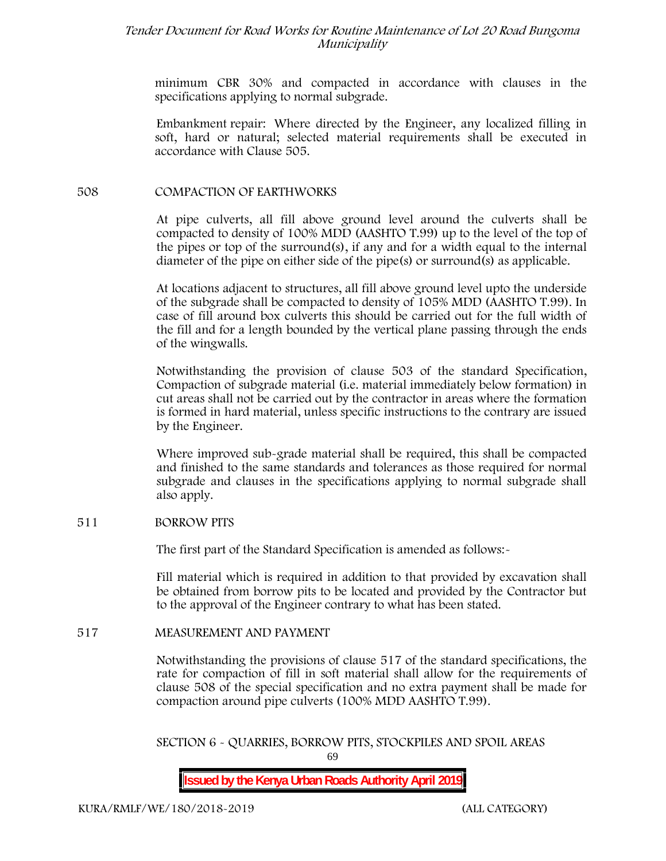minimum CBR 30% and compacted in accordance with clauses in the specifications applying to normal subgrade.

Embankment repair: Where directed by the Engineer, any localized filling in soft, hard or natural; selected material requirements shall be executed in accordance with Clause 505.

### **508 COMPACTION OF EARTHWORKS**

At pipe culverts, all fill above ground level around the culverts shall be compacted to density of 100% MDD (AASHTO T.99) up to the level of the top of the pipes or top of the surround(s), if any and for a width equal to the internal diameter of the pipe on either side of the pipe(s) or surround(s) as applicable.

At locations adjacent to structures, all fill above ground level upto the underside of the subgrade shall be compacted to density of 105% MDD (AASHTO T.99). In case of fill around box culverts this should be carried out for the full width of the fill and for a length bounded by the vertical plane passing through the ends of the wingwalls.

Notwithstanding the provision of clause 503 of the standard Specification, Compaction of subgrade material (i.e. material immediately below formation) in cut areas shall not be carried out by the contractor in areas where the formation is formed in hard material, unless specific instructions to the contrary are issued by the Engineer.

Where improved sub-grade material shall be required, this shall be compacted and finished to the same standards and tolerances as those required for normal subgrade and clauses in the specifications applying to normal subgrade shall also apply.

#### **511 BORROW PITS**

The first part of the Standard Specification is amended as follows:-

Fill material which is required in addition to that provided by excavation shall be obtained from borrow pits to be located and provided by the Contractor but to the approval of the Engineer contrary to what has been stated.

#### **517 MEASUREMENT AND PAYMENT**

Notwithstanding the provisions of clause 517 of the standard specifications, the rate for compaction of fill in soft material shall allow for the requirements of clause 508 of the special specification and no extra payment shall be made for compaction around pipe culverts (100% MDD AASHTO T.99).

69 **SECTION 6 - QUARRIES, BORROW PITS, STOCKPILES AND SPOIL AREAS**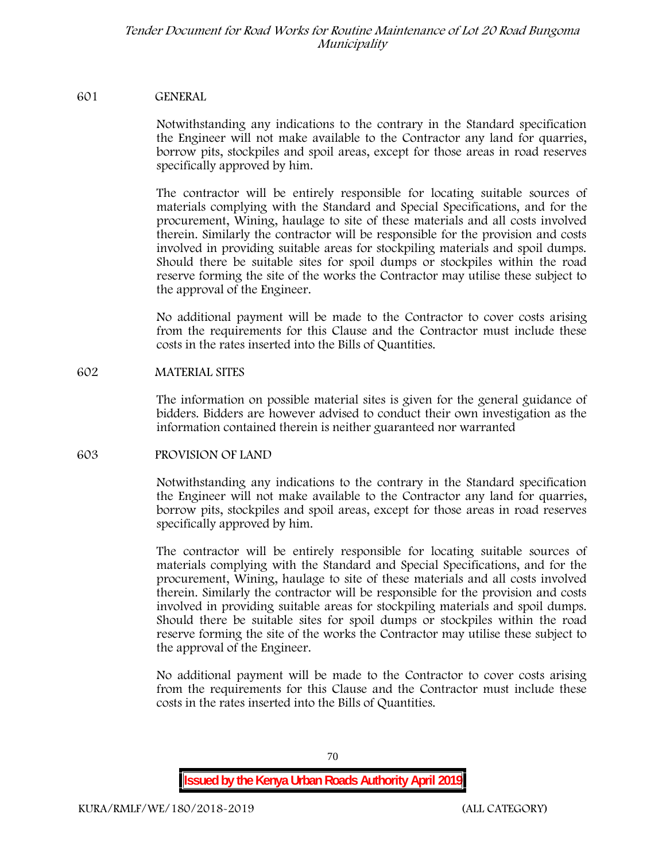#### **601 GENERAL**

Notwithstanding any indications to the contrary in the Standard specification the Engineer will not make available to the Contractor any land for quarries, borrow pits, stockpiles and spoil areas, except for those areas in road reserves specifically approved by him.

The contractor will be entirely responsible for locating suitable sources of materials complying with the Standard and Special Specifications, and for the procurement, Wining, haulage to site of these materials and all costs involved therein. Similarly the contractor will be responsible for the provision and costs involved in providing suitable areas for stockpiling materials and spoil dumps. Should there be suitable sites for spoil dumps or stockpiles within the road reserve forming the site of the works the Contractor may utilise these subject to the approval of the Engineer.

No additional payment will be made to the Contractor to cover costs arising from the requirements for this Clause and the Contractor must include these costs in the rates inserted into the Bills of Quantities.

#### **602 MATERIAL SITES**

The information on possible material sites is given for the general guidance of bidders. Bidders are however advised to conduct their own investigation as the information contained therein is neither guaranteed nor warranted

## **603 PROVISION OF LAND**

Notwithstanding any indications to the contrary in the Standard specification the Engineer will not make available to the Contractor any land for quarries, borrow pits, stockpiles and spoil areas, except for those areas in road reserves specifically approved by him.

The contractor will be entirely responsible for locating suitable sources of materials complying with the Standard and Special Specifications, and for the procurement, Wining, haulage to site of these materials and all costs involved therein. Similarly the contractor will be responsible for the provision and costs involved in providing suitable areas for stockpiling materials and spoil dumps. Should there be suitable sites for spoil dumps or stockpiles within the road reserve forming the site of the works the Contractor may utilise these subject to the approval of the Engineer.

No additional payment will be made to the Contractor to cover costs arising from the requirements for this Clause and the Contractor must include these costs in the rates inserted into the Bills of Quantities.

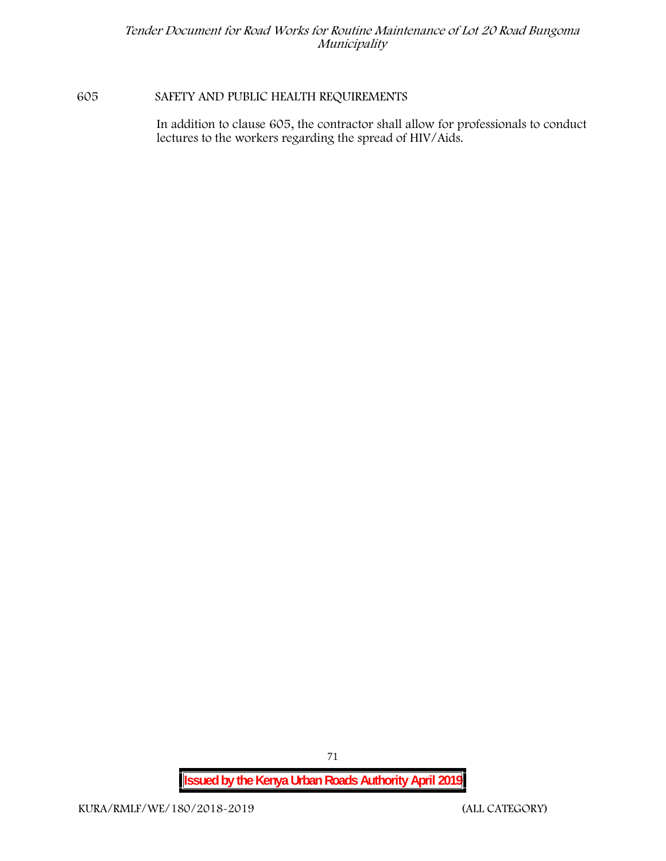## **605 SAFETY AND PUBLIC HEALTH REQUIREMENTS**

In addition to clause 605, the contractor shall allow for professionals to conduct lectures to the workers regarding the spread of HIV/Aids.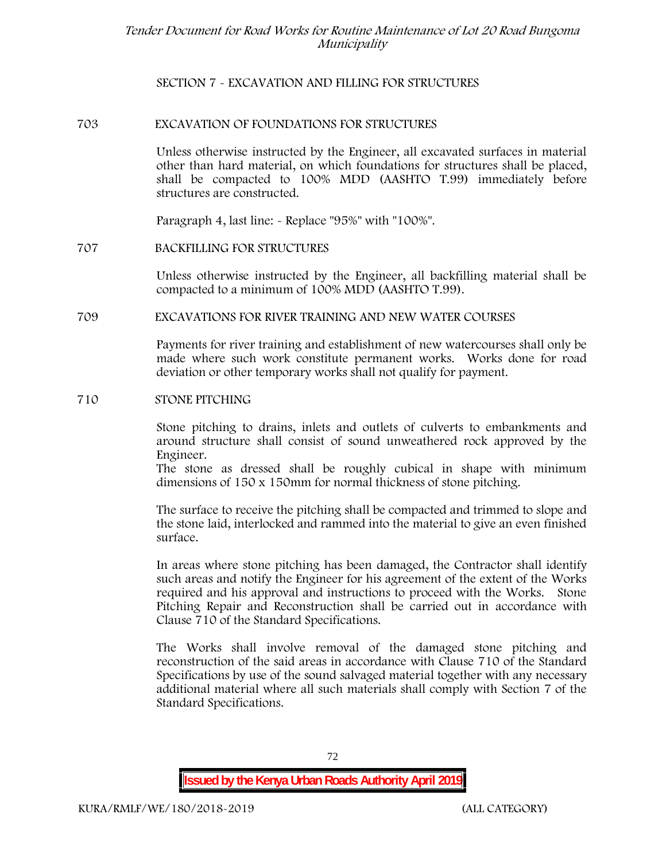# **SECTION 7 - EXCAVATION AND FILLING FOR STRUCTURES**

## **703 EXCAVATION OF FOUNDATIONS FOR STRUCTURES**

Unless otherwise instructed by the Engineer, all excavated surfaces in material other than hard material, on which foundations for structures shall be placed, shall be compacted to 100% MDD (AASHTO T.99) immediately before structures are constructed.

Paragraph 4, last line: - Replace "95%" with "100%".

## **707 BACKFILLING FOR STRUCTURES**

Unless otherwise instructed by the Engineer, all backfilling material shall be compacted to a minimum of 100% MDD (AASHTO T.99).

## **709 EXCAVATIONS FOR RIVER TRAINING AND NEW WATER COURSES**

Payments for river training and establishment of new watercourses shall only be made where such work constitute permanent works. Works done for road deviation or other temporary works shall not qualify for payment.

#### **710 STONE PITCHING**

Stone pitching to drains, inlets and outlets of culverts to embankments and around structure shall consist of sound unweathered rock approved by the Engineer.

The stone as dressed shall be roughly cubical in shape with minimum dimensions of 150 x 150mm for normal thickness of stone pitching.

The surface to receive the pitching shall be compacted and trimmed to slope and the stone laid, interlocked and rammed into the material to give an even finished surface.

In areas where stone pitching has been damaged, the Contractor shall identify such areas and notify the Engineer for his agreement of the extent of the Works required and his approval and instructions to proceed with the Works. Stone Pitching Repair and Reconstruction shall be carried out in accordance with Clause 710 of the Standard Specifications.

The Works shall involve removal of the damaged stone pitching and reconstruction of the said areas in accordance with Clause 710 of the Standard Specifications by use of the sound salvaged material together with any necessary additional material where all such materials shall comply with Section 7 of the Standard Specifications.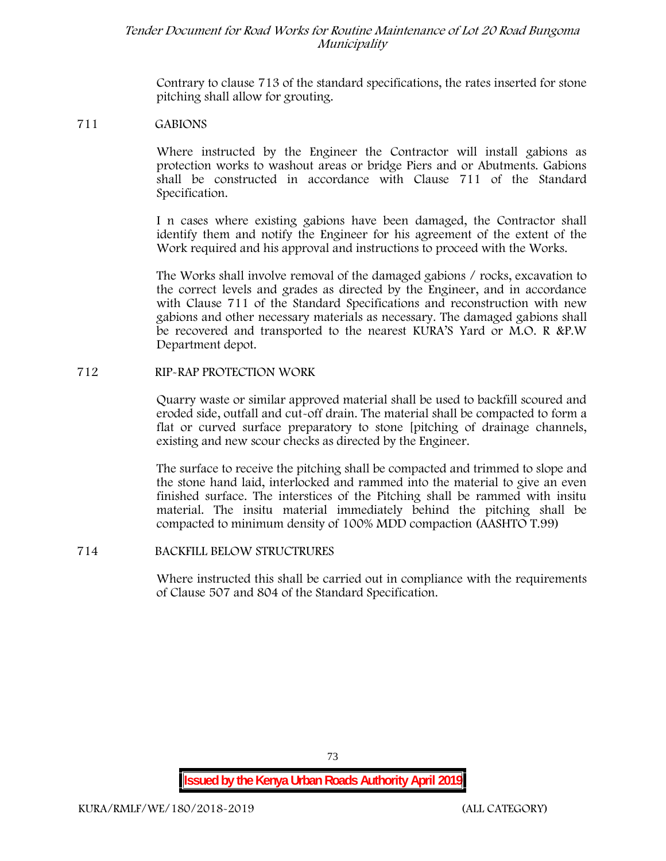Contrary to clause 713 of the standard specifications, the rates inserted for stone pitching shall allow for grouting.

#### **711 GABIONS**

Where instructed by the Engineer the Contractor will install gabions as protection works to washout areas or bridge Piers and or Abutments. Gabions shall be constructed in accordance with Clause 711 of the Standard Specification.

I n cases where existing gabions have been damaged, the Contractor shall identify them and notify the Engineer for his agreement of the extent of the Work required and his approval and instructions to proceed with the Works.

The Works shall involve removal of the damaged gabions / rocks, excavation to the correct levels and grades as directed by the Engineer, and in accordance with Clause 711 of the Standard Specifications and reconstruction with new gabions and other necessary materials as necessary. The damaged gabions shall be recovered and transported to the nearest KURA'S Yard or M.O. R &P.W Department depot.

## **712 RIP-RAP PROTECTION WORK**

Quarry waste or similar approved material shall be used to backfill scoured and eroded side, outfall and cut-off drain. The material shall be compacted to form a flat or curved surface preparatory to stone [pitching of drainage channels, existing and new scour checks as directed by the Engineer.

The surface to receive the pitching shall be compacted and trimmed to slope and the stone hand laid, interlocked and rammed into the material to give an even finished surface. The interstices of the Pitching shall be rammed with insitu material. The insitu material immediately behind the pitching shall be compacted to minimum density of 100% MDD compaction (AASHTO T.99)

## **714 BACKFILL BELOW STRUCTRURES**

Where instructed this shall be carried out in compliance with the requirements of Clause 507 and 804 of the Standard Specification.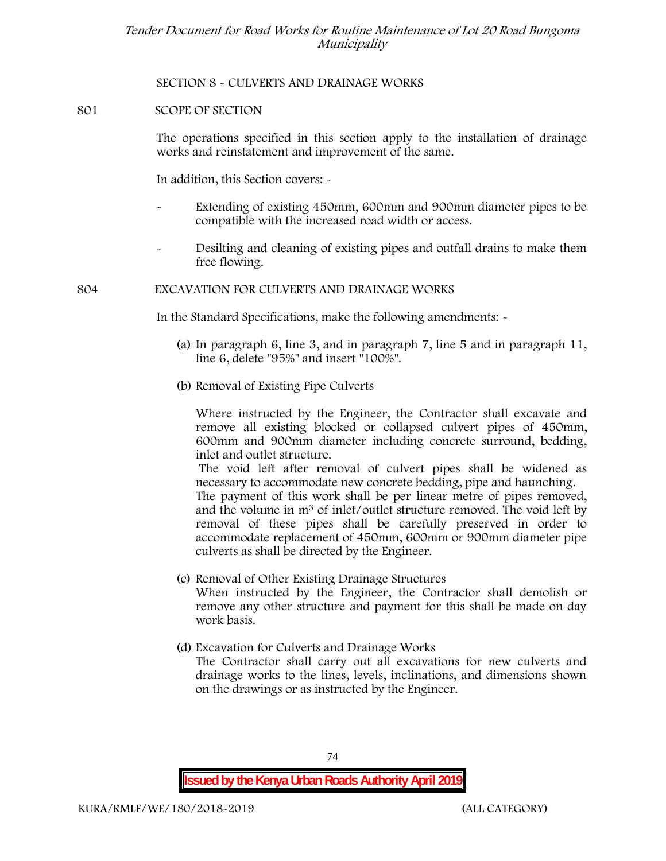## **SECTION 8 - CULVERTS AND DRAINAGE WORKS**

## **801 SCOPE OF SECTION**

The operations specified in this section apply to the installation of drainage works and reinstatement and improvement of the same.

In addition, this Section covers: -

- Extending of existing 450mm, 600mm and 900mm diameter pipes to be compatible with the increased road width or access.
- Desilting and cleaning of existing pipes and outfall drains to make them free flowing.

## **804 EXCAVATION FOR CULVERTS AND DRAINAGE WORKS**

In the Standard Specifications, make the following amendments: -

- (a) In paragraph 6, line 3, and in paragraph 7, line 5 and in paragraph 11, line 6, delete "95%" and insert "100%".
- (b) Removal of Existing Pipe Culverts

Where instructed by the Engineer, the Contractor shall excavate and remove all existing blocked or collapsed culvert pipes of 450mm, 600mm and 900mm diameter including concrete surround, bedding, inlet and outlet structure.

The void left after removal of culvert pipes shall be widened as necessary to accommodate new concrete bedding, pipe and haunching. The payment of this work shall be per linear metre of pipes removed, and the volume in m<sup>3</sup> of inlet/outlet structure removed. The void left by removal of these pipes shall be carefully preserved in order to accommodate replacement of 450mm, 600mm or 900mm diameter pipe culverts as shall be directed by the Engineer.

- (c) Removal of Other Existing Drainage Structures When instructed by the Engineer, the Contractor shall demolish or remove any other structure and payment for this shall be made on day work basis.
- (d) Excavation for Culverts and Drainage Works The Contractor shall carry out all excavations for new culverts and drainage works to the lines, levels, inclinations, and dimensions shown on the drawings or as instructed by the Engineer.

**Issued by the Kenya Urban Roads Authority April 2019**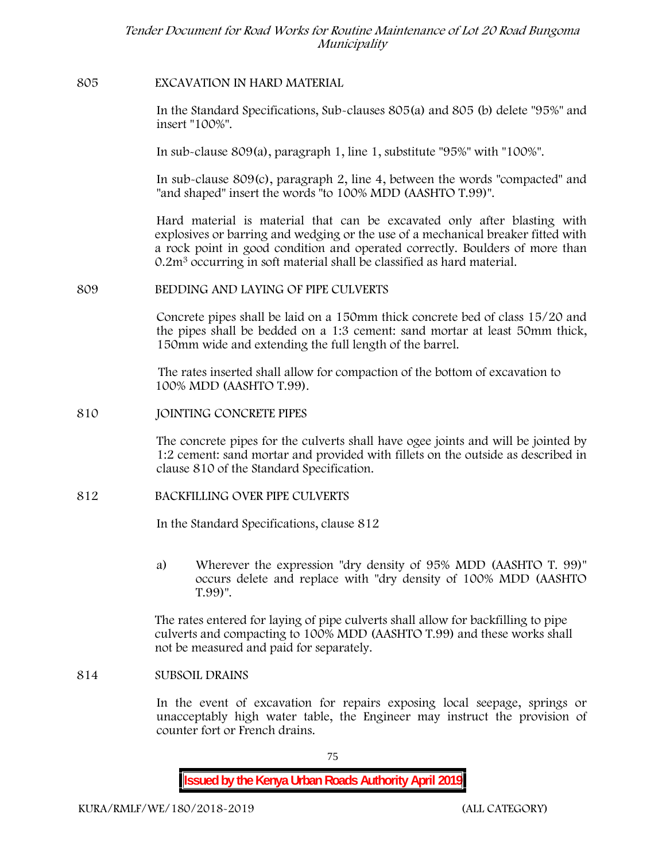## **805 EXCAVATION IN HARD MATERIAL**

In the Standard Specifications, Sub-clauses 805(a) and 805 (b) delete "95%" and insert "100%".

In sub-clause 809(a), paragraph 1, line 1, substitute "95%" with "100%".

In sub-clause 809(c), paragraph 2, line 4, between the words "compacted" and "and shaped" insert the words "to 100% MDD (AASHTO T.99)".

Hard material is material that can be excavated only after blasting with explosives or barring and wedging or the use of a mechanical breaker fitted with a rock point in good condition and operated correctly. Boulders of more than 0.2m<sup>3</sup> occurring in soft material shall be classified as hard material.

## **809 BEDDING AND LAYING OF PIPE CULVERTS**

Concrete pipes shall be laid on a 150mm thick concrete bed of class 15/20 and the pipes shall be bedded on a 1:3 cement: sand mortar at least 50mm thick, 150mm wide and extending the full length of the barrel.

The rates inserted shall allow for compaction of the bottom of excavation to 100% MDD (AASHTO T.99).

## **810 JOINTING CONCRETE PIPES**

The concrete pipes for the culverts shall have ogee joints and will be jointed by 1:2 cement: sand mortar and provided with fillets on the outside as described in clause 810 of the Standard Specification.

# **812 BACKFILLING OVER PIPE CULVERTS**

In the Standard Specifications, clause 812

a) Wherever the expression "dry density of 95% MDD (AASHTO T. 99)" occurs delete and replace with "dry density of 100% MDD (AASHTO T.99)".

The rates entered for laying of pipe culverts shall allow for backfilling to pipe culverts and compacting to 100% MDD (AASHTO T.99) and these works shall not be measured and paid for separately.

## **814 SUBSOIL DRAINS**

In the event of excavation for repairs exposing local seepage, springs or unacceptably high water table, the Engineer may instruct the provision of counter fort or French drains.

75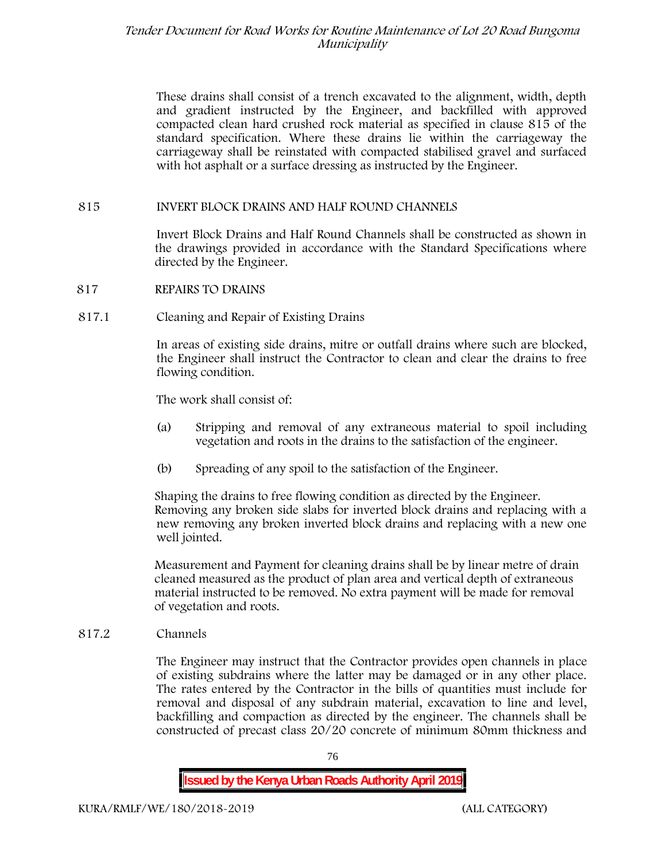These drains shall consist of a trench excavated to the alignment, width, depth and gradient instructed by the Engineer, and backfilled with approved compacted clean hard crushed rock material as specified in clause 815 of the standard specification. Where these drains lie within the carriageway the carriageway shall be reinstated with compacted stabilised gravel and surfaced with hot asphalt or a surface dressing as instructed by the Engineer.

## **815 INVERT BLOCK DRAINS AND HALF ROUND CHANNELS**

Invert Block Drains and Half Round Channels shall be constructed as shown in the drawings provided in accordance with the Standard Specifications where directed by the Engineer.

- **817 REPAIRS TO DRAINS**
- **817.1 Cleaning and Repair of Existing Drains**

In areas of existing side drains, mitre or outfall drains where such are blocked, the Engineer shall instruct the Contractor to clean and clear the drains to free flowing condition.

The work shall consist of:

- (a) Stripping and removal of any extraneous material to spoil including vegetation and roots in the drains to the satisfaction of the engineer.
- (b) Spreading of any spoil to the satisfaction of the Engineer.

Shaping the drains to free flowing condition as directed by the Engineer. Removing any broken side slabs for inverted block drains and replacing with a new removing any broken inverted block drains and replacing with a new one well jointed.

Measurement and Payment for cleaning drains shall be by linear metre of drain cleaned measured as the product of plan area and vertical depth of extraneous material instructed to be removed. No extra payment will be made for removal of vegetation and roots.

**817.2 Channels**

The Engineer may instruct that the Contractor provides open channels in place of existing subdrains where the latter may be damaged or in any other place. The rates entered by the Contractor in the bills of quantities must include for removal and disposal of any subdrain material, excavation to line and level, backfilling and compaction as directed by the engineer. The channels shall be constructed of precast class 20/20 concrete of minimum 80mm thickness and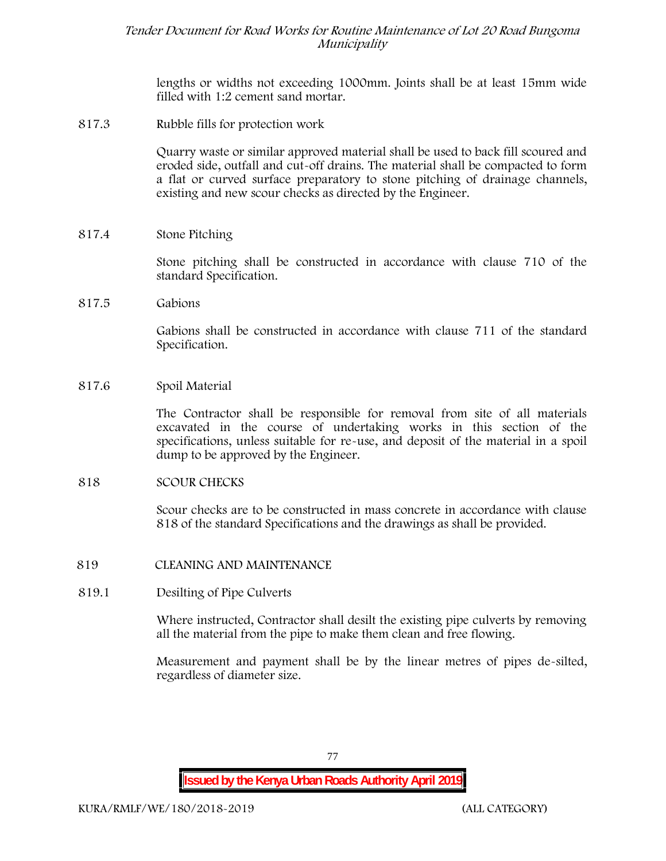lengths or widths not exceeding 1000mm. Joints shall be at least 15mm wide filled with 1:2 cement sand mortar.

**817.3 Rubble fills for protection work**

Quarry waste or similar approved material shall be used to back fill scoured and eroded side, outfall and cut-off drains. The material shall be compacted to form a flat or curved surface preparatory to stone pitching of drainage channels, existing and new scour checks as directed by the Engineer.

**817.4 Stone Pitching**

Stone pitching shall be constructed in accordance with clause 710 of the standard Specification.

**817.5 Gabions**

Gabions shall be constructed in accordance with clause 711 of the standard Specification.

**817.6 Spoil Material**

The Contractor shall be responsible for removal from site of all materials excavated in the course of undertaking works in this section of the specifications, unless suitable for re-use, and deposit of the material in a spoil dump to be approved by the Engineer.

#### **818 SCOUR CHECKS**

Scour checks are to be constructed in mass concrete in accordance with clause 818 of the standard Specifications and the drawings as shall be provided.

- **819 CLEANING AND MAINTENANCE**
- **819.1 Desilting of Pipe Culverts**

Where instructed, Contractor shall desilt the existing pipe culverts by removing all the material from the pipe to make them clean and free flowing.

Measurement and payment shall be by the linear metres of pipes de-silted, regardless of diameter size.

**Issued by the Kenya Urban Roads Authority April 2019**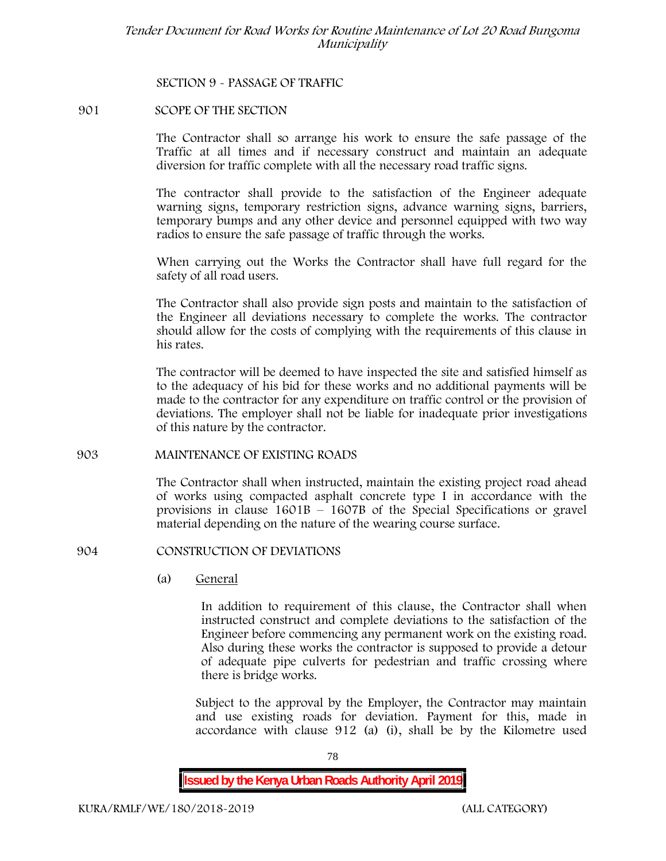## **SECTION 9 - PASSAGE OF TRAFFIC**

## **901 SCOPE OF THE SECTION**

The Contractor shall so arrange his work to ensure the safe passage of the Traffic at all times and if necessary construct and maintain an adequate diversion for traffic complete with all the necessary road traffic signs.

The contractor shall provide to the satisfaction of the Engineer adequate warning signs, temporary restriction signs, advance warning signs, barriers, temporary bumps and any other device and personnel equipped with two way radios to ensure the safe passage of traffic through the works.

When carrying out the Works the Contractor shall have full regard for the safety of all road users.

The Contractor shall also provide sign posts and maintain to the satisfaction of the Engineer all deviations necessary to complete the works. The contractor should allow for the costs of complying with the requirements of this clause in his rates.

The contractor will be deemed to have inspected the site and satisfied himself as to the adequacy of his bid for these works and no additional payments will be made to the contractor for any expenditure on traffic control or the provision of deviations. The employer shall not be liable for inadequate prior investigations of this nature by the contractor.

## **903 MAINTENANCE OF EXISTING ROADS**

The Contractor shall when instructed, maintain the existing project road ahead of works using compacted asphalt concrete type I in accordance with the provisions in clause 1601B – 1607B of the Special Specifications or gravel material depending on the nature of the wearing course surface.

## **904 CONSTRUCTION OF DEVIATIONS**

(a) **General**

In addition to requirement of this clause, the Contractor shall when instructed construct and complete deviations to the satisfaction of the Engineer before commencing any permanent work on the existing road. Also during these works the contractor is supposed to provide a detour of adequate pipe culverts for pedestrian and traffic crossing where there is bridge works.

Subject to the approval by the Employer, the Contractor may maintain and use existing roads for deviation. Payment for this, made in accordance with clause 912 (a) (i), shall be by the Kilometre used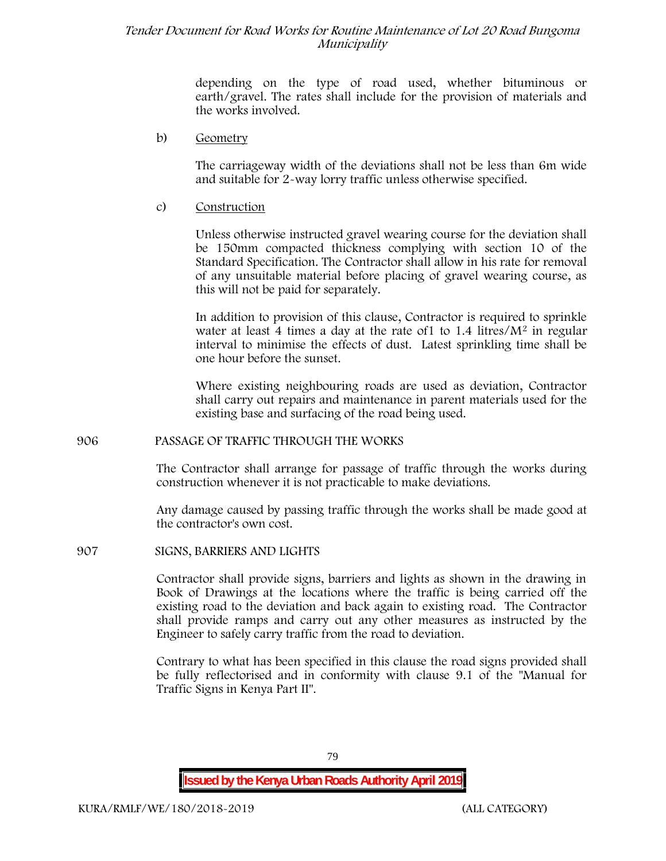depending on the type of road used, whether bituminous or earth/gravel. The rates shall include for the provision of materials and the works involved.

#### b) **Geometry**

The carriageway width of the deviations shall not be less than 6m wide and suitable for 2-way lorry traffic unless otherwise specified.

## c) **Construction**

Unless otherwise instructed gravel wearing course for the deviation shall be 150mm compacted thickness complying with section 10 of the Standard Specification. The Contractor shall allow in his rate for removal of any unsuitable material before placing of gravel wearing course, as this will not be paid for separately.

In addition to provision of this clause, Contractor is required to sprinkle water at least 4 times a day at the rate of  $1$  to  $1.4$  litres/ $M<sup>2</sup>$  in regular interval to minimise the effects of dust. Latest sprinkling time shall be one hour before the sunset.

Where existing neighbouring roads are used as deviation, Contractor shall carry out repairs and maintenance in parent materials used for the existing base and surfacing of the road being used.

## **906 PASSAGE OF TRAFFIC THROUGH THE WORKS**

The Contractor shall arrange for passage of traffic through the works during construction whenever it is not practicable to make deviations.

Any damage caused by passing traffic through the works shall be made good at the contractor's own cost.

#### **907 SIGNS, BARRIERS AND LIGHTS**

Contractor shall provide signs, barriers and lights as shown in the drawing in Book of Drawings at the locations where the traffic is being carried off the existing road to the deviation and back again to existing road. The Contractor shall provide ramps and carry out any other measures as instructed by the Engineer to safely carry traffic from the road to deviation.

Contrary to what has been specified in this clause the road signs provided shall be fully reflectorised and in conformity with clause 9.1 of the "Manual for Traffic Signs in Kenya Part II".

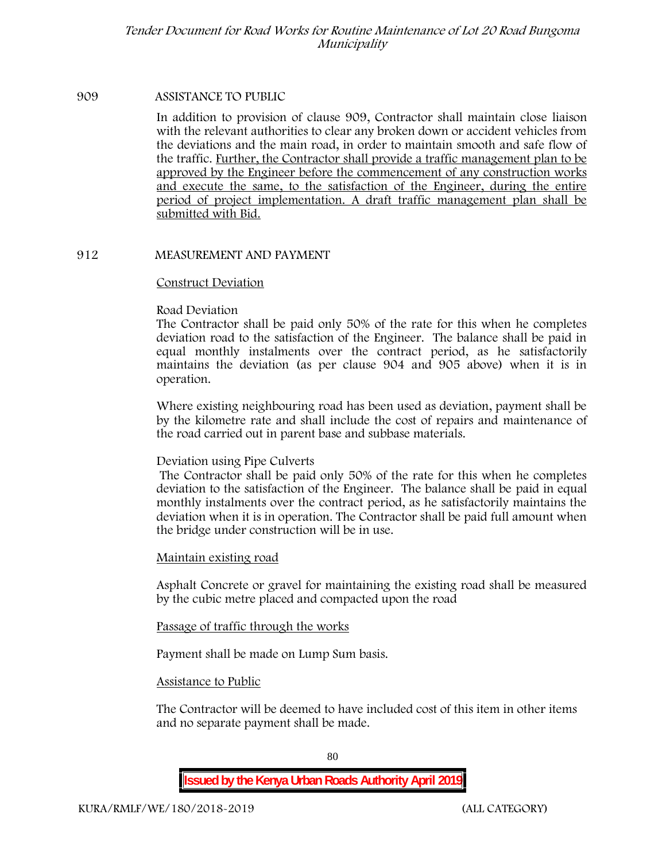#### **909 ASSISTANCE TO PUBLIC**

In addition to provision of clause 909, Contractor shall maintain close liaison with the relevant authorities to clear any broken down or accident vehicles from the deviations and the main road, in order to maintain smooth and safe flow of the traffic. Further, the Contractor shall provide a traffic management plan to be approved by the Engineer before the commencement of any construction works and execute the same, to the satisfaction of the Engineer, during the entire period of project implementation. A draft traffic management plan shall be submitted with Bid.

## **912 MEASUREMENT AND PAYMENT**

#### **Construct Deviation**

#### **Road Deviation**

The Contractor shall be paid only 50% of the rate for this when he completes deviation road to the satisfaction of the Engineer. The balance shall be paid in equal monthly instalments over the contract period, as he satisfactorily maintains the deviation (as per clause 904 and 905 above) when it is in operation.

Where existing neighbouring road has been used as deviation, payment shall be by the kilometre rate and shall include the cost of repairs and maintenance of the road carried out in parent base and subbase materials.

## **Deviation using Pipe Culverts**

The Contractor shall be paid only 50% of the rate for this when he completes deviation to the satisfaction of the Engineer. The balance shall be paid in equal monthly instalments over the contract period, as he satisfactorily maintains the deviation when it is in operation. The Contractor shall be paid full amount when the bridge under construction will be in use.

## **Maintain existing road**

Asphalt Concrete or gravel for maintaining the existing road shall be measured by the cubic metre placed and compacted upon the road

## **Passage of traffic through the works**

Payment shall be made on Lump Sum basis.

## **Assistance to Public**

The Contractor will be deemed to have included cost of this item in other items and no separate payment shall be made.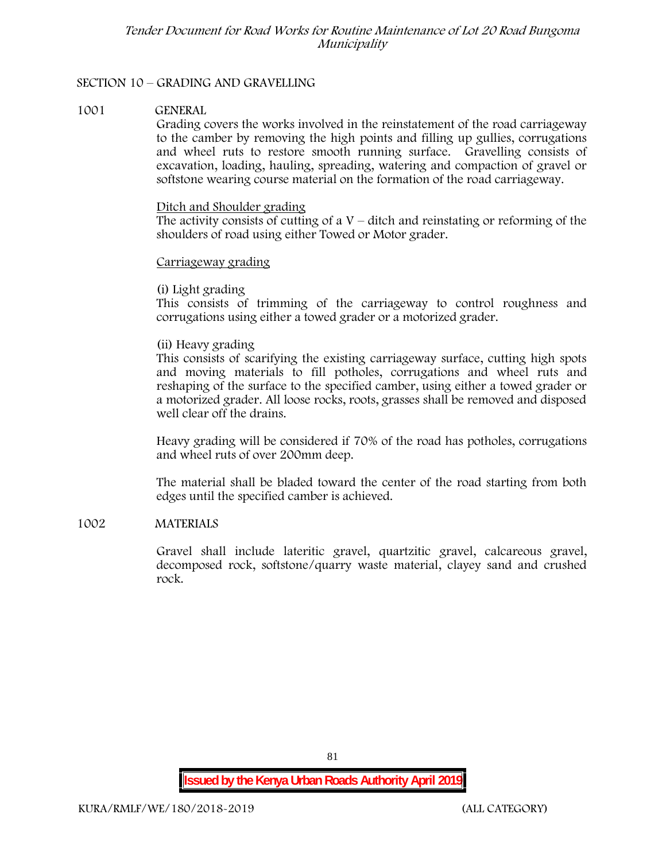# **SECTION 10 – GRADING AND GRAVELLING**

#### **1001 GENERAL**

Grading covers the works involved in the reinstatement of the road carriageway to the camber by removing the high points and filling up gullies, corrugations and wheel ruts to restore smooth running surface. Gravelling consists of excavation, loading, hauling, spreading, watering and compaction of gravel or softstone wearing course material on the formation of the road carriageway.

#### Ditch and Shoulder grading

The activity consists of cutting of a  $V$  – ditch and reinstating or reforming of the shoulders of road using either Towed or Motor grader.

#### Carriageway grading

## **(i) Light grading**

This consists of trimming of the carriageway to control roughness and corrugations using either a towed grader or a motorized grader.

## **(ii) Heavy grading**

This consists of scarifying the existing carriageway surface, cutting high spots and moving materials to fill potholes, corrugations and wheel ruts and reshaping of the surface to the specified camber, using either a towed grader or a motorized grader. All loose rocks, roots, grasses shall be removed and disposed well clear off the drains.

Heavy grading will be considered if 70% of the road has potholes, corrugations and wheel ruts of over 200mm deep.

The material shall be bladed toward the center of the road starting from both edges until the specified camber is achieved.

## **1002 MATERIALS**

Gravel shall include lateritic gravel, quartzitic gravel, calcareous gravel, decomposed rock, softstone/quarry waste material, clayey sand and crushed rock.

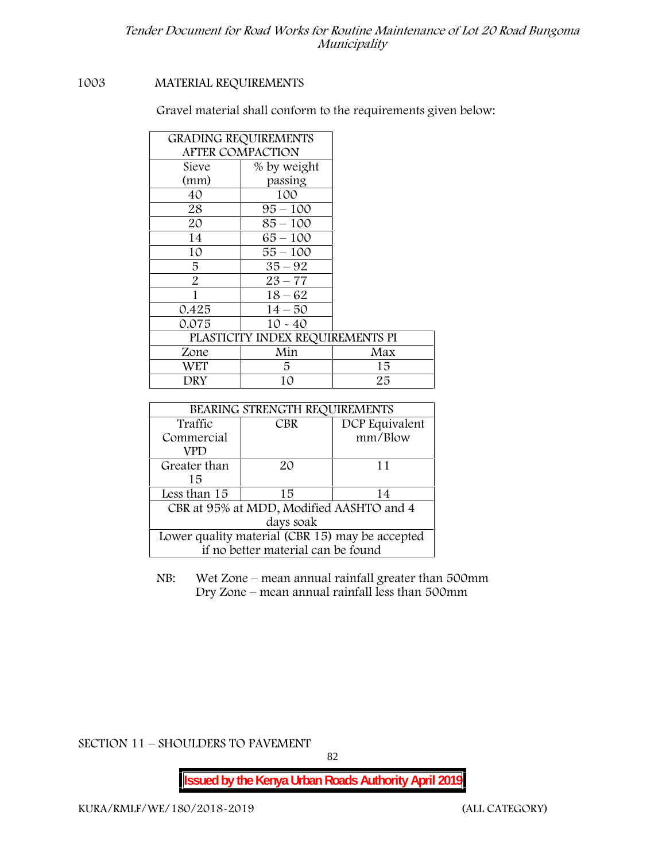## **1003 MATERIAL REQUIREMENTS**

Gravel material shall conform to the requirements given below:

| <b>GRADING REQUIREMENTS</b> |                                  |     |  |
|-----------------------------|----------------------------------|-----|--|
|                             | <b>AFTER COMPACTION</b>          |     |  |
| Sieve                       | % by weight                      |     |  |
| (mm)                        | passing                          |     |  |
| 40                          | 100                              |     |  |
| 28                          | $95 - 100$                       |     |  |
| 20                          | $85 - 100$                       |     |  |
| 14                          | $65 - 100$                       |     |  |
| 10                          | $55 - 100$                       |     |  |
| 5                           | $35 - 92$                        |     |  |
| $\overline{2}$              | $23 - 77$                        |     |  |
|                             | $18 - 62$                        |     |  |
| 0.425                       | $14 - 50$                        |     |  |
| 0.075                       | $10 - 40$                        |     |  |
|                             | PLASTICITY INDEX REQUIREMENTS PI |     |  |
| Zone                        | Min                              | Max |  |
| <b>WET</b>                  | 5                                | 15  |  |
| DRY                         | 10                               | 25  |  |

| BEARING STRENGTH REQUIREMENTS                   |                                    |                |  |  |  |
|-------------------------------------------------|------------------------------------|----------------|--|--|--|
| Traffic                                         | <b>CBR</b>                         | DCP Equivalent |  |  |  |
| Commercial                                      |                                    | mm/Blow        |  |  |  |
| VPD                                             |                                    |                |  |  |  |
| Greater than                                    | $2\Omega$                          | 11             |  |  |  |
| 15                                              |                                    |                |  |  |  |
| Less than 15                                    | 15                                 | 14             |  |  |  |
| CBR at 95% at MDD, Modified AASHTO and 4        |                                    |                |  |  |  |
| days soak                                       |                                    |                |  |  |  |
| Lower quality material (CBR 15) may be accepted |                                    |                |  |  |  |
|                                                 | if no better material can be found |                |  |  |  |

NB: Wet Zone – mean annual rainfall greater than 500mm Dry Zone – mean annual rainfall less than 500mm

**SECTION 11 – SHOULDERS TO PAVEMENT**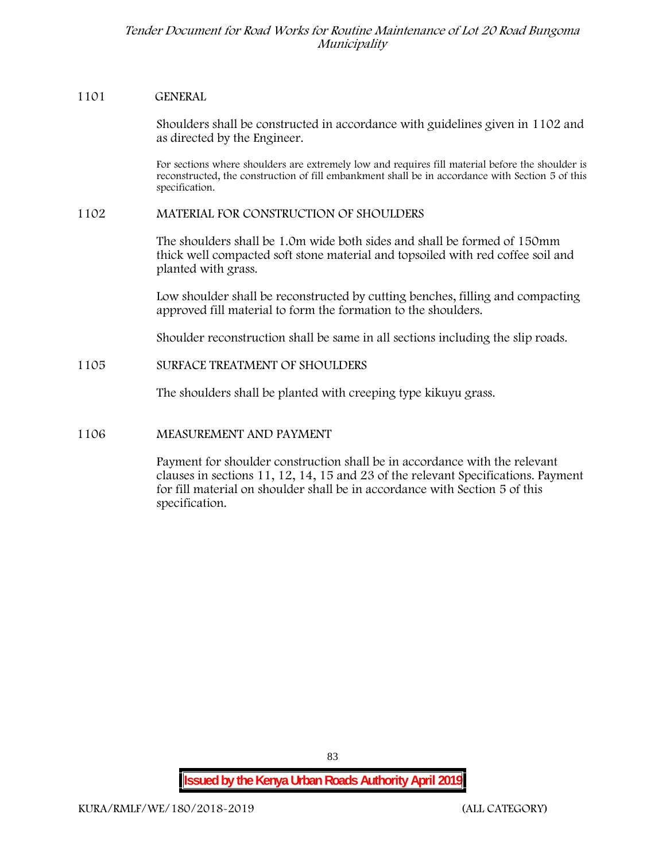#### **1101 GENERAL**

Shoulders shall be constructed in accordance with guidelines given in 1102 and as directed by the Engineer.

For sections where shoulders are extremely low and requires fill material before the shoulder is reconstructed, the construction of fill embankment shall be in accordance with Section 5 of this specification.

#### **1102 MATERIAL FOR CONSTRUCTION OF SHOULDERS**

The shoulders shall be 1.0m wide both sides and shall be formed of 150mm thick well compacted soft stone material and topsoiled with red coffee soil and planted with grass.

Low shoulder shall be reconstructed by cutting benches, filling and compacting approved fill material to form the formation to the shoulders.

Shoulder reconstruction shall be same in all sections including the slip roads.

## **1105 SURFACE TREATMENT OF SHOULDERS**

The shoulders shall be planted with creeping type kikuyu grass.

## **1106 MEASUREMENT AND PAYMENT**

Payment for shoulder construction shall be in accordance with the relevant clauses in sections 11, 12, 14, 15 and 23 of the relevant Specifications. Payment for fill material on shoulder shall be in accordance with Section 5 of this specification.

**Issued by the Kenya Urban Roads Authority April 2019**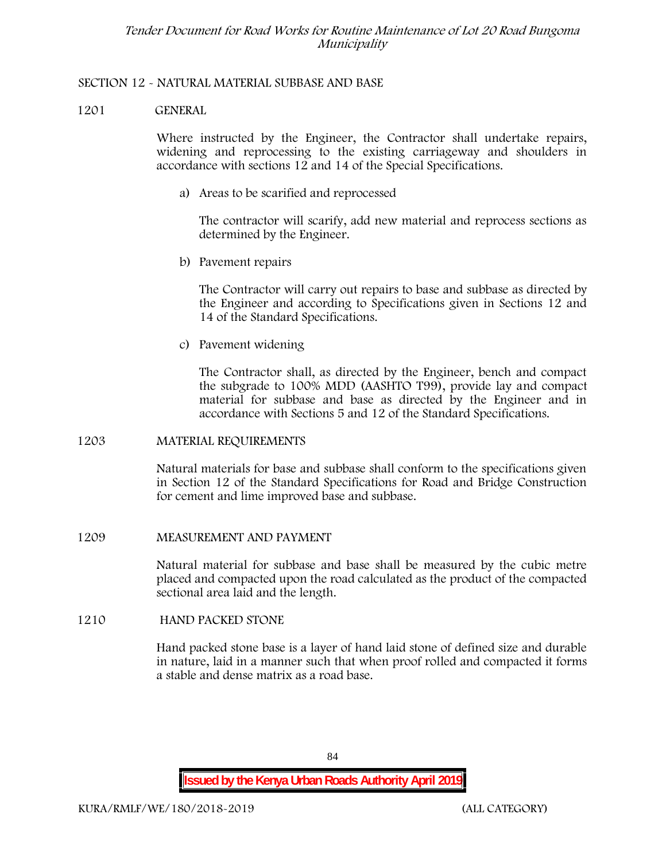## **SECTION 12 - NATURAL MATERIAL SUBBASE AND BASE**

## **1201 GENERAL**

Where instructed by the Engineer, the Contractor shall undertake repairs, widening and reprocessing to the existing carriageway and shoulders in accordance with sections 12 and 14 of the Special Specifications.

**a) Areas to be scarified and reprocessed**

The contractor will scarify, add new material and reprocess sections as determined by the Engineer.

**b) Pavement repairs**

The Contractor will carry out repairs to base and subbase as directed by the Engineer and according to Specifications given in Sections 12 and 14 of the Standard Specifications.

**c) Pavement widening**

The Contractor shall, as directed by the Engineer, bench and compact the subgrade to 100% MDD (AASHTO T99), provide lay and compact material for subbase and base as directed by the Engineer and in accordance with Sections 5 and 12 of the Standard Specifications.

## **1203 MATERIAL REQUIREMENTS**

Natural materials for base and subbase shall conform to the specifications given in Section 12 of the Standard Specifications for Road and Bridge Construction for cement and lime improved base and subbase.

## **1209 MEASUREMENT AND PAYMENT**

Natural material for subbase and base shall be measured by the cubic metre placed and compacted upon the road calculated as the product of the compacted sectional area laid and the length.

## **1210 HAND PACKED STONE**

Hand packed stone base is a layer of hand laid stone of defined size and durable in nature, laid in a manner such that when proof rolled and compacted it forms a stable and dense matrix as a road base.

84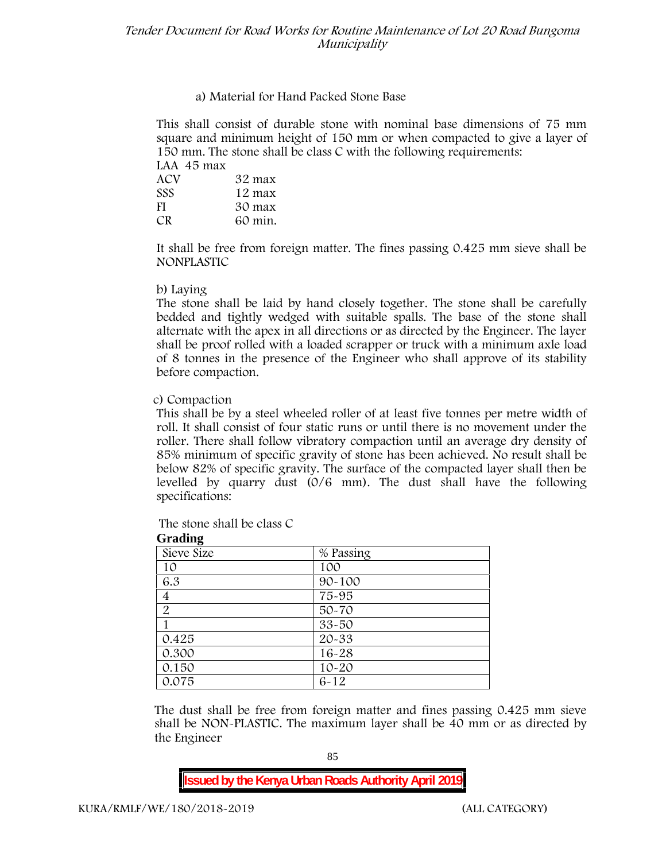# **a) Material for Hand Packed Stone Base**

This shall consist of durable stone with nominal base dimensions of 75 mm square and minimum height of 150 mm or when compacted to give a layer of 150 mm. The stone shall be class C with the following requirements:

| LAA 45 max |         |
|------------|---------|
| ACV        | 32 max  |
| <b>SSS</b> | 12 max  |
| -FI        | 30 max  |
| CR.        | 60 min. |

It shall be free from foreign matter. The fines passing 0.425 mm sieve shall be **NONPLASTIC**

## **b) Laying**

The stone shall be laid by hand closely together. The stone shall be carefully bedded and tightly wedged with suitable spalls. The base of the stone shall alternate with the apex in all directions or as directed by the Engineer. The layer shall be proof rolled with a loaded scrapper or truck with a minimum axle load of 8 tonnes in the presence of the Engineer who shall approve of its stability before compaction.

## **c) Compaction**

This shall be by a steel wheeled roller of at least five tonnes per metre width of roll. It shall consist of four static runs or until there is no movement under the roller. There shall follow vibratory compaction until an average dry density of 85% minimum of specific gravity of stone has been achieved. No result shall be below 82% of specific gravity. The surface of the compacted layer shall then be levelled by quarry dust (0/6 mm). The dust shall have the following specifications:

| <b>Oraunig</b> |            |  |  |  |  |
|----------------|------------|--|--|--|--|
| Sieve Size     | % Passing  |  |  |  |  |
| 10             | 100        |  |  |  |  |
| 6.3            | $90 - 100$ |  |  |  |  |
| 4              | 75-95      |  |  |  |  |
| $\overline{2}$ | $50 - 70$  |  |  |  |  |
|                | $33 - 50$  |  |  |  |  |
| 0.425          | $20 - 33$  |  |  |  |  |
| 0.300          | $16 - 28$  |  |  |  |  |
| 0.150          | $10 - 20$  |  |  |  |  |
| 0.075          | $6 - 12$   |  |  |  |  |

The stone shall be class C

**Grading**

The dust shall be free from foreign matter and fines passing 0.425 mm sieve shall be **NON-PLASTIC**. The maximum layer shall be 40 mm or as directed by the Engineer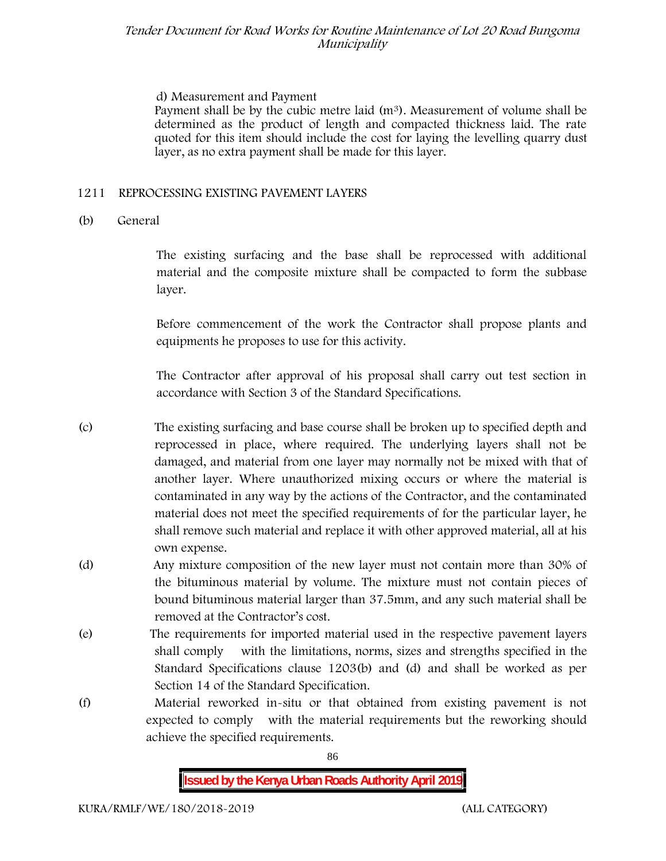## **d) Measurement and Payment**

Payment shall be by the cubic metre laid  $(m<sup>3</sup>)$ . Measurement of volume shall be determined as the product of length and compacted thickness laid. The rate quoted for this item should include the cost for laying the levelling quarry dust layer, as no extra payment shall be made for this layer.

## **1211 REPROCESSING EXISTING PAVEMENT LAYERS**

# **(b) General**

The existing surfacing and the base shall be reprocessed with additional material and the composite mixture shall be compacted to form the subbase layer.

Before commencement of the work the Contractor shall propose plants and equipments he proposes to use for this activity.

The Contractor after approval of his proposal shall carry out test section in accordance with Section 3 of the Standard Specifications.

- (c) The existing surfacing and base course shall be broken up to specified depth and reprocessed in place, where required. The underlying layers shall not be damaged, and material from one layer may normally not be mixed with that of another layer. Where unauthorized mixing occurs or where the material is contaminated in any way by the actions of the Contractor, and the contaminated material does not meet the specified requirements of for the particular layer, he shall remove such material and replace it with other approved material, all at his own expense.
- (d) Any mixture composition of the new layer must not contain more than 30% of the bituminous material by volume. The mixture must not contain pieces of bound bituminous material larger than 37.5mm, and any such material shall be removed at the Contractor's cost.
- (e) The requirements for imported material used in the respective pavement layers shall comply with the limitations, norms, sizes and strengths specified in the Standard Specifications clause 1203(b) and (d) and shall be worked as per Section 14 of the Standard Specification.
- (f) Material reworked in-situ or that obtained from existing pavement is not expected to comply with the material requirements but the reworking should achieve the specified requirements.

86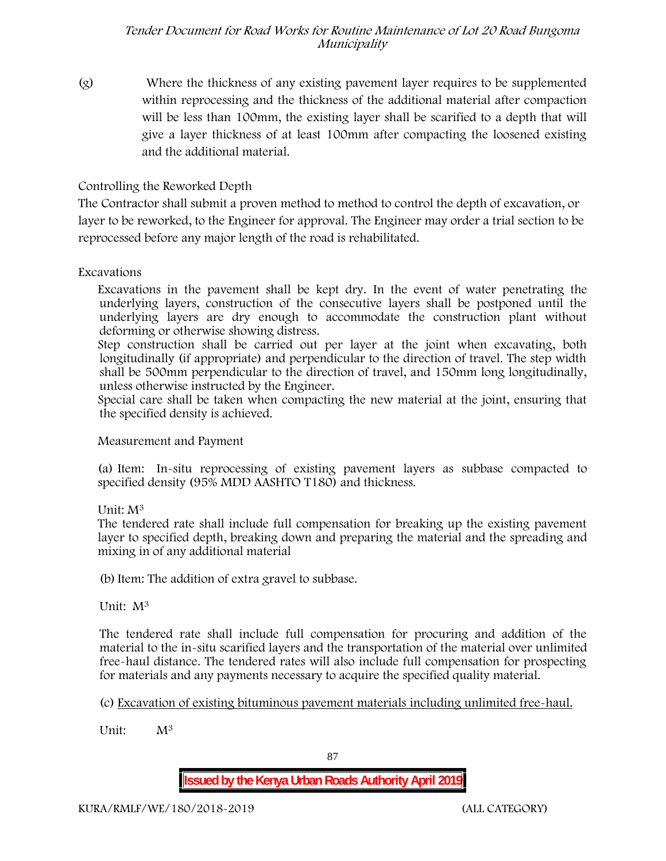(g) Where the thickness of any existing pavement layer requires to be supplemented within reprocessing and the thickness of the additional material after compaction will be less than 100mm, the existing layer shall be scarified to a depth that will give a layer thickness of at least 100mm after compacting the loosened existing and the additional material.

# **Controlling the Reworked Depth**

The Contractor shall submit a proven method to method to control the depth of excavation, or layer to be reworked, to the Engineer for approval. The Engineer may order a trial section to be reprocessed before any major length of the road is rehabilitated.

# **Excavations**

Excavations in the pavement shall be kept dry. In the event of water penetrating the underlying layers, construction of the consecutive layers shall be postponed until the underlying layers are dry enough to accommodate the construction plant without deforming or otherwise showing distress.

Step construction shall be carried out per layer at the joint when excavating, both longitudinally (if appropriate) and perpendicular to the direction of travel. The step width shall be 500mm perpendicular to the direction of travel, and 150mm long longitudinally, unless otherwise instructed by the Engineer.

Special care shall be taken when compacting the new material at the joint, ensuring that the specified density is achieved.

**Measurement and Payment**

(a) Item: In-situ reprocessing of existing pavement layers as subbase compacted to specified density (95% MDD AASHTO T180) and thickness.

# Unit: M<sup>3</sup>

The tendered rate shall include full compensation for breaking up the existing pavement layer to specified depth, breaking down and preparing the material and the spreading and mixing in of any additional material

(b)Item: The addition of extra gravel to subbase.

Unit: M<sup>3</sup>

The tendered rate shall include full compensation for procuring and addition of the material to the in-situ scarified layers and the transportation of the material over unlimited free-haul distance. The tendered rates will also include full compensation for prospecting for materials and any payments necessary to acquire the specified quality material.

(c) Excavation of existing bituminous pavement materials including unlimited free-haul.

Unit: M<sup>3</sup>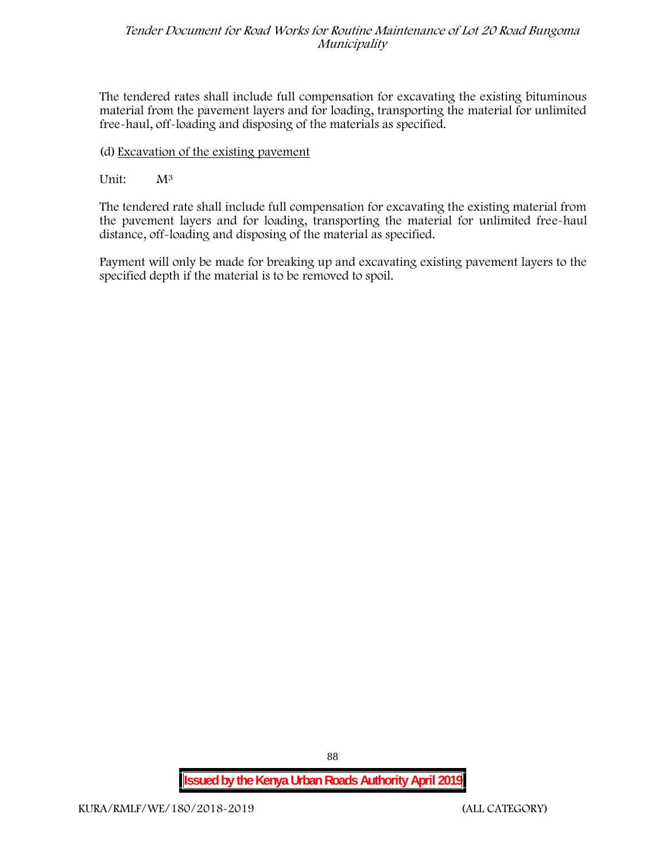The tendered rates shall include full compensation for excavating the existing bituminous material from the pavement layers and for loading, transporting the material for unlimited free-haul, off-loading and disposing of the materials as specified.

# (d) Excavation of the existing pavement

# Unit:  $M^3$

The tendered rate shall include full compensation for excavating the existing material from the pavement layers and for loading, transporting the material for unlimited free-haul distance, off-loading and disposing of the material as specified.

Payment will only be made for breaking up and excavating existing pavement layers to the specified depth if the material is to be removed to spoil.

**Issued by the Kenya Urban Roads Authority April 2019**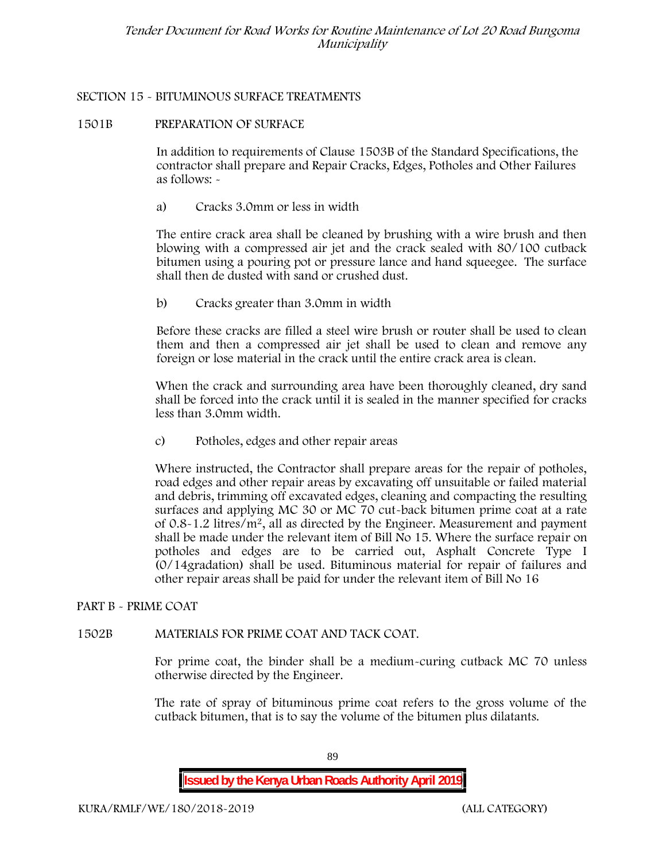## **SECTION 15 - BITUMINOUS SURFACE TREATMENTS**

## **1501B PREPARATION OF SURFACE**

In addition to requirements of Clause 1503B of the Standard Specifications, the contractor shall prepare and Repair Cracks, Edges, Potholes and Other Failures as follows: **-**

a) **Cracks 3.0mm or less in width**

The entire crack area shall be cleaned by brushing with a wire brush and then blowing with a compressed air jet and the crack sealed with 80/100 cutback bitumen using a pouring pot or pressure lance and hand squeegee. The surface shall then de dusted with sand or crushed dust.

b) **Cracks greater than 3.0mm in width**

Before these cracks are filled a steel wire brush or router shall be used to clean them and then a compressed air jet shall be used to clean and remove any foreign or lose material in the crack until the entire crack area is clean.

When the crack and surrounding area have been thoroughly cleaned, dry sand shall be forced into the crack until it is sealed in the manner specified for cracks less than 3.0mm width.

c) **Potholes, edges and other repair areas**

Where instructed, the Contractor shall prepare areas for the repair of potholes, road edges and other repair areas by excavating off unsuitable or failed material and debris, trimming off excavated edges, cleaning and compacting the resulting surfaces and applying MC 30 or MC 70 cut-back bitumen prime coat at a rate of 0.8-1.2 litres/m2, all as directed by the Engineer. Measurement and payment shall be made under the relevant item of Bill No 15. Where the surface repair on potholes and edges are to be carried out, Asphalt Concrete Type I (0/14gradation) shall be used. Bituminous material for repair of failures and other repair areas shall be paid for under the relevant item of Bill No 16

# **PART B - PRIME COAT**

# **1502B MATERIALS FOR PRIME COAT AND TACK COAT.**

For prime coat, the binder shall be a medium-curing cutback MC 70 unless otherwise directed by the Engineer.

The rate of spray of bituminous prime coat refers to the gross volume of the cutback bitumen, that is to say the volume of the bitumen plus dilatants.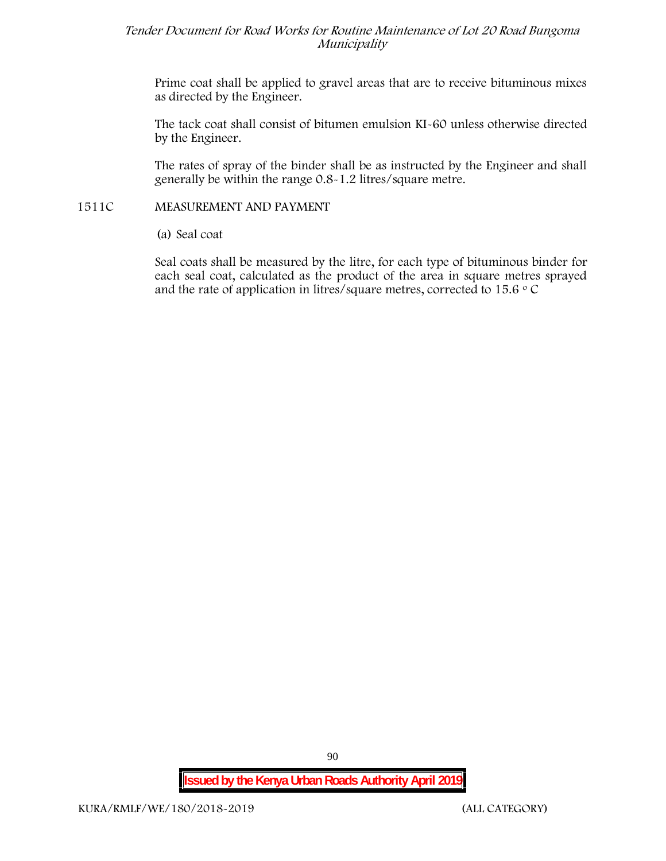Prime coat shall be applied to gravel areas that are to receive bituminous mixes as directed by the Engineer.

The tack coat shall consist of bitumen emulsion KI-60 unless otherwise directed by the Engineer.

The rates of spray of the binder shall be as instructed by the Engineer and shall generally be within the range 0.8-1.2 litres/square metre.

## **1511C MEASUREMENT AND PAYMENT**

(a) Seal coat

Seal coats shall be measured by the litre, for each type of bituminous binder for each seal coat, calculated as the product of the area in square metres sprayed and the rate of application in litres/square metres, corrected to 15.6  $\circ$  C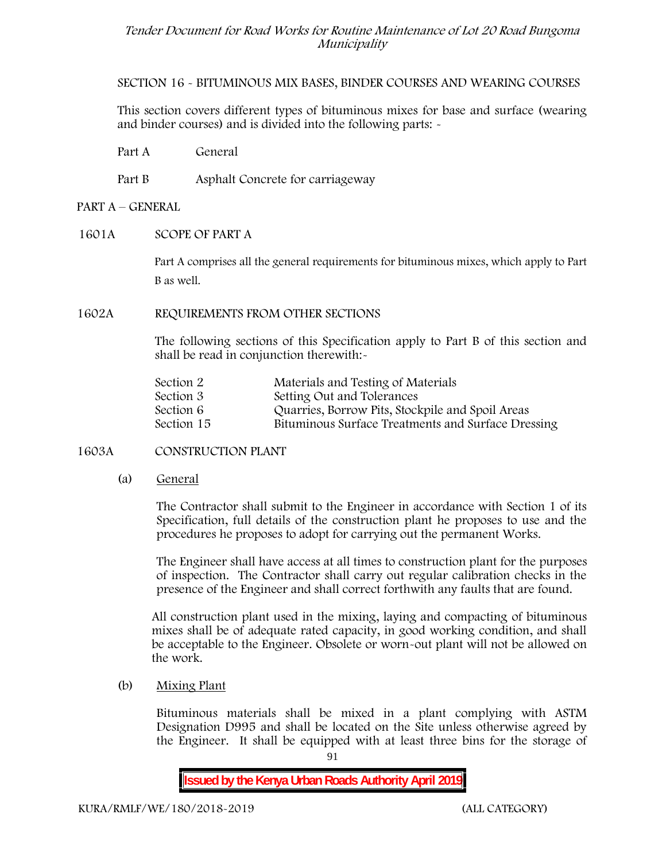**SECTION 16 - BITUMINOUS MIX BASES, BINDER COURSES AND WEARING COURSES**

This section covers different types of bituminous mixes for base and surface (wearing and binder courses) and is divided into the following parts: -

Part A General

Part B Asphalt Concrete for carriageway

## **PART A –GENERAL**

## **1601A SCOPE OF PART A**

Part A comprises all the general requirements for bituminous mixes, which apply to Part B as well.

## **1602A REQUIREMENTS FROM OTHER SECTIONS**

The following sections of this Specification apply to Part B of this section and shall be read in conjunction therewith:-

| Section 2  | Materials and Testing of Materials                 |
|------------|----------------------------------------------------|
| Section 3  | Setting Out and Tolerances                         |
| Section 6  | Quarries, Borrow Pits, Stockpile and Spoil Areas   |
| Section 15 | Bituminous Surface Treatments and Surface Dressing |

## **1603A CONSTRUCTION PLANT**

(a) **General**

The Contractor shall submit to the Engineer in accordance with Section 1 of its Specification, full details of the construction plant he proposes to use and the procedures he proposes to adopt for carrying out the permanent Works.

The Engineer shall have access at all times to construction plant for the purposes of inspection. The Contractor shall carry out regular calibration checks in the presence of the Engineer and shall correct forthwith any faults that are found.

All construction plant used in the mixing, laying and compacting of bituminous mixes shall be of adequate rated capacity, in good working condition, and shall be acceptable to the Engineer. Obsolete or worn-out plant will not be allowed on the work.

(b) **Mixing Plant**

Bituminous materials shall be mixed in a plant complying with ASTM Designation D995 and shall be located on the Site unless otherwise agreed by the Engineer. It shall be equipped with at least three bins for the storage of

91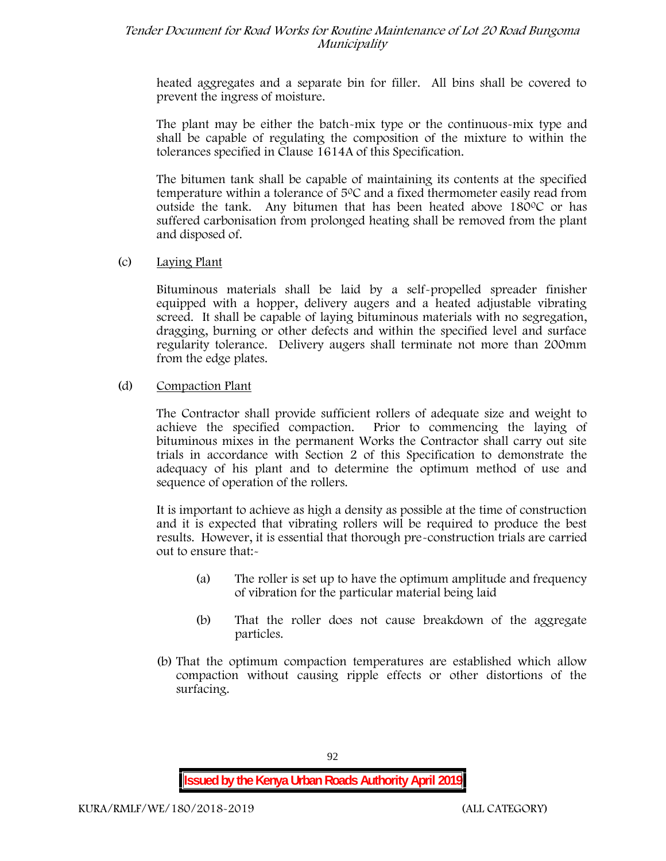heated aggregates and a separate bin for filler. All bins shall be covered to prevent the ingress of moisture.

The plant may be either the batch-mix type or the continuous-mix type and shall be capable of regulating the composition of the mixture to within the tolerances specified in Clause 1614A of this Specification.

The bitumen tank shall be capable of maintaining its contents at the specified temperature within a tolerance of  $5^{\circ}$ C and a fixed thermometer easily read from outside the tank. Any bitumen that has been heated above  $180^{\circ}$ C or has suffered carbonisation from prolonged heating shall be removed from the plant and disposed of.

## (c) **Laying Plant**

Bituminous materials shall be laid by a self-propelled spreader finisher equipped with a hopper, delivery augers and a heated adjustable vibrating screed. It shall be capable of laying bituminous materials with no segregation, dragging, burning or other defects and within the specified level and surface regularity tolerance. Delivery augers shall terminate not more than 200mm from the edge plates.

## (d) **Compaction Plant**

The Contractor shall provide sufficient rollers of adequate size and weight to achieve the specified compaction. Prior to commencing the laying of bituminous mixes in the permanent Works the Contractor shall carry out site trials in accordance with Section 2 of this Specification to demonstrate the adequacy of his plant and to determine the optimum method of use and sequence of operation of the rollers.

It is important to achieve as high a density as possible at the time of construction and it is expected that vibrating rollers will be required to produce the best results. However, it is essential that thorough pre-construction trials are carried out to ensure that:-

- (a) The roller is set up to have the optimum amplitude and frequency of vibration for the particular material being laid
- (b) That the roller does not cause breakdown of the aggregate particles.
- (b) That the optimum compaction temperatures are established which allow compaction without causing ripple effects or other distortions of the surfacing.

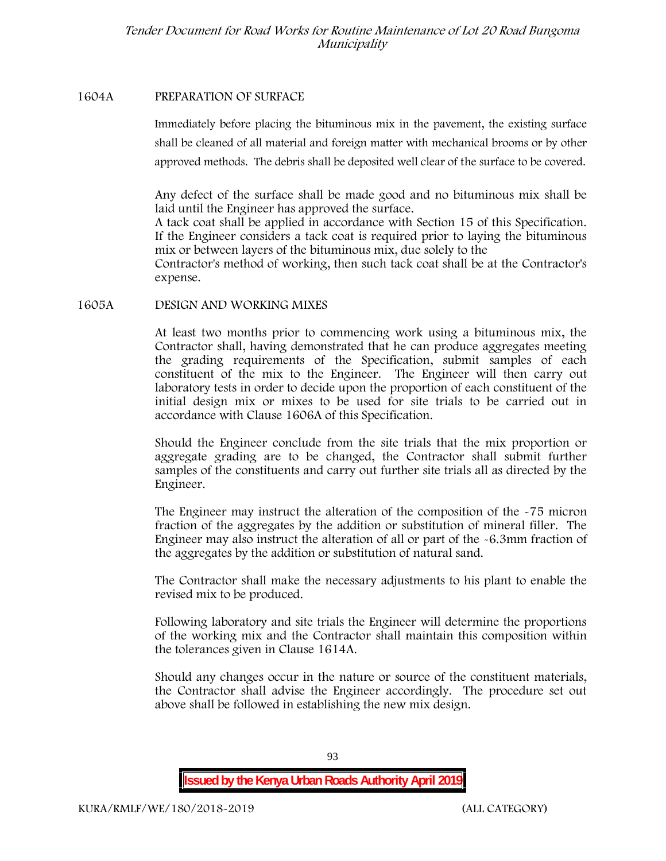#### **1604A PREPARATION OF SURFACE**

Immediately before placing the bituminous mix in the pavement, the existing surface shall be cleaned of all material and foreign matter with mechanical brooms or by other approved methods. The debris shall be deposited well clear of the surface to be covered.

Any defect of the surface shall be made good and no bituminous mix shall be laid until the Engineer has approved the surface.

A tack coat shall be applied in accordance with Section 15 of this Specification. If the Engineer considers a tack coat is required prior to laying the bituminous mix or between layers of the bituminous mix, due solely to the

Contractor's method of working, then such tack coat shall be at the Contractor's expense.

## **1605A DESIGN AND WORKING MIXES**

At least two months prior to commencing work using a bituminous mix, the Contractor shall, having demonstrated that he can produce aggregates meeting the grading requirements of the Specification, submit samples of each constituent of the mix to the Engineer. The Engineer will then carry out laboratory tests in order to decide upon the proportion of each constituent of the initial design mix or mixes to be used for site trials to be carried out in accordance with Clause 1606A of this Specification.

Should the Engineer conclude from the site trials that the mix proportion or aggregate grading are to be changed, the Contractor shall submit further samples of the constituents and carry out further site trials all as directed by the Engineer.

The Engineer may instruct the alteration of the composition of the -75 micron fraction of the aggregates by the addition or substitution of mineral filler. The Engineer may also instruct the alteration of all or part of the -6.3mm fraction of the aggregates by the addition or substitution of natural sand.

The Contractor shall make the necessary adjustments to his plant to enable the revised mix to be produced.

Following laboratory and site trials the Engineer will determine the proportions of the working mix and the Contractor shall maintain this composition within the tolerances given in Clause 1614A.

Should any changes occur in the nature or source of the constituent materials, the Contractor shall advise the Engineer accordingly. The procedure set out above shall be followed in establishing the new mix design.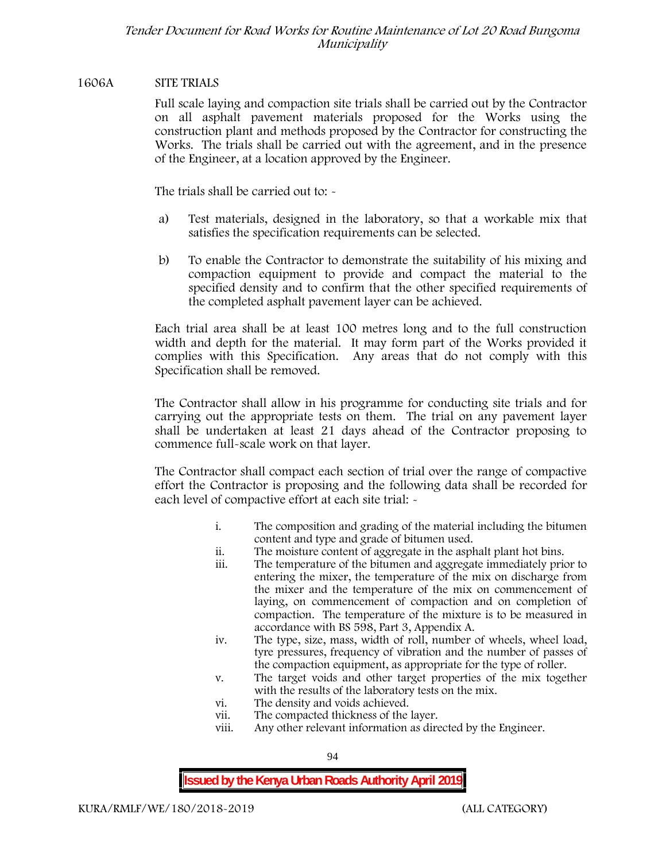## **1606A SITE TRIALS**

Full scale laying and compaction site trials shall be carried out by the Contractor on all asphalt pavement materials proposed for the Works using the construction plant and methods proposed by the Contractor for constructing the Works. The trials shall be carried out with the agreement, and in the presence of the Engineer, at a location approved by the Engineer.

The trials shall be carried out to: -

- a) Test materials, designed in the laboratory, so that a workable mix that satisfies the specification requirements can be selected.
- b) To enable the Contractor to demonstrate the suitability of his mixing and compaction equipment to provide and compact the material to the specified density and to confirm that the other specified requirements of the completed asphalt pavement layer can be achieved.

Each trial area shall be at least 100 metres long and to the full construction width and depth for the material. It may form part of the Works provided it complies with this Specification. Any areas that do not comply with this Specification shall be removed.

The Contractor shall allow in his programme for conducting site trials and for carrying out the appropriate tests on them. The trial on any pavement layer shall be undertaken at least 21 days ahead of the Contractor proposing to commence full-scale work on that layer.

The Contractor shall compact each section of trial over the range of compactive effort the Contractor is proposing and the following data shall be recorded for each level of compactive effort at each site trial:  $\sim$ 

- i. The composition and grading of the material including the bitumen content and type and grade of bitumen used.
- ii. The moisture content of aggregate in the asphalt plant hot bins.
- iii. The temperature of the bitumen and aggregate immediately prior to entering the mixer, the temperature of the mix on discharge from the mixer and the temperature of the mix on commencement of laying, on commencement of compaction and on completion of compaction. The temperature of the mixture is to be measured in accordance with BS 598, Part 3, Appendix A.
- iv. The type, size, mass, width of roll, number of wheels, wheel load, tyre pressures, frequency of vibration and the number of passes of the compaction equipment, as appropriate for the type of roller.
- v. The target voids and other target properties of the mix together with the results of the laboratory tests on the mix.
- vi. The density and voids achieved.
- vii. The compacted thickness of the layer.
- viii. Any other relevant information as directed by the Engineer.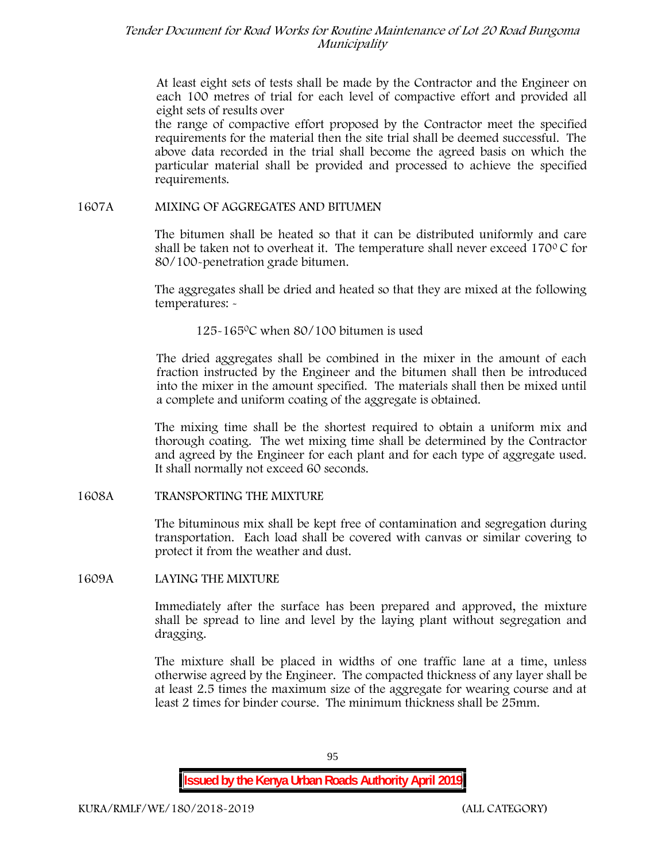At least eight sets of tests shall be made by the Contractor and the Engineer on each 100 metres of trial for each level of compactive effort and provided all eight sets of results over

the range of compactive effort proposed by the Contractor meet the specified requirements for the material then the site trial shall be deemed successful. The above data recorded in the trial shall become the agreed basis on which the particular material shall be provided and processed to achieve the specified requirements.

#### **1607A MIXING OF AGGREGATES AND BITUMEN**

The bitumen shall be heated so that it can be distributed uniformly and care shall be taken not to overheat it. The temperature shall never exceed 170 $\degree$ C for 80/100-penetration grade bitumen.

The aggregates shall be dried and heated so that they are mixed at the following temperatures: -

125-1650C when 80/100 bitumen is used

The dried aggregates shall be combined in the mixer in the amount of each fraction instructed by the Engineer and the bitumen shall then be introduced into the mixer in the amount specified. The materials shall then be mixed until a complete and uniform coating of the aggregate is obtained.

The mixing time shall be the shortest required to obtain a uniform mix and thorough coating. The wet mixing time shall be determined by the Contractor and agreed by the Engineer for each plant and for each type of aggregate used. It shall normally not exceed 60 seconds.

**1608A TRANSPORTING THE MIXTURE**

The bituminous mix shall be kept free of contamination and segregation during transportation. Each load shall be covered with canvas or similar covering to protect it from the weather and dust.

**1609A LAYING THE MIXTURE**

Immediately after the surface has been prepared and approved, the mixture shall be spread to line and level by the laying plant without segregation and dragging.

The mixture shall be placed in widths of one traffic lane at a time, unless otherwise agreed by the Engineer. The compacted thickness of any layer shall be at least 2.5 times the maximum size of the aggregate for wearing course and at least 2 times for binder course. The minimum thickness shall be 25mm.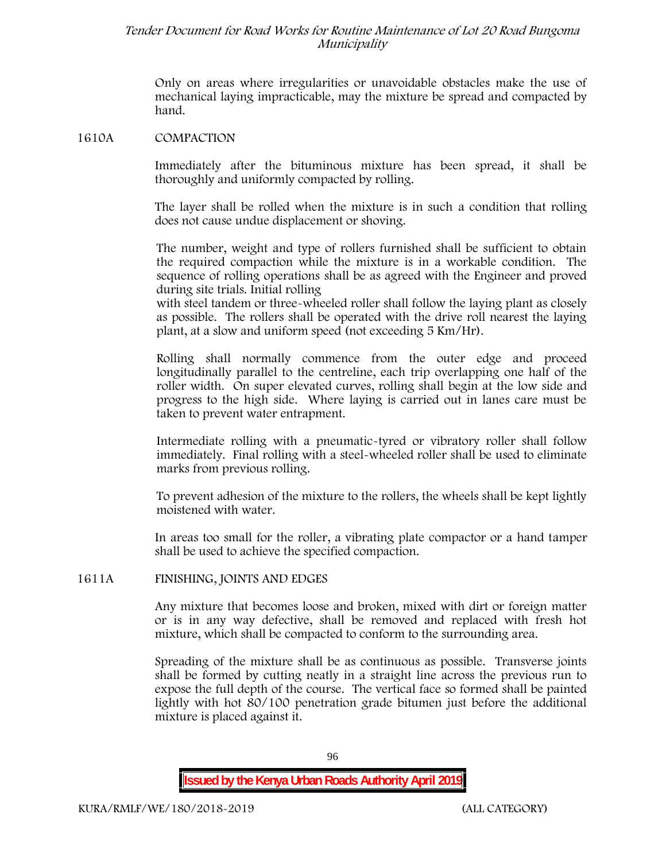Only on areas where irregularities or unavoidable obstacles make the use of mechanical laying impracticable, may the mixture be spread and compacted by hand.

#### **1610A COMPACTION**

Immediately after the bituminous mixture has been spread, it shall be thoroughly and uniformly compacted by rolling.

The layer shall be rolled when the mixture is in such a condition that rolling does not cause undue displacement or shoving.

The number, weight and type of rollers furnished shall be sufficient to obtain the required compaction while the mixture is in a workable condition. The sequence of rolling operations shall be as agreed with the Engineer and proved during site trials. Initial rolling

with steel tandem or three-wheeled roller shall follow the laying plant as closely as possible. The rollers shall be operated with the drive roll nearest the laying plant, at a slow and uniform speed (not exceeding 5 Km/Hr).

Rolling shall normally commence from the outer edge and proceed longitudinally parallel to the centreline, each trip overlapping one half of the roller width. On super elevated curves, rolling shall begin at the low side and progress to the high side. Where laying is carried out in lanes care must be taken to prevent water entrapment.

Intermediate rolling with a pneumatic-tyred or vibratory roller shall follow immediately. Final rolling with a steel-wheeled roller shall be used to eliminate marks from previous rolling.

To prevent adhesion of the mixture to the rollers, the wheels shall be kept lightly moistened with water.

In areas too small for the roller, a vibrating plate compactor or a hand tamper shall be used to achieve the specified compaction.

#### **1611A FINISHING, JOINTS AND EDGES**

Any mixture that becomes loose and broken, mixed with dirt or foreign matter or is in any way defective, shall be removed and replaced with fresh hot mixture, which shall be compacted to conform to the surrounding area.

Spreading of the mixture shall be as continuous as possible. Transverse joints shall be formed by cutting neatly in a straight line across the previous run to expose the full depth of the course. The vertical face so formed shall be painted lightly with hot 80/100 penetration grade bitumen just before the additional mixture is placed against it.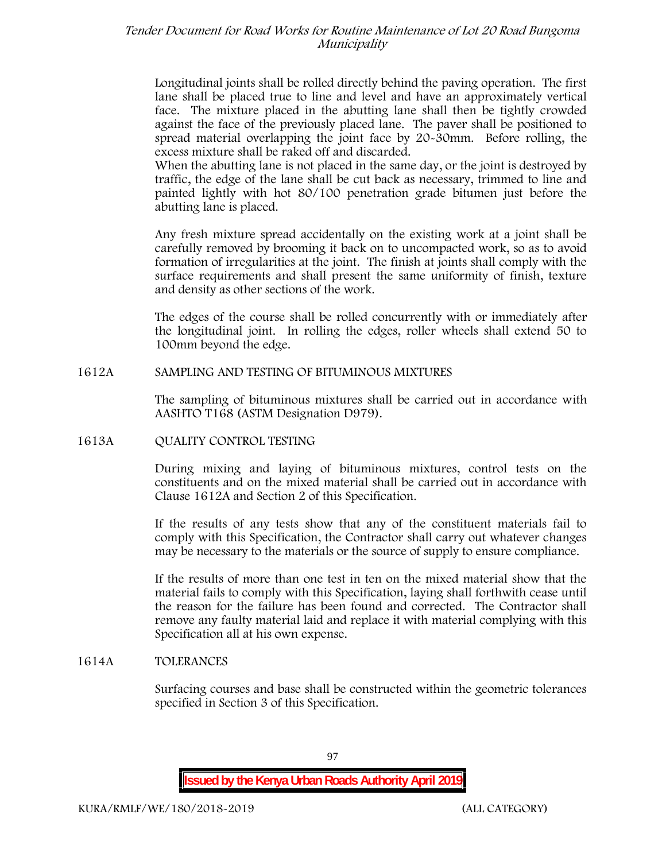Longitudinal joints shall be rolled directly behind the paving operation. The first lane shall be placed true to line and level and have an approximately vertical face. The mixture placed in the abutting lane shall then be tightly crowded against the face of the previously placed lane. The paver shall be positioned to spread material overlapping the joint face by 20-30mm. Before rolling, the excess mixture shall be raked off and discarded.

When the abutting lane is not placed in the same day, or the joint is destroyed by traffic, the edge of the lane shall be cut back as necessary, trimmed to line and painted lightly with hot 80/100 penetration grade bitumen just before the abutting lane is placed.

Any fresh mixture spread accidentally on the existing work at a joint shall be carefully removed by brooming it back on to uncompacted work, so as to avoid formation of irregularities at the joint. The finish at joints shall comply with the surface requirements and shall present the same uniformity of finish, texture and density as other sections of the work.

The edges of the course shall be rolled concurrently with or immediately after the longitudinal joint. In rolling the edges, roller wheels shall extend 50 to 100mm beyond the edge.

## **1612A SAMPLING AND TESTING OF BITUMINOUS MIXTURES**

The sampling of bituminous mixtures shall be carried out in accordance with AASHTO T168 (ASTM Designation D979).

## **1613A QUALITY CONTROL TESTING**

During mixing and laying of bituminous mixtures, control tests on the constituents and on the mixed material shall be carried out in accordance with Clause 1612A and Section 2 of this Specification.

If the results of any tests show that any of the constituent materials fail to comply with this Specification, the Contractor shall carry out whatever changes may be necessary to the materials or the source of supply to ensure compliance.

If the results of more than one test in ten on the mixed material show that the material fails to comply with this Specification, laying shall forthwith cease until the reason for the failure has been found and corrected. The Contractor shall remove any faulty material laid and replace it with material complying with this Specification all at his own expense.

## **1614A TOLERANCES**

Surfacing courses and base shall be constructed within the geometric tolerances specified in Section 3 of this Specification.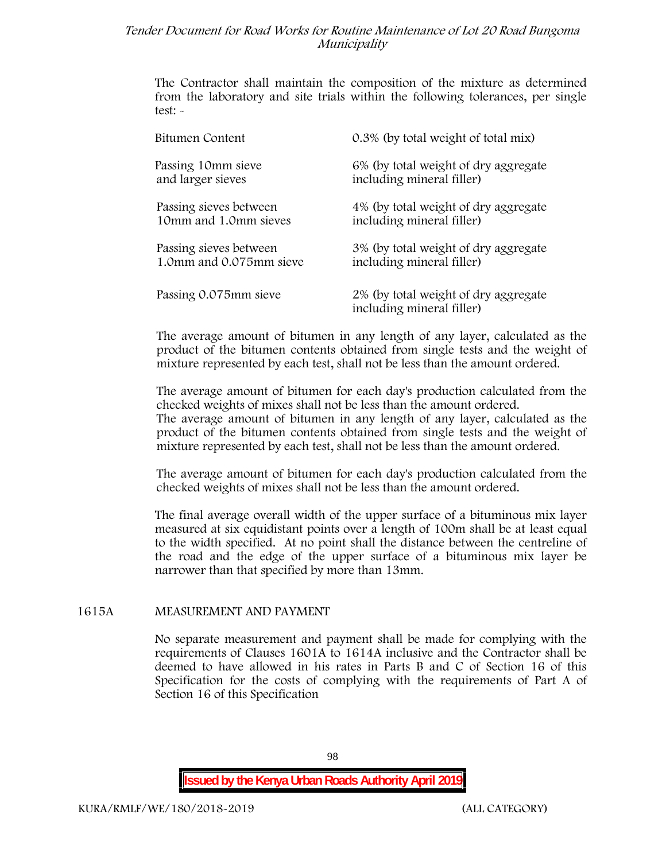The Contractor shall maintain the composition of the mixture as determined from the laboratory and site trials within the following tolerances, per single test: -

| Bitumen Content         | 0.3% (by total weight of total mix)                               |
|-------------------------|-------------------------------------------------------------------|
| Passing 10mm sieve      | 6% (by total weight of dry aggregate                              |
| and larger sieves       | including mineral filler)                                         |
| Passing sieves between  | 4% (by total weight of dry aggregate                              |
| 10mm and 1.0mm sieves   | including mineral filler)                                         |
| Passing sieves between  | 3% (by total weight of dry aggregate                              |
| 1.0mm and 0.075mm sieve | including mineral filler)                                         |
| Passing 0.075mm sieve   | 2% (by total weight of dry aggregate<br>including mineral filler) |

The average amount of bitumen in any length of any layer, calculated as the product of the bitumen contents obtained from single tests and the weight of mixture represented by each test, shall not be less than the amount ordered.

The average amount of bitumen for each day's production calculated from the checked weights of mixes shall not be less than the amount ordered. The average amount of bitumen in any length of any layer, calculated as the

product of the bitumen contents obtained from single tests and the weight of mixture represented by each test, shall not be less than the amount ordered.

The average amount of bitumen for each day's production calculated from the checked weights of mixes shall not be less than the amount ordered.

The final average overall width of the upper surface of a bituminous mix layer measured at six equidistant points over a length of 100m shall be at least equal to the width specified. At no point shall the distance between the centreline of the road and the edge of the upper surface of a bituminous mix layer be narrower than that specified by more than 13mm.

## **1615A MEASUREMENT AND PAYMENT**

No separate measurement and payment shall be made for complying with the requirements of Clauses 1601A to 1614A inclusive and the Contractor shall be deemed to have allowed in his rates in Parts B and C of Section 16 of this Specification for the costs of complying with the requirements of Part A of Section 16 of this Specification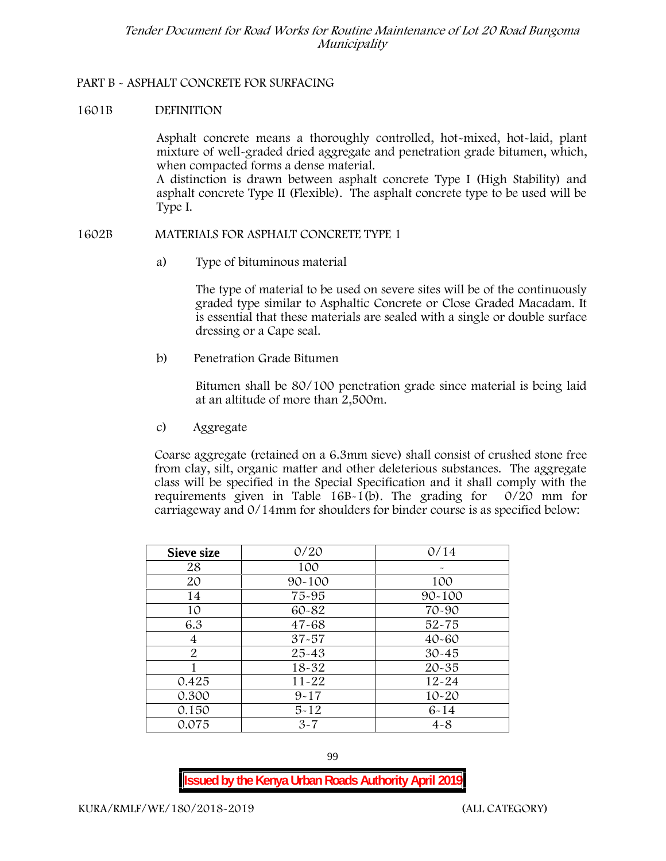## **PART B - ASPHALT CONCRETE FOR SURFACING**

## **1601B DEFINITION**

Asphalt concrete means a thoroughly controlled, hot-mixed, hot-laid, plant mixture of well-graded dried aggregate and penetration grade bitumen, which, when compacted forms a dense material.

A distinction is drawn between asphalt concrete Type I (High Stability) and asphalt concrete Type II (Flexible). The asphalt concrete type to be used will be Type I.

## **1602B MATERIALS FOR ASPHALT CONCRETE TYPE 1**

a) **Type of bituminous material**

The type of material to be used on severe sites will be of the continuously graded type similar to Asphaltic Concrete or Close Graded Macadam. It is essential that these materials are sealed with a single or double surface dressing or a Cape seal.

b) **Penetration Grade Bitumen**

Bitumen shall be 80/100 penetration grade since material is being laid at an altitude of more than 2,500m.

c) **Aggregate**

Coarse aggregate (retained on a 6.3mm sieve) shall consist of crushed stone free from clay, silt, organic matter and other deleterious substances. The aggregate class will be specified in the Special Specification and it shall comply with the requirements given in Table 16B-1(b). The grading for 0/20 mm for carriageway and 0/14mm for shoulders for binder course is as specified below:

| <b>Sieve size</b> | 0/20       | 0/14       |  |  |
|-------------------|------------|------------|--|--|
| 28                | 100        |            |  |  |
| 20                | $90 - 100$ | 100        |  |  |
| 14                | 75-95      | $90 - 100$ |  |  |
| 10                | 60-82      | 70-90      |  |  |
| 6.3               | $47 - 68$  | $52 - 75$  |  |  |
| 4                 | $37 - 57$  | $40 - 60$  |  |  |
| 2                 | $25 - 43$  | $30 - 45$  |  |  |
|                   | 18-32      | $20 - 35$  |  |  |
| 0.425             | $11 - 22$  | $12 - 24$  |  |  |
| 0.300             | $9 - 17$   | $10 - 20$  |  |  |
| 0.150             | $5 - 12$   | $6 - 14$   |  |  |
| 0.075             | $3 - 7$    | $4 - 8$    |  |  |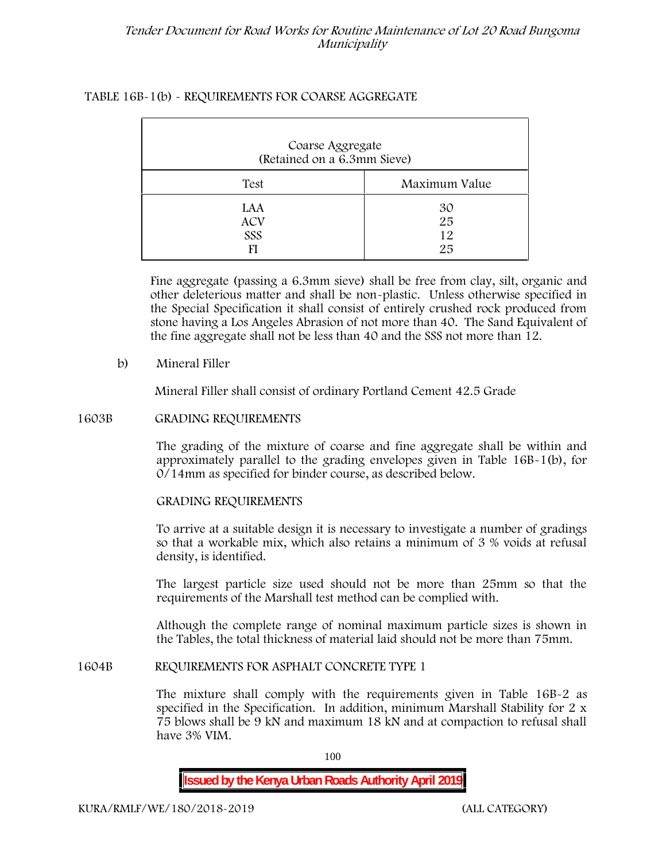# **TABLE 16B-1(b) - REQUIREMENTS FOR COARSE AGGREGATE**

| Coarse Aggregate<br>(Retained on a 6.3mm Sieve) |                      |  |  |  |  |
|-------------------------------------------------|----------------------|--|--|--|--|
| Test                                            | Maximum Value        |  |  |  |  |
| LAA<br><b>ACV</b><br>SSS                        | 30<br>25<br>12<br>25 |  |  |  |  |

Fine aggregate (passing a 6.3mm sieve) shall be free from clay, silt, organic and other deleterious matter and shall be non-plastic. Unless otherwise specified in the Special Specification it shall consist of entirely crushed rock produced from stone having a Los Angeles Abrasion of not more than 40. The Sand Equivalent of the fine aggregate shall not be less than 40 and the SSS not more than 12.

# **b) Mineral Filler**

Mineral Filler shall consist of ordinary Portland Cement 42.5 Grade

## **1603B GRADING REQUIREMENTS**

The grading of the mixture of coarse and fine aggregate shall be within and approximately parallel to the grading envelopes given in Table 16B-1(b), for 0/14mm as specified for binder course, as described below.

## **GRADING REQUIREMENTS**

To arrive at a suitable design it is necessary to investigate a number of gradings so that a workable mix, which also retains a minimum of 3 % voids at refusal density, is identified.

The largest particle size used should not be more than 25mm so that the requirements of the Marshall test method can be complied with.

Although the complete range of nominal maximum particle sizes is shown in the Tables, the total thickness of material laid should not be more than 75mm.

# **1604B REQUIREMENTS FOR ASPHALT CONCRETE TYPE 1**

The mixture shall comply with the requirements given in Table 16B-2 as specified in the Specification. In addition, minimum Marshall Stability for 2 x 75 blows shall be 9 kN and maximum 18 kN and at compaction to refusal shall have 3% VIM.

100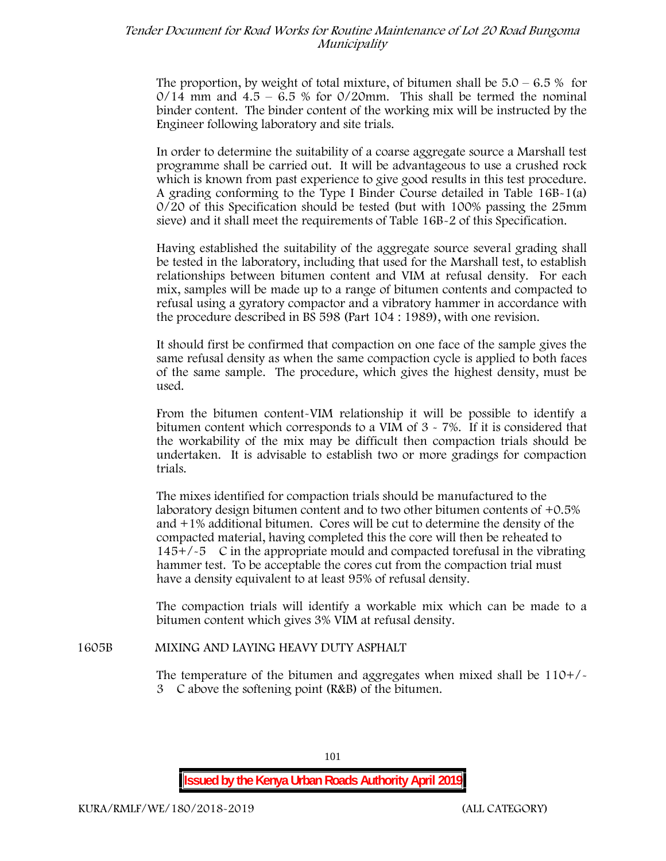The proportion, by weight of total mixture, of bitumen shall be  $5.0 - 6.5\%$  for  $0/14$  mm and  $4.5 - 6.5$  % for  $0/20$ mm. This shall be termed the nominal binder content. The binder content of the working mix will be instructed by the Engineer following laboratory and site trials.

In order to determine the suitability of a coarse aggregate source a Marshall test programme shall be carried out. It will be advantageous to use a crushed rock which is known from past experience to give good results in this test procedure. A grading conforming to the Type I Binder Course detailed in Table 16B-1(a) 0/20 of this Specification should be tested (but with 100% passing the 25mm sieve) and it shall meet the requirements of Table 16B-2 of this Specification.

Having established the suitability of the aggregate source several grading shall be tested in the laboratory, including that used for the Marshall test, to establish relationships between bitumen content and VIM at refusal density. For each mix, samples will be made up to a range of bitumen contents and compacted to refusal using a gyratory compactor and a vibratory hammer in accordance with the procedure described in BS 598 (Part 104 : 1989), with one revision.

It should first be confirmed that compaction on one face of the sample gives the same refusal density as when the same compaction cycle is applied to both faces of the same sample. The procedure, which gives the highest density, must be used.

From the bitumen content-VIM relationship it will be possible to identify a bitumen content which corresponds to a VIM of 3 - 7%. If it is considered that the workability of the mix may be difficult then compaction trials should be undertaken. It is advisable to establish two or more gradings for compaction trials.

The mixes identified for compaction trials should be manufactured to the laboratory design bitumen content and to two other bitumen contents of +0.5% and +1% additional bitumen. Cores will be cut to determine the density of the compacted material, having completed this the core will then be reheated to  $145+/5$  C in the appropriate mould and compacted torefusal in the vibrating hammer test. To be acceptable the cores cut from the compaction trial must have a density equivalent to at least 95% of refusal density.

The compaction trials will identify a workable mix which can be made to a bitumen content which gives 3% VIM at refusal density.

## **1605B MIXING AND LAYING HEAVY DUTY ASPHALT**

The temperature of the bitumen and aggregates when mixed shall be 110+/- 3C above the softening point (R&B) of the bitumen.

**Issued by the Kenya Urban Roads Authority April 2019**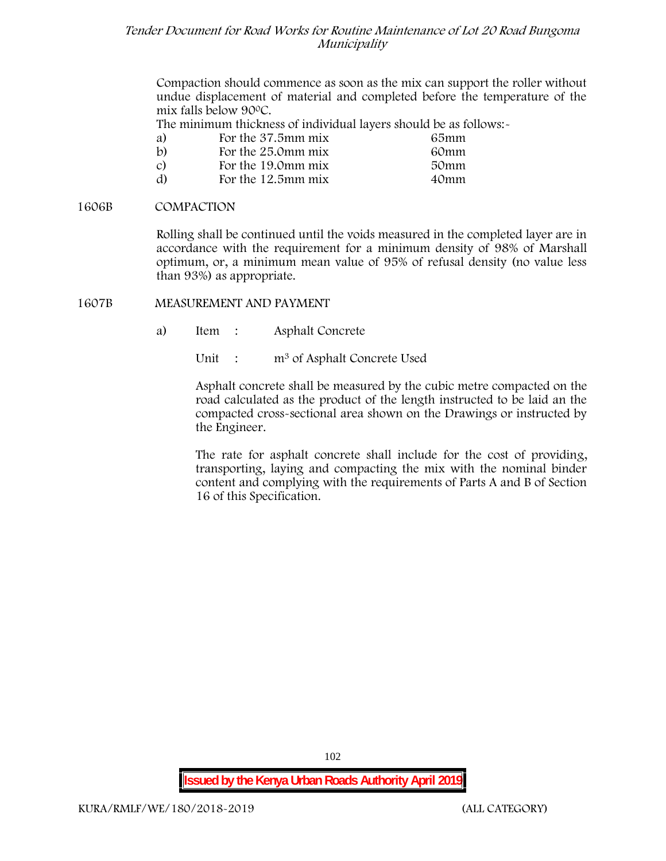Compaction should commence as soon as the mix can support the roller without undue displacement of material and completed before the temperature of the mix falls below 900C.

The minimum thickness of individual layers should be as follows:-

| a)            | For the 37.5mm mix | 65mm |  |
|---------------|--------------------|------|--|
| $\mathbf{b}$  | For the 25.0mm mix | 60mm |  |
| $\mathcal{C}$ | For the 19.0mm mix | 50mm |  |
| d)            | For the 12.5mm mix | 40mm |  |

## **1606B COMPACTION**

Rolling shall be continued until the voids measured in the completed layer are in accordance with the requirement for a minimum density of 98% of Marshall optimum, or, a minimum mean value of 95% of refusal density (no value less than 93%) as appropriate.

## **1607B MEASUREMENT AND PAYMENT**

- a) Item : Asphalt Concrete
	- Unit : m<sup>3</sup> of Asphalt Concrete Used

Asphalt concrete shall be measured by the cubic metre compacted on the road calculated as the product of the length instructed to be laid an the compacted cross-sectional area shown on the Drawings or instructed by the Engineer.

The rate for asphalt concrete shall include for the cost of providing, transporting, laying and compacting the mix with the nominal binder content and complying with the requirements of Parts A and B of Section 16 of this Specification.

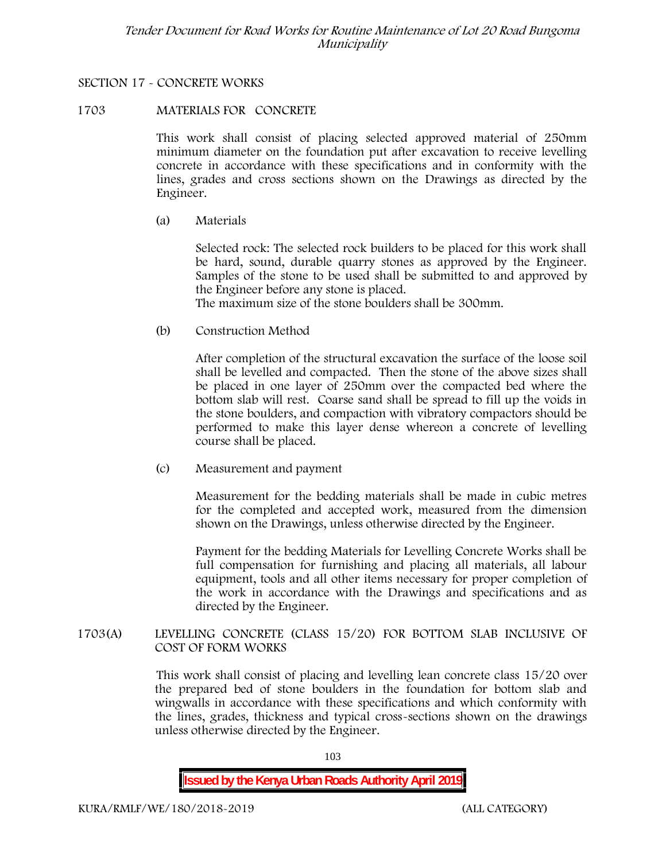# **SECTION 17 - CONCRETE WORKS**

## **1703 MATERIALS FOR CONCRETE**

This work shall consist of placing selected approved material of 250mm minimum diameter on the foundation put after excavation to receive levelling concrete in accordance with these specifications and in conformity with the lines, grades and cross sections shown on the Drawings as directed by the Engineer.

(a) **Materials**

Selected rock: The selected rock builders to be placed for this work shall be hard, sound, durable quarry stones as approved by the Engineer. Samples of the stone to be used shall be submitted to and approved by the Engineer before any stone is placed.

The maximum size of the stone boulders shall be 300mm.

(b) **Construction Method**

After completion of the structural excavation the surface of the loose soil shall be levelled and compacted. Then the stone of the above sizes shall be placed in one layer of 250mm over the compacted bed where the bottom slab will rest. Coarse sand shall be spread to fill up the voids in the stone boulders, and compaction with vibratory compactors should be performed to make this layer dense whereon a concrete of levelling course shall be placed.

(c) **Measurement and payment**

Measurement for the bedding materials shall be made in cubic metres for the completed and accepted work, measured from the dimension shown on the Drawings, unless otherwise directed by the Engineer.

Payment for the bedding Materials for Levelling Concrete Works shall be full compensation for furnishing and placing all materials, all labour equipment, tools and all other items necessary for proper completion of the work in accordance with the Drawings and specifications and as directed by the Engineer.

**1703(A) LEVELLING CONCRETE (CLASS 15/20) FOR BOTTOM SLAB INCLUSIVE OF COST OF FORM WORKS**

> This work shall consist of placing and levelling lean concrete class 15/20 over the prepared bed of stone boulders in the foundation for bottom slab and wingwalls in accordance with these specifications and which conformity with the lines, grades, thickness and typical cross-sections shown on the drawings unless otherwise directed by the Engineer.

> > 103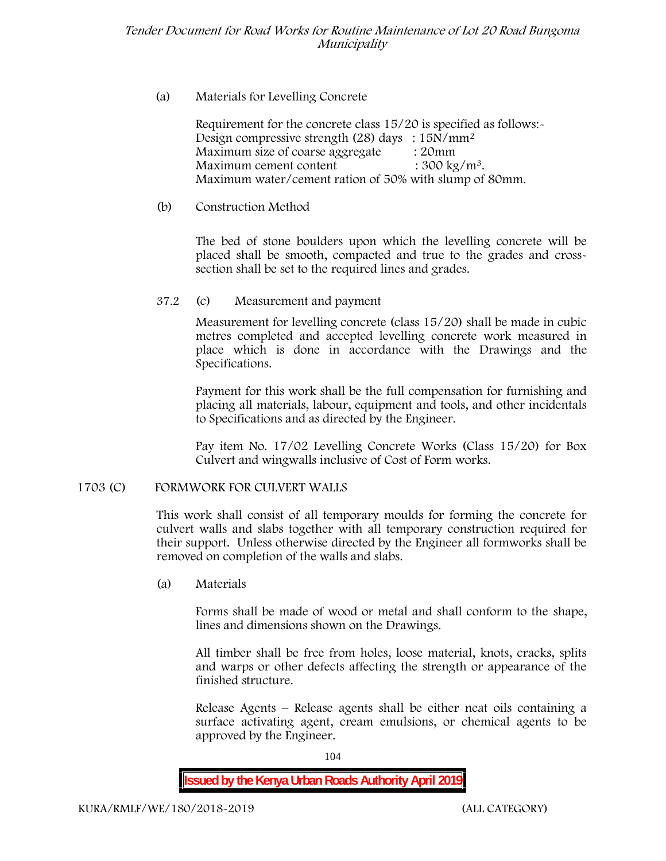# (a) **Materials for Levelling Concrete**

Requirement for the concrete class 15/20 is specified as follows:- Design compressive strength (28) days :  $15N/mm^2$ Maximum size of coarse aggregate : 20mm Maximum cement content  $: 300 \text{ kg/m}^3$ . Maximum water/cement ration of 50% with slump of 80mm.

# (b) **Construction Method**

The bed of stone boulders upon which the levelling concrete will be placed shall be smooth, compacted and true to the grades and crosssection shall be set to the required lines and grades.

# **37.2** (c) **Measurement and payment**

Measurement for levelling concrete (class 15/20) shall be made in cubic metres completed and accepted levelling concrete work measured in place which is done in accordance with the Drawings and the Specifications.

Payment for this work shall be the full compensation for furnishing and placing all materials, labour, equipment and tools, and other incidentals to Specifications and as directed by the Engineer.

Pay item No. 17/02 Levelling Concrete Works (Class 15/20) for Box Culvert and wingwalls inclusive of Cost of Form works.

# **1703 (C) FORMWORK FOR CULVERT WALLS**

This work shall consist of all temporary moulds for forming the concrete for culvert walls and slabs together with all temporary construction required for their support. Unless otherwise directed by the Engineer all formworks shall be removed on completion of the walls and slabs.

(a) **Materials**

Forms shall be made of wood or metal and shall conform to the shape, lines and dimensions shown on the Drawings.

All timber shall be free from holes, loose material, knots, cracks, splits and warps or other defects affecting the strength or appearance of the finished structure.

Release Agents – Release agents shall be either neat oils containing a surface activating agent, cream emulsions, or chemical agents to be approved by the Engineer.

104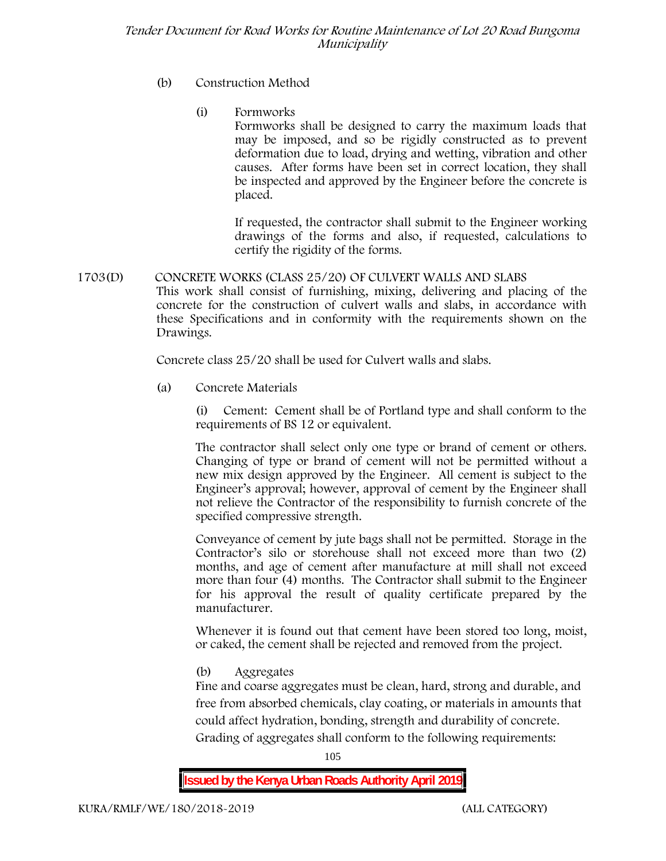- (b) **Construction Method**
	- (i) **Formworks**

Formworks shall be designed to carry the maximum loads that may be imposed, and so be rigidly constructed as to prevent deformation due to load, drying and wetting, vibration and other causes. After forms have been set in correct location, they shall be inspected and approved by the Engineer before the concrete is placed.

If requested, the contractor shall submit to the Engineer working drawings of the forms and also, if requested, calculations to certify the rigidity of the forms.

**1703(D) CONCRETE WORKS (CLASS 25/20) OF CULVERT WALLS AND SLABS** This work shall consist of furnishing, mixing, delivering and placing of the concrete for the construction of culvert walls and slabs, in accordance with these Specifications and in conformity with the requirements shown on the Drawings.

Concrete class 25/20 shall be used for Culvert walls and slabs.

**(a) Concrete Materials**

(i) Cement: Cement shall be of Portland type and shall conform to the requirements of BS 12 or equivalent.

The contractor shall select only one type or brand of cement or others. Changing of type or brand of cement will not be permitted without a new mix design approved by the Engineer. All cement is subject to the Engineer's approval; however, approval of cement by the Engineer shall not relieve the Contractor of the responsibility to furnish concrete of the specified compressive strength.

Conveyance of cement by jute bags shall not be permitted. Storage in the Contractor's silo or storehouse shall not exceed more than two (2) months, and age of cement after manufacture at mill shall not exceed more than four (4) months. The Contractor shall submit to the Engineer for his approval the result of quality certificate prepared by the manufacturer.

Whenever it is found out that cement have been stored too long, moist, or caked, the cement shall be rejected and removed from the project.

**(b) Aggregates**

Fine and coarse aggregates must be clean, hard, strong and durable, and free from absorbed chemicals, clay coating, or materials in amounts that could affect hydration, bonding, strength and durability of concrete. Grading of aggregates shall conform to the following requirements:

105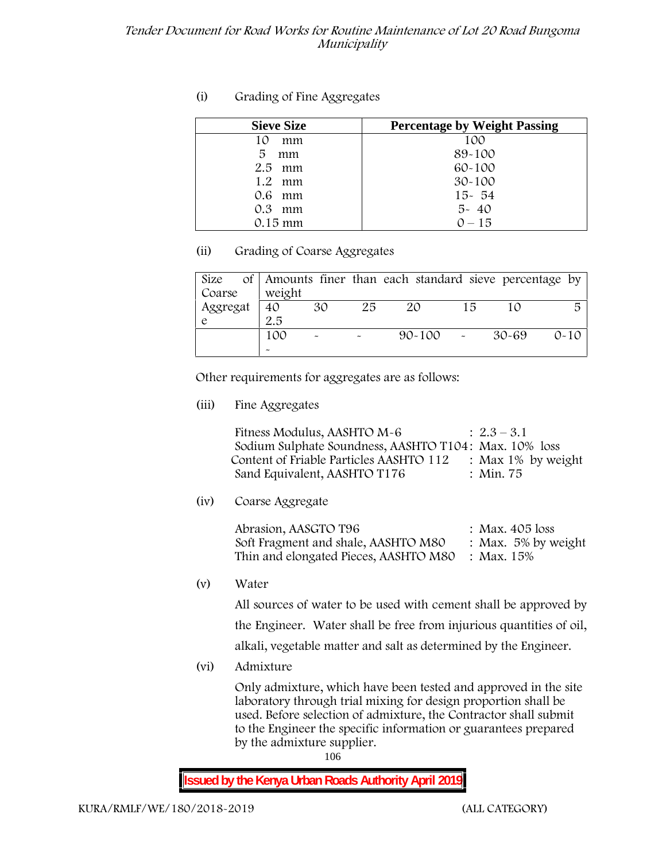# **(i) Grading of Fine Aggregates**

| <b>Sieve Size</b> | <b>Percentage by Weight Passing</b> |
|-------------------|-------------------------------------|
| mm<br>10          | 100                                 |
| 5<br>mm           | 89-100                              |
| $2.5$ mm          | $60 - 100$                          |
| 1.2 mm            | $30 - 100$                          |
| $0.6$ mm          | $15 - 54$                           |
| $0.3$ mm          | $5 - 40$                            |
| $0.15$ mm         | $0 - 15$                            |

# **(ii) Grading of Coarse Aggregates**

| Size     |                       |                           |    | of Amounts finer than each standard sieve percentage by |    |       |          |
|----------|-----------------------|---------------------------|----|---------------------------------------------------------|----|-------|----------|
| Coarse   | weight                |                           |    |                                                         |    |       |          |
| Aggregat | 40                    | 30                        | 25 | ZO                                                      | 15 |       | 尽        |
|          | 2.5                   |                           |    |                                                         |    |       |          |
|          | 100                   | $\widetilde{\phantom{m}}$ |    | $90 - 100$                                              |    | 30-69 | $0 - 10$ |
|          | $\tilde{\phantom{a}}$ |                           |    |                                                         |    |       |          |

Other requirements for aggregates are as follows:

**(iii) Fine Aggregates**

| Fitness Modulus, AASHTO M-6                           | $: 2.3 - 3.1$         |
|-------------------------------------------------------|-----------------------|
| Sodium Sulphate Soundness, AASHTO T104: Max. 10% loss |                       |
| Content of Friable Particles AASHTO 112               | : Max $1\%$ by weight |
| Sand Equivalent, AASHTO T176                          | : Min. 75             |

**(iv) Coarse Aggregate**

Abrasion, AASGTO T96 : Max. 405 loss Soft Fragment and shale, AASHTO M80 : Max. 5% by weight Thin and elongated Pieces, AASHTO M80 : Max. 15%

**(v) Water**

All sources of water to be used with cement shall be approved by the Engineer. Water shall be free from injurious quantities of oil, alkali, vegetable matter and salt as determined by the Engineer.

**(vi) Admixture**

Only admixture, which have been tested and approved in the site laboratory through trial mixing for design proportion shall be used. Before selection of admixture, the Contractor shall submit to the Engineer the specific information or guarantees prepared by the admixture supplier.

106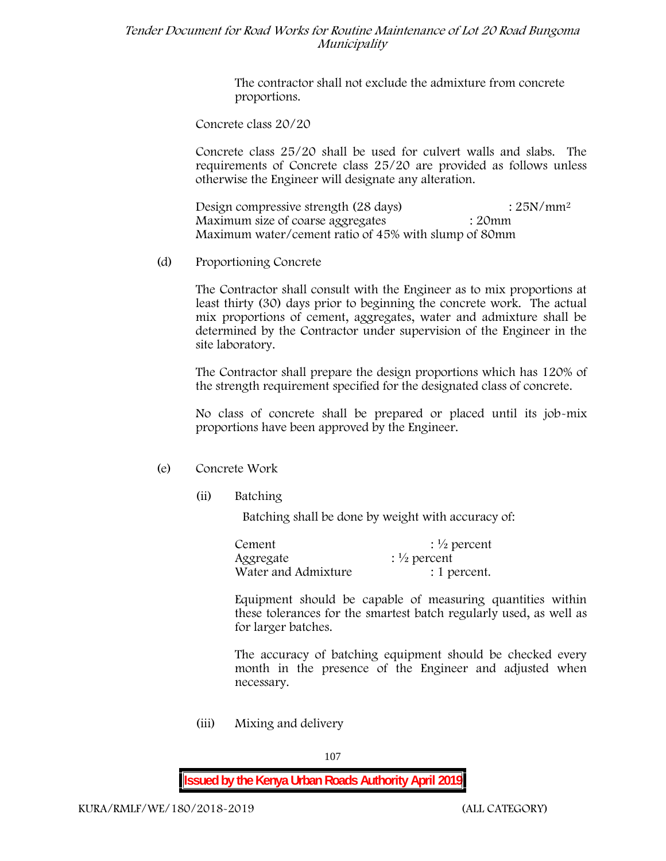The contractor shall not exclude the admixture from concrete proportions.

**Concrete class 20/20**

Concrete class 25/20 shall be used for culvert walls and slabs. The requirements of Concrete class 25/20 are provided as follows unless otherwise the Engineer will designate any alteration.

Design compressive strength (28 days) : 25N/mm<sup>2</sup> Maximum size of coarse aggregates : 20mm Maximum water/cement ratio of 45% with slump of 80mm

(d) **Proportioning Concrete**

The Contractor shall consult with the Engineer as to mix proportions at least thirty (30) days prior to beginning the concrete work. The actual mix proportions of cement, aggregates, water and admixture shall be determined by the Contractor under supervision of the Engineer in the site laboratory.

The Contractor shall prepare the design proportions which has 120% of the strength requirement specified for the designated class of concrete.

No class of concrete shall be prepared or placed until its job-mix proportions have been approved by the Engineer.

# (e) **Concrete Work**

**(ii) Batching**

Batching shall be done by weight with accuracy of:

| Cement              | $\frac{1}{2}$ percent |
|---------------------|-----------------------|
| Aggregate           | $\frac{1}{2}$ percent |
| Water and Admixture | : 1 percent.          |

Equipment should be capable of measuring quantities within these tolerances for the smartest batch regularly used, as well as for larger batches.

The accuracy of batching equipment should be checked every month in the presence of the Engineer and adjusted when necessary.

**(iii) Mixing and delivery**

107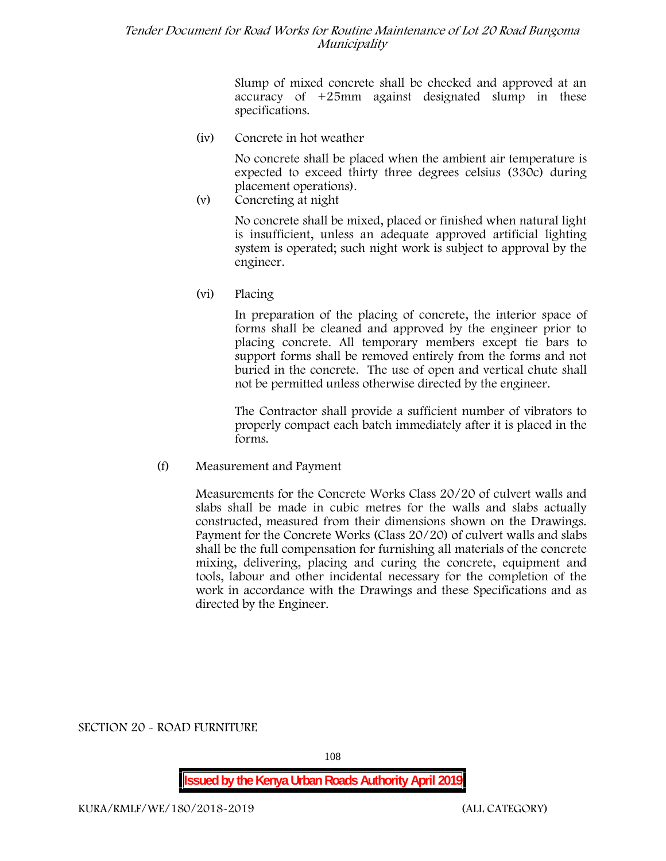Slump of mixed concrete shall be checked and approved at an accuracy of +25mm against designated slump in these specifications.

**(iv) Concrete in hot weather**

No concrete shall be placed when the ambient air temperature is expected to exceed thirty three degrees celsius (330c) during placement operations).

**(v) Concreting at night**

No concrete shall be mixed, placed or finished when natural light is insufficient, unless an adequate approved artificial lighting system is operated; such night work is subject to approval by the engineer.

**(vi) Placing**

In preparation of the placing of concrete, the interior space of forms shall be cleaned and approved by the engineer prior to placing concrete. All temporary members except tie bars to support forms shall be removed entirely from the forms and not buried in the concrete. The use of open and vertical chute shall not be permitted unless otherwise directed by the engineer.

The Contractor shall provide a sufficient number of vibrators to properly compact each batch immediately after it is placed in the forms.

(f) **Measurement and Payment**

Measurements for the Concrete Works Class 20/20 of culvert walls and slabs shall be made in cubic metres for the walls and slabs actually constructed, measured from their dimensions shown on the Drawings. Payment for the Concrete Works (Class 20/20) of culvert walls and slabs shall be the full compensation for furnishing all materials of the concrete mixing, delivering, placing and curing the concrete, equipment and tools, labour and other incidental necessary for the completion of the work in accordance with the Drawings and these Specifications and as directed by the Engineer.

**SECTION 20 - ROAD FURNITURE**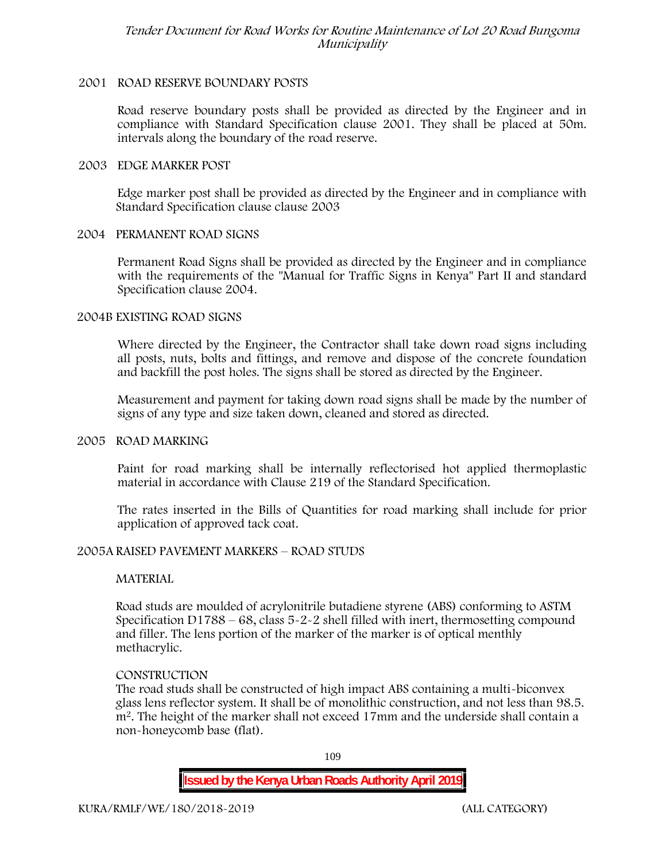### **2001 ROAD RESERVE BOUNDARY POSTS**

Road reserve boundary posts shall be provided as directed by the Engineer and in compliance with Standard Specification clause 2001. They shall be placed at 50m. intervals along the boundary of the road reserve.

#### **2003 EDGE MARKER POST**

Edge marker post shall be provided as directed by the Engineer and in compliance with Standard Specification clause clause 2003

### **2004 PERMANENT ROAD SIGNS**

Permanent Road Signs shall be provided as directed by the Engineer and in compliance with the requirements of the "Manual for Traffic Signs in Kenya" Part II and standard Specification clause 2004.

### **2004B EXISTING ROAD SIGNS**

Where directed by the Engineer, the Contractor shall take down road signs including all posts, nuts, bolts and fittings, and remove and dispose of the concrete foundation and backfill the post holes. The signs shall be stored as directed by the Engineer.

Measurement and payment for taking down road signs shall be made by the number of signs of any type and size taken down, cleaned and stored as directed.

#### **2005 ROAD MARKING**

Paint for road marking shall be internally reflectorised hot applied thermoplastic material in accordance with Clause 219 of the Standard Specification.

The rates inserted in the Bills of Quantities for road marking shall include for prior application of approved tack coat.

### **2005A RAISED PAVEMENT MARKERS – ROAD STUDS**

### **MATERIAL**

Road studs are moulded of acrylonitrile butadiene styrene (ABS) conforming to ASTM Specification D1788 – 68, class 5-2-2 shell filled with inert, thermosetting compound and filler. The lens portion of the marker of the marker is of optical menthly methacrylic.

#### **CONSTRUCTION**

The road studs shall be constructed of high impact ABS containing a multi-biconvex glass lens reflector system. It shall be of monolithic construction, and not less than 98.5. m2. The height of the marker shall not exceed 17mm and the underside shall contain a non-honeycomb base (flat).

109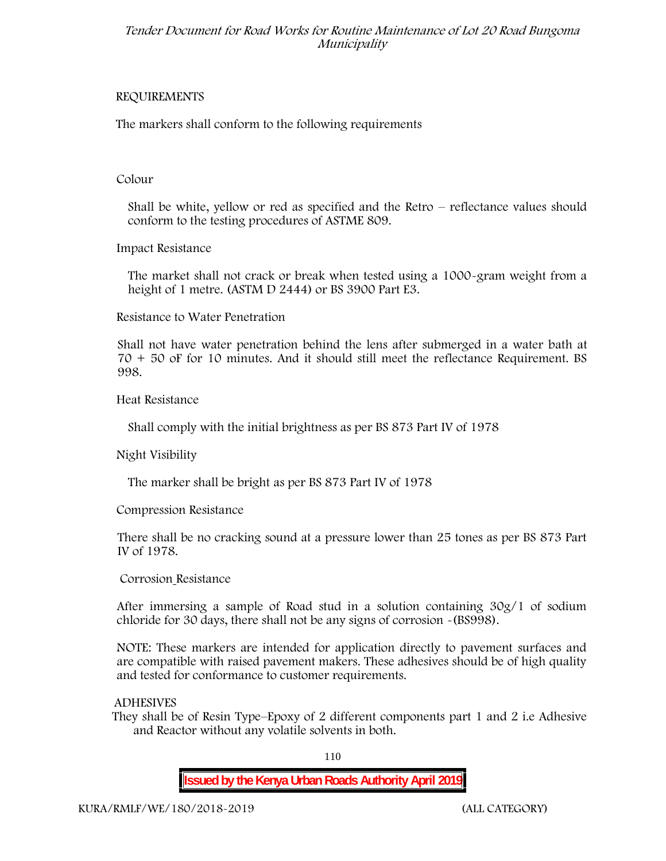### **REQUIREMENTS**

The markers shall conform to the following requirements

### **Colour**

Shall be white, yellow or red as specified and the Retro – reflectance values should conform to the testing procedures of ASTME 809.

**Impact Resistance**

The market shall not crack or break when tested using a 1000**-**gram weight from a height of 1 metre. (ASTM D 2444) or BS 3900 Part E3.

**Resistance to Water Penetration**

Shall not have water penetration behind the lens after submerged in a water bath at 70 + 50 oF for 10 minutes. And it should still meet the reflectance Requirement. BS 998.

**Heat Resistance**

Shall comply with the initial brightness as per BS 873 Part IV of 1978

**Night Visibility**

The marker shall be bright as per BS 873 Part IV of 1978

**Compression Resistance**

There shall be no cracking sound at a pressure lower than 25 tones as per BS 873 Part IV of 1978.

**Corrosion Resistance**

After immersing a sample of Road stud in a solution containing 30g/1 of sodium chloride for 30 days, there shall not be any signs of corrosion **-**(BS998).

**NOTE**: These markers are intended for application directly to pavement surfaces and are compatible with raised pavement makers. These adhesives should be of high quality and tested for conformance to customer requirements.

# **ADHESIVES**

They shall be of Resin Type–Epoxy of 2 different components part 1 and 2 i.e Adhesive and Reactor without any volatile solvents in both.

110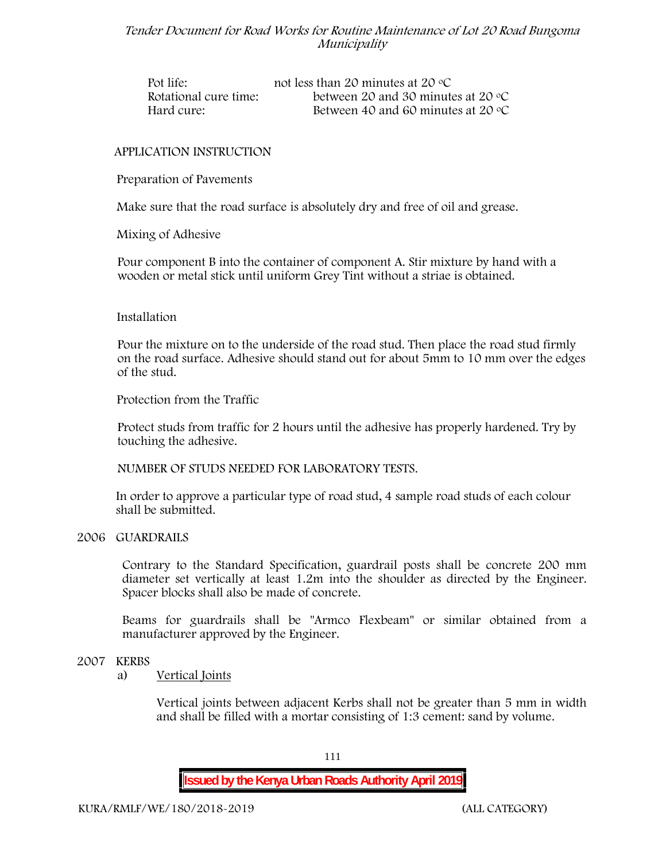| Pot life:             | not less than 20 minutes at 20 $\degree$ C  |
|-----------------------|---------------------------------------------|
| Rotational cure time: | between 20 and 30 minutes at 20 $\degree$ C |
| Hard cure:            | Between 40 and 60 minutes at 20 $\degree$ C |

### **APPLICATION INSTRUCTION**

**Preparation of Pavements**

Make sure that the road surface is absolutely dry and free of oil and grease**.**

**Mixing of Adhesive**

Pour component B into the container of component A. Stir mixture by hand with a wooden or metal stick until uniform Grey Tint without a striae is obtained.

#### **Installation**

Pour the mixture on to the underside of the road stud. Then place the road stud firmly on the road surface. Adhesive should stand out for about 5mm to 10 mm over the edges of the stud.

**Protection from the Traffic**

Protect studs from traffic for 2 hours until the adhesive has properly hardened. Try by touching the adhesive.

**NUMBER OF STUDS NEEDED FOR LABORATORY TESTS.**

In order to approve a particular type of road stud, 4 sample road studs of each colour shall be submitted.

#### **2006 GUARDRAILS**

Contrary to the Standard Specification, guardrail posts shall be concrete 200 mm diameter set vertically at least 1.2m into the shoulder as directed by the Engineer. Spacer blocks shall also be made of concrete.

Beams for guardrails shall be "Armco Flexbeam" or similar obtained from a manufacturer approved by the Engineer.

#### **2007 KERBS**

a) **Vertical Joints**

Vertical joints between adjacent Kerbs shall not be greater than 5 mm in width and shall be filled with a mortar consisting of 1:3 cement: sand by volume.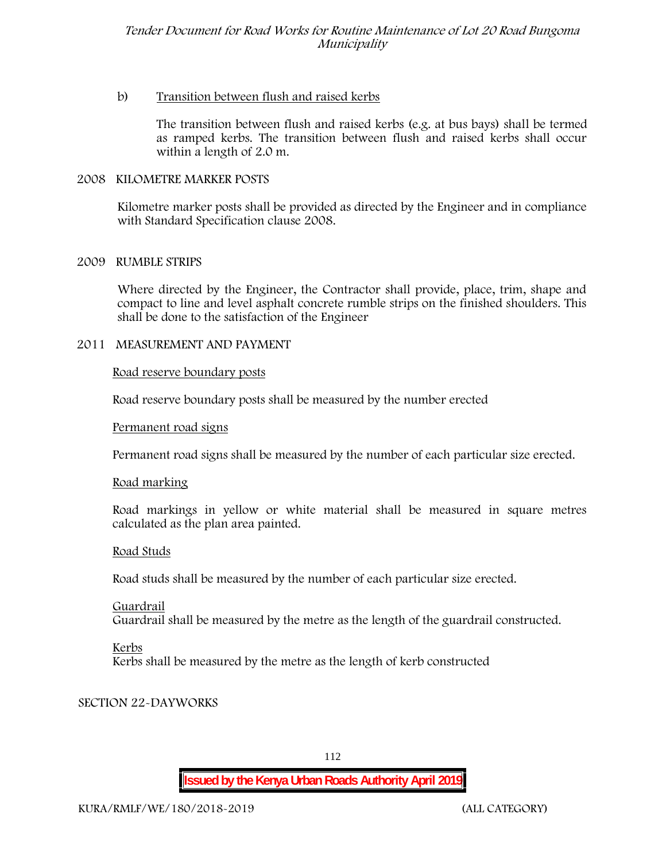## b) **Transition between flush and raised kerbs**

The transition between flush and raised kerbs (e.g. at bus bays) shall be termed as ramped kerbs. The transition between flush and raised kerbs shall occur within a length of 2.0 m.

### **2008 KILOMETRE MARKER POSTS**

Kilometre marker posts shall be provided as directed by the Engineer and in compliance with Standard Specification clause 2008.

### **2009 RUMBLE STRIPS**

Where directed by the Engineer, the Contractor shall provide, place, trim, shape and compact to line and level asphalt concrete rumble strips on the finished shoulders. This shall be done to the satisfaction of the Engineer

### **2011 MEASUREMENT AND PAYMENT**

### **Road reserve boundary posts**

Road reserve boundary posts shall be measured by the number erected

### **Permanent road signs**

Permanent road signs shall be measured by the number of each particular size erected.

# **Road marking**

Road markings in yellow or white material shall be measured in square metres calculated as the plan area painted.

### **Road Studs**

Road studs shall be measured by the number of each particular size erected.

**Guardrail** Guardrail shall be measured by the metre as the length of the guardrail constructed.

### **Kerbs**

Kerbs shall be measured by the metre as the length of kerb constructed

# **SECTION 22-DAYWORKS**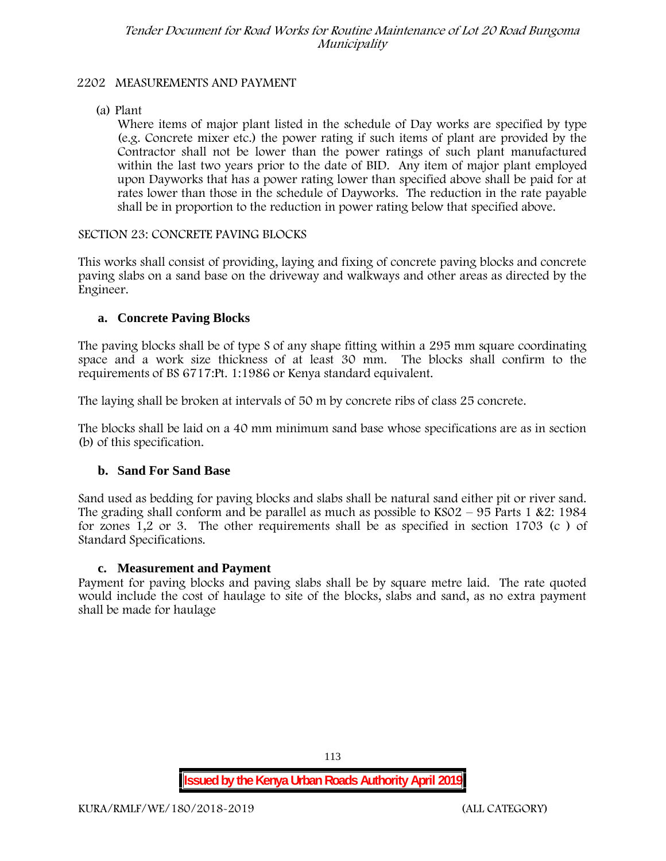# **2202 MEASUREMENTS AND PAYMENT**

(a) Plant

Where items of major plant listed in the schedule of Day works are specified by type (e.g. Concrete mixer etc.) the power rating if such items of plant are provided by the Contractor shall not be lower than the power ratings of such plant manufactured within the last two years prior to the date of BID. Any item of major plant employed upon Dayworks that has a power rating lower than specified above shall be paid for at rates lower than those in the schedule of Dayworks. The reduction in the rate payable shall be in proportion to the reduction in power rating below that specified above.

### **SECTION 23: CONCRETE PAVING BLOCKS**

This works shall consist of providing, laying and fixing of concrete paving blocks and concrete paving slabs on a sand base on the driveway and walkways and other areas as directed by the Engineer.

# **a. Concrete Paving Blocks**

The paving blocks shall be of type S of any shape fitting within a 295 mm square coordinating space and a work size thickness of at least 30 mm. The blocks shall confirm to the requirements of BS 6717:Pt. 1:1986 or Kenya standard equivalent.

The laying shall be broken at intervals of 50 m by concrete ribs of class 25 concrete.

The blocks shall be laid on a 40 mm minimum sand base whose specifications are as in section (b) of this specification.

# **b. Sand For Sand Base**

Sand used as bedding for paving blocks and slabs shall be natural sand either pit or river sand. The grading shall conform and be parallel as much as possible to  $KSO2 - 95$  Parts 1 &2: 1984 for zones 1,2 or 3. The other requirements shall be as specified in section 1703 (c ) of Standard Specifications.

### **c. Measurement and Payment**

Payment for paving blocks and paving slabs shall be by square metre laid. The rate quoted would include the cost of haulage to site of the blocks, slabs and sand, as no extra payment shall be made for haulage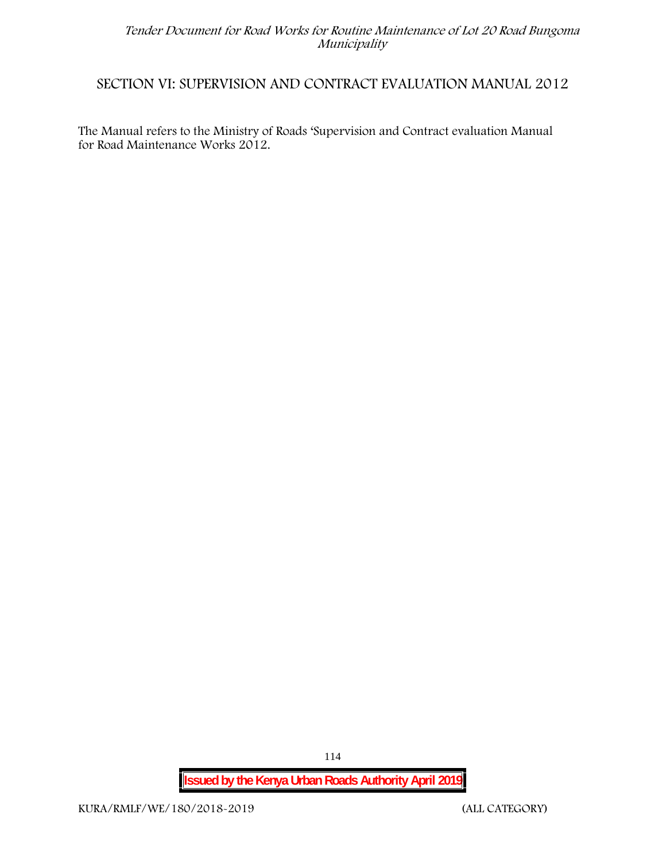# **SECTION VI: SUPERVISION AND CONTRACT EVALUATION MANUAL 2012**

The Manual refers to the Ministry of Roads 'Supervision and Contract evaluation Manual for Road Maintenance Works 2012.

**Issued by the Kenya Urban Roads Authority April 2019**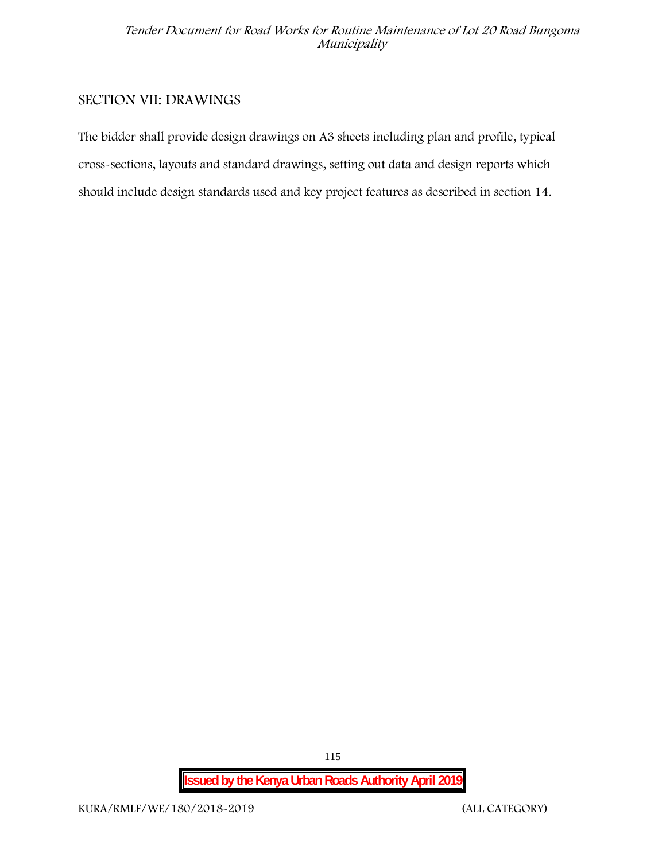# **SECTION VII: DRAWINGS**

The bidder shall provide design drawings on A3 sheets including plan and profile, typical cross-sections, layouts and standard drawings, setting out data and design reports which should include design standards used and key project features as described in section 14.

**Issued by the Kenya Urban Roads Authority April 2019**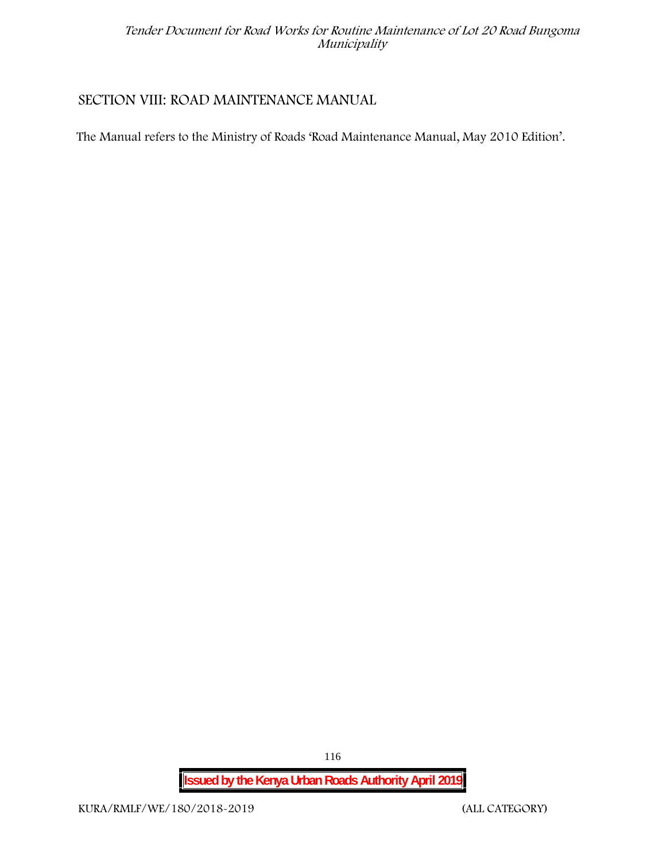# **SECTION VIII: ROAD MAINTENANCE MANUAL**

The Manual refers to the Ministry of Roads 'Road Maintenance Manual, May 2010 Edition'.

**Issued by the Kenya Urban Roads Authority April 2019**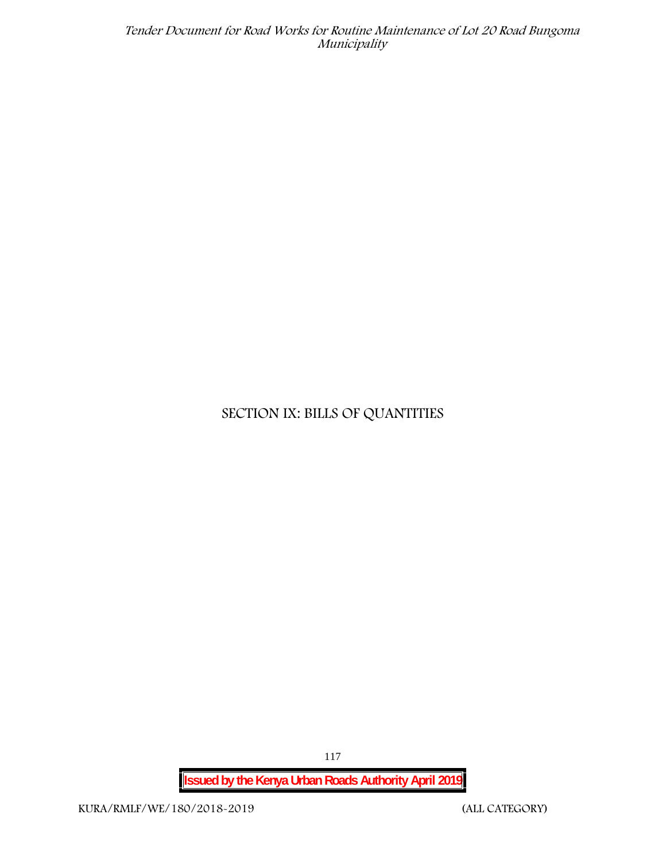# **SECTION IX: BILLS OF QUANTITIES**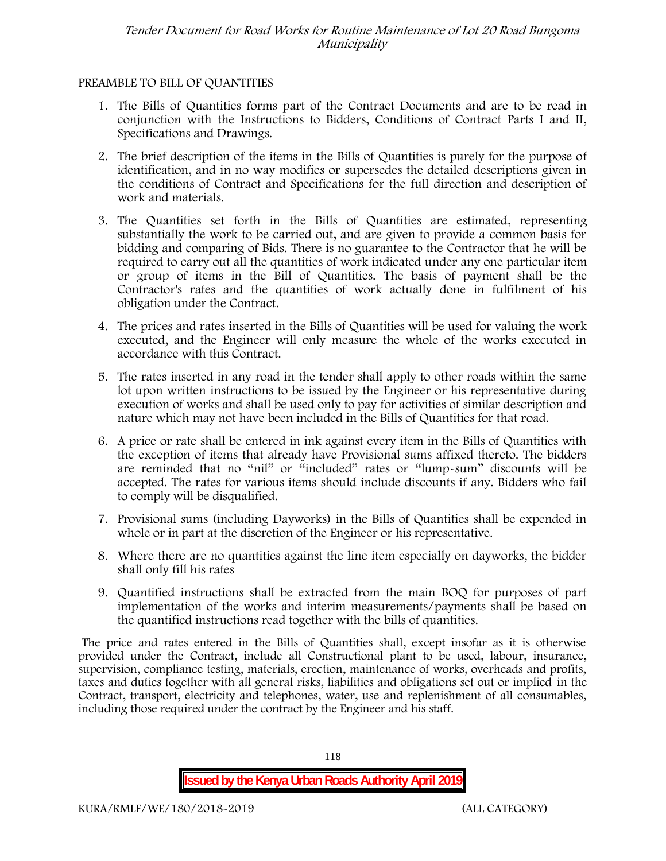# **PREAMBLE TO BILL OF QUANTITIES**

- 1. The Bills of Quantities forms part of the Contract Documents and are to be read in conjunction with the Instructions to Bidders, Conditions of Contract Parts I and II, Specifications and Drawings.
- 2. The brief description of the items in the Bills of Quantities is purely for the purpose of identification, and in no way modifies or supersedes the detailed descriptions given in the conditions of Contract and Specifications for the full direction and description of work and materials.
- 3. The Quantities set forth in the Bills of Quantities are estimated, representing substantially the work to be carried out, and are given to provide a common basis for bidding and comparing of Bids. There is no guarantee to the Contractor that he will be required to carry out all the quantities of work indicated under any one particular item or group of items in the Bill of Quantities. The basis of payment shall be the Contractor's rates and the quantities of work actually done in fulfilment of his obligation under the Contract.
- 4. The prices and rates inserted in the Bills of Quantities will be used for valuing the work executed, and the Engineer will only measure the whole of the works executed in accordance with this Contract.
- 5. The rates inserted in any road in the tender shall apply to other roads within the same lot upon written instructions to be issued by the Engineer or his representative during execution of works and shall be used only to pay for activities of similar description and nature which may not have been included in the Bills of Quantities for that road.
- 6. A price or rate shall be entered in ink against every item in the Bills of Quantities with the exception of items that already have Provisional sums affixed thereto. The bidders are reminded that no "nil" or "included" rates or "lump-sum" discounts will be accepted. The rates for various items should include discounts if any. Bidders who fail to comply will be disqualified.
- 7. Provisional sums (including Dayworks) in the Bills of Quantities shall be expended in whole or in part at the discretion of the Engineer or his representative.
- 8. Where there are no quantities against the line item especially on dayworks, the bidder shall only fill his rates
- 9. Quantified instructions shall be extracted from the main BOQ for purposes of part implementation of the works and interim measurements/payments shall be based on the quantified instructions read together with the bills of quantities.

The price and rates entered in the Bills of Quantities shall, except insofar as it is otherwise provided under the Contract, include all Constructional plant to be used, labour, insurance, supervision, compliance testing, materials, erection, maintenance of works, overheads and profits, taxes and duties together with all general risks, liabilities and obligations set out or implied in the Contract, transport, electricity and telephones, water, use and replenishment of all consumables, including those required under the contract by the Engineer and his staff.

**Issued by the Kenya Urban Roads Authority April 2019**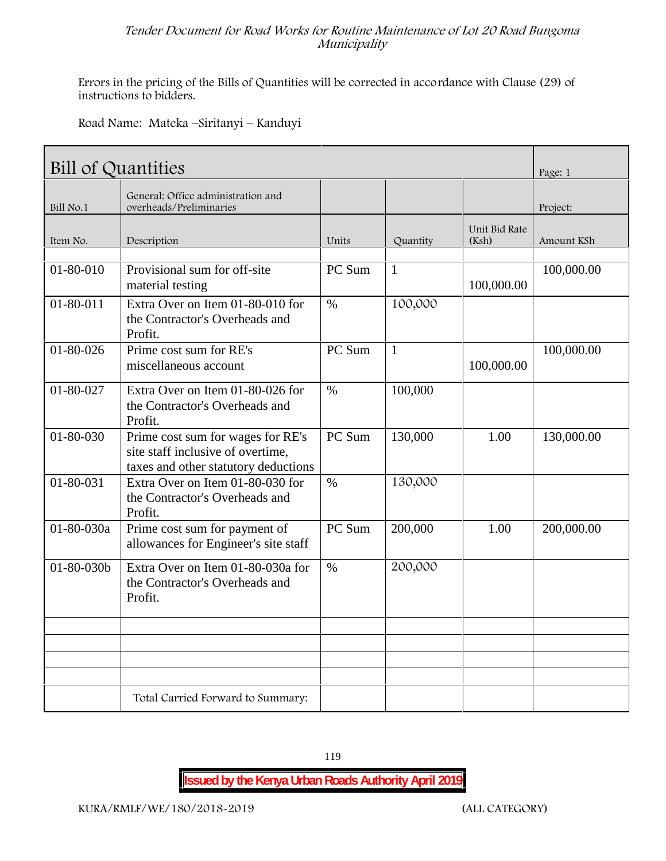Errors in the pricing of the Bills of Quantities will be corrected in accordance with Clause (29) of instructions to bidders.

**Road Name: Mateka –Siritanyi – Kanduyi**

| <b>Bill of Quantities</b> |                                                                                                                |               |              |                        |            |  |
|---------------------------|----------------------------------------------------------------------------------------------------------------|---------------|--------------|------------------------|------------|--|
| Bill No.1                 | General: Office administration and<br>overheads/Preliminaries                                                  |               |              |                        | Project:   |  |
| Item No.                  | Description                                                                                                    | Units         | Quantity     | Unit Bid Rate<br>(Ksh) | Amount KSh |  |
| 01-80-010                 | Provisional sum for off-site<br>material testing                                                               | PC Sum        | $\mathbf{1}$ | 100,000.00             | 100,000.00 |  |
| $01 - 80 - 011$           | Extra Over on Item 01-80-010 for<br>the Contractor's Overheads and<br>Profit.                                  | $\%$          | 100,000      |                        |            |  |
| $01 - 80 - 026$           | Prime cost sum for RE's<br>miscellaneous account                                                               | PC Sum        | $\mathbf{1}$ | 100,000.00             | 100,000.00 |  |
| 01-80-027                 | Extra Over on Item 01-80-026 for<br>the Contractor's Overheads and<br>Profit.                                  | $\%$          | 100,000      |                        |            |  |
| $01 - 80 - 030$           | Prime cost sum for wages for RE's<br>site staff inclusive of overtime,<br>taxes and other statutory deductions | PC Sum        | 130,000      | 1.00                   | 130,000.00 |  |
| 01-80-031                 | Extra Over on Item 01-80-030 for<br>the Contractor's Overheads and<br>Profit.                                  | $\frac{0}{0}$ | 130,000      |                        |            |  |
| 01-80-030a                | Prime cost sum for payment of<br>allowances for Engineer's site staff                                          | PC Sum        | 200,000      | 1.00                   | 200,000.00 |  |
| 01-80-030b                | Extra Over on Item 01-80-030a for<br>the Contractor's Overheads and<br>Profit.                                 | $\%$          | 200,000      |                        |            |  |
|                           |                                                                                                                |               |              |                        |            |  |
|                           | Total Carried Forward to Summary:                                                                              |               |              |                        |            |  |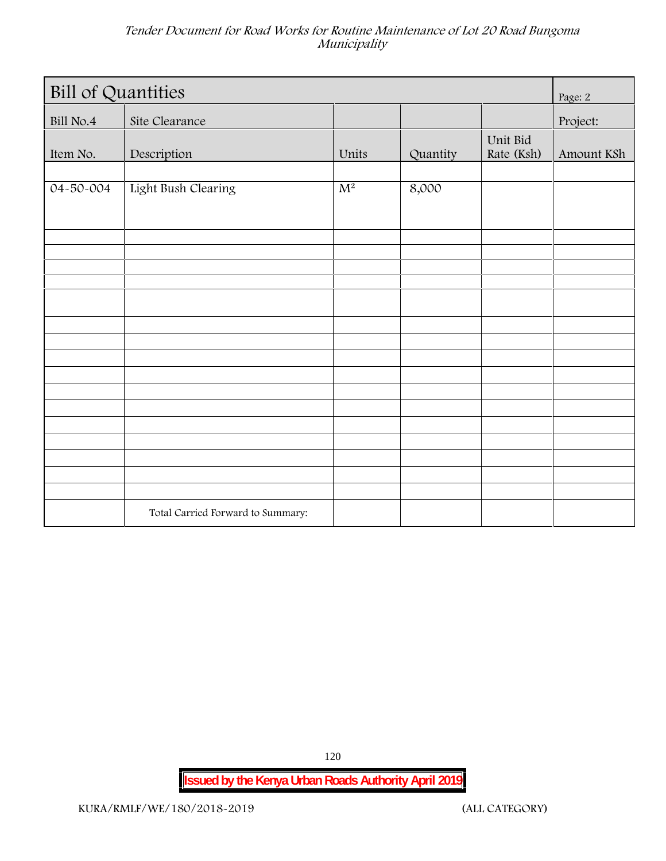| <b>Bill of Quantities</b> |                                   |       |          |                        |            |  |
|---------------------------|-----------------------------------|-------|----------|------------------------|------------|--|
| Bill No.4                 | Site Clearance                    |       |          |                        | Project:   |  |
| Item No.                  | Description                       | Units | Quantity | Unit Bid<br>Rate (Ksh) | Amount KSh |  |
| 04-50-004                 | Light Bush Clearing               | $M^2$ | 8,000    |                        |            |  |
|                           |                                   |       |          |                        |            |  |
|                           |                                   |       |          |                        |            |  |
|                           |                                   |       |          |                        |            |  |
|                           |                                   |       |          |                        |            |  |
|                           |                                   |       |          |                        |            |  |
|                           |                                   |       |          |                        |            |  |
|                           |                                   |       |          |                        |            |  |
|                           | Total Carried Forward to Summary: |       |          |                        |            |  |

120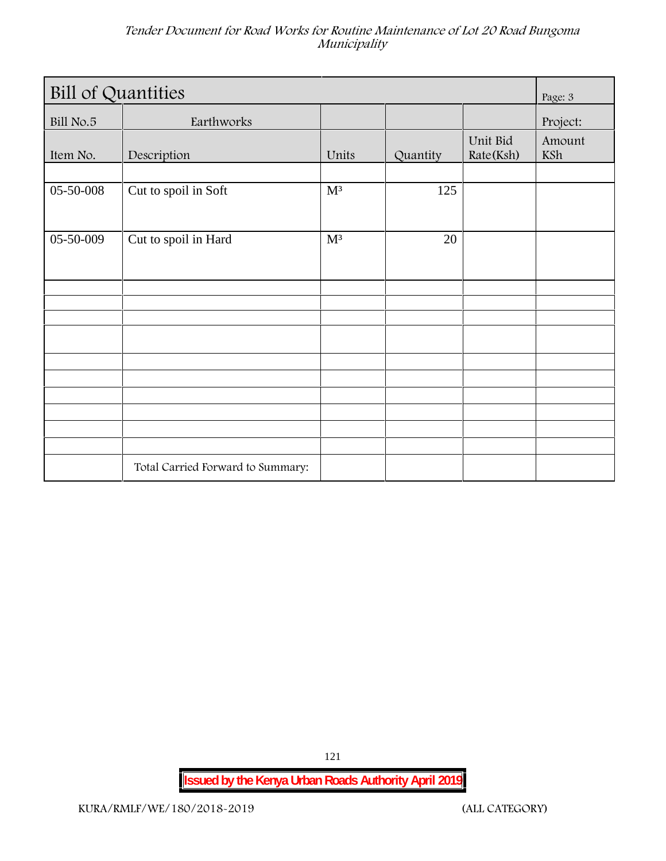| <b>Bill of Quantities</b> |                                   |                |          |                       |               |
|---------------------------|-----------------------------------|----------------|----------|-----------------------|---------------|
| Bill No.5                 | Earthworks                        |                |          |                       | Project:      |
| Item No.                  | Description                       | Units          | Quantity | Unit Bid<br>Rate(Ksh) | Amount<br>KSh |
|                           |                                   |                |          |                       |               |
| 05-50-008                 | Cut to spoil in Soft              | M <sup>3</sup> | 125      |                       |               |
| 05-50-009                 | Cut to spoil in Hard              | M <sup>3</sup> | 20       |                       |               |
|                           |                                   |                |          |                       |               |
|                           |                                   |                |          |                       |               |
|                           |                                   |                |          |                       |               |
|                           |                                   |                |          |                       |               |
|                           |                                   |                |          |                       |               |
|                           |                                   |                |          |                       |               |
|                           |                                   |                |          |                       |               |
|                           |                                   |                |          |                       |               |
|                           | Total Carried Forward to Summary: |                |          |                       |               |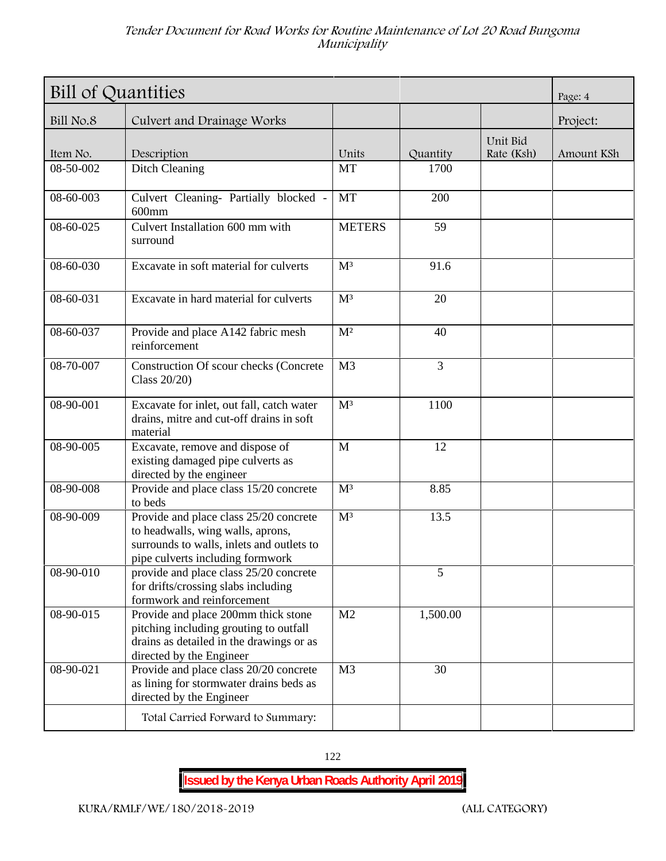| Bill of Quantities | Page: 4                                                                                                                                                      |                |                |                        |            |
|--------------------|--------------------------------------------------------------------------------------------------------------------------------------------------------------|----------------|----------------|------------------------|------------|
| Bill No.8          | Culvert and Drainage Works                                                                                                                                   |                |                |                        | Project:   |
| Item No.           | Description                                                                                                                                                  | Units          | Quantity       | Unit Bid<br>Rate (Ksh) | Amount KSh |
| 08-50-002          | Ditch Cleaning                                                                                                                                               | <b>MT</b>      | 1700           |                        |            |
| 08-60-003          | Culvert Cleaning- Partially blocked -<br>$600$ mm                                                                                                            | <b>MT</b>      | 200            |                        |            |
| 08-60-025          | Culvert Installation 600 mm with<br>surround                                                                                                                 | <b>METERS</b>  | 59             |                        |            |
| 08-60-030          | Excavate in soft material for culverts                                                                                                                       | M <sup>3</sup> | 91.6           |                        |            |
| 08-60-031          | Excavate in hard material for culverts                                                                                                                       | M <sup>3</sup> | 20             |                        |            |
| 08-60-037          | Provide and place A142 fabric mesh<br>reinforcement                                                                                                          | $\mathbf{M}^2$ | 40             |                        |            |
| 08-70-007          | Construction Of scour checks (Concrete<br>Class 20/20)                                                                                                       | M <sub>3</sub> | $\overline{3}$ |                        |            |
| 08-90-001          | Excavate for inlet, out fall, catch water<br>drains, mitre and cut-off drains in soft<br>material                                                            | M <sup>3</sup> | 1100           |                        |            |
| 08-90-005          | Excavate, remove and dispose of<br>existing damaged pipe culverts as<br>directed by the engineer                                                             | M              | 12             |                        |            |
| 08-90-008          | Provide and place class 15/20 concrete<br>to beds                                                                                                            | M <sup>3</sup> | 8.85           |                        |            |
| 08-90-009          | Provide and place class 25/20 concrete<br>to headwalls, wing walls, aprons,<br>surrounds to walls, inlets and outlets to<br>pipe culverts including formwork | M <sup>3</sup> | 13.5           |                        |            |
| 08-90-010          | provide and place class 25/20 concrete<br>for drifts/crossing slabs including<br>formwork and reinforcement                                                  |                | 5              |                        |            |
| 08-90-015          | Provide and place 200mm thick stone<br>pitching including grouting to outfall<br>drains as detailed in the drawings or as<br>directed by the Engineer        | M <sub>2</sub> | 1,500.00       |                        |            |
| 08-90-021          | Provide and place class 20/20 concrete<br>as lining for stormwater drains beds as<br>directed by the Engineer                                                | M <sub>3</sub> | 30             |                        |            |
|                    | Total Carried Forward to Summary:                                                                                                                            |                |                |                        |            |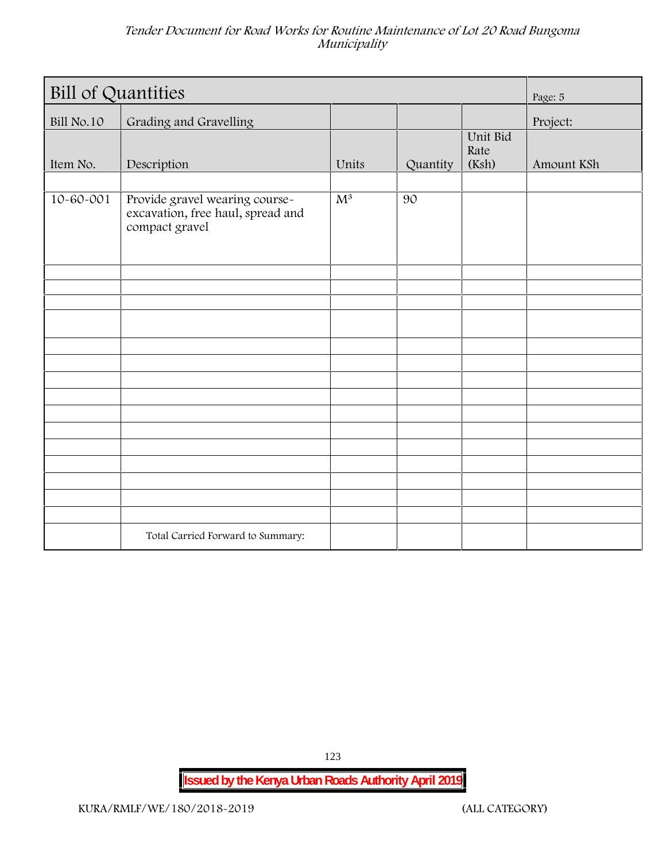| <b>Bill of Quantities</b> | Page: 5                                                                               |       |          |                           |            |
|---------------------------|---------------------------------------------------------------------------------------|-------|----------|---------------------------|------------|
| <b>Bill No.10</b>         | Grading and Gravelling                                                                |       |          |                           | Project:   |
| Item No.                  | Description                                                                           | Units | Quantity | Unit Bid<br>Rate<br>(Ksh) | Amount KSh |
| $10 - 60 - 001$           | Provide gravel wearing course-<br>excavation, free haul, spread and<br>compact gravel | $M^3$ | 90       |                           |            |
|                           |                                                                                       |       |          |                           |            |
|                           |                                                                                       |       |          |                           |            |
|                           |                                                                                       |       |          |                           |            |
|                           |                                                                                       |       |          |                           |            |
|                           |                                                                                       |       |          |                           |            |
|                           |                                                                                       |       |          |                           |            |
|                           |                                                                                       |       |          |                           |            |
|                           |                                                                                       |       |          |                           |            |
|                           | Total Carried Forward to Summary:                                                     |       |          |                           |            |

123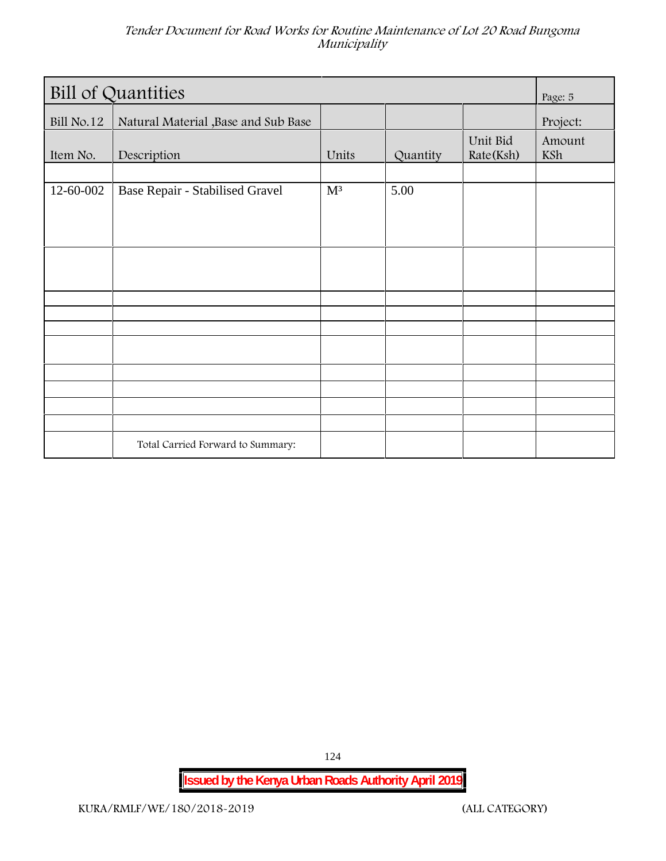| <b>Bill of Quantities</b> |                                      |                |          |                       | Page: 5       |
|---------------------------|--------------------------------------|----------------|----------|-----------------------|---------------|
| Bill No.12                | Natural Material , Base and Sub Base |                |          |                       | Project:      |
| Item No.                  | Description                          | Units          | Quantity | Unit Bid<br>Rate(Ksh) | Amount<br>KSh |
|                           |                                      |                |          |                       |               |
| 12-60-002                 | Base Repair - Stabilised Gravel      | M <sup>3</sup> | 5.00     |                       |               |
|                           |                                      |                |          |                       |               |
|                           |                                      |                |          |                       |               |
|                           |                                      |                |          |                       |               |
|                           |                                      |                |          |                       |               |
|                           |                                      |                |          |                       |               |
|                           |                                      |                |          |                       |               |
|                           |                                      |                |          |                       |               |
|                           |                                      |                |          |                       |               |
|                           |                                      |                |          |                       |               |
|                           |                                      |                |          |                       |               |
|                           |                                      |                |          |                       |               |
|                           |                                      |                |          |                       |               |
|                           | Total Carried Forward to Summary:    |                |          |                       |               |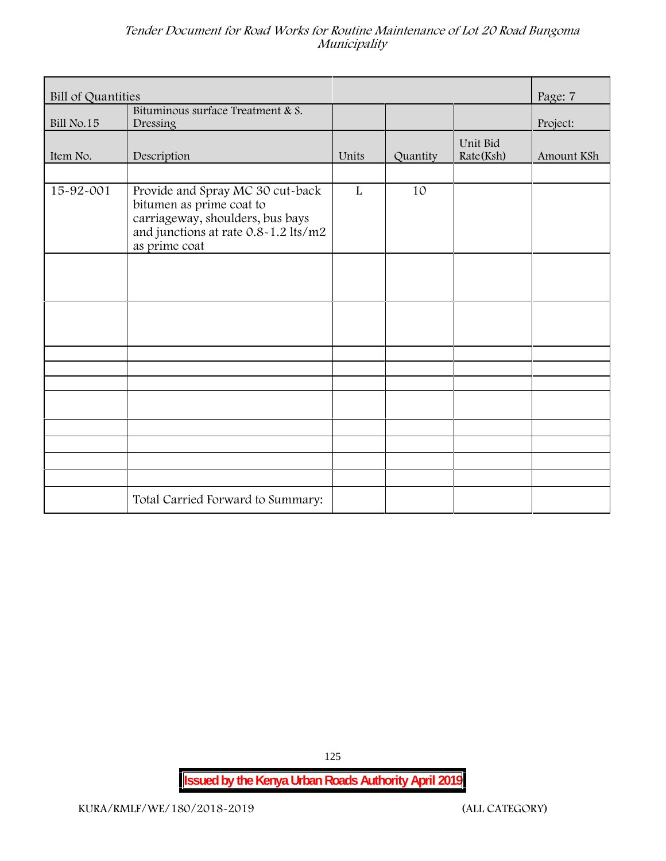| <b>Bill of Quantities</b> | Page: 7                                                                                                                                  |       |          |                       |            |
|---------------------------|------------------------------------------------------------------------------------------------------------------------------------------|-------|----------|-----------------------|------------|
| Bill No.15                | Bituminous surface Treatment & S.<br>Dressing                                                                                            |       |          |                       | Project:   |
| Item No.                  | Description                                                                                                                              | Units | Quantity | Unit Bid<br>Rate(Ksh) | Amount KSh |
| 15-92-001                 | Provide and Spray MC 30 cut-back<br>bitumen as prime coat to<br>carriageway, shoulders, bus bays<br>and junctions at rate 0.8-1.2 lts/m2 | L     | 10       |                       |            |
|                           | as prime coat                                                                                                                            |       |          |                       |            |
|                           |                                                                                                                                          |       |          |                       |            |
|                           |                                                                                                                                          |       |          |                       |            |
|                           |                                                                                                                                          |       |          |                       |            |
|                           |                                                                                                                                          |       |          |                       |            |
|                           | Total Carried Forward to Summary:                                                                                                        |       |          |                       |            |

125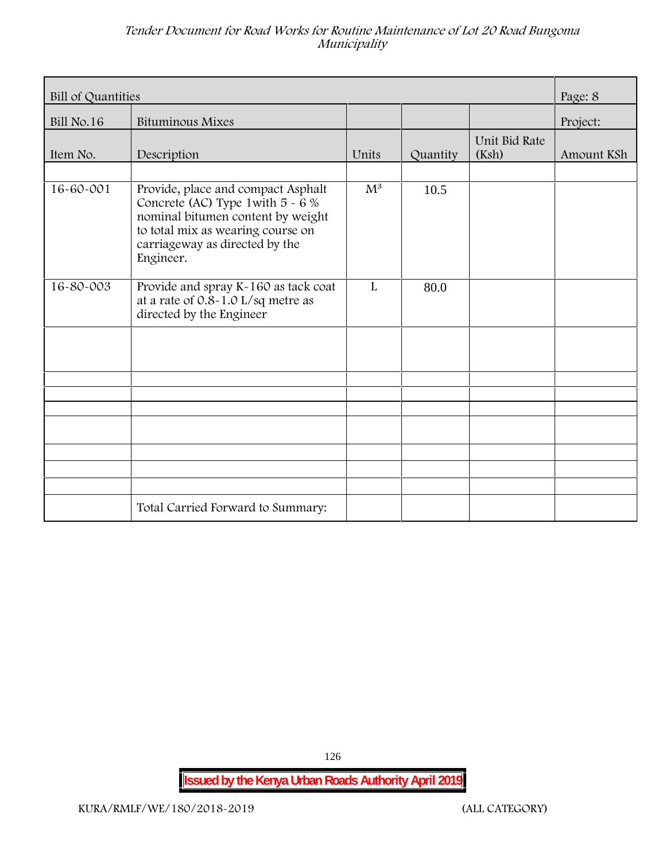| Bill of Quantities |                                                                                                                                                                                                    |                           |          |                        |            |  |
|--------------------|----------------------------------------------------------------------------------------------------------------------------------------------------------------------------------------------------|---------------------------|----------|------------------------|------------|--|
| <b>Bill No.16</b>  | Bituminous Mixes                                                                                                                                                                                   |                           |          |                        | Project:   |  |
| Item No.           | Description                                                                                                                                                                                        | Units                     | Quantity | Unit Bid Rate<br>(Ksh) | Amount KSh |  |
| 16-60-001          | Provide, place and compact Asphalt<br>Concrete (AC) Type 1 with $5 - 6 %$<br>nominal bitumen content by weight<br>to total mix as wearing course on<br>carriageway as directed by the<br>Engineer. | $\overline{\mathrm{M}^3}$ | 10.5     |                        |            |  |
| 16-80-003          | Provide and spray K-160 as tack coat<br>at a rate of $0.8 - 1.0$ L/sq metre as<br>directed by the Engineer                                                                                         | $\mathbf{L}$              | 80.0     |                        |            |  |
|                    |                                                                                                                                                                                                    |                           |          |                        |            |  |
|                    |                                                                                                                                                                                                    |                           |          |                        |            |  |
|                    |                                                                                                                                                                                                    |                           |          |                        |            |  |
|                    |                                                                                                                                                                                                    |                           |          |                        |            |  |
|                    | Total Carried Forward to Summary:                                                                                                                                                                  |                           |          |                        |            |  |

126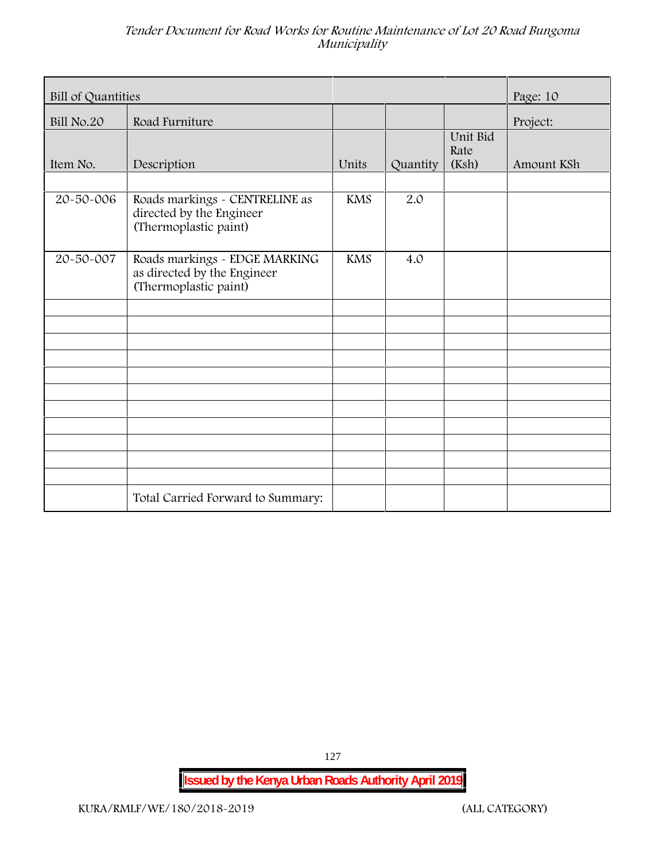| Bill of Quantities | Page: 10                                                                              |            |          |                           |            |
|--------------------|---------------------------------------------------------------------------------------|------------|----------|---------------------------|------------|
| Bill No.20         | Road Furniture                                                                        |            |          |                           | Project:   |
| Item No.           | Description                                                                           | Units      | Quantity | Unit Bid<br>Rate<br>(Ksh) | Amount KSh |
| 20-50-006          | Roads markings - CENTRELINE as<br>directed by the Engineer<br>(Thermoplastic paint)   | <b>KMS</b> | 2.0      |                           |            |
| 20-50-007          | Roads markings - EDGE MARKING<br>as directed by the Engineer<br>(Thermoplastic paint) | <b>KMS</b> | 4.0      |                           |            |
|                    |                                                                                       |            |          |                           |            |
|                    |                                                                                       |            |          |                           |            |
|                    |                                                                                       |            |          |                           |            |
|                    |                                                                                       |            |          |                           |            |
|                    | Total Carried Forward to Summary:                                                     |            |          |                           |            |

127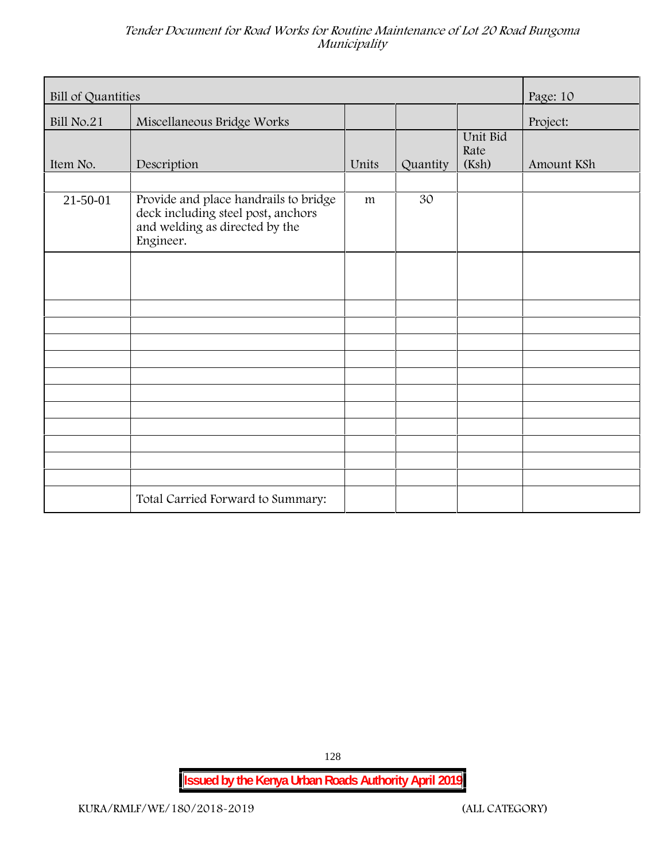| <b>Bill of Quantities</b> | Page: 10                                                                                                                   |       |          |                           |            |
|---------------------------|----------------------------------------------------------------------------------------------------------------------------|-------|----------|---------------------------|------------|
| <b>Bill No.21</b>         | Miscellaneous Bridge Works                                                                                                 |       |          |                           | Project:   |
| Item No.                  | Description                                                                                                                | Units | Quantity | Unit Bid<br>Rate<br>(Ksh) | Amount KSh |
| $21 - 50 - 01$            | Provide and place handrails to bridge<br>deck including steel post, anchors<br>and welding as directed by the<br>Engineer. | m     | 30       |                           |            |
|                           |                                                                                                                            |       |          |                           |            |
|                           |                                                                                                                            |       |          |                           |            |
|                           |                                                                                                                            |       |          |                           |            |
|                           |                                                                                                                            |       |          |                           |            |
|                           |                                                                                                                            |       |          |                           |            |
|                           |                                                                                                                            |       |          |                           |            |
|                           | Total Carried Forward to Summary:                                                                                          |       |          |                           |            |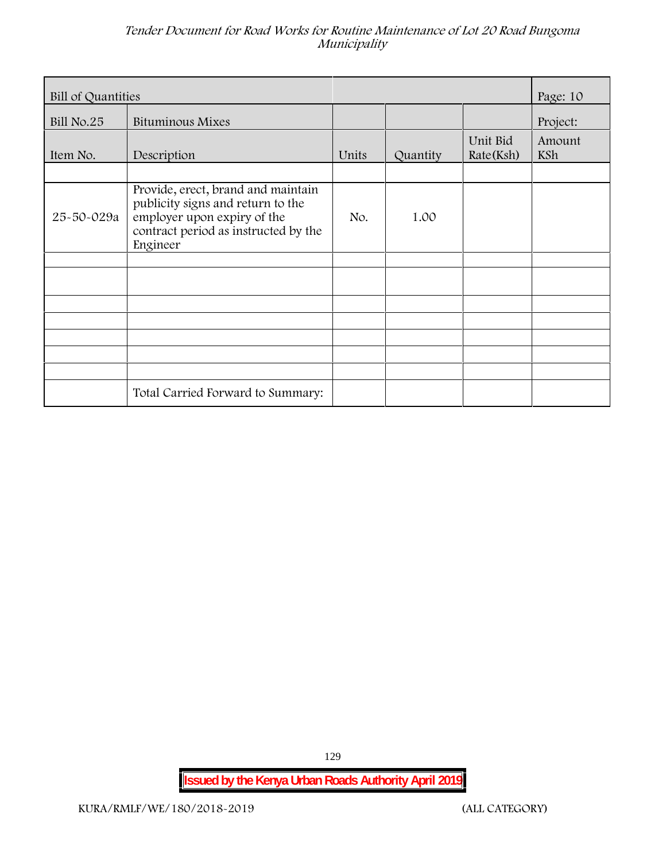| Bill of Quantities |                                                                                                                                                            |       |          |                       |               |  |
|--------------------|------------------------------------------------------------------------------------------------------------------------------------------------------------|-------|----------|-----------------------|---------------|--|
| <b>Bill No.25</b>  | <b>Bituminous Mixes</b>                                                                                                                                    |       |          |                       | Project:      |  |
| Item No.           | Description                                                                                                                                                | Units | Quantity | Unit Bid<br>Rate(Ksh) | Amount<br>KSh |  |
| 25-50-029a         | Provide, erect, brand and maintain<br>publicity signs and return to the<br>employer upon expiry of the<br>contract period as instructed by the<br>Engineer | No.   | 1.00     |                       |               |  |
|                    |                                                                                                                                                            |       |          |                       |               |  |
|                    |                                                                                                                                                            |       |          |                       |               |  |
|                    |                                                                                                                                                            |       |          |                       |               |  |
|                    | Total Carried Forward to Summary:                                                                                                                          |       |          |                       |               |  |

129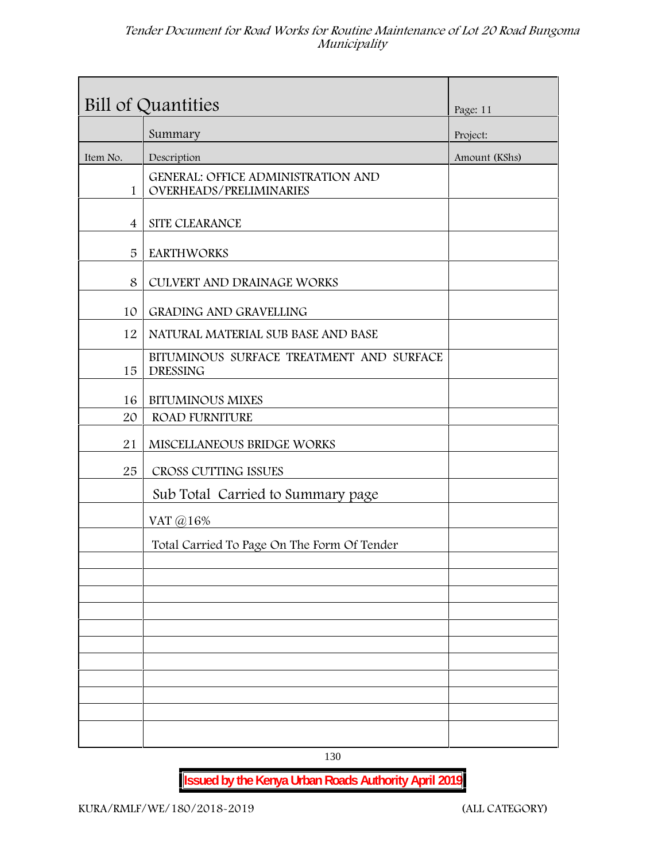|                | Bill of Quantities                                                          | Page: 11      |
|----------------|-----------------------------------------------------------------------------|---------------|
|                | Summary                                                                     | Project:      |
| Item No.       | Description                                                                 | Amount (KShs) |
| 1              | <b>GENERAL: OFFICE ADMINISTRATION AND</b><br><b>OVERHEADS/PRELIMINARIES</b> |               |
| $\overline{4}$ | SITE CLEARANCE                                                              |               |
| 5              | <b>EARTHWORKS</b>                                                           |               |
| 8              | CULVERT AND DRAINAGE WORKS                                                  |               |
| 10             | <b>GRADING AND GRAVELLING</b>                                               |               |
| 12             | NATURAL MATERIAL SUB BASE AND BASE                                          |               |
| 15             | BITUMINOUS SURFACE TREATMENT AND SURFACE<br><b>DRESSING</b>                 |               |
| 16             | <b>BITUMINOUS MIXES</b>                                                     |               |
| 20             | <b>ROAD FURNITURE</b>                                                       |               |
| 21             | MISCELLANEOUS BRIDGE WORKS                                                  |               |
| 25             | CROSS CUTTING ISSUES                                                        |               |
|                | Sub Total Carried to Summary page                                           |               |
|                | VAT @16%                                                                    |               |
|                | Total Carried To Page On The Form Of Tender                                 |               |
|                |                                                                             |               |
|                |                                                                             |               |
|                |                                                                             |               |
|                |                                                                             |               |
|                |                                                                             |               |
|                |                                                                             |               |
|                |                                                                             |               |
|                |                                                                             |               |

130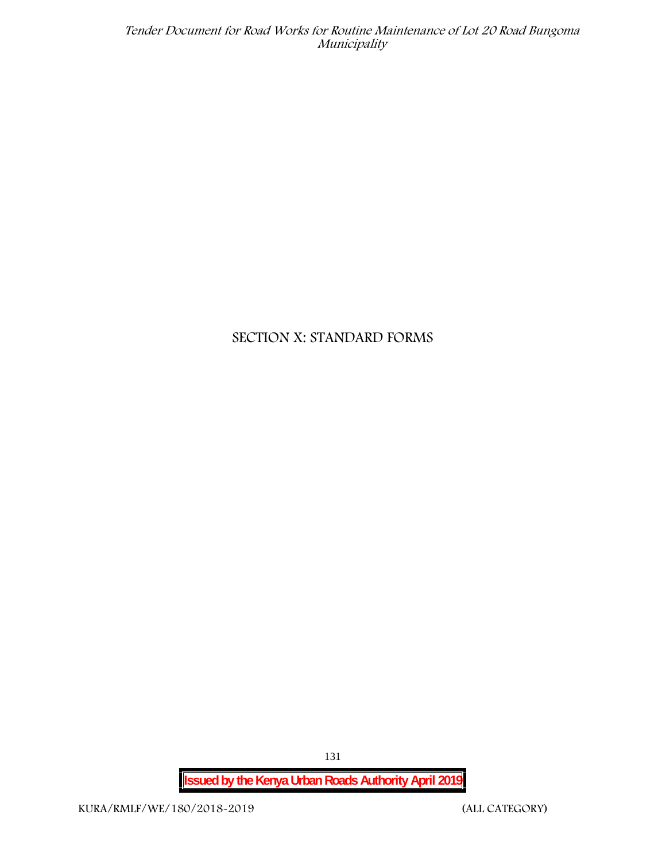# **SECTION X: STANDARD FORMS**

**Issued by the Kenya Urban Roads Authority April 2019**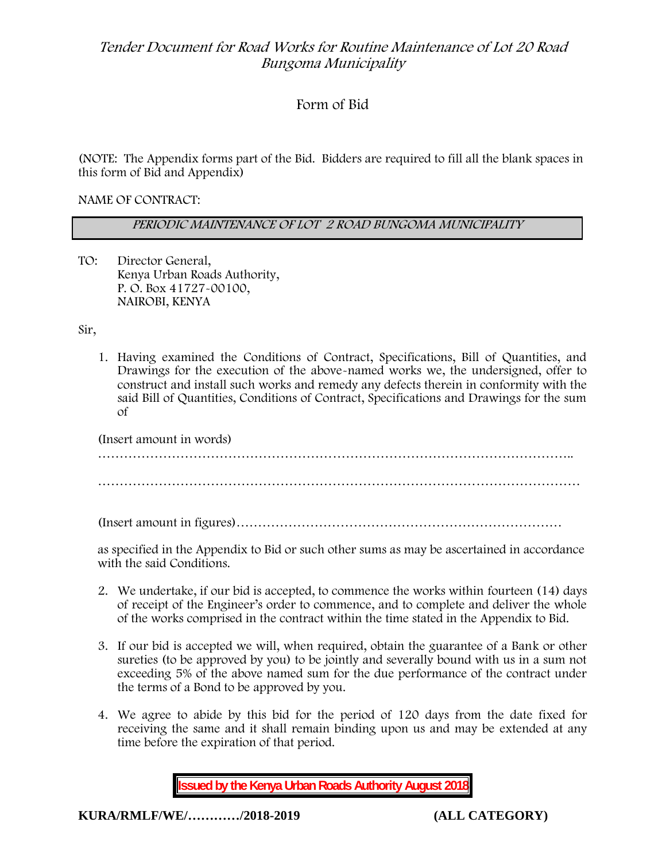# **Form of Bid**

(NOTE: The Appendix forms part of the Bid. Bidders are required to fill all the blank spaces in this form of Bid and Appendix)

**NAME OF CONTRACT:**

*PERIODIC MAINTENANCE OF LOT 2 ROAD BUNGOMA MUNICIPALITY*

TO: Director General, Kenya Urban Roads Authority, P. O. Box 41727-00100, **NAIROBI, KENYA**

Sir,

1. Having examined the Conditions of Contract, Specifications, Bill of Quantities, and Drawings for the execution of the above-named works we, the undersigned, offer to construct and install such works and remedy any defects therein in conformity with the said Bill of Quantities, Conditions of Contract, Specifications and Drawings for the sum of

| (Insert amount in words) |  |
|--------------------------|--|
|                          |  |
|                          |  |
|                          |  |

(Insert amount in figures)…………………………………………………………………

as specified in the Appendix to Bid or such other sums as may be ascertained in accordance with the said Conditions.

- 2. We undertake, if our bid is accepted, to commence the works within fourteen (14) days of receipt of the Engineer's order to commence, and to complete and deliver the whole of the works comprised in the contract within the time stated in the Appendix to Bid.
- 3. If our bid is accepted we will, when required, obtain the guarantee of a Bank or other sureties (to be approved by you) to be jointly and severally bound with us in a sum not exceeding 5% of the above named sum for the due performance of the contract under the terms of a Bond to be approved by you.
- 4. We agree to abide by this bid for the period of 120 days from the date fixed for receiving the same and it shall remain binding upon us and may be extended at any time before the expiration of that period.

**Issued by the Kenya Urban Roads Authority August 2018**

**KURA/RMLF/WE/…………/2018-2019 (ALL CATEGORY)**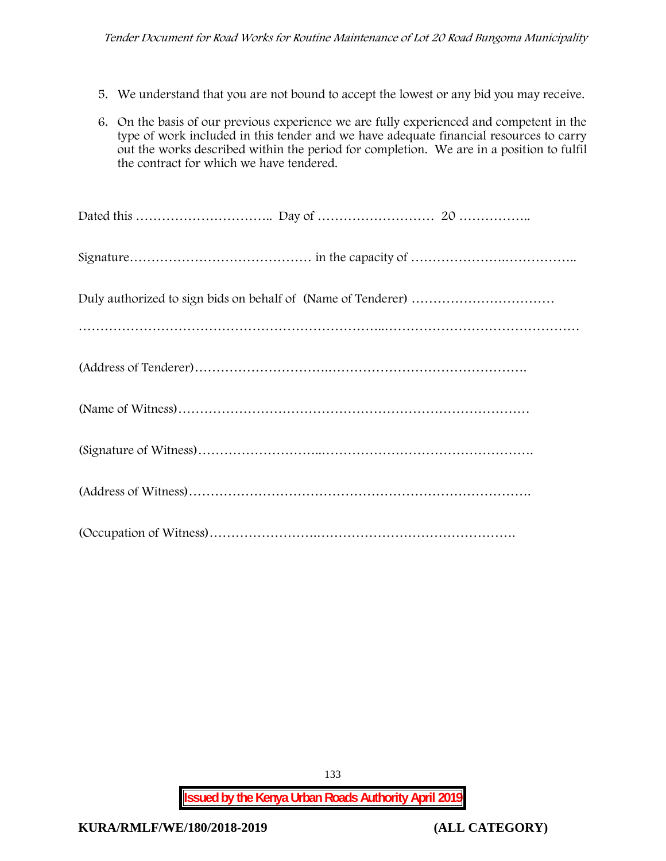- 5. We understand that you are not bound to accept the lowest or any bid you may receive.
- 6. On the basis of our previous experience we are fully experienced and competent in the type of work included in this tender and we have adequate financial resources to carry out the works described within the period for completion. We are in a position to fulfil the contract for which we have tendered.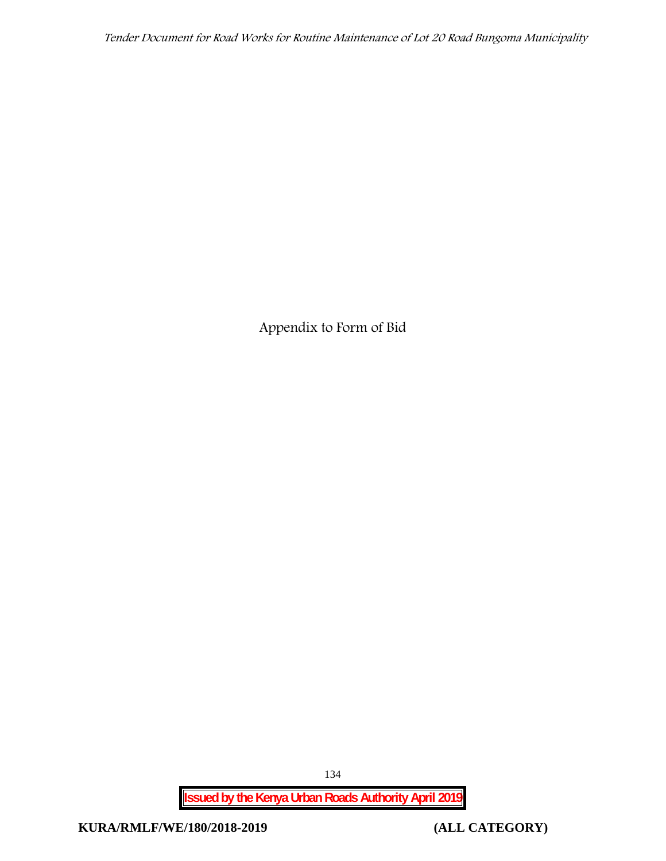**Appendix to Form of Bid**

**Issued by the Kenya Urban Roads Authority April 2019**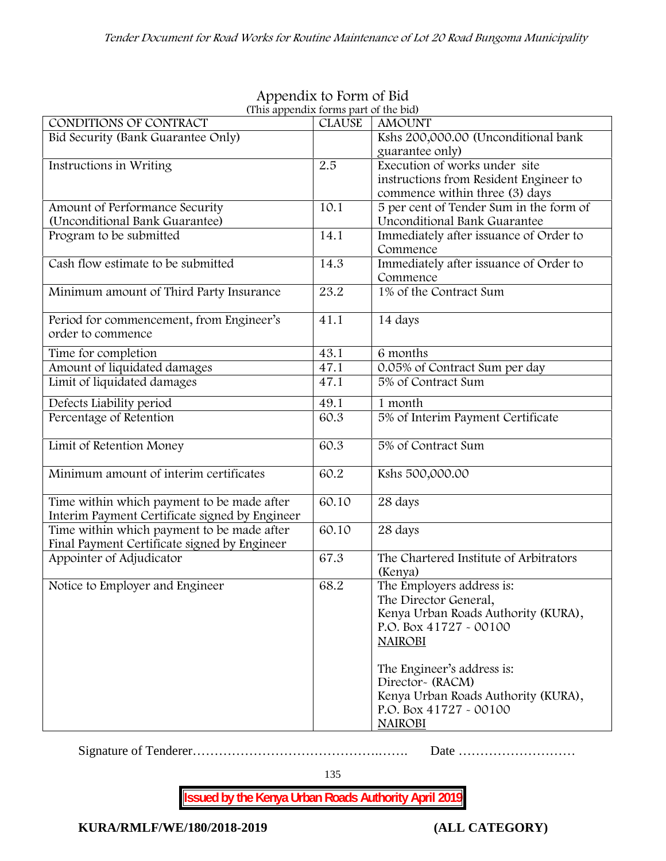| (This appendix forms part of the bid)          |               |                                         |  |
|------------------------------------------------|---------------|-----------------------------------------|--|
| CONDITIONS OF CONTRACT                         | <b>CLAUSE</b> | <b>AMOUNT</b>                           |  |
| Bid Security (Bank Guarantee Only)             |               | Kshs 200,000.00 (Unconditional bank     |  |
|                                                |               | guarantee only)                         |  |
| Instructions in Writing                        | 2.5           | Execution of works under site           |  |
|                                                |               | instructions from Resident Engineer to  |  |
|                                                |               | commence within three (3) days          |  |
| Amount of Performance Security                 | 10.1          | 5 per cent of Tender Sum in the form of |  |
| (Unconditional Bank Guarantee)                 |               | Unconditional Bank Guarantee            |  |
| Program to be submitted                        | 14.1          | Immediately after issuance of Order to  |  |
|                                                |               | Commence                                |  |
| Cash flow estimate to be submitted             | 14.3          | Immediately after issuance of Order to  |  |
|                                                |               | Commence                                |  |
| Minimum amount of Third Party Insurance        | 23.2          | 1% of the Contract Sum                  |  |
|                                                |               |                                         |  |
| Period for commencement, from Engineer's       | 41.1          | 14 days                                 |  |
| order to commence                              |               |                                         |  |
| Time for completion                            | 43.1          | 6 months                                |  |
| Amount of liquidated damages                   | 47.1          | 0.05% of Contract Sum per day           |  |
| Limit of liquidated damages                    | 47.1          | 5% of Contract Sum                      |  |
| Defects Liability period                       | 49.1          | 1 month                                 |  |
| Percentage of Retention                        | 60.3          | 5% of Interim Payment Certificate       |  |
|                                                |               |                                         |  |
| Limit of Retention Money                       | 60.3          | 5% of Contract Sum                      |  |
|                                                |               |                                         |  |
| Minimum amount of interim certificates         | 60.2          | Kshs 500,000.00                         |  |
|                                                |               |                                         |  |
| Time within which payment to be made after     | 60.10         | 28 days                                 |  |
| Interim Payment Certificate signed by Engineer |               |                                         |  |
| Time within which payment to be made after     | 60.10         | 28 days                                 |  |
| Final Payment Certificate signed by Engineer   |               |                                         |  |
| Appointer of Adjudicator                       | 67.3          | The Chartered Institute of Arbitrators  |  |
|                                                |               | (Kenya)                                 |  |
| Notice to Employer and Engineer                | 68.2          | The Employers address is:               |  |
|                                                |               | The Director General,                   |  |
|                                                |               | Kenya Urban Roads Authority (KURA),     |  |
|                                                |               | P.O. Box 41727 - 00100                  |  |
|                                                |               | <b>NAIROBI</b>                          |  |
|                                                |               |                                         |  |
|                                                |               | The Engineer's address is:              |  |
|                                                |               | Director~ (RACM)                        |  |
|                                                |               | Kenya Urban Roads Authority (KURA),     |  |
|                                                |               | P.O. Box 41727 - 00100                  |  |
|                                                |               |                                         |  |
|                                                |               | <b>NAIROBI</b>                          |  |

# **Appendix to Form of Bid**

Signature of Tenderer…………………………………….……. Date ………………………

135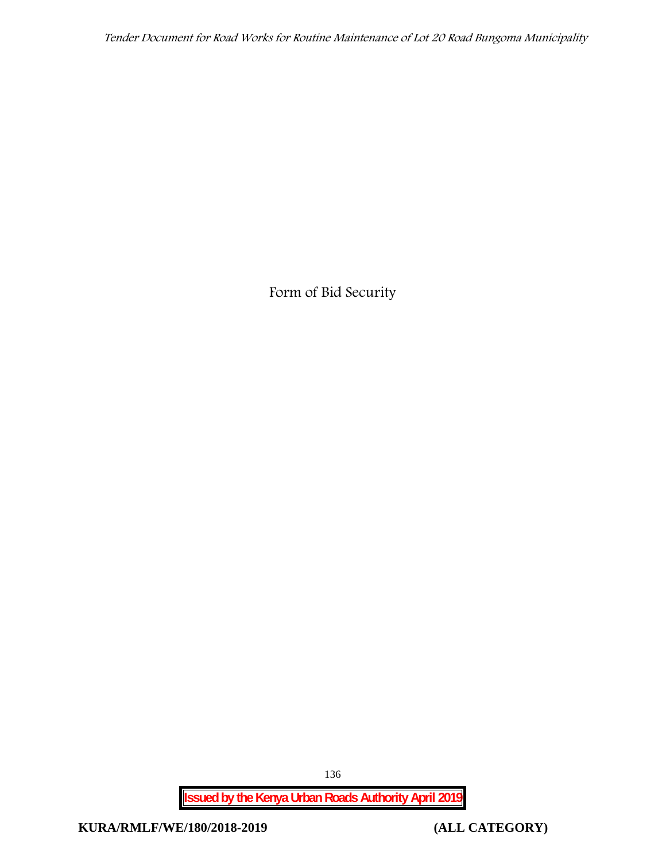**Form of Bid Security**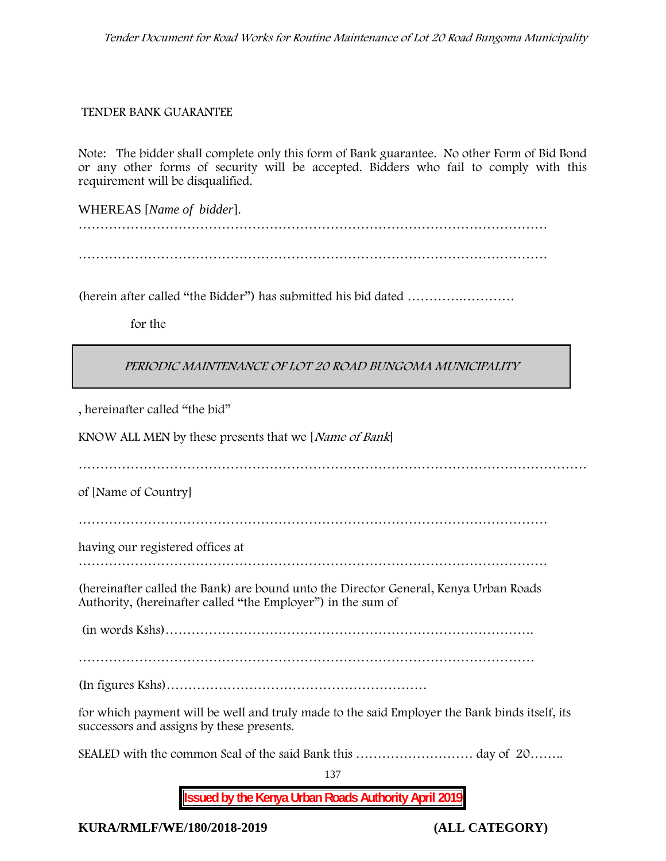### **TENDER BANK GUARANTEE**

Note: The bidder shall complete only this form of Bank guarantee. No other Form of Bid Bond or any other forms of security will be accepted. Bidders who fail to comply with this requirement will be disqualified.

WHEREAS [*Name of bidder*]. ………………………………………………………………………………………………

………………………………………………………………………………………………

(herein after called "the Bidder") has submitted his bid dated ………….…………

**for the**

# *PERIODIC MAINTENANCE OF LOT 20 ROAD BUNGOMA MUNICIPALITY*

, hereinafter called "the bid"

KNOW ALL MEN by these presents that we [*Name of Bank*]

………………………………………………………………………………………………………

of [Name of Country]

………………………………………………………………………………………………

having our registered offices at

………………………………………………………………………………………………

(hereinafter called the Bank) are bound unto the Director General, Kenya Urban Roads Authority, (hereinafter called "the Employer") in the sum of

(in words Kshs)………………………………………………………………………….

(In figures Kshs)……………………………………………………

for which payment will be well and truly made to the said Employer the Bank binds itself, its successors and assigns by these presents.

SEALED with the common Seal of the said Bank this ……………………… day of 20……..

137

**Issued by the Kenya Urban Roads Authority April 2019**

**KURA/RMLF/WE/180/2018-2019 (ALL CATEGORY)**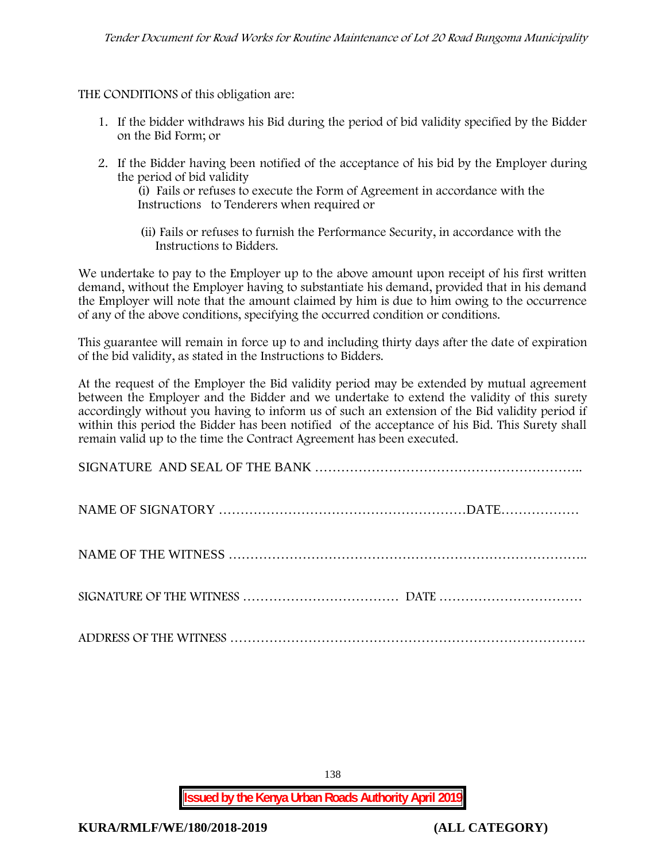THE CONDITIONS of this obligation are:

- 1. If the bidder withdraws his Bid during the period of bid validity specified by the Bidder on the Bid Form; or
- 2. If the Bidder having been notified of the acceptance of his bid by the Employer during the period of bid validity

(i) Fails or refuses to execute the Form of Agreement in accordance with the Instructions to Tenderers when required or

(ii) Fails or refuses to furnish the Performance Security, in accordance with the Instructions to Bidders.

We undertake to pay to the Employer up to the above amount upon receipt of his first written demand, without the Employer having to substantiate his demand, provided that in his demand the Employer will note that the amount claimed by him is due to him owing to the occurrence of any of the above conditions, specifying the occurred condition or conditions.

This guarantee will remain in force up to and including thirty days after the date of expiration of the bid validity, as stated in the Instructions to Bidders.

At the request of the Employer the Bid validity period may be extended by mutual agreement between the Employer and the Bidder and we undertake to extend the validity of this surety accordingly without you having to inform us of such an extension of the Bid validity period if within this period the Bidder has been notified of the acceptance of his Bid. This Surety shall remain valid up to the time the Contract Agreement has been executed.

138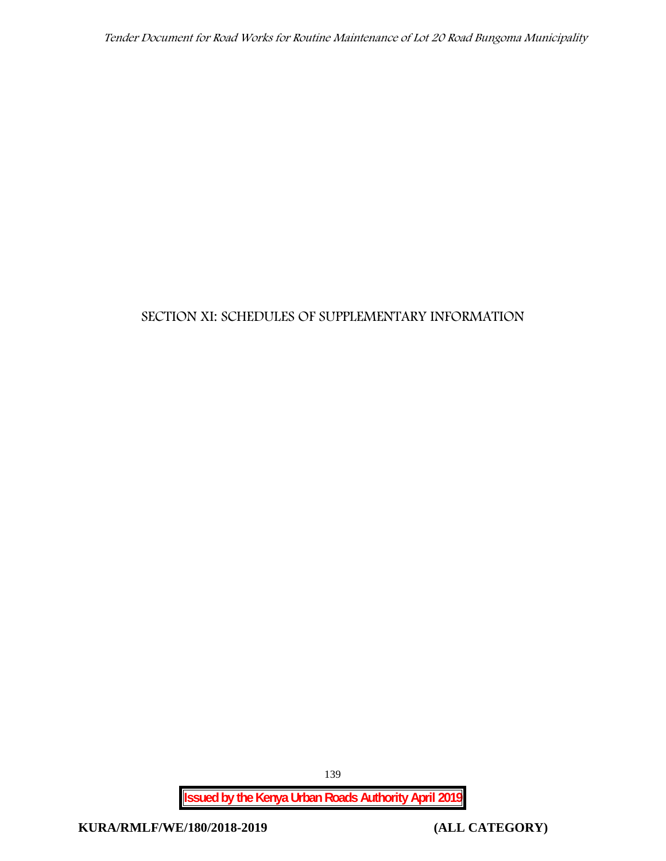# **SECTION XI: SCHEDULES OF SUPPLEMENTARY INFORMATION**

**Issued by the Kenya Urban Roads Authority April 2019**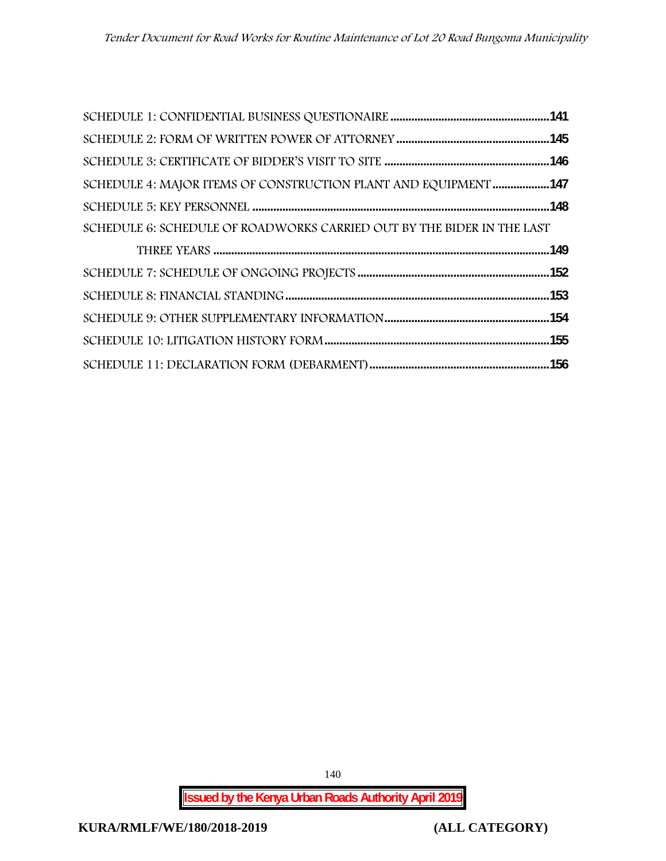| SCHEDULE 4: MAJOR ITEMS OF CONSTRUCTION PLANT AND EQUIPMENT 147        |  |
|------------------------------------------------------------------------|--|
|                                                                        |  |
| SCHEDULE 6: SCHEDULE OF ROADWORKS CARRIED OUT BY THE BIDER IN THE LAST |  |
|                                                                        |  |
|                                                                        |  |
|                                                                        |  |
|                                                                        |  |
|                                                                        |  |
|                                                                        |  |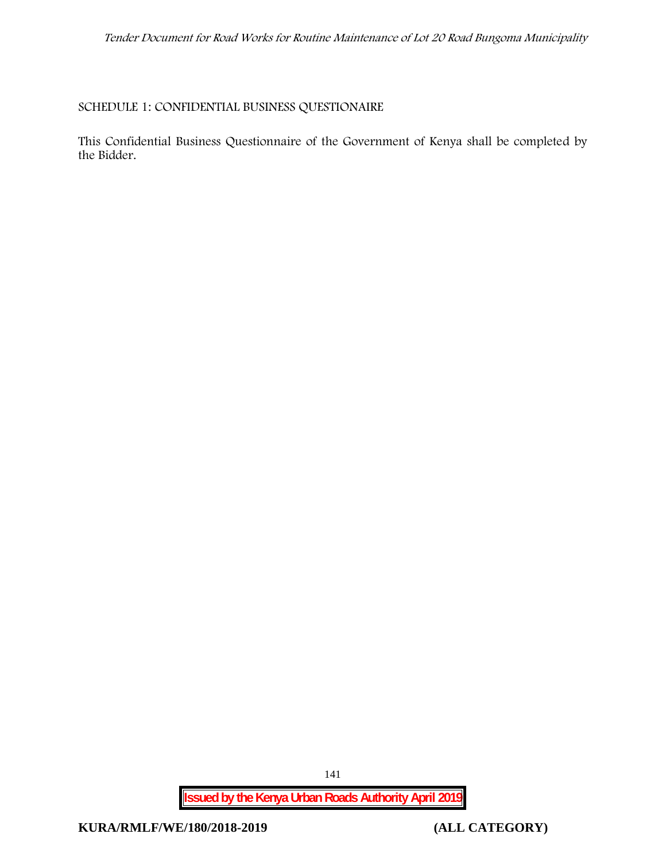### **SCHEDULE 1: CONFIDENTIAL BUSINESS QUESTIONAIRE**

This Confidential Business Questionnaire of the Government of Kenya shall be completed by the Bidder.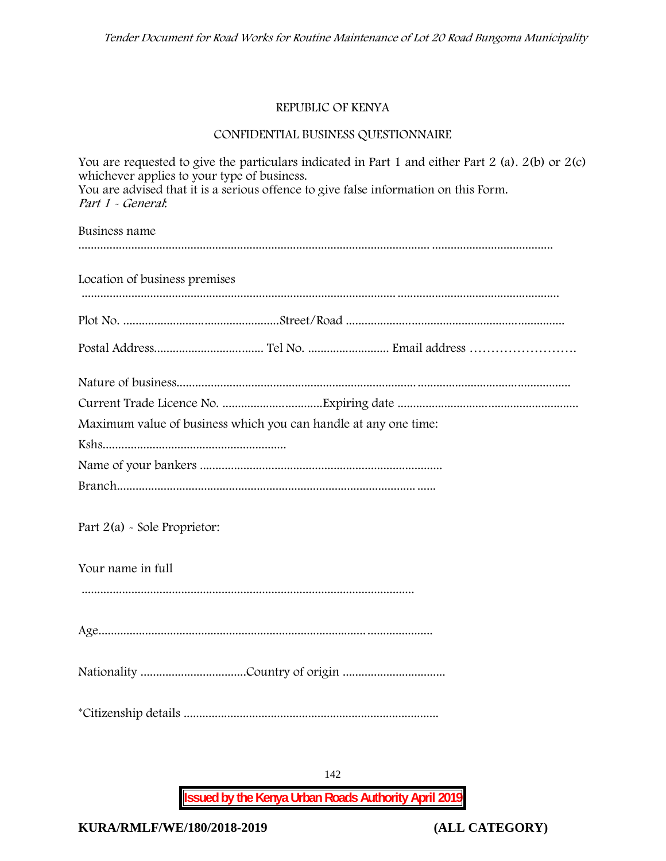# **REPUBLIC OF KENYA**

# **CONFIDENTIAL BUSINESS QUESTIONNAIRE**

| whichever applies to your type of business.<br>You are advised that it is a serious offence to give false information on this Form.<br>Part 1 - General. | You are requested to give the particulars indicated in Part 1 and either Part 2 (a). $2(b)$ or $2(c)$ |
|----------------------------------------------------------------------------------------------------------------------------------------------------------|-------------------------------------------------------------------------------------------------------|
| Business name                                                                                                                                            |                                                                                                       |
| Location of business premises                                                                                                                            |                                                                                                       |
|                                                                                                                                                          |                                                                                                       |
|                                                                                                                                                          |                                                                                                       |
|                                                                                                                                                          |                                                                                                       |
| Maximum value of business which you can handle at any one time:                                                                                          |                                                                                                       |
|                                                                                                                                                          |                                                                                                       |
|                                                                                                                                                          |                                                                                                       |
|                                                                                                                                                          |                                                                                                       |
| Part $2(a)$ - Sole Proprietor:                                                                                                                           |                                                                                                       |
| Your name in full                                                                                                                                        |                                                                                                       |
|                                                                                                                                                          |                                                                                                       |
|                                                                                                                                                          |                                                                                                       |
|                                                                                                                                                          |                                                                                                       |
|                                                                                                                                                          |                                                                                                       |

**Issued by the Kenya Urban Roads Authority April 2019**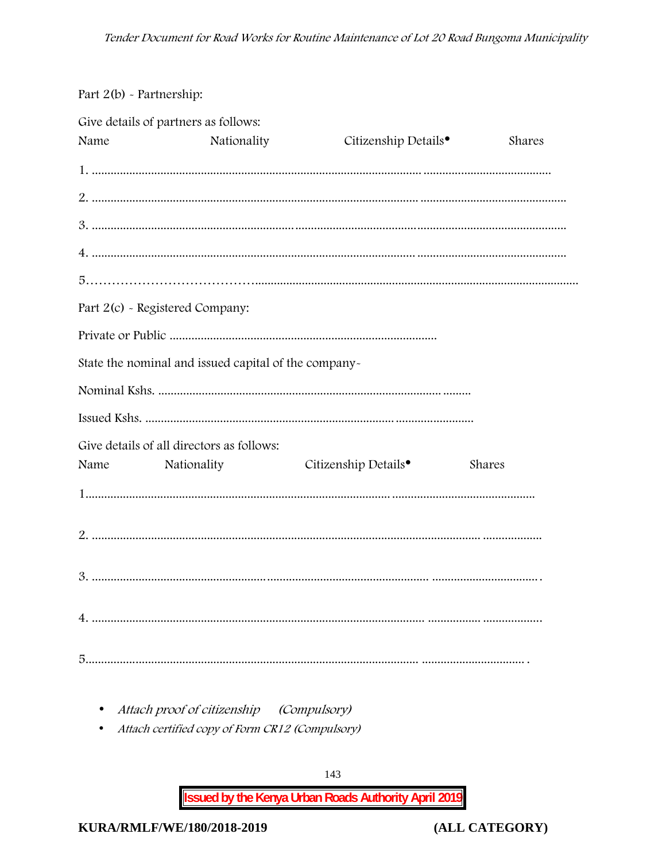# Part 2(b) - Partnership:

|      | Give details of partners as follows:                 |                                  |        |
|------|------------------------------------------------------|----------------------------------|--------|
| Name | Nationality                                          | Citizenship Details <sup>•</sup> | Shares |
|      |                                                      |                                  |        |
|      |                                                      |                                  |        |
|      |                                                      |                                  |        |
|      |                                                      |                                  |        |
|      |                                                      |                                  |        |
|      | Part 2(c) - Registered Company:                      |                                  |        |
|      |                                                      |                                  |        |
|      | State the nominal and issued capital of the company- |                                  |        |
|      |                                                      |                                  |        |
|      |                                                      |                                  |        |
|      | Give details of all directors as follows:            |                                  |        |
| Name | Nationality                                          | Citizenship Details <sup>•</sup> | Shares |
|      |                                                      |                                  |        |
|      |                                                      |                                  |        |
|      |                                                      |                                  |        |
|      |                                                      |                                  |        |
|      |                                                      |                                  |        |

- Attach proof of citizenship (Compulsory)
- Attach certified copy of Form CR12 (Compulsory)

143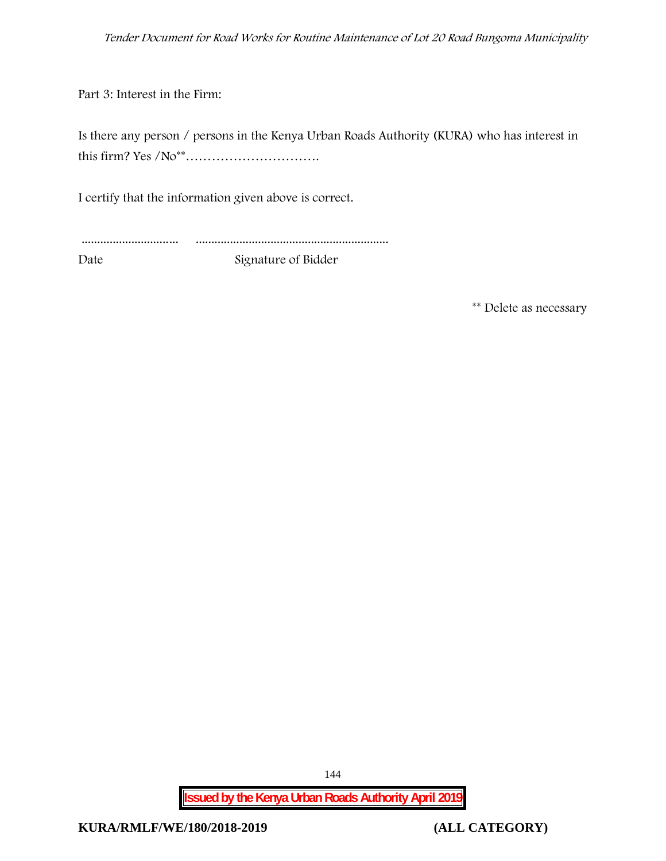Part 3: Interest in the Firm:

Is there any person / persons in the Kenya Urban Roads Authority (KURA) who has interest in this firm? Yes /No\*\*………………………….

I certify that the information given above is correct.

............................... ..............................................................

Date Signature of Bidder

**\*\* Delete as necessary**

**Issued by the Kenya Urban Roads Authority April 2019**

144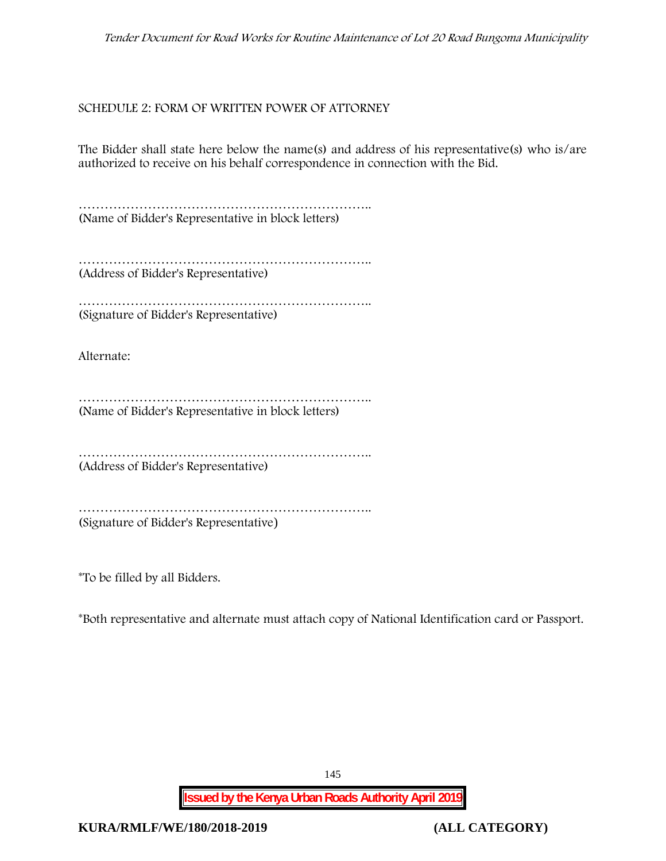*Tender Document for Road Works for Routine Maintenance of Lot 20 Road Bungoma Municipality*

## **SCHEDULE 2: FORM OF WRITTEN POWER OF ATTORNEY**

The Bidder shall state here below the name(s) and address of his representative(s) who is/are authorized to receive on his behalf correspondence in connection with the Bid.

………………………………………………………….. (Name of Bidder's Representative in block letters)

……………………………………………………………………… (Address of Bidder's Representative)

……………………………………………………………………… (Signature of Bidder's Representative)

Alternate:

………………………………………………………….. (Name of Bidder's Representative in block letters)

………………………………………………………….. (Address of Bidder's Representative)

………………………………………………………………………… (Signature of Bidder's Representative)

\*To be filled by all Bidders.

\*Both representative and alternate **must** attach copy of National Identification card or Passport.

145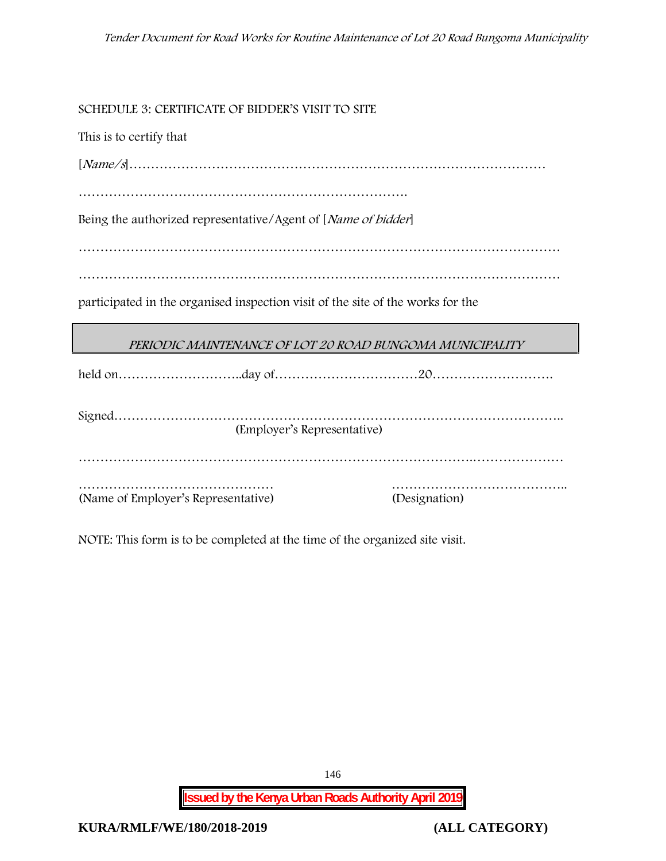**SCHEDULE 3: CERTIFICATE OF BIDDER'S VISIT TO SITE**

This is to certify that

[*Name/s*]……………………………………………………………………………………

………………………………………………………………….

Being the authorized representative/Agent of [*Name of bidder*]

…………………………………………………………………………………………………

…………………………………………………………………………………………………

participated in the organised inspection visit of the site of the works for the

| PERIODIC MAINTENANCE OF LOT 20 ROAD BUNGOMA MUNICIPALITY |  |  |
|----------------------------------------------------------|--|--|

|                                     | (Employer's Representative) |               |
|-------------------------------------|-----------------------------|---------------|
|                                     |                             |               |
|                                     |                             |               |
| (Name of Employer's Representative) |                             | (Designation) |

NOTE: This form is to be completed at the time of the organized site visit.

**Issued by the Kenya Urban Roads Authority April 2019**

146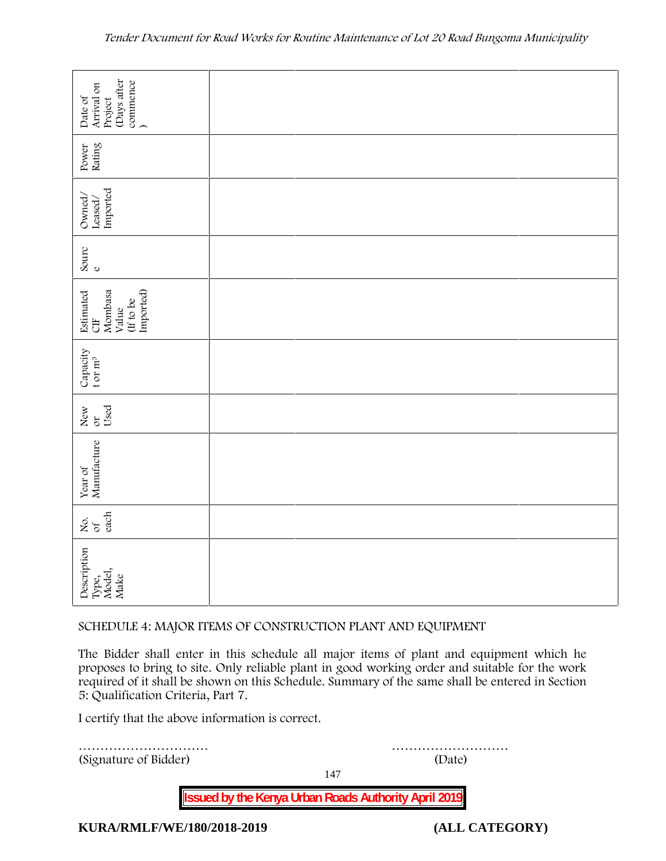| Date of<br>Arrival on<br>Project<br>Project<br>(Days after<br>commence                      |  |  |
|---------------------------------------------------------------------------------------------|--|--|
| Power<br>Rating                                                                             |  |  |
| $\begin{array}{l} \text{Ownd/} \\ \text{Leased/} \\ \text{Imported} \end{array}$            |  |  |
| Sourc $_{\rm e}$                                                                            |  |  |
| Mombasa<br>Value<br>(If to be<br>Imported)<br>Estimated<br>CIF                              |  |  |
| $\begin{array}{c} \texttt{Capacity} \\ \texttt{t}\, \texttt{or}\, \texttt{m}^3 \end{array}$ |  |  |
| New $U$ sed                                                                                 |  |  |
| Year of<br>Manufacture                                                                      |  |  |
| each<br>Σό.                                                                                 |  |  |
| Description<br>Type,<br>Model,<br>Make                                                      |  |  |

#### **SCHEDULE 4: MAJOR ITEMS OF CONSTRUCTION PLANT AND EQUIPMENT**

The Bidder shall enter in this schedule all major items of plant and equipment which he proposes to bring to site. Only reliable plant in good working order and suitable for the work required of it shall be shown on this Schedule. Summary of the same shall be entered in Section 5: Qualification Criteria, Part 7.

I certify that the above information is correct.

………………………… ……………………… (Signature of Bidder) (Date)

147

**Issued by the Kenya Urban Roads Authority April 2019**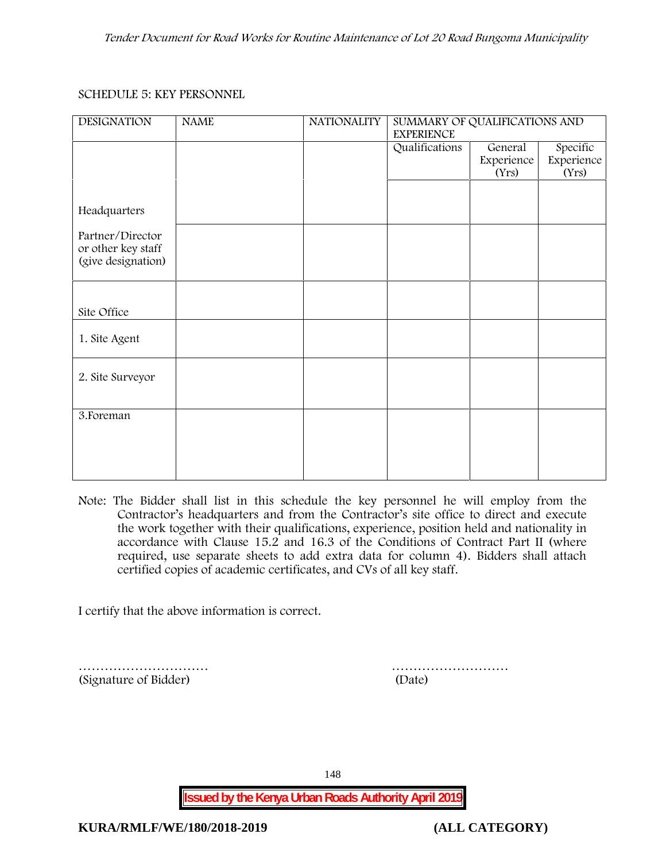#### **SCHEDULE 5: KEY PERSONNEL**

| <b>DESIGNATION</b>                                           | <b>NAME</b> | <b>NATIONALITY</b> | SUMMARY OF QUALIFICATIONS AND<br><b>EXPERIENCE</b> |                     |                     |
|--------------------------------------------------------------|-------------|--------------------|----------------------------------------------------|---------------------|---------------------|
|                                                              |             |                    | Qualifications                                     | General             | Specific            |
|                                                              |             |                    |                                                    | Experience<br>(Yrs) | Experience<br>(Yrs) |
|                                                              |             |                    |                                                    |                     |                     |
| Headquarters                                                 |             |                    |                                                    |                     |                     |
| Partner/Director<br>or other key staff<br>(give designation) |             |                    |                                                    |                     |                     |
|                                                              |             |                    |                                                    |                     |                     |
|                                                              |             |                    |                                                    |                     |                     |
| Site Office                                                  |             |                    |                                                    |                     |                     |
| 1. Site Agent                                                |             |                    |                                                    |                     |                     |
| 2. Site Surveyor                                             |             |                    |                                                    |                     |                     |
|                                                              |             |                    |                                                    |                     |                     |
| 3. Foreman                                                   |             |                    |                                                    |                     |                     |
|                                                              |             |                    |                                                    |                     |                     |
|                                                              |             |                    |                                                    |                     |                     |
|                                                              |             |                    |                                                    |                     |                     |

**Note:** The Bidder shall list in this schedule the key personnel he will employ from the Contractor's headquarters and from the Contractor's site office to direct and execute the work together with their qualifications, experience, position held and nationality in accordance with Clause 15.2 and 16.3 of the Conditions of Contract Part II (where required, use separate sheets to add extra data for column 4). Bidders shall attach certified copies of academic certificates, and CVs of all key staff.

I certify that the above information is correct.

(Signature of Bidder) (Date)

………………………… ………………………

148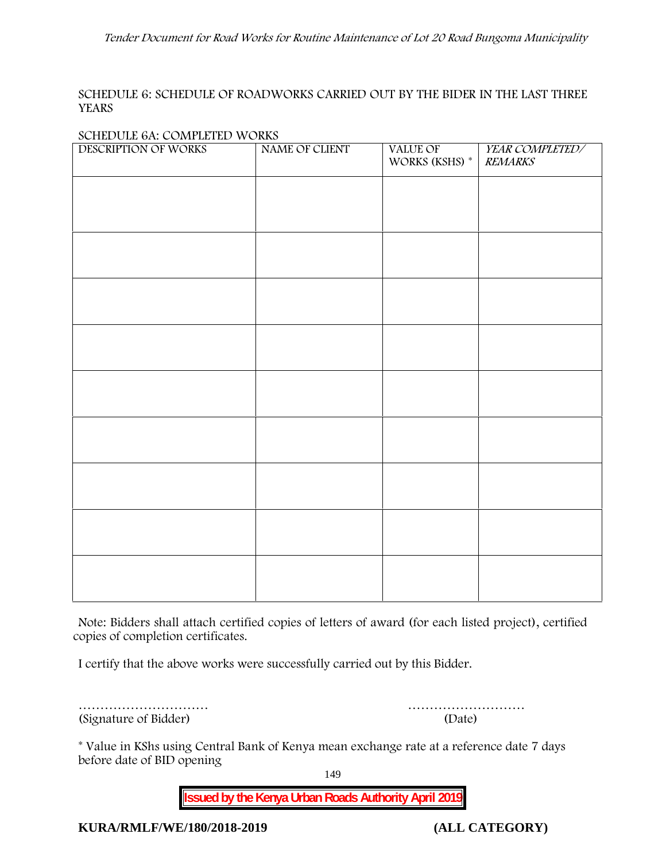#### **SCHEDULE 6: SCHEDULE OF ROADWORKS CARRIED OUT BY THE BIDER IN THE LAST THREE YEARS**

#### **SCHEDULE 6A: COMPLETED WORKS**

| DESCRIPTION OF WORKS | NAME OF CLIENT | VALUE OF<br>WORKS (KSHS) $^\ast$ | YEAR COMPLETED/<br><b>REMARKS</b> |
|----------------------|----------------|----------------------------------|-----------------------------------|
|                      |                |                                  |                                   |
|                      |                |                                  |                                   |
|                      |                |                                  |                                   |
|                      |                |                                  |                                   |
|                      |                |                                  |                                   |
|                      |                |                                  |                                   |
|                      |                |                                  |                                   |
|                      |                |                                  |                                   |
|                      |                |                                  |                                   |
|                      |                |                                  |                                   |
|                      |                |                                  |                                   |
|                      |                |                                  |                                   |
|                      |                |                                  |                                   |
|                      |                |                                  |                                   |
|                      |                |                                  |                                   |
|                      |                |                                  |                                   |

**Note:** Bidders shall attach certified copies of letters of award (for each listed project), certified copies of completion certificates.

I certify that the above works were successfully carried out by this Bidder.

| (Signature of Bidder) | (Date) |
|-----------------------|--------|

………………………… ………………………

\* **Value in KShs using Central Bank of Kenya mean exchange rate at a reference date 7 days before date of BID opening**

149

**Issued by the Kenya Urban Roads Authority April 2019**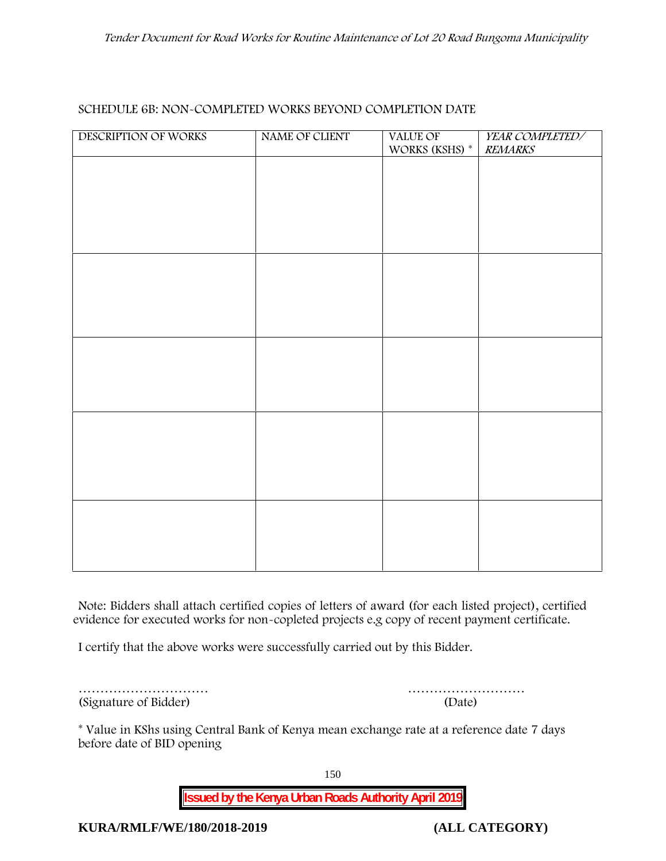| SCHEDULE 6B: NON~COMPLETED WORKS BEYOND COMPLETION DATE |  |
|---------------------------------------------------------|--|
|---------------------------------------------------------|--|

| DESCRIPTION OF WORKS | NAME OF CLIENT | VALUE OF<br>WORKS (KSHS) $^\ast$ | YEAR COMPLETED/<br><b>REMARKS</b> |
|----------------------|----------------|----------------------------------|-----------------------------------|
|                      |                |                                  |                                   |
|                      |                |                                  |                                   |
|                      |                |                                  |                                   |
|                      |                |                                  |                                   |
|                      |                |                                  |                                   |
|                      |                |                                  |                                   |
|                      |                |                                  |                                   |
|                      |                |                                  |                                   |
|                      |                |                                  |                                   |
|                      |                |                                  |                                   |
|                      |                |                                  |                                   |
|                      |                |                                  |                                   |
|                      |                |                                  |                                   |
|                      |                |                                  |                                   |
|                      |                |                                  |                                   |
|                      |                |                                  |                                   |
|                      |                |                                  |                                   |

**Note:** Bidders shall attach certified copies of letters of award (for each listed project), certified evidence for executed works for non-copleted projects e.g copy of recent payment certificate.

I certify that the above works were successfully carried out by this Bidder.

(Signature of Bidder) (Date)

………………………… ………………………

\* **Value in KShs using Central Bank of Kenya mean exchange rate at a reference date 7 days before date of BID opening**

150

**Issued by the Kenya Urban Roads Authority April 2019**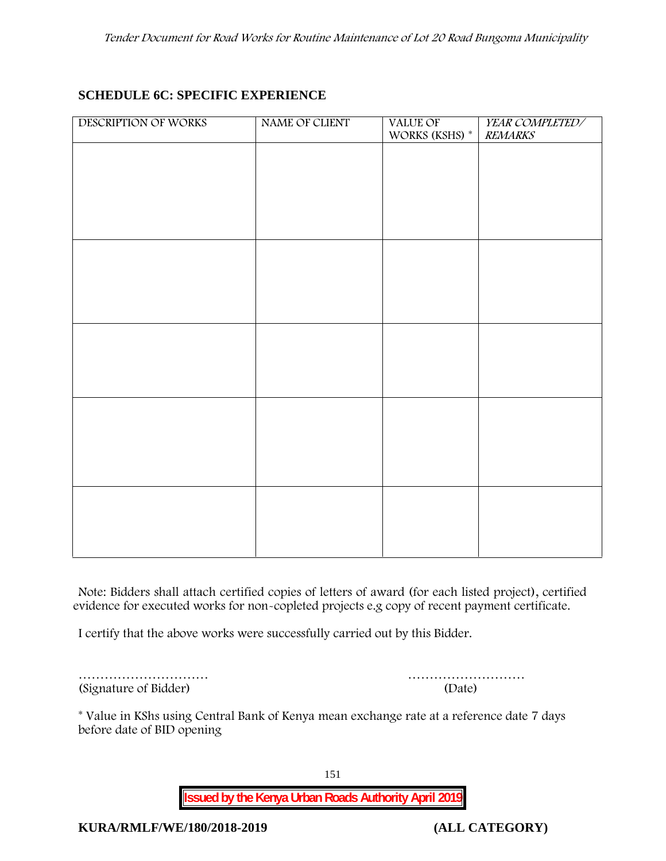## **SCHEDULE 6C: SPECIFIC EXPERIENCE**

| DESCRIPTION OF WORKS | NAME OF CLIENT | VALUE OF<br>WORKS (KSHS) * | YEAR COMPLETED/<br><b>REMARKS</b> |
|----------------------|----------------|----------------------------|-----------------------------------|
|                      |                |                            |                                   |
|                      |                |                            |                                   |
|                      |                |                            |                                   |
|                      |                |                            |                                   |
|                      |                |                            |                                   |
|                      |                |                            |                                   |
|                      |                |                            |                                   |
|                      |                |                            |                                   |
|                      |                |                            |                                   |
|                      |                |                            |                                   |
|                      |                |                            |                                   |
|                      |                |                            |                                   |
|                      |                |                            |                                   |
|                      |                |                            |                                   |
|                      |                |                            |                                   |
|                      |                |                            |                                   |

**Note:** Bidders shall attach certified copies of letters of award (for each listed project), certified evidence for executed works for non-copleted projects e.g copy of recent payment certificate.

I certify that the above works were successfully carried out by this Bidder.

| (Signature of Bidder) | (Date) |
|-----------------------|--------|

………………………… ………………………

\* **Value in KShs using Central Bank of Kenya mean exchange rate at a reference date 7 days before date of BID opening**

151

**Issued by the Kenya Urban Roads Authority April 2019**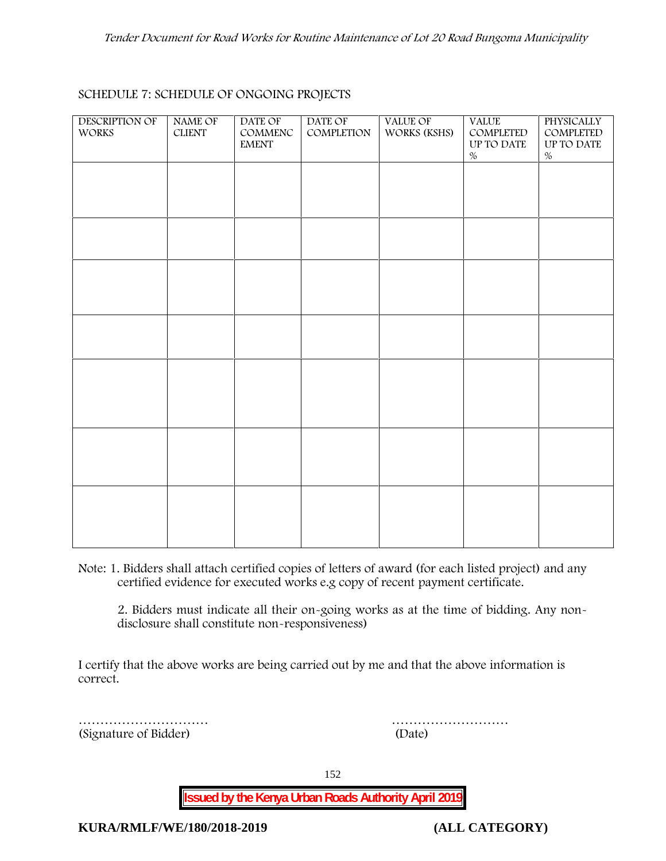#### **SCHEDULE 7: SCHEDULE OF ONGOING PROJECTS**

| <b>DESCRIPTION OF</b><br><b>WORKS</b> | <b>NAME OF</b><br><b>CLIENT</b> | DATE OF<br>COMMENC<br><b>EMENT</b> | DATE OF<br>COMPLETION | VALUE OF<br>WORKS (KSHS) | <b>VALUE</b><br>COMPLETED<br>UP TO DATE<br>$\%$ | PHYSICALLY<br>COMPLETED<br>UP TO DATE<br>$\%$ |  |
|---------------------------------------|---------------------------------|------------------------------------|-----------------------|--------------------------|-------------------------------------------------|-----------------------------------------------|--|
|                                       |                                 |                                    |                       |                          |                                                 |                                               |  |
|                                       |                                 |                                    |                       |                          |                                                 |                                               |  |
|                                       |                                 |                                    |                       |                          |                                                 |                                               |  |
|                                       |                                 |                                    |                       |                          |                                                 |                                               |  |
|                                       |                                 |                                    |                       |                          |                                                 |                                               |  |
|                                       |                                 |                                    |                       |                          |                                                 |                                               |  |
|                                       |                                 |                                    |                       |                          |                                                 |                                               |  |
|                                       |                                 |                                    |                       |                          |                                                 |                                               |  |

**Note:** 1. Bidders shall attach certified copies of letters of award (for each listed project) and any certified evidence for executed works e.g copy of recent payment certificate.

2. Bidders must indicate all their on-going works as at the time of bidding. Any non disclosure shall constitute non-responsiveness)

I certify that the above works are being carried out by me and that the above information is correct.

(Signature of Bidder) (Date)

………………………… ………………………

152

**Issued by the Kenya Urban Roads Authority April 2019**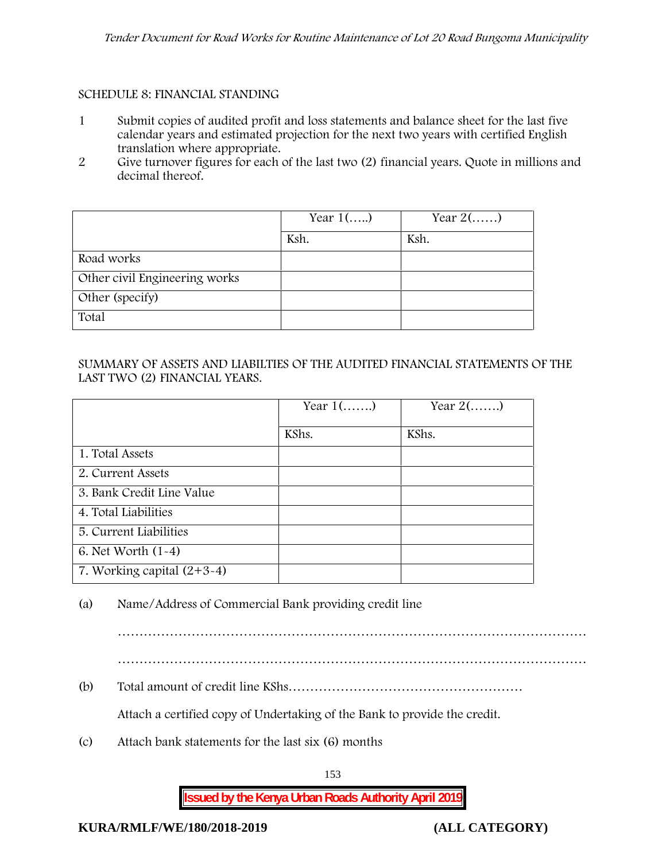#### **SCHEDULE 8: FINANCIAL STANDING**

- 1 Submit copies of audited profit and loss statements and balance sheet for the last five calendar years and estimated projection for the next two years with certified English translation where appropriate.
- 2 Give turnover figures for each of the last two (2) financial years. Quote in millions and decimal thereof.

|                               | Year $1()$ | Year $2(\ldots)$ |
|-------------------------------|------------|------------------|
|                               | Ksh.       | Ksh.             |
| Road works                    |            |                  |
| Other civil Engineering works |            |                  |
| Other (specify)               |            |                  |
| Total                         |            |                  |

## SUMMARY OF ASSETS AND LIABILTIES OF THE AUDITED FINANCIAL STATEMENTS OF THE LAST TWO (2) FINANCIAL YEARS.

|                              | Year $1$ () | Year $2(\ldots)$ |  |
|------------------------------|-------------|------------------|--|
|                              | KShs.       | KShs.            |  |
| 1. Total Assets              |             |                  |  |
| 2. Current Assets            |             |                  |  |
| 3. Bank Credit Line Value    |             |                  |  |
| 4. Total Liabilities         |             |                  |  |
| 5. Current Liabilities       |             |                  |  |
| 6. Net Worth $(1-4)$         |             |                  |  |
| 7. Working capital $(2+3-4)$ |             |                  |  |

(a) Name/Address of Commercial Bank providing credit line

………………………………………………………………………………………………

………………………………………………………………………………………………

(b) Total amount of credit line KShs………………………………………………

Attach a certified copy of Undertaking of the Bank to provide the credit.

(c) Attach bank statements for the last six (6) months

153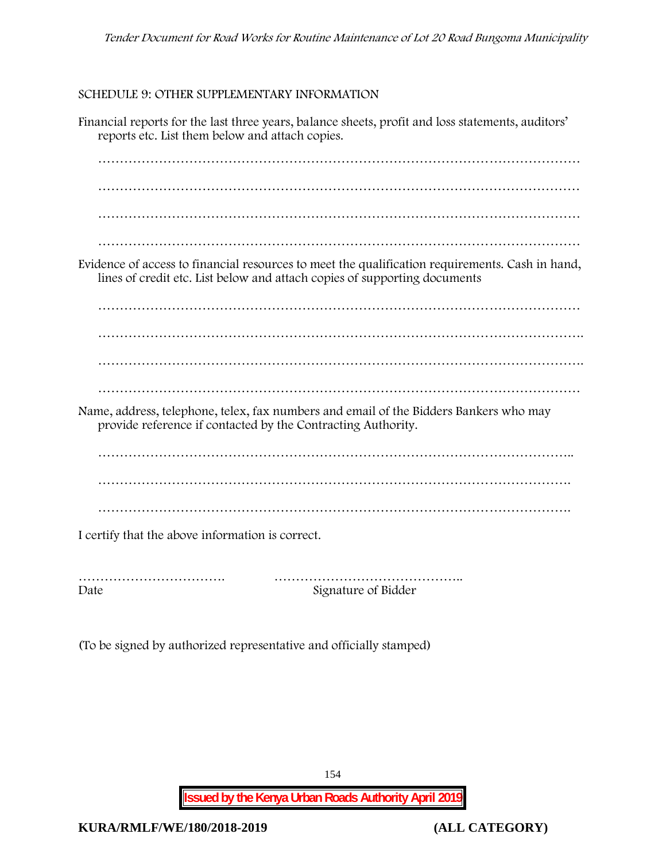#### **SCHEDULE 9: OTHER SUPPLEMENTARY INFORMATION**

Financial reports for the last three years, balance sheets, profit and loss statements, auditors' reports etc. List them below and attach copies. ………………………………………………………………………………………………… ………………………………………………………………………………………………… ………………………………………………………………………………………………… ………………………………………………………………………………………………… Evidence of access to financial resources to meet the qualification requirements. Cash in hand, lines of credit etc. List below and attach copies of supporting documents ………………………………………………………………………………………………… …………………………………………………………………………………………………. …………………………………………………………………………………………………. Name, address, telephone, telex, fax numbers and email of the Bidders Bankers who may provide reference if contacted by the Contracting Authority. ……………………………………………………………………………………………….. ………………………………………………………………………………………………. ………………………………………………………………………………………………. I certify that the above information is correct. ……………………………. ……………………………………..

Date Signature of Bidder

(To be signed by authorized representative and officially stamped)

154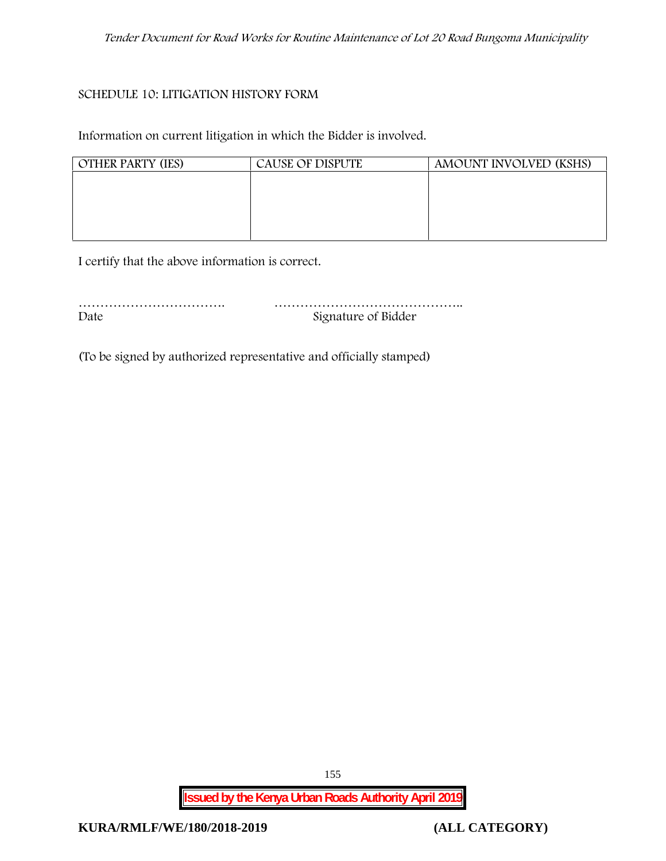#### **SCHEDULE 10: LITIGATION HISTORY FORM**

Information on current litigation in which the Bidder is involved.

| <b>OTHER PARTY (IES)</b> | CAUSE OF DISPUTE | AMOUNT INVOLVED (KSHS) |
|--------------------------|------------------|------------------------|
|                          |                  |                        |
|                          |                  |                        |
|                          |                  |                        |
|                          |                  |                        |

I certify that the above information is correct.

| Date | Signature of Bidder |
|------|---------------------|

(To be signed by authorized representative and officially stamped)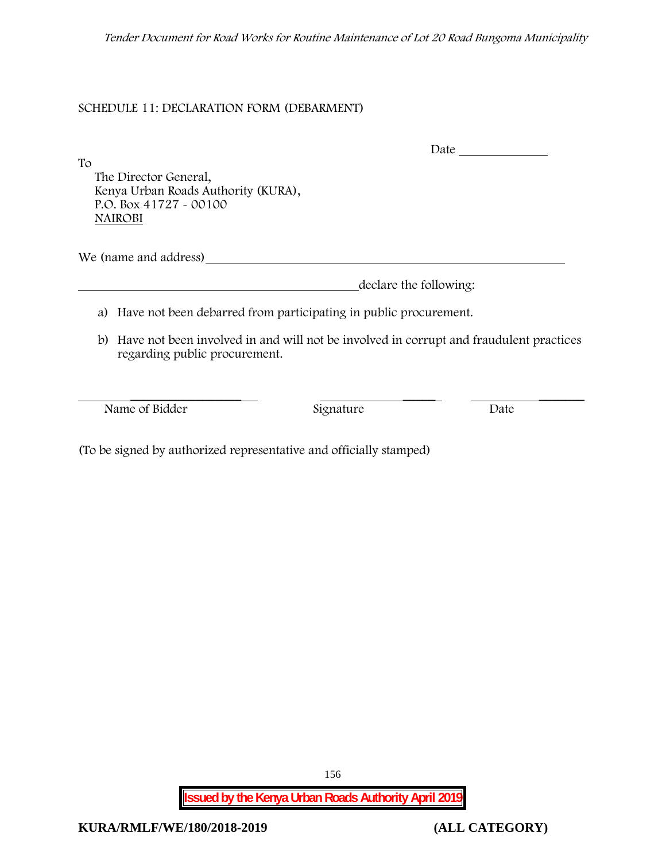*Tender Document for Road Works for Routine Maintenance of Lot 20 Road Bungoma Municipality*

## **SCHEDULE 11: DECLARATION FORM (DEBARMENT)**

To

Date

The Director General, Kenya Urban Roads Authority (KURA), P.O. Box 41727 - 00100 **NAIROBI**

We (name and address)

declare the following:

- a) Have not been debarred from participating in public procurement.
- b) Have not been involved in and will not be involved in corrupt and fraudulent practices regarding public procurement.

Name of Bidder Signature Date

 $\frac{1}{\sqrt{2}}$  ,  $\frac{1}{\sqrt{2}}$  ,  $\frac{1}{\sqrt{2}}$  ,  $\frac{1}{\sqrt{2}}$  ,  $\frac{1}{\sqrt{2}}$  ,  $\frac{1}{\sqrt{2}}$  ,  $\frac{1}{\sqrt{2}}$  ,  $\frac{1}{\sqrt{2}}$  ,  $\frac{1}{\sqrt{2}}$  ,  $\frac{1}{\sqrt{2}}$  ,  $\frac{1}{\sqrt{2}}$  ,  $\frac{1}{\sqrt{2}}$  ,  $\frac{1}{\sqrt{2}}$  ,  $\frac{1}{\sqrt{2}}$  ,  $\frac{1}{\sqrt{2}}$ 

(To be signed by authorized representative and officially stamped)

156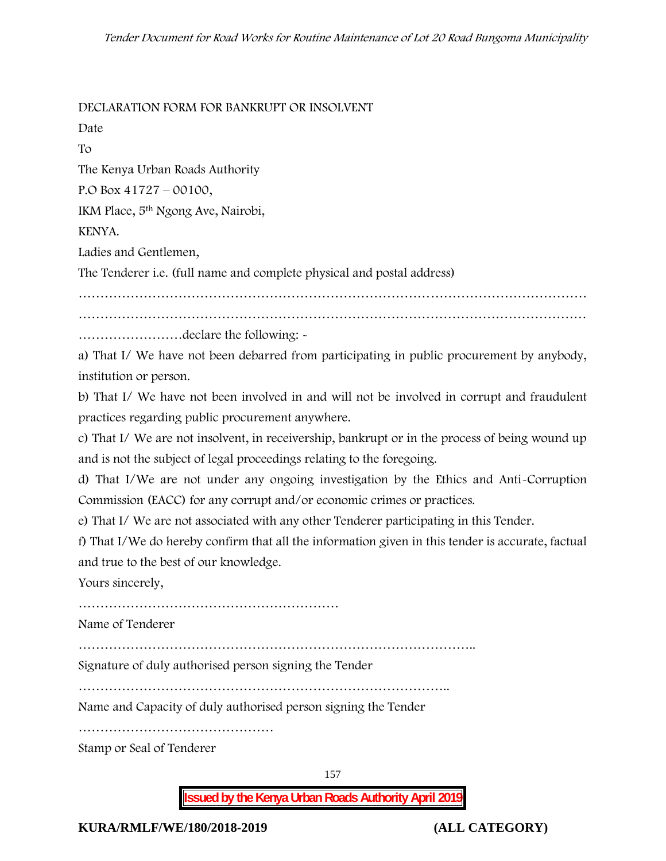#### **DECLARATION FORM FOR BANKRUPT OR INSOLVENT**

Date

To

The Kenya Urban Roads Authority

P.O Box 41727 – 00100,

IKM Place, 5th Ngong Ave, Nairobi,

## KENYA.

Ladies and Gentlemen,

The Tenderer i.e. (full name and complete physical and postal address)

……………………………………………………………………………………………………… ………………………………………………………………………………………………………

……………………declare the following: -

a) That I/ We have not been debarred from participating in public procurement by anybody, institution or person.

b) That I/ We have not been involved in and will not be involved in corrupt and fraudulent practices regarding public procurement anywhere.

c) That I/ We are not insolvent, in receivership, bankrupt or in the process of being wound up and is not the subject of legal proceedings relating to the foregoing.

d) That I/We are not under any ongoing investigation by the Ethics and Anti-Corruption Commission (EACC) for any corrupt and/or economic crimes or practices.

e) That I/ We are not associated with any other Tenderer participating in this Tender.

f) That I/We do hereby confirm that all the information given in this tender is accurate, factual and true to the best of our knowledge.

Yours sincerely,

……………………………………………………

Name of Tenderer

………………………………………………………………………………..

Signature of duly authorised person signing the Tender

…………………………………………………………………………..

Name and Capacity of duly authorised person signing the Tender

………………………………………

Stamp or Seal of Tenderer

157

**Issued by the Kenya Urban Roads Authority April 2019**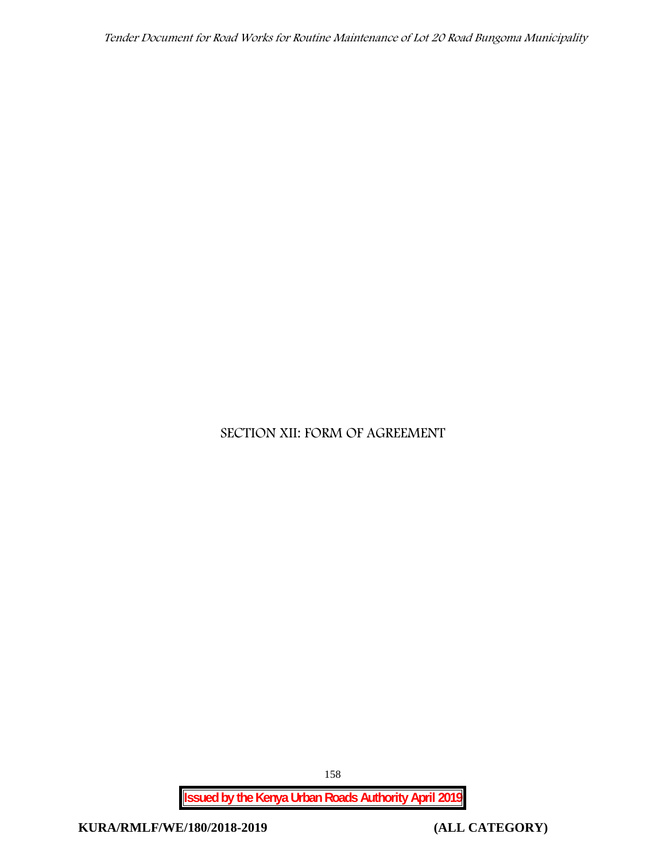*Tender Document for Road Works for Routine Maintenance of Lot 20 Road Bungoma Municipality*

# **SECTION XII: FORM OF AGREEMENT**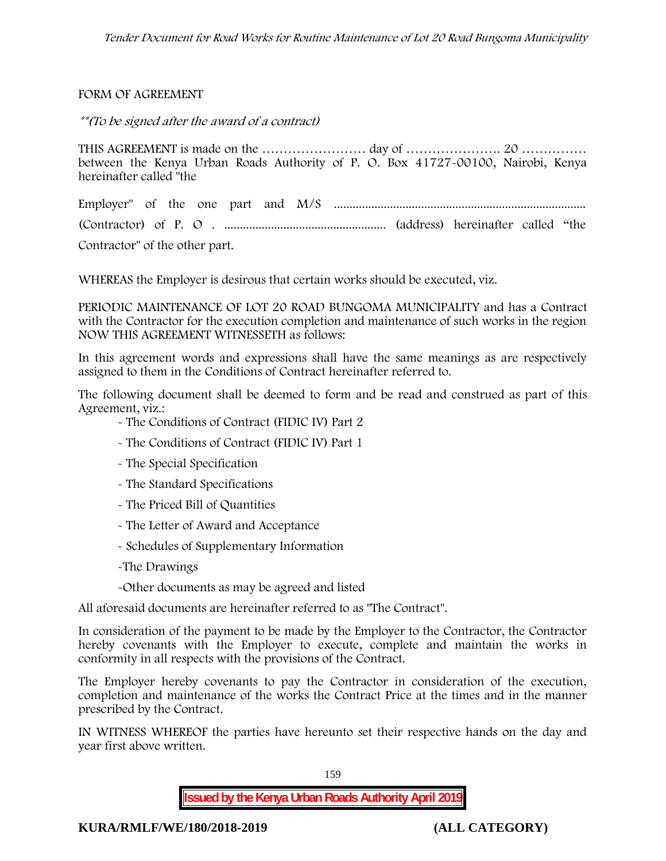#### FORM OF AGREEMENT

*\*\*(To be signed after the award of a contract)*

THIS AGREEMENT is made on the …………………… day of …………………. 20 …………… between the Kenya Urban Roads Authority of P. O. Box 41727-00100, Nairobi, Kenya hereinafter called "the

Employer" of the one part and M/S ................................................................................. (Contractor) of P. O . .................................................... (address) hereinafter called "the Contractor" of the other part.

WHEREAS the Employer is desirous that certain works should be executed, viz.

**PERIODIC MAINTENANCE OF LOT 20 ROAD BUNGOMA MUNICIPALITY** and has a Contract with the Contractor for the execution completion and maintenance of such works in the region NOW THIS AGREEMENT WITNESSETH as follows:

In this agreement words and expressions shall have the same meanings as are respectively assigned to them in the Conditions of Contract hereinafter referred to.

The following document shall be deemed to form and be read and construed as part of this Agreement, viz.:

- The Conditions of Contract (FIDIC IV) Part 2
- The Conditions of Contract (FIDIC IV) Part 1
- The Special Specification
- The Standard Specifications
- The Priced Bill of Quantities
- The Letter of Award and Acceptance
- Schedules of Supplementary Information
- -The Drawings
- -Other documents as may be agreed and listed

All aforesaid documents are hereinafter referred to as "The Contract".

In consideration of the payment to be made by the Employer to the Contractor, the Contractor hereby covenants with the Employer to execute, complete and maintain the works in conformity in all respects with the provisions of the Contract.

The Employer hereby covenants to pay the Contractor in consideration of the execution, completion and maintenance of the works the Contract Price at the times and in the manner prescribed by the Contract.

IN WITNESS WHEREOF the parties have hereunto set their respective hands on the day and year first above written.

> **Issued by the Kenya Urban Roads Authority April 2019** 159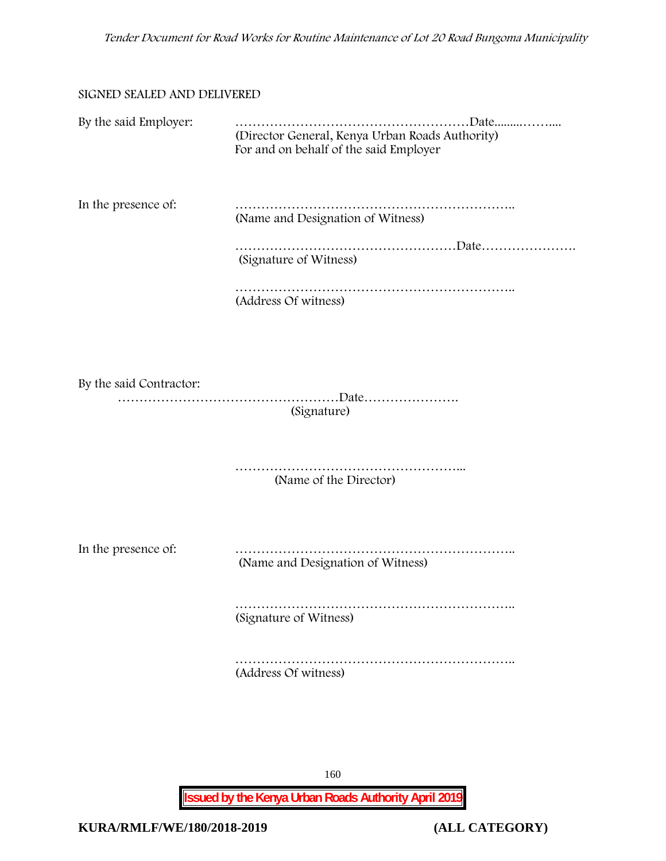#### SIGNED SEALED AND DELIVERED

| By the said Employer:   | (Director General, Kenya Urban Roads Authority)<br>For and on behalf of the said Employer |
|-------------------------|-------------------------------------------------------------------------------------------|
| In the presence of:     | (Name and Designation of Witness)                                                         |
|                         | (Signature of Witness)                                                                    |
|                         | (Address Of witness)                                                                      |
|                         |                                                                                           |
| By the said Contractor: | (Signature)                                                                               |
|                         | (Name of the Director)                                                                    |
| In the presence of:     | (Name and Designation of Witness)                                                         |
|                         | (Signature of Witness)                                                                    |
|                         | (Address Of witness)                                                                      |
|                         |                                                                                           |

160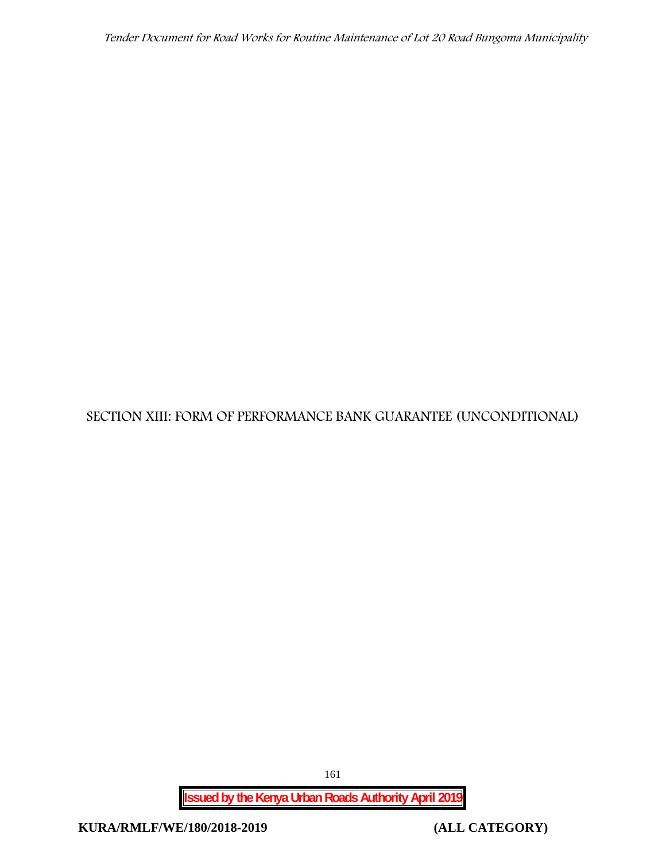**SECTION XIII: FORM OF PERFORMANCE BANK GUARANTEE (UNCONDITIONAL)**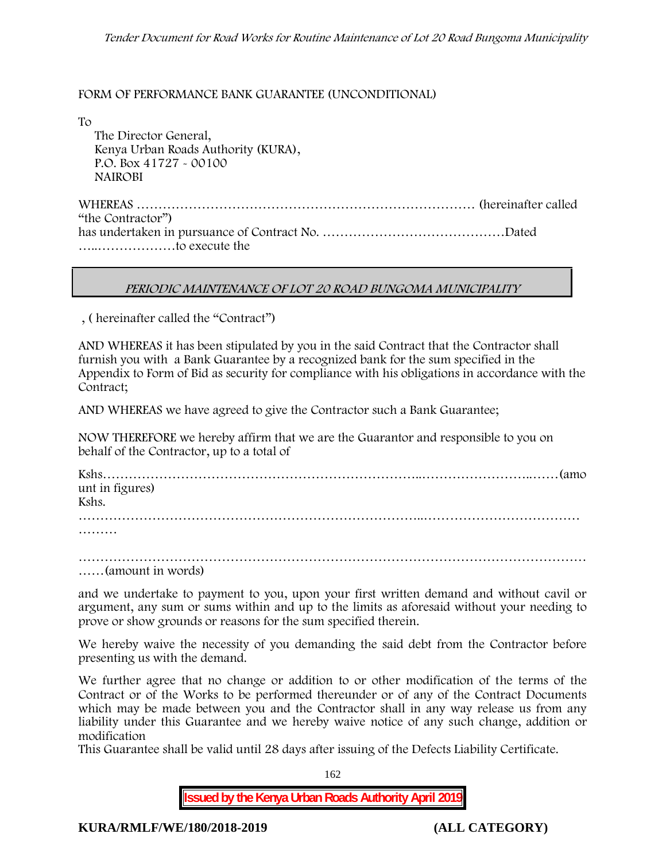#### FORM OF PERFORMANCE BANK GUARANTEE (UNCONDITIONAL)

To

The Director General, Kenya Urban Roads Authority (KURA), P.O. Box 41727 - 00100 **NAIROBI**

WHEREAS …………………………………………………………………… (hereinafter called "the Contractor") has undertaken in pursuance of Contract No. ……………………………………Dated …..………………to execute the

#### *PERIODIC MAINTENANCE OF LOT 20 ROAD BUNGOMA MUNICIPALITY*

, ( hereinafter called the "Contract")

AND WHEREAS it has been stipulated by you in the said Contract that the Contractor shall furnish you with a Bank Guarantee by a recognized bank for the sum specified in the Appendix to Form of Bid as security for compliance with his obligations in accordance with the Contract;

AND WHEREAS we have agreed to give the Contractor such a Bank Guarantee;

NOW THEREFORE we hereby affirm that we are the Guarantor and responsible to you on behalf of the Contractor, up to a total of

| unt in figures) |  |
|-----------------|--|
| Kshs.           |  |
|                 |  |

………

……………………………………………………………………………………………………… ……(amount in words)

and we undertake to payment to you, upon your first written demand and without cavil or argument, any sum or sums within and up to the limits as aforesaid without your needing to prove or show grounds or reasons for the sum specified therein.

We hereby waive the necessity of you demanding the said debt from the Contractor before presenting us with the demand.

We further agree that no change or addition to or other modification of the terms of the Contract or of the Works to be performed thereunder or of any of the Contract Documents which may be made between you and the Contractor shall in any way release us from any liability under this Guarantee and we hereby waive notice of any such change, addition or modification

This Guarantee shall be valid until 28 days after issuing of the Defects Liability Certificate.

162

**Issued by the Kenya Urban Roads Authority April 2019**